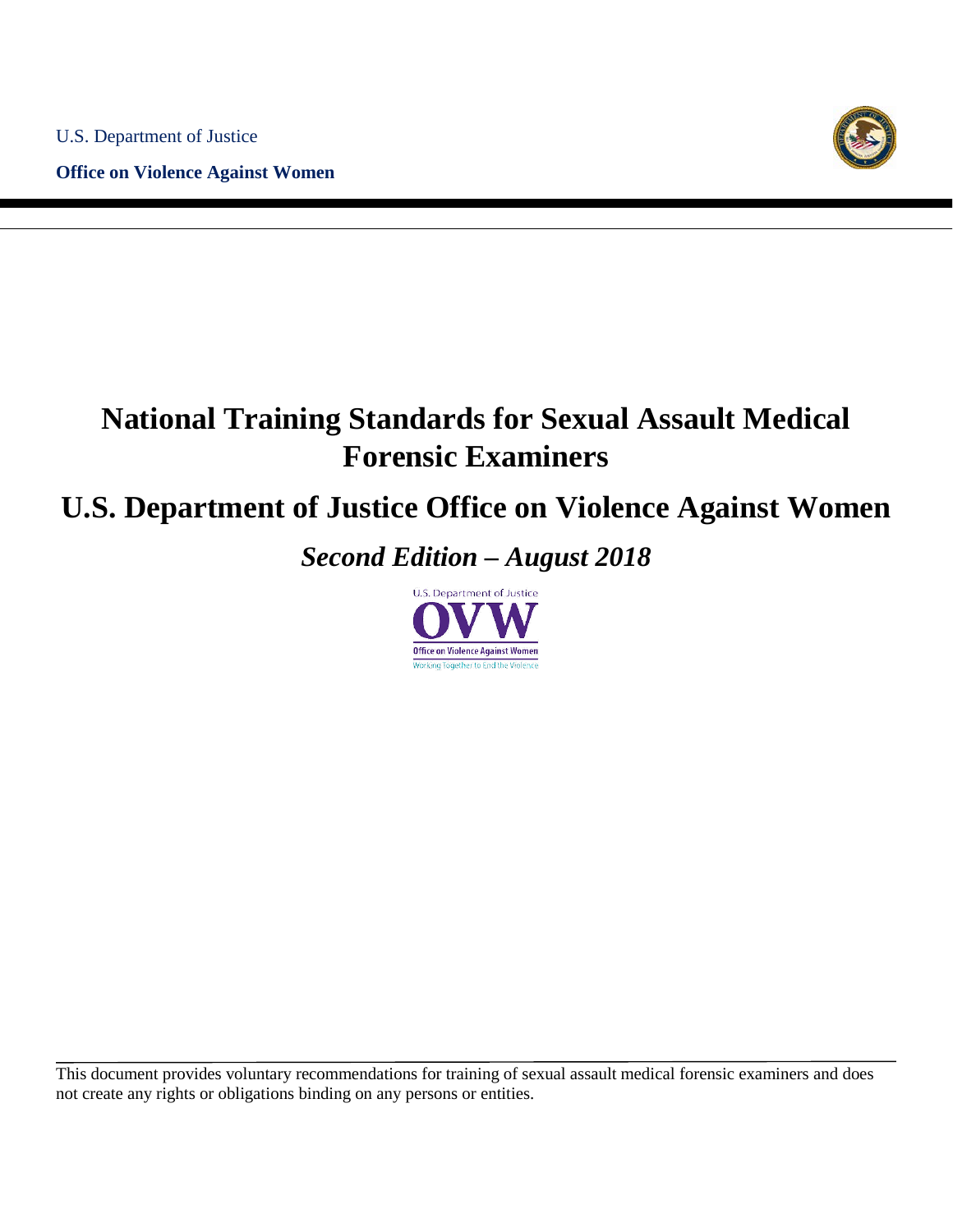**Office on Violence Against Women**



# **National Training Standards for Sexual Assault Medical Forensic Examiners**

## **U.S. Department of Justice Office on Violence Against Women**

*Second Edition – August 2018*

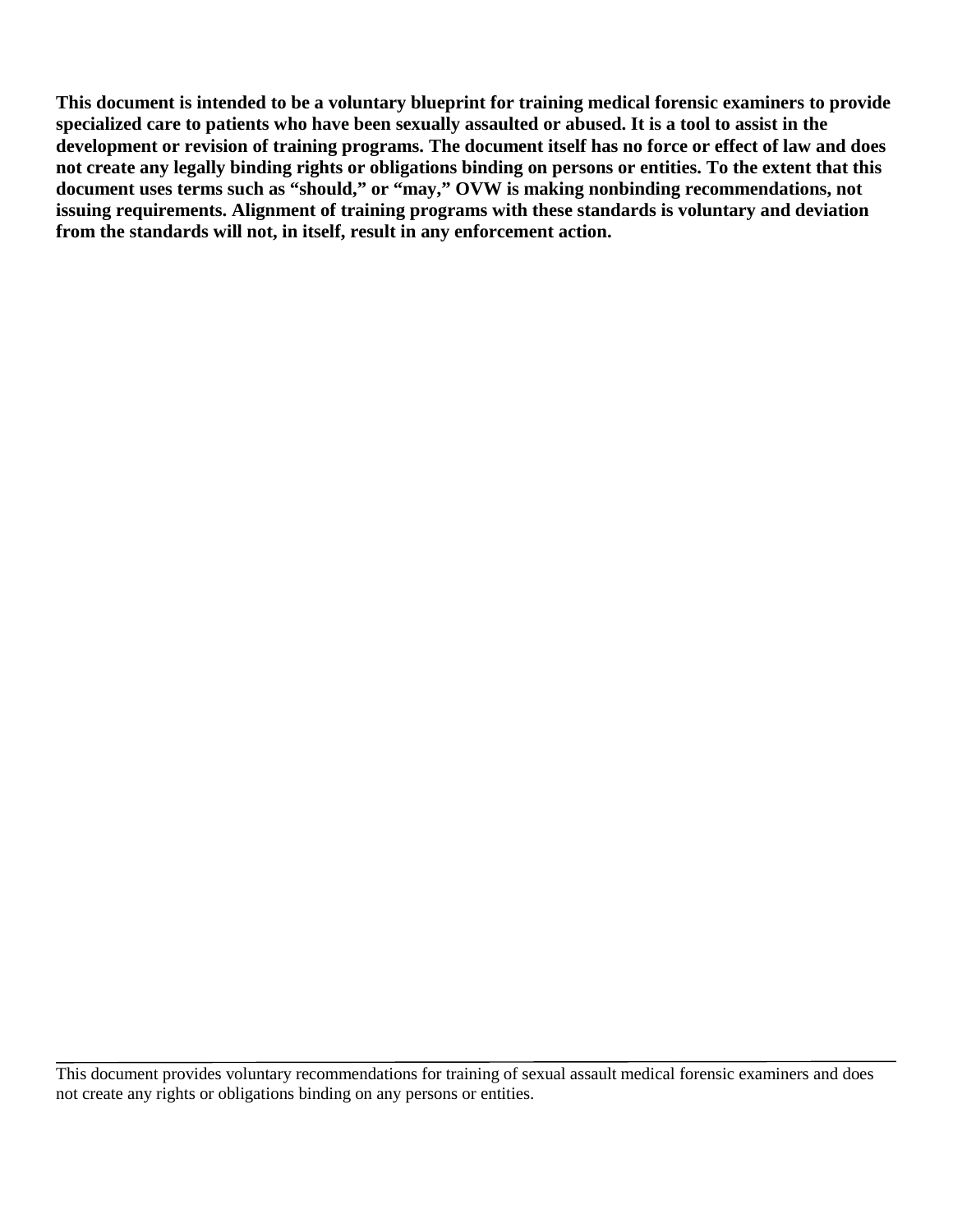**This document is intended to be a voluntary blueprint for training medical forensic examiners to provide specialized care to patients who have been sexually assaulted or abused. It is a tool to assist in the development or revision of training programs. The document itself has no force or effect of law and does not create any legally binding rights or obligations binding on persons or entities. To the extent that this document uses terms such as "should," or "may," OVW is making nonbinding recommendations, not issuing requirements. Alignment of training programs with these standards is voluntary and deviation from the standards will not, in itself, result in any enforcement action.**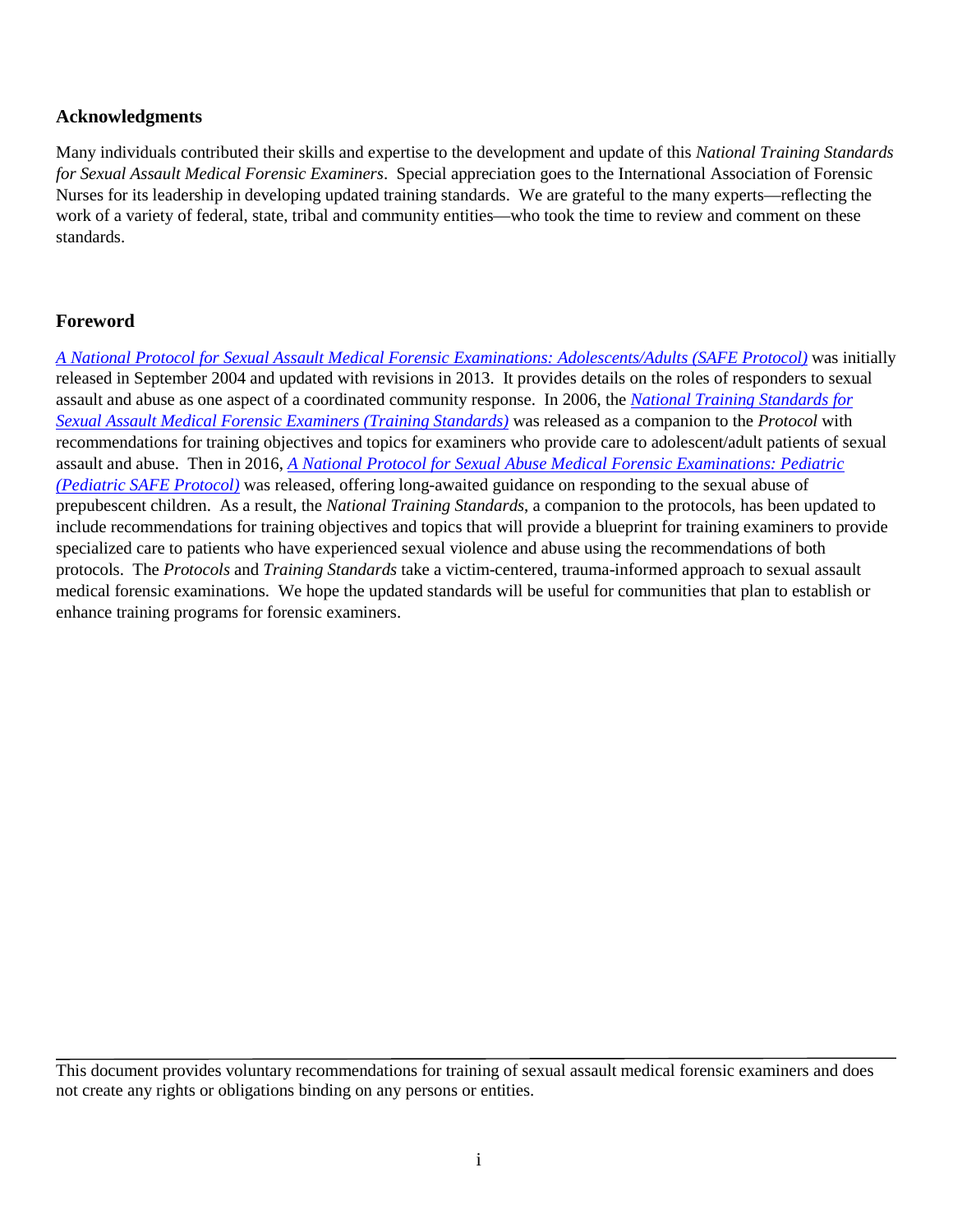#### <span id="page-2-0"></span>**Acknowledgments**

Many individuals contributed their skills and expertise to the development and update of this *National Training Standards for Sexual Assault Medical Forensic Examiners*. Special appreciation goes to the International Association of Forensic Nurses for its leadership in developing updated training standards. We are grateful to the many experts—reflecting the work of a variety of federal, state, tribal and community entities—who took the time to review and comment on these standards.

## <span id="page-2-1"></span>**Foreword**

*[A National Protocol for Sexual Assault Medical Forensic Examinations: Adolescents/Adults](https://c.ymcdn.com/sites/safetasource.site-ym.com/resource/resmgr/Protocol_documents/SAFE_PROTOCOL_2012-508.pdf) (SAFE Protocol)* was initially released in September 2004 and updated with revisions in 2013. It provides details on the roles of responders to sexual assault and abuse as one aspect of a coordinated community response. In 2006, the *[National Training Standards for](http://c.ymcdn.com/sites/www.safeta.org/resource/resmgr/imported/training%20standards.pdf)  [Sexual Assault Medical Forensic Examiners \(Training Standards\)](http://c.ymcdn.com/sites/www.safeta.org/resource/resmgr/imported/training%20standards.pdf)* was released as a companion to the *Protocol* with recommendations for training objectives and topics for examiners who provide care to adolescent/adult patients of sexual assault and abuse. Then in 2016, *[A National Protocol for Sexual Abuse Medical Forensic Examinations: Pediatric](http://c.ymcdn.com/sites/www.kidsta.org/resource/resmgr/Docs/national_pediatric_protocol_.pdf) (Pediatric SAFE Protocol)* was released, offering long-awaited guidance on responding to the sexual abuse of prepubescent children. As a result, the *National Training Standards*, a companion to the protocols, has been updated to include recommendations for training objectives and topics that will provide a blueprint for training examiners to provide specialized care to patients who have experienced sexual violence and abuse using the recommendations of both protocols. The *Protocols* and *Training Standards* take a victim-centered, trauma-informed approach to sexual assault medical forensic examinations. We hope the updated standards will be useful for communities that plan to establish or enhance training programs for forensic examiners.

This document provides voluntary recommendations for training of sexual assault medical forensic examiners and does not create any rights or obligations binding on any persons or entities.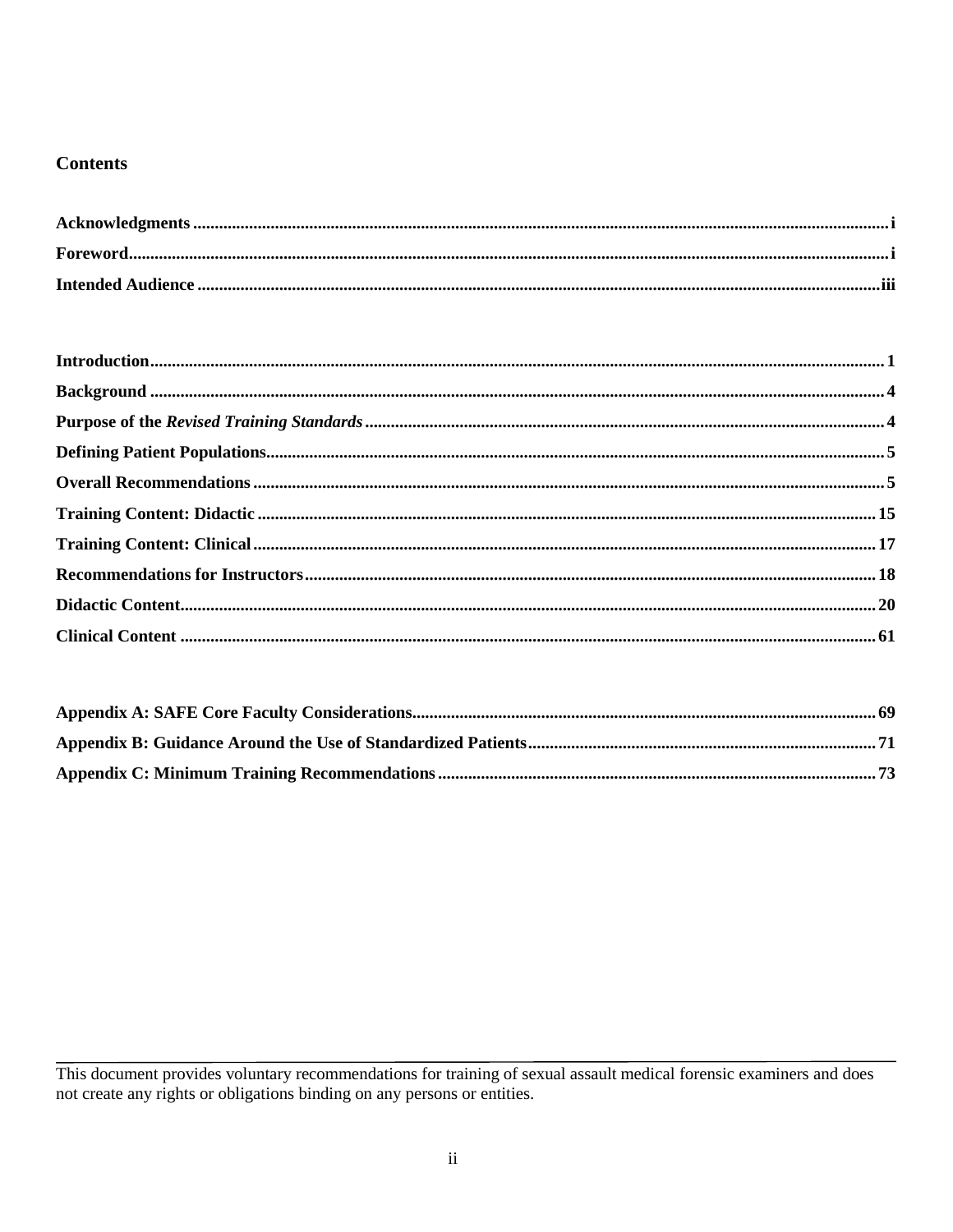#### **Contents**

This document provides voluntary recommendations for training of sexual assault medical forensic examiners and does not create any rights or obligations binding on any persons or entities.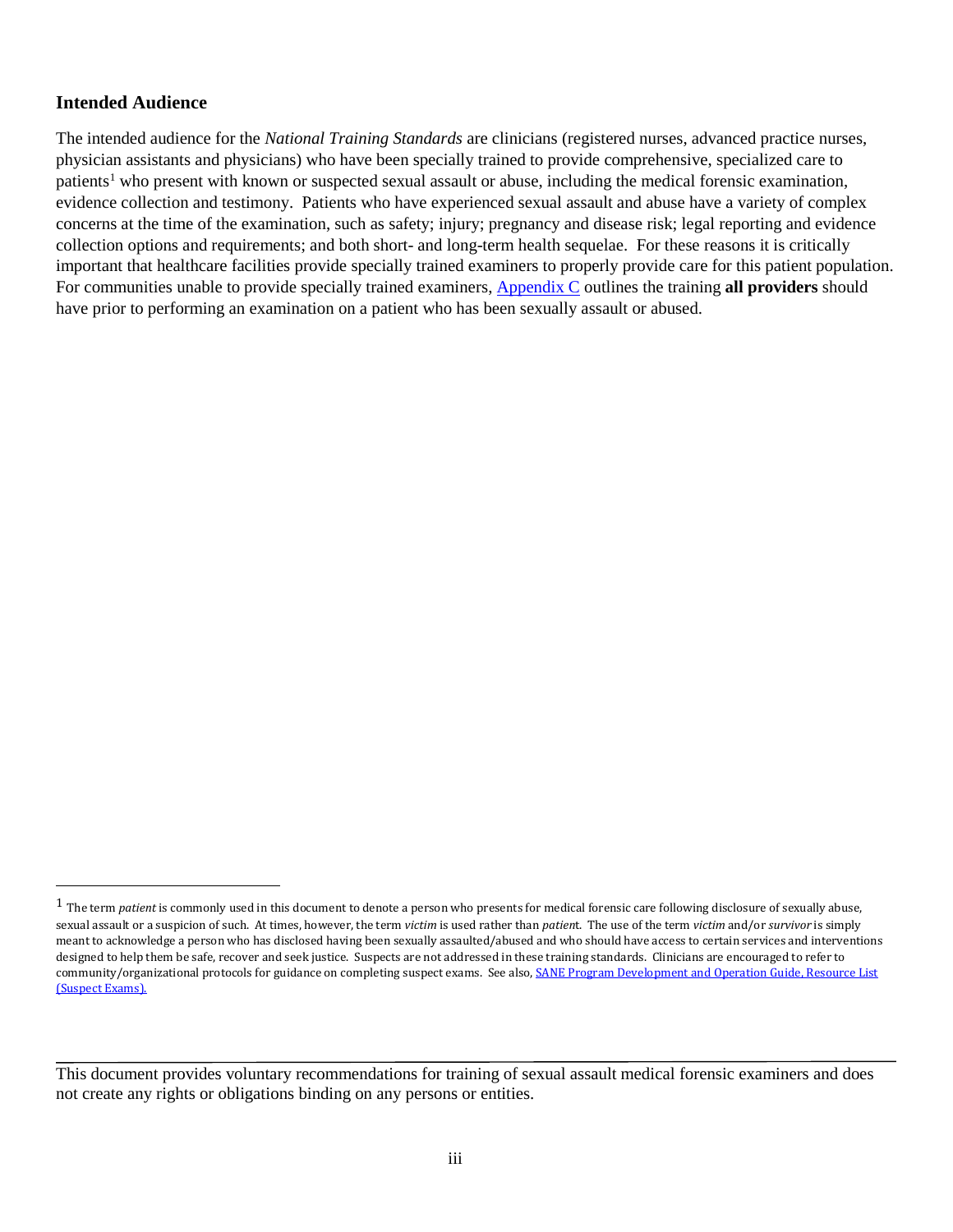#### <span id="page-4-0"></span>**Intended Audience**

The intended audience for the *National Training Standards* are clinicians (registered nurses, advanced practice nurses, physician assistants and physicians) who have been specially trained to provide comprehensive, specialized care to patients<sup>[1](#page-4-1)</sup> who present with known or suspected sexual assault or abuse, including the medical forensic examination, evidence collection and testimony. Patients who have experienced sexual assault and abuse have a variety of complex concerns at the time of the examination, such as safety; injury; pregnancy and disease risk; legal reporting and evidence collection options and requirements; and both short- and long-term health sequelae. For these reasons it is critically important that healthcare facilities provide specially trained examiners to properly provide care for this patient population. For communities unable to provide specially trained examiners, [Appendix C](#page-77-0) outlines the training **all providers** should have prior to performing an examination on a patient who has been sexually assault or abused.

<span id="page-4-1"></span> <sup>1</sup> The term *patient* is commonly used in this document to denote a person who presents for medical forensic care following disclosure of sexually abuse, sexual assault or a suspicion of such. At times, however, the term *victim* is used rather than *patien*t. The use of the term *victim* and/or *survivor* is simply meant to acknowledge a person who has disclosed having been sexually assaulted/abused and who should have access to certain services and interventions designed to help them be safe, recover and seek justice. Suspects are not addressed in these training standards. Clinicians are encouraged to refer to community/organizational protocols for guidance on completing suspect exams. See also, SANE Program Development and Operation Guide, Resource List [\(Suspect Exams\).](https://www.ovcttac.gov/saneguide/resource-list/)

This document provides voluntary recommendations for training of sexual assault medical forensic examiners and does not create any rights or obligations binding on any persons or entities.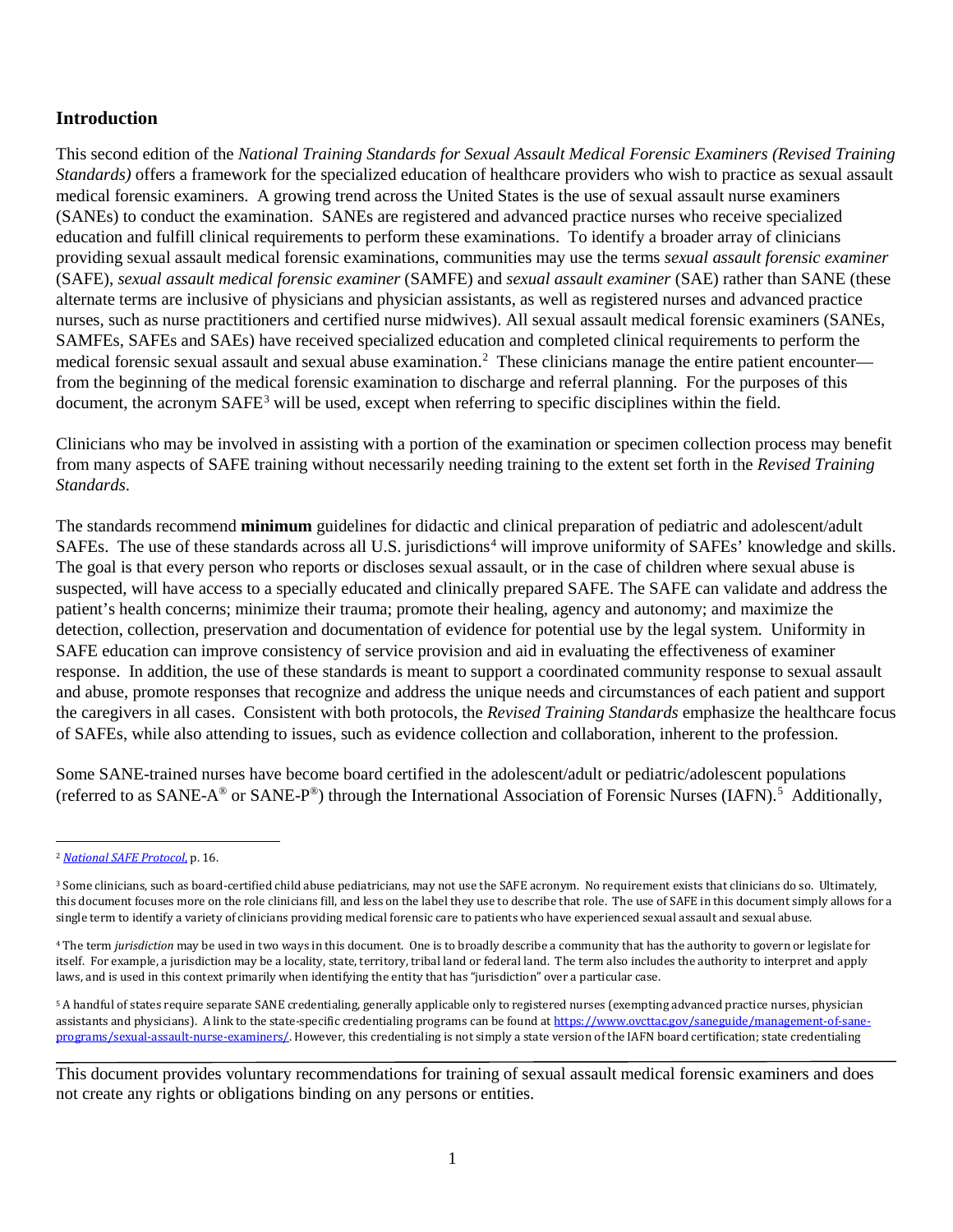### <span id="page-5-0"></span>**Introduction**

This second edition of the *National Training Standards for Sexual Assault Medical Forensic Examiners (Revised Training Standards)* offers a framework for the specialized education of healthcare providers who wish to practice as sexual assault medical forensic examiners. A growing trend across the United States is the use of sexual assault nurse examiners (SANEs) to conduct the examination. SANEs are registered and advanced practice nurses who receive specialized education and fulfill clinical requirements to perform these examinations. To identify a broader array of clinicians providing sexual assault medical forensic examinations, communities may use the terms *sexual assault forensic examiner* (SAFE), *sexual assault medical forensic examiner* (SAMFE) and *sexual assault examiner* (SAE) rather than SANE (these alternate terms are inclusive of physicians and physician assistants, as well as registered nurses and advanced practice nurses, such as nurse practitioners and certified nurse midwives). All sexual assault medical forensic examiners (SANEs, SAMFEs, SAFEs and SAEs) have received specialized education and completed clinical requirements to perform the medical forensic sexual assault and sexual abuse examination.<sup>[2](#page-5-1)</sup> These clinicians manage the entire patient encounter from the beginning of the medical forensic examination to discharge and referral planning. For the purposes of this document, the acronym SAFE<sup>[3](#page-5-2)</sup> will be used, except when referring to specific disciplines within the field.

Clinicians who may be involved in assisting with a portion of the examination or specimen collection process may benefit from many aspects of SAFE training without necessarily needing training to the extent set forth in the *Revised Training Standards*.

The standards recommend **minimum** guidelines for didactic and clinical preparation of pediatric and adolescent/adult SAFEs. The use of these standards across all U.S. jurisdictions<sup>[4](#page-5-3)</sup> will improve uniformity of SAFEs' knowledge and skills. The goal is that every person who reports or discloses sexual assault, or in the case of children where sexual abuse is suspected, will have access to a specially educated and clinically prepared SAFE. The SAFE can validate and address the patient's health concerns; minimize their trauma; promote their healing, agency and autonomy; and maximize the detection, collection, preservation and documentation of evidence for potential use by the legal system. Uniformity in SAFE education can improve consistency of service provision and aid in evaluating the effectiveness of examiner response. In addition, the use of these standards is meant to support a coordinated community response to sexual assault and abuse, promote responses that recognize and address the unique needs and circumstances of each patient and support the caregivers in all cases. Consistent with both protocols, the *Revised Training Standards* emphasize the healthcare focus of SAFEs, while also attending to issues, such as evidence collection and collaboration, inherent to the profession.

Some SANE-trained nurses have become board certified in the adolescent/adult or pediatric/adolescent populations (referred to as SANE-A® or SANE-P®) through the International Association of Forensic Nurses (IAFN).<sup>[5](#page-5-4)</sup> Additionally,

<span id="page-5-1"></span> <sup>2</sup> *[National SAFE Protocol](https://c.ymcdn.com/sites/safetasource.site-ym.com/resource/resmgr/Protocol_documents/SAFE_PROTOCOL_2012-508.pdf)*, p. 16.

<span id="page-5-2"></span><sup>&</sup>lt;sup>3</sup> Some clinicians, such as board-certified child abuse pediatricians, may not use the SAFE acronym. No requirement exists that clinicians do so. Ultimately, this document focuses more on the role clinicians fill, and less on the label they use to describe that role. The use of SAFE in this document simply allows for a single term to identify a variety of clinicians providing medical forensic care to patients who have experienced sexual assault and sexual abuse.

<span id="page-5-3"></span><sup>4</sup> The term *jurisdiction* may be used in two ways in this document. One is to broadly describe a community that has the authority to govern or legislate for itself. For example, a jurisdiction may be a locality, state, territory, tribal land or federal land. The term also includes the authority to interpret and apply laws, and is used in this context primarily when identifying the entity that has "jurisdiction" over a particular case.

<span id="page-5-4"></span><sup>5</sup> A handful of states require separate SANE credentialing, generally applicable only to registered nurses (exempting advanced practice nurses, physician assistants and physicians). A link to the state-specific credentialing programs can be found a[t https://www.ovcttac.gov/saneguide/management-of-sane](https://www.ovcttac.gov/saneguide/management-of-sane-programs/sexual-assault-nurse-examiners/)[programs/sexual-assault-nurse-examiners/.](https://www.ovcttac.gov/saneguide/management-of-sane-programs/sexual-assault-nurse-examiners/) However, this credentialing is not simply a state version of the IAFN board certification; state credentialing

This document provides voluntary recommendations for training of sexual assault medical forensic examiners and does not create any rights or obligations binding on any persons or entities.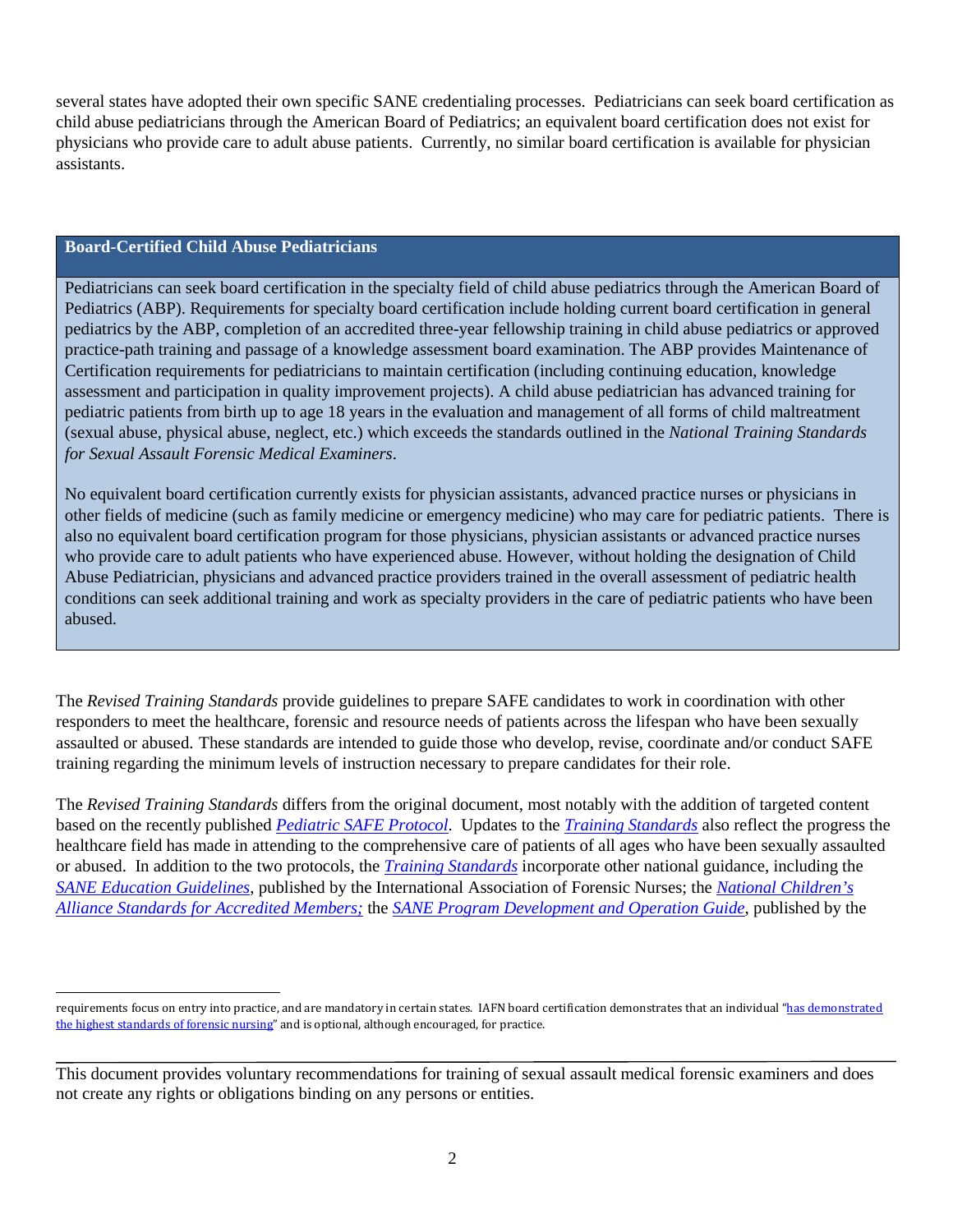several states have adopted their own specific SANE credentialing processes. Pediatricians can seek board certification as child abuse pediatricians through the American Board of Pediatrics; an equivalent board certification does not exist for physicians who provide care to adult abuse patients. Currently, no similar board certification is available for physician assistants.

#### **Board-Certified Child Abuse Pediatricians**

Pediatricians can seek board certification in the specialty field of child abuse pediatrics through the American Board of Pediatrics (ABP). Requirements for specialty board certification include holding current board certification in general pediatrics by the ABP, completion of an accredited three-year fellowship training in child abuse pediatrics or approved practice-path training and passage of a knowledge assessment board examination. The ABP provides Maintenance of Certification requirements for pediatricians to maintain certification (including continuing education, knowledge assessment and participation in quality improvement projects). A child abuse pediatrician has advanced training for pediatric patients from birth up to age 18 years in the evaluation and management of all forms of child maltreatment (sexual abuse, physical abuse, neglect, etc.) which exceeds the standards outlined in the *National Training Standards for Sexual Assault Forensic Medical Examiners*.

No equivalent board certification currently exists for physician assistants, advanced practice nurses or physicians in other fields of medicine (such as family medicine or emergency medicine) who may care for pediatric patients. There is also no equivalent board certification program for those physicians, physician assistants or advanced practice nurses who provide care to adult patients who have experienced abuse. However, without holding the designation of Child Abuse Pediatrician, physicians and advanced practice providers trained in the overall assessment of pediatric health conditions can seek additional training and work as specialty providers in the care of pediatric patients who have been abused.

The *Revised Training Standards* provide guidelines to prepare SAFE candidates to work in coordination with other responders to meet the healthcare, forensic and resource needs of patients across the lifespan who have been sexually assaulted or abused. These standards are intended to guide those who develop, revise, coordinate and/or conduct SAFE training regarding the minimum levels of instruction necessary to prepare candidates for their role.

The *Revised Training Standards* differs from the original document, most notably with the addition of targeted content based on the recently published *[Pediatric SAFE Protocol](http://www.kidsta.org/?page=PediatricProtocol)*. Updates to the *[Training Standards](http://c.ymcdn.com/sites/www.safeta.org/resource/resmgr/imported/training%20standards.pdf)* also reflect the progress the healthcare field has made in attending to the comprehensive care of patients of all ages who have been sexually assaulted or abused. In addition to the two protocols, the *[Training Standards](http://c.ymcdn.com/sites/www.safeta.org/resource/resmgr/imported/training%20standards.pdf)* incorporate other national guidance, including the *[SANE Education Guidelines](http://www.forensicnurses.org/?page=educationguidelines)*, published by the International Association of Forensic Nurses; the *[National Children's](http://www.nationalchildrensalliance.org/sites/default/files/downloads/NCA-Standards-for-Accredited-Members-2017.pdf)  [Alliance Standards for Accredited Members;](http://www.nationalchildrensalliance.org/sites/default/files/downloads/NCA-Standards-for-Accredited-Members-2017.pdf)* the *[SANE Program Development and Operation Guide](https://www.ovcttac.gov/saneguide/introduction/understanding-the-problem-of-sexual-assault/)*, published by the

requirements focus on entry into practice, and are mandatory in certain states. IAFN board certification demonstrates that an individual "has demonstrated [the highest standards of forensic nursing"](http://www.forensicnurses.org/?page=CertFAQs) and is optional, although encouraged, for practice.

This document provides voluntary recommendations for training of sexual assault medical forensic examiners and does not create any rights or obligations binding on any persons or entities.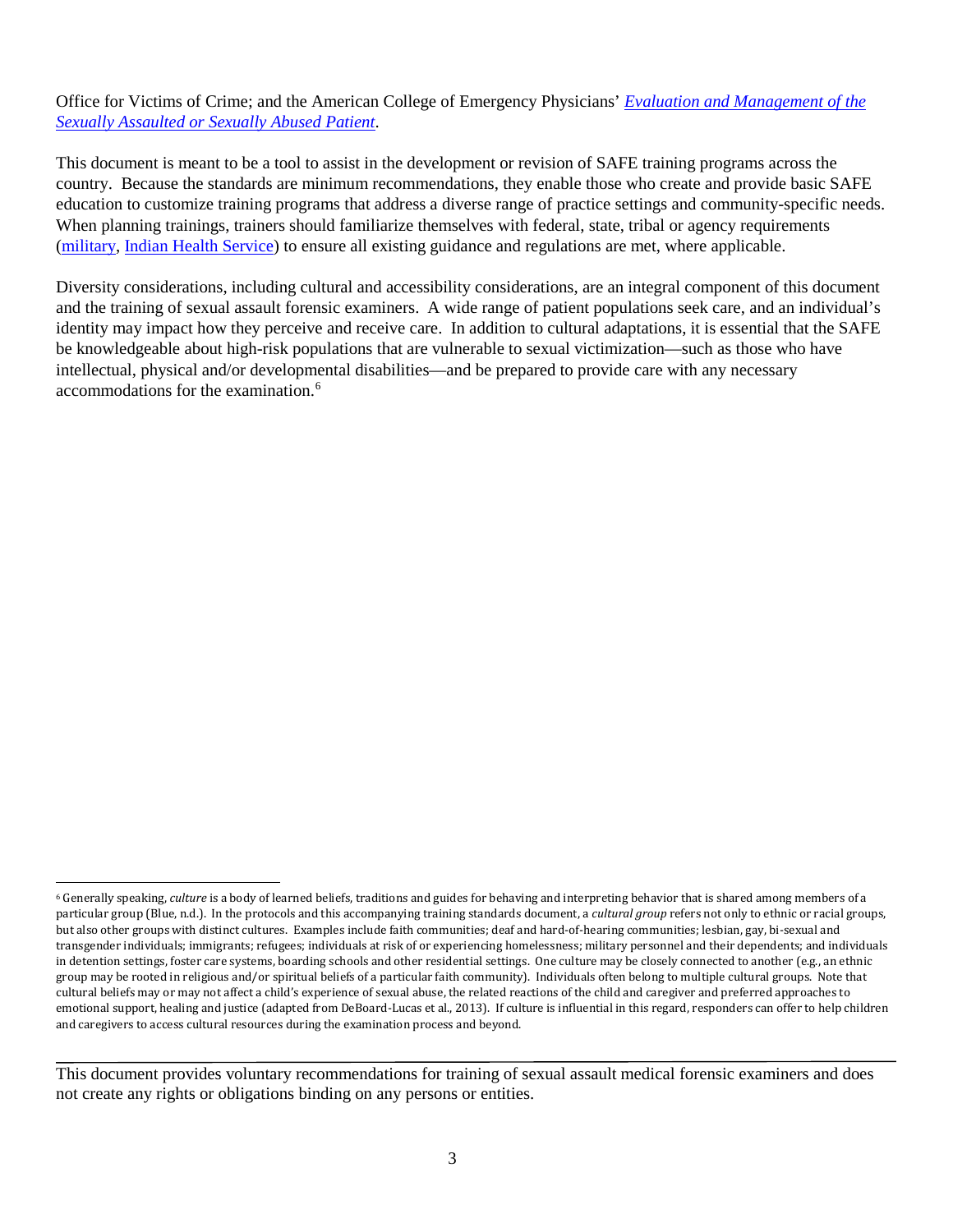Office for Victims of Crime; and the American College of Emergency Physicians' *[Evaluation and Management of the](https://www.acep.org/sexualassaultebook)  [Sexually Assaulted or Sexually Abused Patient](https://www.acep.org/sexualassaultebook)*.

This document is meant to be a tool to assist in the development or revision of SAFE training programs across the country. Because the standards are minimum recommendations, they enable those who create and provide basic SAFE education to customize training programs that address a diverse range of practice settings and community-specific needs. When planning trainings, trainers should familiarize themselves with federal, state, tribal or agency requirements [\(military,](http://www.dtic.mil/whs/directives/corres/pdf/649502p.pdf) [Indian Health Service\)](https://www.ihs.gov/ihm/index.cfm?module=dsp_ihm_pc_p3c29#3-29.8A) to ensure all existing guidance and regulations are met, where applicable.

Diversity considerations, including cultural and accessibility considerations, are an integral component of this document and the training of sexual assault forensic examiners. A wide range of patient populations seek care, and an individual's identity may impact how they perceive and receive care. In addition to cultural adaptations, it is essential that the SAFE be knowledgeable about high-risk populations that are vulnerable to sexual victimization—such as those who have intellectual, physical and/or developmental disabilities—and be prepared to provide care with any necessary accommodations for the examination. [6](#page-7-0)

<span id="page-7-0"></span> <sup>6</sup> Generally speaking, *culture* is a body of learned beliefs, traditions and guides for behaving and interpreting behavior that is shared among members of a particular group (Blue, n.d.). In the protocols and this accompanying training standards document, a *cultural group* refers not only to ethnic or racial groups, but also other groups with distinct cultures. Examples include faith communities; deaf and hard-of-hearing communities; lesbian, gay, bi-sexual and transgender individuals; immigrants; refugees; individuals at risk of or experiencing homelessness; military personnel and their dependents; and individuals in detention settings, foster care systems, boarding schools and other residential settings. One culture may be closely connected to another (e.g., an ethnic group may be rooted in religious and/or spiritual beliefs of a particular faith community). Individuals often belong to multiple cultural groups. Note that cultural beliefs may or may not affect a child's experience of sexual abuse, the related reactions of the child and caregiver and preferred approaches to emotional support, healing and justice (adapted from DeBoard-Lucas et al., 2013). If culture is influential in this regard, responders can offer to help children and caregivers to access cultural resources during the examination process and beyond.

This document provides voluntary recommendations for training of sexual assault medical forensic examiners and does not create any rights or obligations binding on any persons or entities.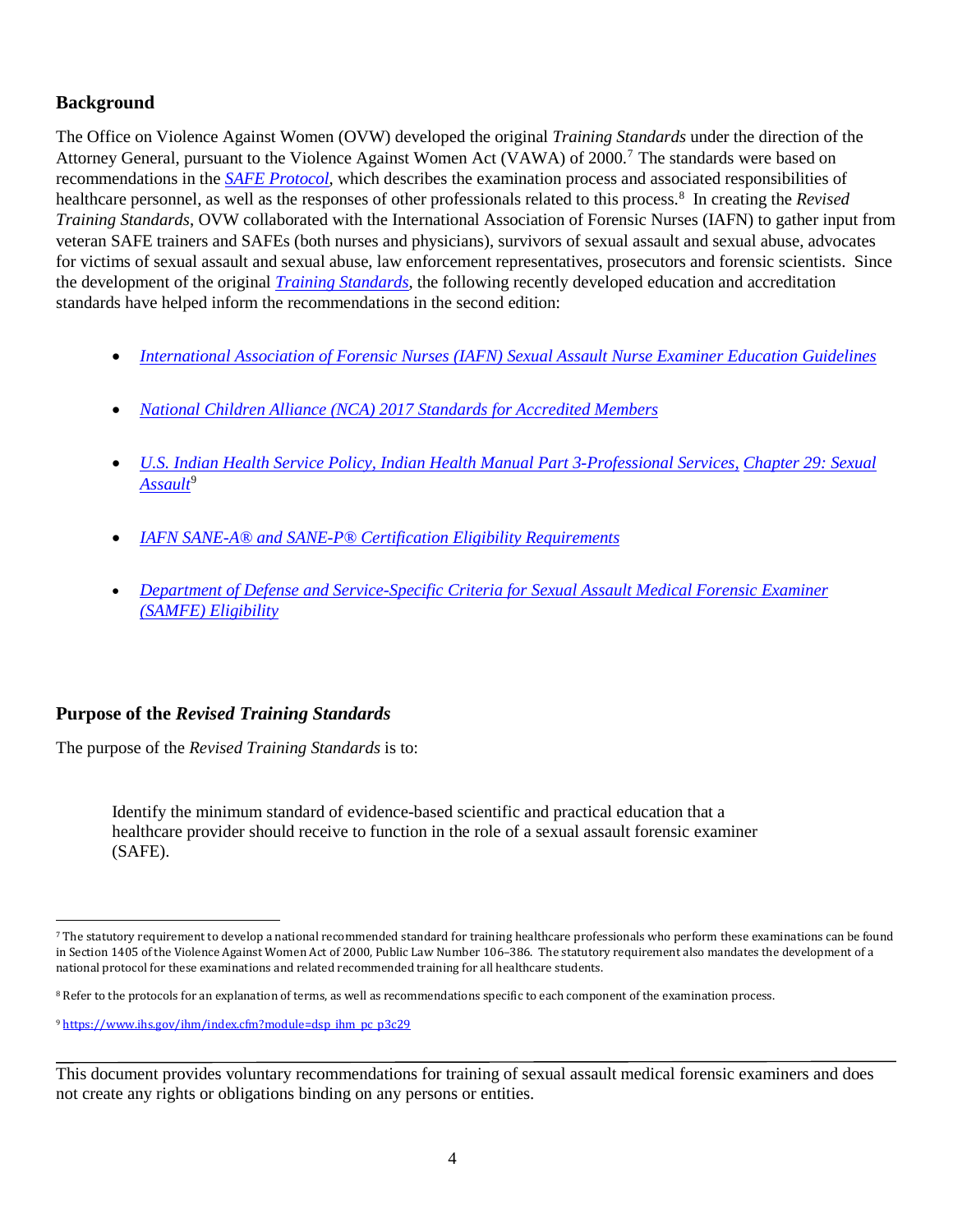## <span id="page-8-0"></span>**Background**

The Office on Violence Against Women (OVW) developed the original *Training Standards* under the direction of the Attorney General, pursuant to the Violence Against Women Act (VAWA) of 2000.[7](#page-8-2) The standards were based on recommendations in the *[SAFE Protocol](https://c.ymcdn.com/sites/safetasource.site-ym.com/resource/resmgr/Protocol_documents/SAFE_PROTOCOL_2012-508.pdf)*, which describes the examination process and associated responsibilities of healthcare personnel, as well as the responses of other professionals related to this process.<sup>8</sup> In creating the *Revised Training Standards*, OVW collaborated with the International Association of Forensic Nurses (IAFN) to gather input from veteran SAFE trainers and SAFEs (both nurses and physicians), survivors of sexual assault and sexual abuse, advocates for victims of sexual assault and sexual abuse, law enforcement representatives, prosecutors and forensic scientists. Since the development of the original *[Training Standards](http://c.ymcdn.com/sites/www.safeta.org/resource/resmgr/imported/training%20standards.pdf)*, the following recently developed education and accreditation standards have helped inform the recommendations in the second edition:

- *[International Association of Forensic Nurses \(IAFN\) Sexual Assault Nurse Examiner Education Guidelines](http://www.forensicnurses.org/?page=EducationGuidelines)*
- *[National Children Alliance \(NCA\) 2017 Standards for Accredited Members](http://www.nationalchildrensalliance.org/sites/default/files/downloads/NCA-Standards-for-Accredited-Members-2017.pdf)*
- *U.S. Indian Health Service Policy, [Indian Health Manual Part 3-Professional Services,](https://www.ihs.gov/ihm/index.cfm?module=dsp_ihm_pc_p3c29) Chapter 29: Sexual [Assault](https://www.ihs.gov/ihm/index.cfm?module=dsp_ihm_pc_p3c29)*[9](#page-8-4)
- *[IAFN SANE-A® and SANE-P® Certification Eligibility Requirements](http://www.forensicnurses.org/resource/resmgr/certification/2017_SANE_Certification_Exa.docx)*
- *[Department of Defense and Service-Specific Criteria for Sexual Assault Medical Forensic Examiner](https://health.mil/Reference-Center/Reports/2015/07/29/Requirements-Relating-to-Sexual-Assault-Forensic-Examiners)  [\(SAMFE\) Eligibility](https://health.mil/Reference-Center/Reports/2015/07/29/Requirements-Relating-to-Sexual-Assault-Forensic-Examiners)*

## <span id="page-8-1"></span>**Purpose of the** *Revised Training Standards*

The purpose of the *Revised Training Standards* is to:

Identify the minimum standard of evidence-based scientific and practical education that a healthcare provider should receive to function in the role of a sexual assault forensic examiner (SAFE).

<span id="page-8-2"></span> <sup>7</sup> The statutory requirement to develop a national recommended standard for training healthcare professionals who perform these examinations can be found in Section 1405 of the Violence Against Women Act of 2000, Public Law Number 106–386. The statutory requirement also mandates the development of a national protocol for these examinations and related recommended training for all healthcare students.

<span id="page-8-3"></span><sup>&</sup>lt;sup>8</sup> Refer to the protocols for an explanation of terms, as well as recommendations specific to each component of the examination process.

<span id="page-8-4"></span><sup>9</sup> [https://www.ihs.gov/ihm/index.cfm?module=dsp\\_ihm\\_pc\\_p3c29](https://www.ihs.gov/ihm/index.cfm?module=dsp_ihm_pc_p3c29) 

This document provides voluntary recommendations for training of sexual assault medical forensic examiners and does not create any rights or obligations binding on any persons or entities.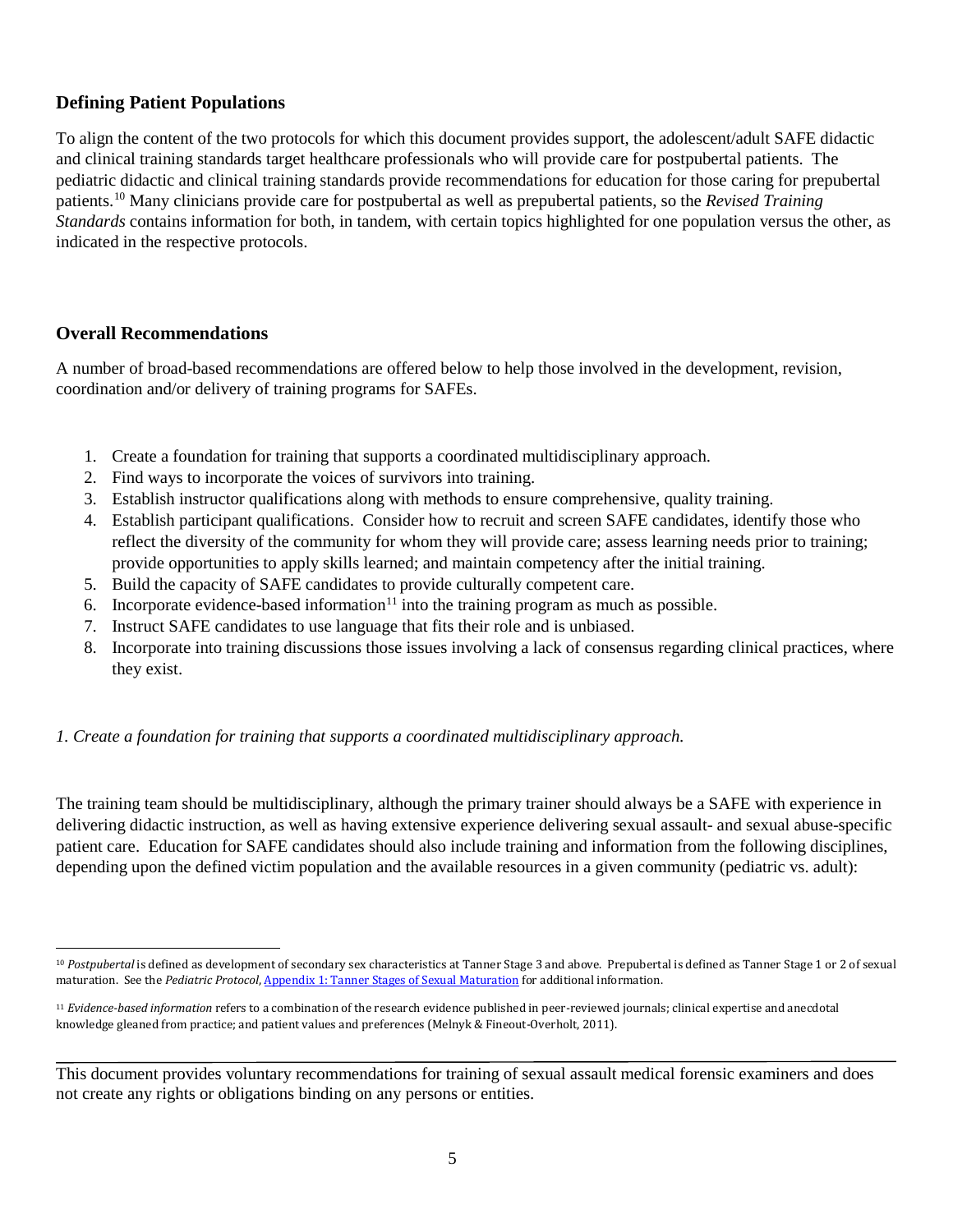## <span id="page-9-0"></span>**Defining Patient Populations**

To align the content of the two protocols for which this document provides support, the adolescent/adult SAFE didactic and clinical training standards target healthcare professionals who will provide care for postpubertal patients. The pediatric didactic and clinical training standards provide recommendations for education for those caring for prepubertal patients. [10](#page-9-2) Many clinicians provide care for postpubertal as well as prepubertal patients, so the *Revised Training Standards* contains information for both, in tandem, with certain topics highlighted for one population versus the other, as indicated in the respective protocols.

#### <span id="page-9-1"></span>**Overall Recommendations**

A number of broad-based recommendations are offered below to help those involved in the development, revision, coordination and/or delivery of training programs for SAFEs.

- 1. Create a foundation for training that supports a coordinated multidisciplinary approach.
- 2. Find ways to incorporate the voices of survivors into training.
- 3. Establish instructor qualifications along with methods to ensure comprehensive, quality training.
- 4. Establish participant qualifications. Consider how to recruit and screen SAFE candidates, identify those who reflect the diversity of the community for whom they will provide care; assess learning needs prior to training; provide opportunities to apply skills learned; and maintain competency after the initial training.
- 5. Build the capacity of SAFE candidates to provide culturally competent care.
- 6. Incorporate evidence-based information<sup>11</sup> into the training program as much as possible.
- 7. Instruct SAFE candidates to use language that fits their role and is unbiased.
- 8. Incorporate into training discussions those issues involving a lack of consensus regarding clinical practices, where they exist.

#### *1. Create a foundation for training that supports a coordinated multidisciplinary approach.*

The training team should be multidisciplinary, although the primary trainer should always be a SAFE with experience in delivering didactic instruction, as well as having extensive experience delivering sexual assault- and sexual abuse-specific patient care. Education for SAFE candidates should also include training and information from the following disciplines, depending upon the defined victim population and the available resources in a given community (pediatric vs. adult):

<span id="page-9-2"></span> <sup>10</sup> *Postpubertal* is defined as development of secondary sex characteristics at Tanner Stage 3 and above. Prepubertal is defined as Tanner Stage 1 or 2 of sexual maturation. See the *Pediatric Protocol*[, Appendix 1: Tanner Stages of Sexual Maturation](http://www.kidsta.org/page/Appendix1) for additional information.

<span id="page-9-3"></span><sup>11</sup> *Evidence-based information* refers to a combination of the research evidence published in peer-reviewed journals; clinical expertise and anecdotal knowledge gleaned from practice; and patient values and preferences (Melnyk & Fineout-Overholt, 2011).

This document provides voluntary recommendations for training of sexual assault medical forensic examiners and does not create any rights or obligations binding on any persons or entities.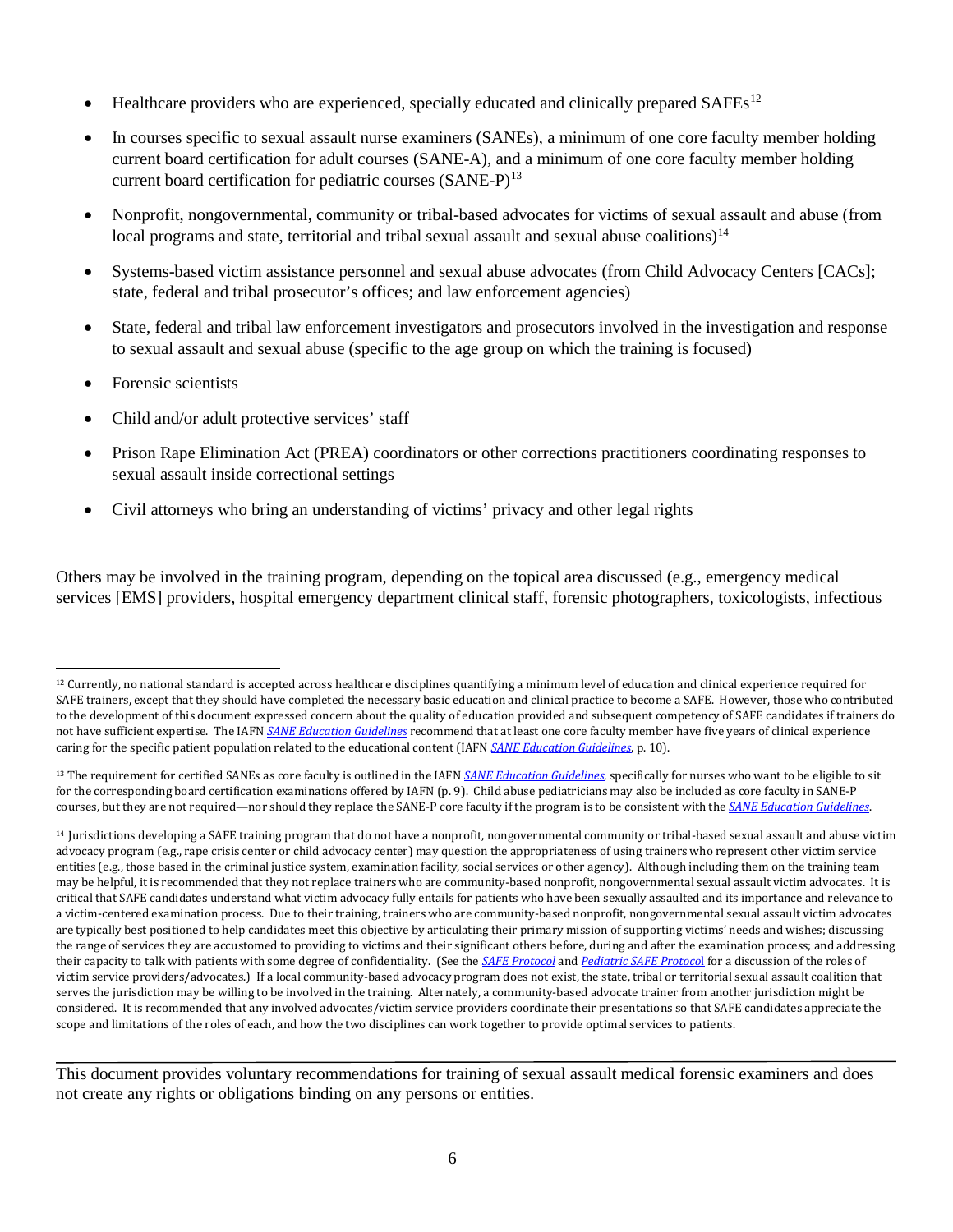- Healthcare providers who are experienced, specially educated and clinically prepared SAFEs<sup>[12](#page-10-0)</sup>
- In courses specific to sexual assault nurse examiners (SANEs), a minimum of one core faculty member holding current board certification for adult courses (SANE-A), and a minimum of one core faculty member holding current board certification for pediatric courses (SANE-P)<sup>[13](#page-10-1)</sup>
- Nonprofit, nongovernmental, community or tribal-based advocates for victims of sexual assault and abuse (from local programs and state, territorial and tribal sexual assault and sexual abuse coalitions)<sup>14</sup>
- Systems-based victim assistance personnel and sexual abuse advocates (from Child Advocacy Centers [CACs]; state, federal and tribal prosecutor's offices; and law enforcement agencies)
- State, federal and tribal law enforcement investigators and prosecutors involved in the investigation and response to sexual assault and sexual abuse (specific to the age group on which the training is focused)
- Forensic scientists
- Child and/or adult protective services' staff
- Prison Rape Elimination Act (PREA) coordinators or other corrections practitioners coordinating responses to sexual assault inside correctional settings
- Civil attorneys who bring an understanding of victims' privacy and other legal rights

Others may be involved in the training program, depending on the topical area discussed (e.g., emergency medical services [EMS] providers, hospital emergency department clinical staff, forensic photographers, toxicologists, infectious

<span id="page-10-1"></span><sup>13</sup> The requirement for certified SANEs as core faculty is outlined in the IAFN *[SANE Education Guidelines](http://www.forensicnurses.org/resource/resmgr/2015_SANE_ED_GUIDELINES.pdf)*, specifically for nurses who want to be eligible to sit for the corresponding board certification examinations offered by IAFN (p. 9). Child abuse pediatricians may also be included as core faculty in SANE-P courses, but they are not required—nor should they replace the SANE-P core faculty if the program is to be consistent with the *[SANE Education Guidelines](http://www.forensicnurses.org/resource/resmgr/2015_SANE_ED_GUIDELINES.pdf)*.

<span id="page-10-0"></span> <sup>12</sup> Currently, no national standard is accepted across healthcare disciplines quantifying a minimum level of education and clinical experience required for SAFE trainers, except that they should have completed the necessary basic education and clinical practice to become a SAFE. However, those who contributed to the development of this document expressed concern about the quality of education provided and subsequent competency of SAFE candidates if trainers do not have sufficient expertise. The IAFN *[SANE Education Guidelines](http://www.forensicnurses.org/resource/resmgr/2015_SANE_ED_GUIDELINES.pdf)* recommend that at least one core faculty member have five years of clinical experience caring for the specific patient population related to the educational content (IAFN *[SANE Education Guidelines](http://www.forensicnurses.org/resource/resmgr/2015_SANE_ED_GUIDELINES.pdf)*, p. 10).

<span id="page-10-2"></span><sup>&</sup>lt;sup>14</sup> Jurisdictions developing a SAFE training program that do not have a nonprofit, nongovernmental community or tribal-based sexual assault and abuse victim advocacy program (e.g., rape crisis center or child advocacy center) may question the appropriateness of using trainers who represent other victim service entities (e.g., those based in the criminal justice system, examination facility, social services or other agency). Although including them on the training team may be helpful, it is recommended that they not replace trainers who are community-based nonprofit, nongovernmental sexual assault victim advocates. It is critical that SAFE candidates understand what victim advocacy fully entails for patients who have been sexually assaulted and its importance and relevance to a victim-centered examination process. Due to their training, trainers who are community-based nonprofit, nongovernmental sexual assault victim advocates are typically best positioned to help candidates meet this objective by articulating their primary mission of supporting victims' needs and wishes; discussing the range of services they are accustomed to providing to victims and their significant others before, during and after the examination process; and addressing their capacity to talk with patients with some degree of confidentiality. (See the *[SAFE Protocol](http://www.safeta.org/?page=ProtocolUseofTerms)* and *[Pediatric SAFE Protoco](http://www.kidsta.org/page/SectionA1)*l for a discussion of the roles of victim service providers/advocates.) If a local community-based advocacy program does not exist, the state, tribal or territorial sexual assault coalition that serves the jurisdiction may be willing to be involved in the training. Alternately, a community-based advocate trainer from another jurisdiction might be considered. It is recommended that any involved advocates/victim service providers coordinate their presentations so that SAFE candidates appreciate the scope and limitations of the roles of each, and how the two disciplines can work together to provide optimal services to patients.

This document provides voluntary recommendations for training of sexual assault medical forensic examiners and does not create any rights or obligations binding on any persons or entities.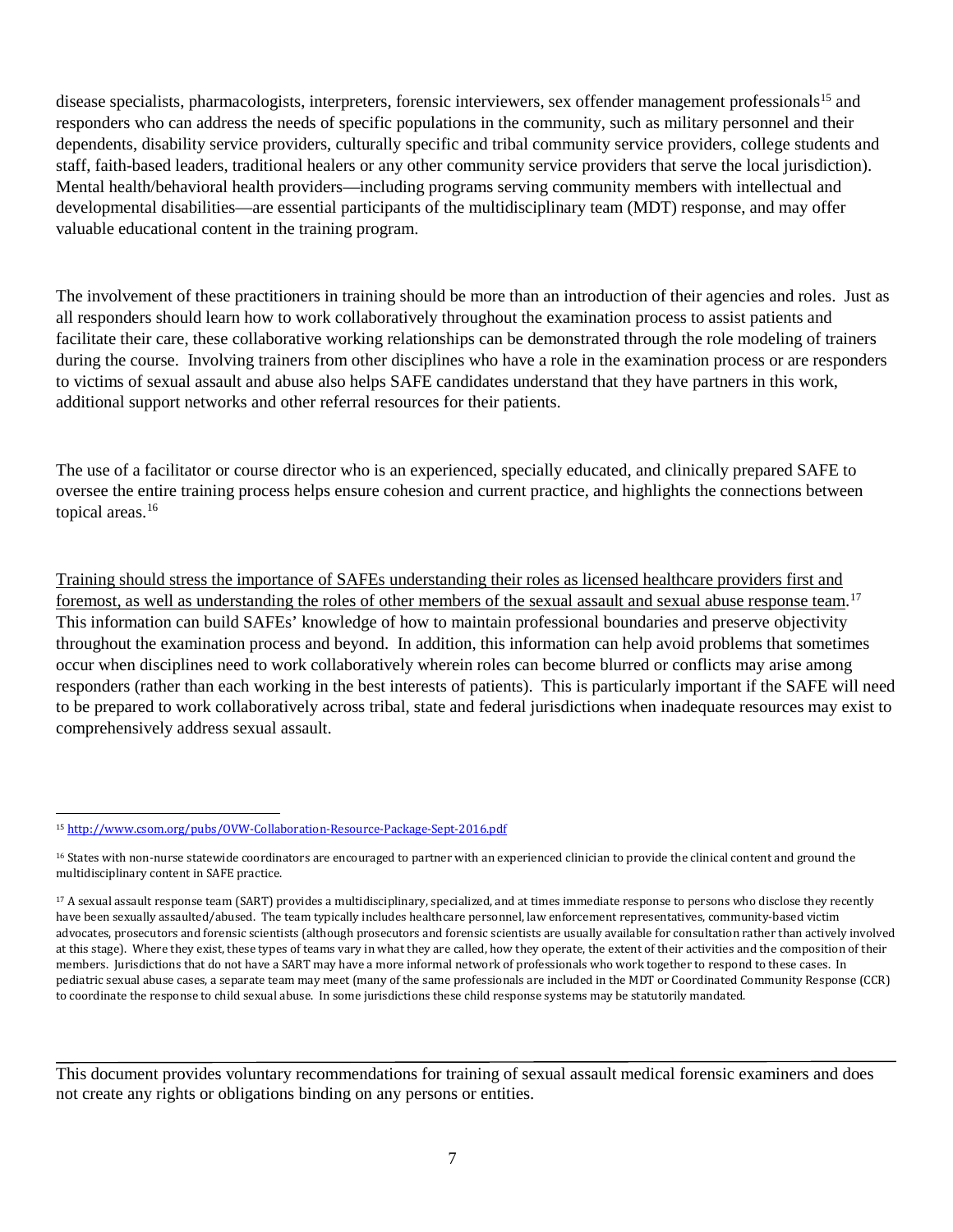disease specialists, pharmacologists, interpreters, forensic interviewers, sex offender management professionals<sup>15</sup> and responders who can address the needs of specific populations in the community, such as military personnel and their dependents, disability service providers, culturally specific and tribal community service providers, college students and staff, faith-based leaders, traditional healers or any other community service providers that serve the local jurisdiction). Mental health/behavioral health providers—including programs serving community members with intellectual and developmental disabilities—are essential participants of the multidisciplinary team (MDT) response, and may offer valuable educational content in the training program.

The involvement of these practitioners in training should be more than an introduction of their agencies and roles. Just as all responders should learn how to work collaboratively throughout the examination process to assist patients and facilitate their care, these collaborative working relationships can be demonstrated through the role modeling of trainers during the course. Involving trainers from other disciplines who have a role in the examination process or are responders to victims of sexual assault and abuse also helps SAFE candidates understand that they have partners in this work, additional support networks and other referral resources for their patients.

The use of a facilitator or course director who is an experienced, specially educated, and clinically prepared SAFE to oversee the entire training process helps ensure cohesion and current practice, and highlights the connections between topical areas.<sup>[16](#page-11-1)</sup>

Training should stress the importance of SAFEs understanding their roles as licensed healthcare providers first and foremost, as well as understanding the roles of other members of the sexual assault and sexual abuse response team.<sup>17</sup> This information can build SAFEs' knowledge of how to maintain professional boundaries and preserve objectivity throughout the examination process and beyond. In addition, this information can help avoid problems that sometimes occur when disciplines need to work collaboratively wherein roles can become blurred or conflicts may arise among responders (rather than each working in the best interests of patients). This is particularly important if the SAFE will need to be prepared to work collaboratively across tribal, state and federal jurisdictions when inadequate resources may exist to comprehensively address sexual assault.

<span id="page-11-0"></span> <sup>15</sup> <http://www.csom.org/pubs/OVW-Collaboration-Resource-Package-Sept-2016.pdf>

<span id="page-11-1"></span><sup>&</sup>lt;sup>16</sup> States with non-nurse statewide coordinators are encouraged to partner with an experienced clinician to provide the clinical content and ground the multidisciplinary content in SAFE practice.

<span id="page-11-2"></span><sup>17</sup> A sexual assault response team (SART) provides a multidisciplinary, specialized, and at times immediate response to persons who disclose they recently have been sexually assaulted/abused. The team typically includes healthcare personnel, law enforcement representatives, community-based victim advocates, prosecutors and forensic scientists (although prosecutors and forensic scientists are usually available for consultation rather than actively involved at this stage). Where they exist, these types of teams vary in what they are called, how they operate, the extent of their activities and the composition of their members. Jurisdictions that do not have a SART may have a more informal network of professionals who work together to respond to these cases. In pediatric sexual abuse cases, a separate team may meet (many of the same professionals are included in the MDT or Coordinated Community Response (CCR) to coordinate the response to child sexual abuse. In some jurisdictions these child response systems may be statutorily mandated.

This document provides voluntary recommendations for training of sexual assault medical forensic examiners and does not create any rights or obligations binding on any persons or entities.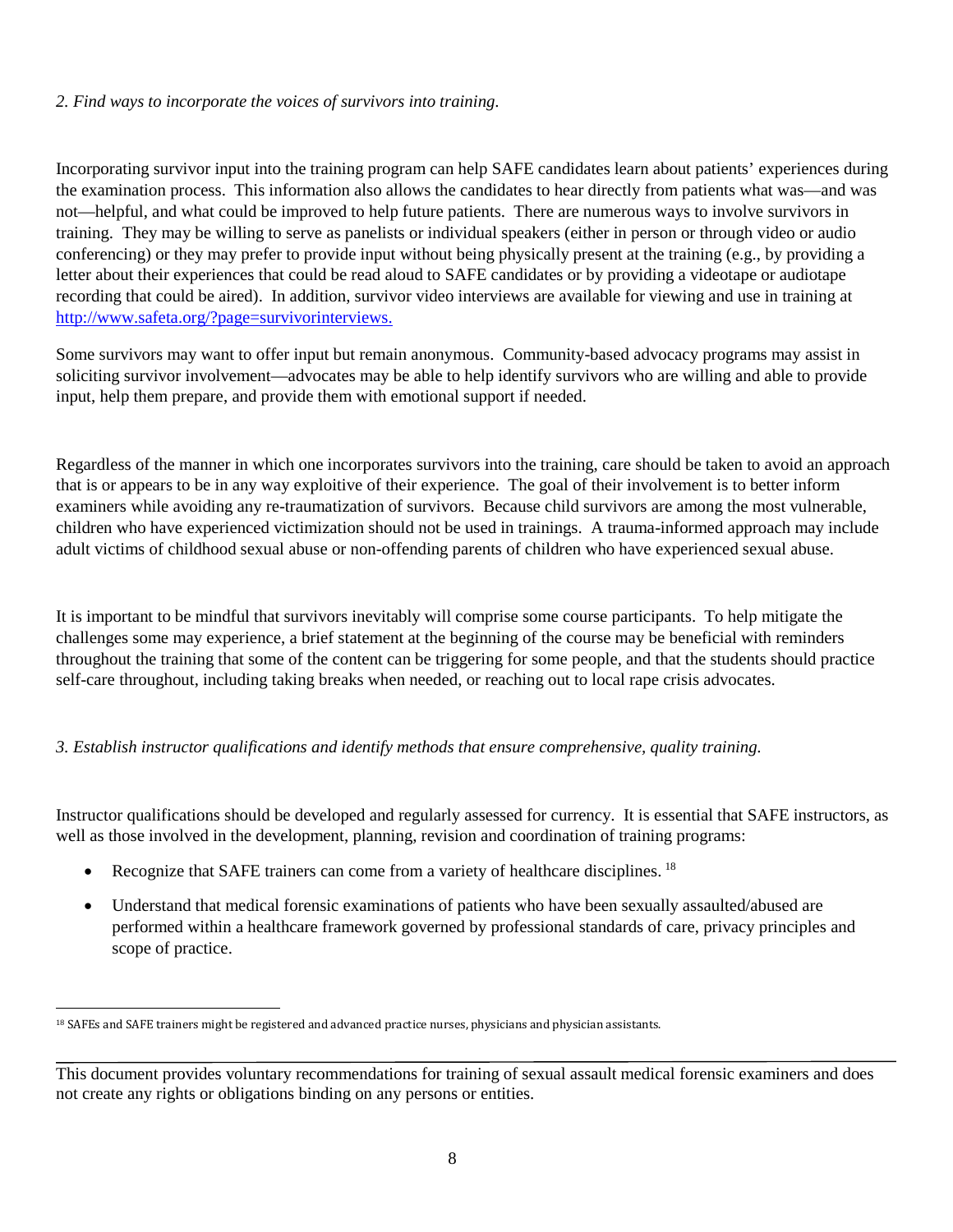#### *2. Find ways to incorporate the voices of survivors into training*.

Incorporating survivor input into the training program can help SAFE candidates learn about patients' experiences during the examination process. This information also allows the candidates to hear directly from patients what was—and was not—helpful, and what could be improved to help future patients. There are numerous ways to involve survivors in training. They may be willing to serve as panelists or individual speakers (either in person or through video or audio conferencing) or they may prefer to provide input without being physically present at the training (e.g., by providing a letter about their experiences that could be read aloud to SAFE candidates or by providing a videotape or audiotape recording that could be aired). In addition, survivor video interviews are available for viewing and use in training at [http://www.safeta.org/?page=survivorinterviews.](http://www.safeta.org/?page=survivorinterviews)

Some survivors may want to offer input but remain anonymous. Community-based advocacy programs may assist in soliciting survivor involvement—advocates may be able to help identify survivors who are willing and able to provide input, help them prepare, and provide them with emotional support if needed.

Regardless of the manner in which one incorporates survivors into the training, care should be taken to avoid an approach that is or appears to be in any way exploitive of their experience. The goal of their involvement is to better inform examiners while avoiding any re-traumatization of survivors. Because child survivors are among the most vulnerable, children who have experienced victimization should not be used in trainings. A trauma-informed approach may include adult victims of childhood sexual abuse or non-offending parents of children who have experienced sexual abuse.

It is important to be mindful that survivors inevitably will comprise some course participants. To help mitigate the challenges some may experience, a brief statement at the beginning of the course may be beneficial with reminders throughout the training that some of the content can be triggering for some people, and that the students should practice self-care throughout, including taking breaks when needed, or reaching out to local rape crisis advocates.

#### *3. Establish instructor qualifications and identify methods that ensure comprehensive, quality training.*

Instructor qualifications should be developed and regularly assessed for currency. It is essential that SAFE instructors, as well as those involved in the development, planning, revision and coordination of training programs:

- Recognize that SAFE trainers can come from a variety of healthcare disciplines. <sup>[18](#page-12-0)</sup>
- Understand that medical forensic examinations of patients who have been sexually assaulted/abused are performed within a healthcare framework governed by professional standards of care, privacy principles and scope of practice.

<span id="page-12-0"></span><sup>&</sup>lt;sup>18</sup> SAFEs and SAFE trainers might be registered and advanced practice nurses, physicians and physician assistants.

This document provides voluntary recommendations for training of sexual assault medical forensic examiners and does not create any rights or obligations binding on any persons or entities.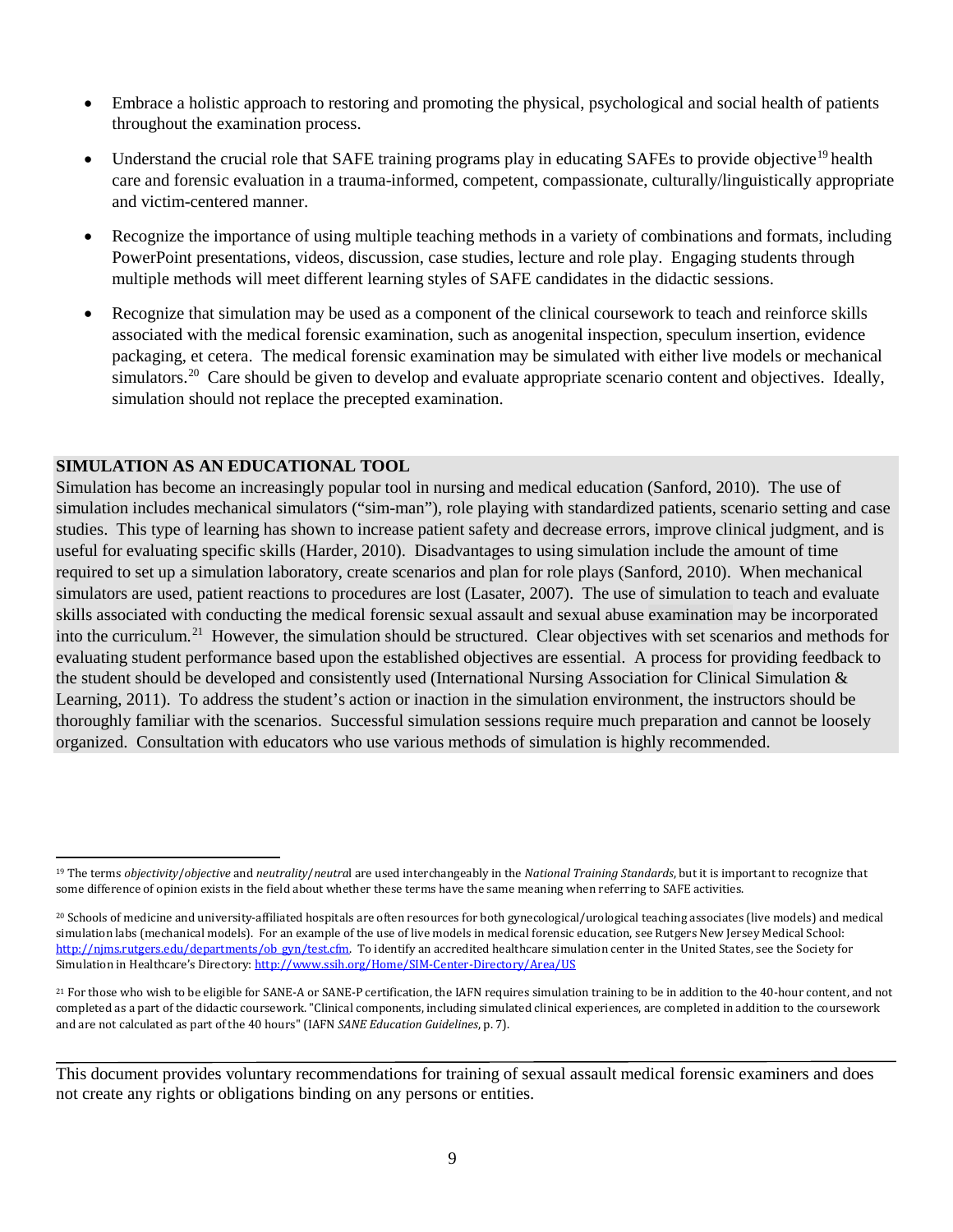- Embrace a holistic approach to restoring and promoting the physical, psychological and social health of patients throughout the examination process.
- Understand the crucial role that SAFE training programs play in educating SAFEs to provide objective<sup>[19](#page-13-0)</sup> health care and forensic evaluation in a trauma-informed, competent, compassionate, culturally/linguistically appropriate and victim-centered manner.
- Recognize the importance of using multiple teaching methods in a variety of combinations and formats, including PowerPoint presentations, videos, discussion, case studies, lecture and role play. Engaging students through multiple methods will meet different learning styles of SAFE candidates in the didactic sessions.
- Recognize that simulation may be used as a component of the clinical coursework to teach and reinforce skills associated with the medical forensic examination, such as anogenital inspection, speculum insertion, evidence packaging, et cetera. The medical forensic examination may be simulated with either live models or mechanical simulators.<sup>[20](#page-13-1)</sup> Care should be given to develop and evaluate appropriate scenario content and objectives. Ideally, simulation should not replace the precepted examination.

#### **SIMULATION AS AN EDUCATIONAL TOOL**

Simulation has become an increasingly popular tool in nursing and medical education (Sanford, 2010). The use of simulation includes mechanical simulators ("sim-man"), role playing with standardized patients, scenario setting and case studies. This type of learning has shown to increase patient safety and decrease errors, improve clinical judgment, and is useful for evaluating specific skills (Harder, 2010). Disadvantages to using simulation include the amount of time required to set up a simulation laboratory, create scenarios and plan for role plays (Sanford, 2010). When mechanical simulators are used, patient reactions to procedures are lost (Lasater, 2007). The use of simulation to teach and evaluate skills associated with conducting the medical forensic sexual assault and sexual abuse examination may be incorporated into the curriculum.<sup>21</sup> However, the simulation should be structured. Clear objectives with set scenarios and methods for evaluating student performance based upon the established objectives are essential. A process for providing feedback to the student should be developed and consistently used (International Nursing Association for Clinical Simulation & Learning, 2011). To address the student's action or inaction in the simulation environment, the instructors should be thoroughly familiar with the scenarios. Successful simulation sessions require much preparation and cannot be loosely organized. Consultation with educators who use various methods of simulation is highly recommended.

<span id="page-13-0"></span> <sup>19</sup> The terms *objectivity*/*objective* and *neutrality*/*neutra*l are used interchangeably in the *National Training Standards*, but it is important to recognize that some difference of opinion exists in the field about whether these terms have the same meaning when referring to SAFE activities.

<span id="page-13-1"></span><sup>&</sup>lt;sup>20</sup> Schools of medicine and university-affiliated hospitals are often resources for both gynecological/urological teaching associates (live models) and medical simulation labs (mechanical models). For an example of the use of live models in medical forensic education, see Rutgers New Jersey Medical School: http://nims.rutgers.edu/departments/ob\_gyn/test.cfm. To identify an accredited healthcare simulation center in the United States, see the Society for Simulation in Healthcare's Directory[: http://www.ssih.org/Home/SIM-Center-Directory/Area/US](http://www.ssih.org/Home/SIM-Center-Directory/Area/US)

<span id="page-13-2"></span><sup>21</sup> For those who wish to be eligible for SANE-A or SANE-P certification, the IAFN requires simulation training to be in addition to the 40-hour content, and not completed as a part of the didactic coursework. "Clinical components, including simulated clinical experiences, are completed in addition to the coursework and are not calculated as part of the 40 hours" (IAFN *SANE Education Guidelines*, p. 7).

This document provides voluntary recommendations for training of sexual assault medical forensic examiners and does not create any rights or obligations binding on any persons or entities.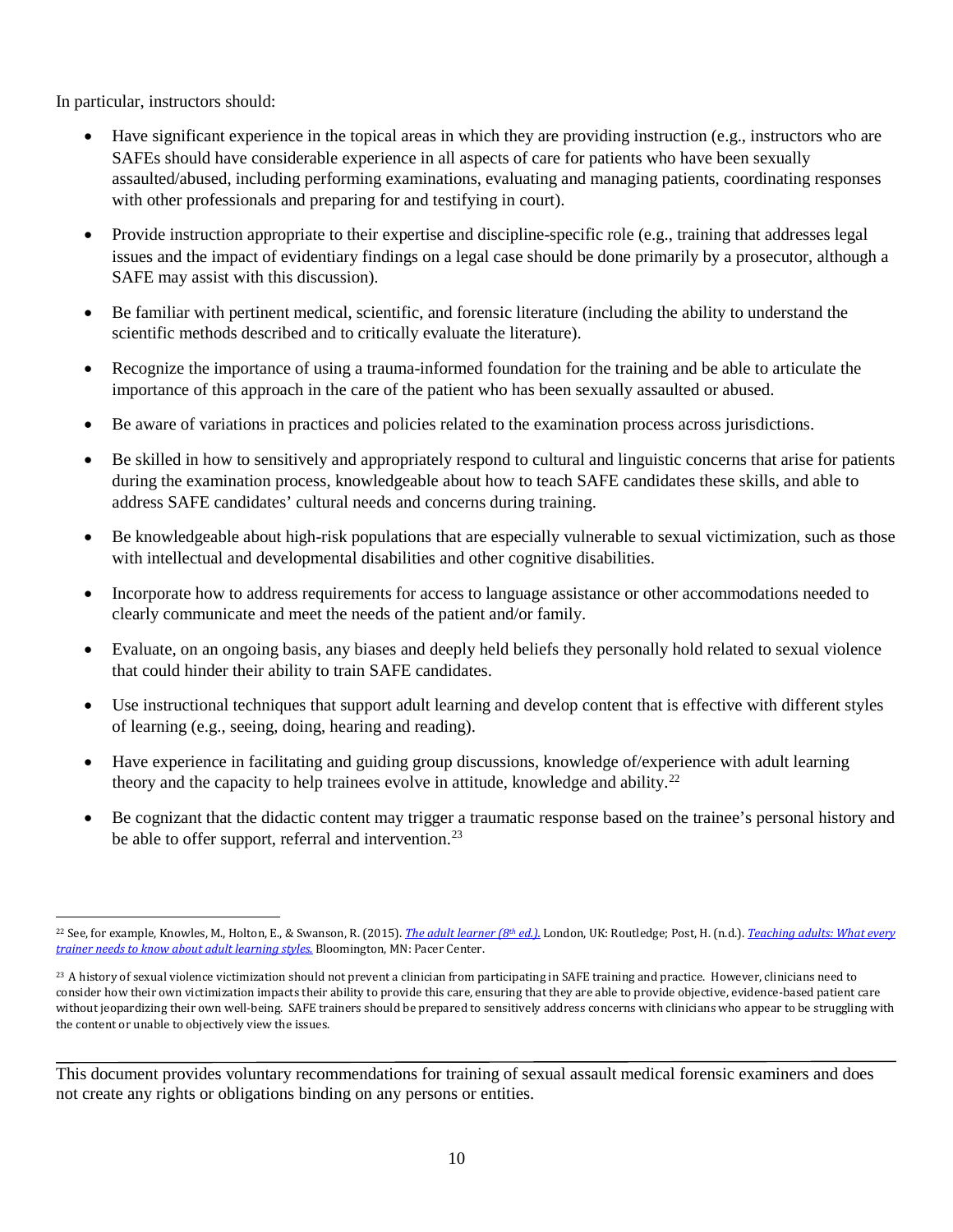In particular, instructors should:

- Have significant experience in the topical areas in which they are providing instruction (e.g., instructors who are SAFEs should have considerable experience in all aspects of care for patients who have been sexually assaulted/abused, including performing examinations, evaluating and managing patients, coordinating responses with other professionals and preparing for and testifying in court).
- Provide instruction appropriate to their expertise and discipline-specific role (e.g., training that addresses legal issues and the impact of evidentiary findings on a legal case should be done primarily by a prosecutor, although a SAFE may assist with this discussion).
- Be familiar with pertinent medical, scientific, and forensic literature (including the ability to understand the scientific methods described and to critically evaluate the literature).
- Recognize the importance of using a trauma-informed foundation for the training and be able to articulate the importance of this approach in the care of the patient who has been sexually assaulted or abused.
- Be aware of variations in practices and policies related to the examination process across jurisdictions.
- Be skilled in how to sensitively and appropriately respond to cultural and linguistic concerns that arise for patients during the examination process, knowledgeable about how to teach SAFE candidates these skills, and able to address SAFE candidates' cultural needs and concerns during training.
- Be knowledgeable about high-risk populations that are especially vulnerable to sexual victimization, such as those with intellectual and developmental disabilities and other cognitive disabilities.
- Incorporate how to address requirements for access to language assistance or other accommodations needed to clearly communicate and meet the needs of the patient and/or family.
- Evaluate, on an ongoing basis, any biases and deeply held beliefs they personally hold related to sexual violence that could hinder their ability to train SAFE candidates.
- Use instructional techniques that support adult learning and develop content that is effective with different styles of learning (e.g., seeing, doing, hearing and reading).
- Have experience in facilitating and guiding group discussions, knowledge of/experience with adult learning theory and the capacity to help trainees evolve in attitude, knowledge and ability.[22](#page-14-0)
- Be cognizant that the didactic content may trigger a traumatic response based on the trainee's personal history and be able to offer support, referral and intervention.<sup>[23](#page-14-1)</sup>

<span id="page-14-0"></span> <sup>22</sup> See, for example, Knowles, M., Holton, E., & Swanson, R. (2015). *[The adult learner \(8th](https://www.routledge.com/The-Adult-Learner-The-definitive-classic-in-adult-education-and-human/Knowles-III-Swanson/p/book/9780415739023) ed.).* London, UK: Routledge; Post, H. (n.d.). *[Teaching adults: What every](http://www.fastfamilysupport.org/fasttraining/Other/teachingadults-whattrainersneedtoknow.pdf)  [trainer needs to know about adult learning styles.](http://www.fastfamilysupport.org/fasttraining/Other/teachingadults-whattrainersneedtoknow.pdf)* Bloomington, MN: Pacer Center.

<span id="page-14-1"></span><sup>&</sup>lt;sup>23</sup> A history of sexual violence victimization should not prevent a clinician from participating in SAFE training and practice. However, clinicians need to consider how their own victimization impacts their ability to provide this care, ensuring that they are able to provide objective, evidence-based patient care without jeopardizing their own well-being. SAFE trainers should be prepared to sensitively address concerns with clinicians who appear to be struggling with the content or unable to objectively view the issues.

This document provides voluntary recommendations for training of sexual assault medical forensic examiners and does not create any rights or obligations binding on any persons or entities.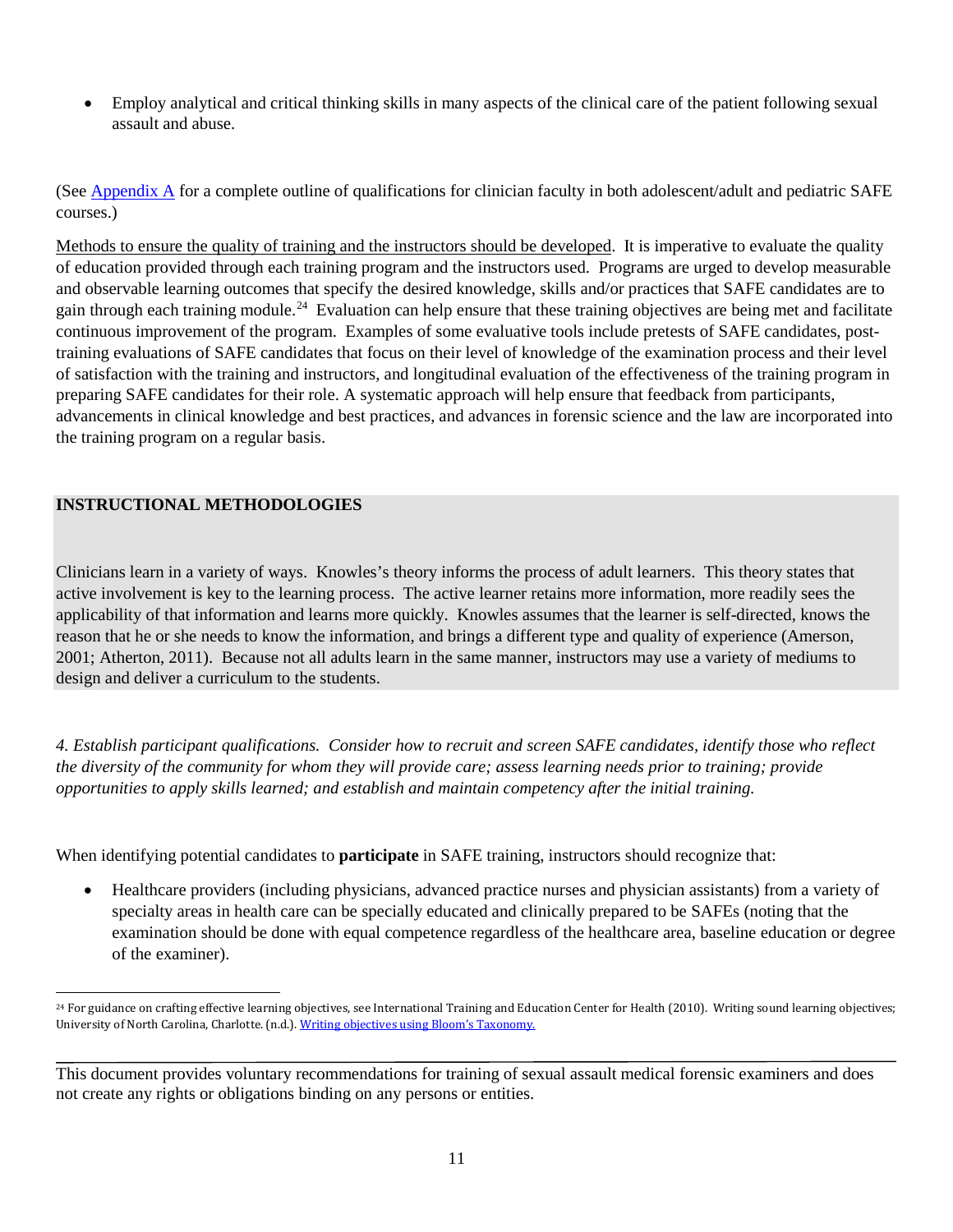• Employ analytical and critical thinking skills in many aspects of the clinical care of the patient following sexual assault and abuse.

(See [Appendix A](#page-73-0) for a complete outline of qualifications for clinician faculty in both adolescent/adult and pediatric SAFE courses.)

Methods to ensure the quality of training and the instructors should be developed. It is imperative to evaluate the quality of education provided through each training program and the instructors used. Programs are urged to develop measurable and observable learning outcomes that specify the desired knowledge, skills and/or practices that SAFE candidates are to gain through each training module.<sup>24</sup> Evaluation can help ensure that these training objectives are being met and facilitate continuous improvement of the program. Examples of some evaluative tools include pretests of SAFE candidates, posttraining evaluations of SAFE candidates that focus on their level of knowledge of the examination process and their level of satisfaction with the training and instructors, and longitudinal evaluation of the effectiveness of the training program in preparing SAFE candidates for their role. A systematic approach will help ensure that feedback from participants, advancements in clinical knowledge and best practices, and advances in forensic science and the law are incorporated into the training program on a regular basis.

### **INSTRUCTIONAL METHODOLOGIES**

Clinicians learn in a variety of ways. Knowles's theory informs the process of adult learners. This theory states that active involvement is key to the learning process. The active learner retains more information, more readily sees the applicability of that information and learns more quickly. Knowles assumes that the learner is self-directed, knows the reason that he or she needs to know the information, and brings a different type and quality of experience (Amerson, 2001; Atherton, 2011). Because not all adults learn in the same manner, instructors may use a variety of mediums to design and deliver a curriculum to the students.

*4. Establish participant qualifications. Consider how to recruit and screen SAFE candidates, identify those who reflect the diversity of the community for whom they will provide care; assess learning needs prior to training; provide opportunities to apply skills learned; and establish and maintain competency after the initial training.* 

When identifying potential candidates to **participate** in SAFE training, instructors should recognize that:

• Healthcare providers (including physicians, advanced practice nurses and physician assistants) from a variety of specialty areas in health care can be specially educated and clinically prepared to be SAFEs (noting that the examination should be done with equal competence regardless of the healthcare area, baseline education or degree of the examiner).

<span id="page-15-0"></span><sup>&</sup>lt;sup>24</sup> For guidance on crafting effective learning objectives, see International Training and Education Center for Health (2010). Writing sound learning objectives; University of North Carolina, Charlotte. (n.d.). [Writing objectives using Bloom's Taxonomy.](https://www.ovcttac.gov/saneguide/management-of-sane-programs/sexual-assault-nurse-examiners/)

This document provides voluntary recommendations for training of sexual assault medical forensic examiners and does not create any rights or obligations binding on any persons or entities.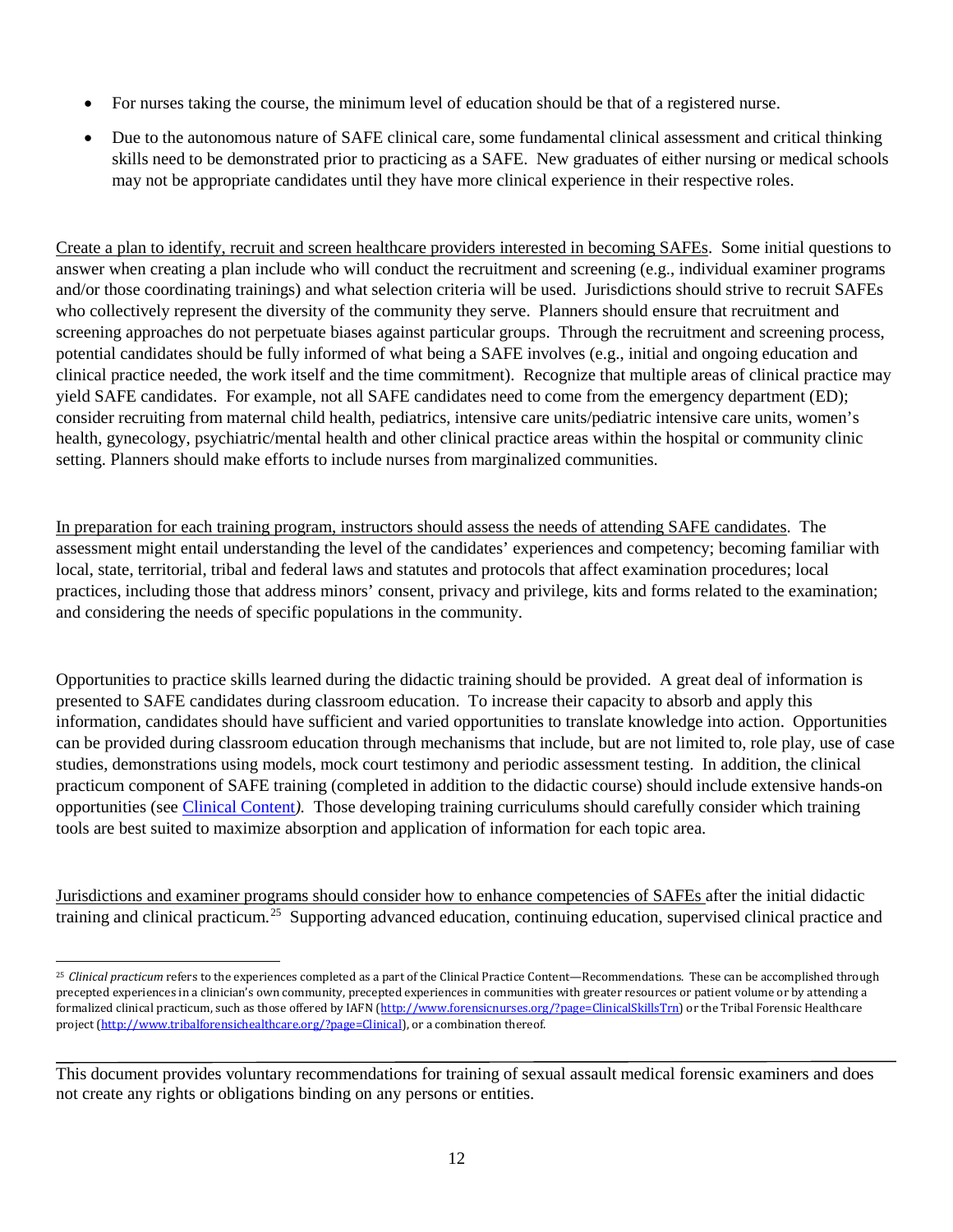- For nurses taking the course, the minimum level of education should be that of a registered nurse.
- Due to the autonomous nature of SAFE clinical care, some fundamental clinical assessment and critical thinking skills need to be demonstrated prior to practicing as a SAFE. New graduates of either nursing or medical schools may not be appropriate candidates until they have more clinical experience in their respective roles.

Create a plan to identify, recruit and screen healthcare providers interested in becoming SAFEs. Some initial questions to answer when creating a plan include who will conduct the recruitment and screening (e.g., individual examiner programs and/or those coordinating trainings) and what selection criteria will be used. Jurisdictions should strive to recruit SAFEs who collectively represent the diversity of the community they serve. Planners should ensure that recruitment and screening approaches do not perpetuate biases against particular groups. Through the recruitment and screening process, potential candidates should be fully informed of what being a SAFE involves (e.g., initial and ongoing education and clinical practice needed, the work itself and the time commitment). Recognize that multiple areas of clinical practice may yield SAFE candidates. For example, not all SAFE candidates need to come from the emergency department (ED); consider recruiting from maternal child health, pediatrics, intensive care units/pediatric intensive care units, women's health, gynecology, psychiatric/mental health and other clinical practice areas within the hospital or community clinic setting. Planners should make efforts to include nurses from marginalized communities.

In preparation for each training program, instructors should assess the needs of attending SAFE candidates. The assessment might entail understanding the level of the candidates' experiences and competency; becoming familiar with local, state, territorial, tribal and federal laws and statutes and protocols that affect examination procedures; local practices, including those that address minors' consent, privacy and privilege, kits and forms related to the examination; and considering the needs of specific populations in the community.

Opportunities to practice skills learned during the didactic training should be provided. A great deal of information is presented to SAFE candidates during classroom education. To increase their capacity to absorb and apply this information, candidates should have sufficient and varied opportunities to translate knowledge into action. Opportunities can be provided during classroom education through mechanisms that include, but are not limited to, role play, use of case studies, demonstrations using models, mock court testimony and periodic assessment testing. In addition, the clinical practicum component of SAFE training (completed in addition to the didactic course) should include extensive hands-on opportunities (see [Clinical Content](#page-65-0)*).* Those developing training curriculums should carefully consider which training tools are best suited to maximize absorption and application of information for each topic area.

Jurisdictions and examiner programs should consider how to enhance competencies of SAFEs after the initial didactic training and clinical practicum.<sup>25</sup> Supporting advanced education, continuing education, supervised clinical practice and

<span id="page-16-0"></span><sup>&</sup>lt;sup>25</sup> Clinical practicum refers to the experiences completed as a part of the Clinical Practice Content—Recommendations. These can be accomplished through precepted experiences in a clinician's own community, precepted experiences in communities with greater resources or patient volume or by attending a formalized clinical practicum, such as those offered by IAFN [\(http://www.forensicnurses.org/?page=ClinicalSkillsTrn\)](http://www.forensicnurses.org/?page=ClinicalSkillsTrn) or the Tribal Forensic Healthcare project [\(http://www.tribalforensichealthcare.org/?page=Clinical\)](http://www.tribalforensichealthcare.org/?page=Clinical), or a combination thereof.

This document provides voluntary recommendations for training of sexual assault medical forensic examiners and does not create any rights or obligations binding on any persons or entities.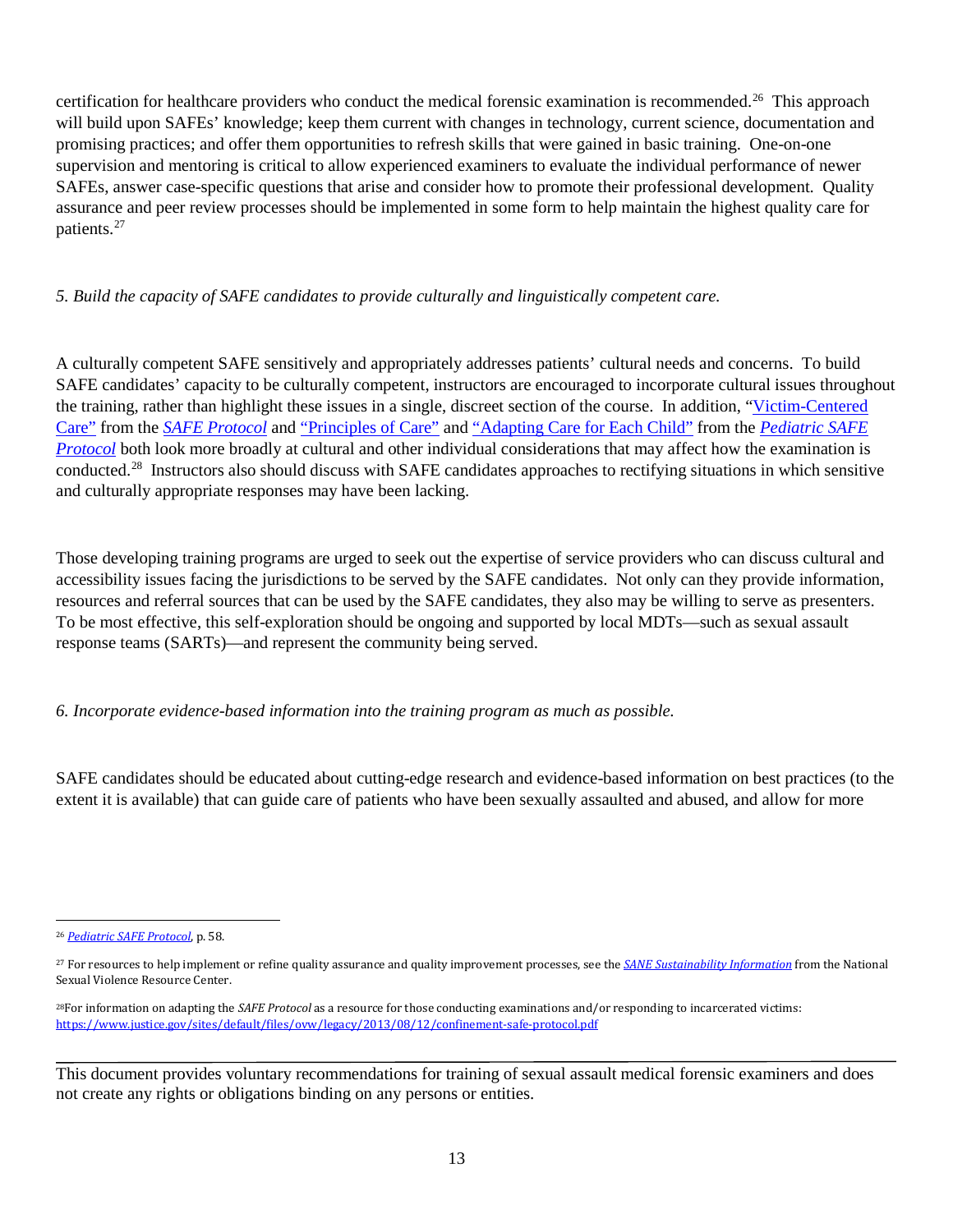certification for healthcare providers who conduct the medical forensic examination is recommended.<sup>26</sup> This approach will build upon SAFEs' knowledge; keep them current with changes in technology, current science, documentation and promising practices; and offer them opportunities to refresh skills that were gained in basic training. One-on-one supervision and mentoring is critical to allow experienced examiners to evaluate the individual performance of newer SAFEs, answer case-specific questions that arise and consider how to promote their professional development. Quality assurance and peer review processes should be implemented in some form to help maintain the highest quality care for patients[.27](#page-17-1)

#### *5. Build the capacity of SAFE candidates to provide culturally and linguistically competent care.*

A culturally competent SAFE sensitively and appropriately addresses patients' cultural needs and concerns. To build SAFE candidates' capacity to be culturally competent, instructors are encouraged to incorporate cultural issues throughout the training, rather than highlight these issues in a single, discreet section of the course. In addition, ["Victim-Centered](http://www.safeta.org/?page=VictimCenteredCare)  [Care"](http://www.safeta.org/?page=VictimCenteredCare) from the *[SAFE Protocol](https://c.ymcdn.com/sites/safetasource.site-ym.com/resource/resmgr/Protocol_documents/SAFE_PROTOCOL_2012-508.pdf)* and ["Principles of Care"](http://www.kidsta.org/page/SectionA1) and ["Adapting Care for Each Child"](http://www.kidsta.org/page/SectionA2) from the *[Pediatric SAFE](http://c.ymcdn.com/sites/www.kidsta.org/resource/resmgr/Docs/national_pediatric_protocol_.pdf)  [Protocol](http://c.ymcdn.com/sites/www.kidsta.org/resource/resmgr/Docs/national_pediatric_protocol_.pdf)* both look more broadly at cultural and other individual considerations that may affect how the examination is conducted. [28](#page-17-2) Instructors also should discuss with SAFE candidates approaches to rectifying situations in which sensitive and culturally appropriate responses may have been lacking.

Those developing training programs are urged to seek out the expertise of service providers who can discuss cultural and accessibility issues facing the jurisdictions to be served by the SAFE candidates. Not only can they provide information, resources and referral sources that can be used by the SAFE candidates, they also may be willing to serve as presenters. To be most effective, this self-exploration should be ongoing and supported by local MDTs—such as sexual assault response teams (SARTs)—and represent the community being served.

#### *6. Incorporate evidence-based information into the training program as much as possible.*

SAFE candidates should be educated about cutting-edge research and evidence-based information on best practices (to the extent it is available) that can guide care of patients who have been sexually assaulted and abused, and allow for more

<span id="page-17-0"></span> <sup>26</sup> *[Pediatric SAFE Protocol](http://www.kidsta.org/page/SectionA4)*, p. 58.

<span id="page-17-1"></span><sup>27</sup> For resources to help implement or refine quality assurance and quality improvement processes, see the *[SANE Sustainability Information](http://www.nsvrc.org/sites/default/files/nsvrc-publications_sane-mobile-quality-assurance-improvement-resources.pdf)* from the National Sexual Violence Resource Center.

<span id="page-17-2"></span><sup>28</sup>For information on adapting the *SAFE Protocol* as a resource for those conducting examinations and/or responding to incarcerated victims: <https://www.justice.gov/sites/default/files/ovw/legacy/2013/08/12/confinement-safe-protocol.pdf>

This document provides voluntary recommendations for training of sexual assault medical forensic examiners and does not create any rights or obligations binding on any persons or entities.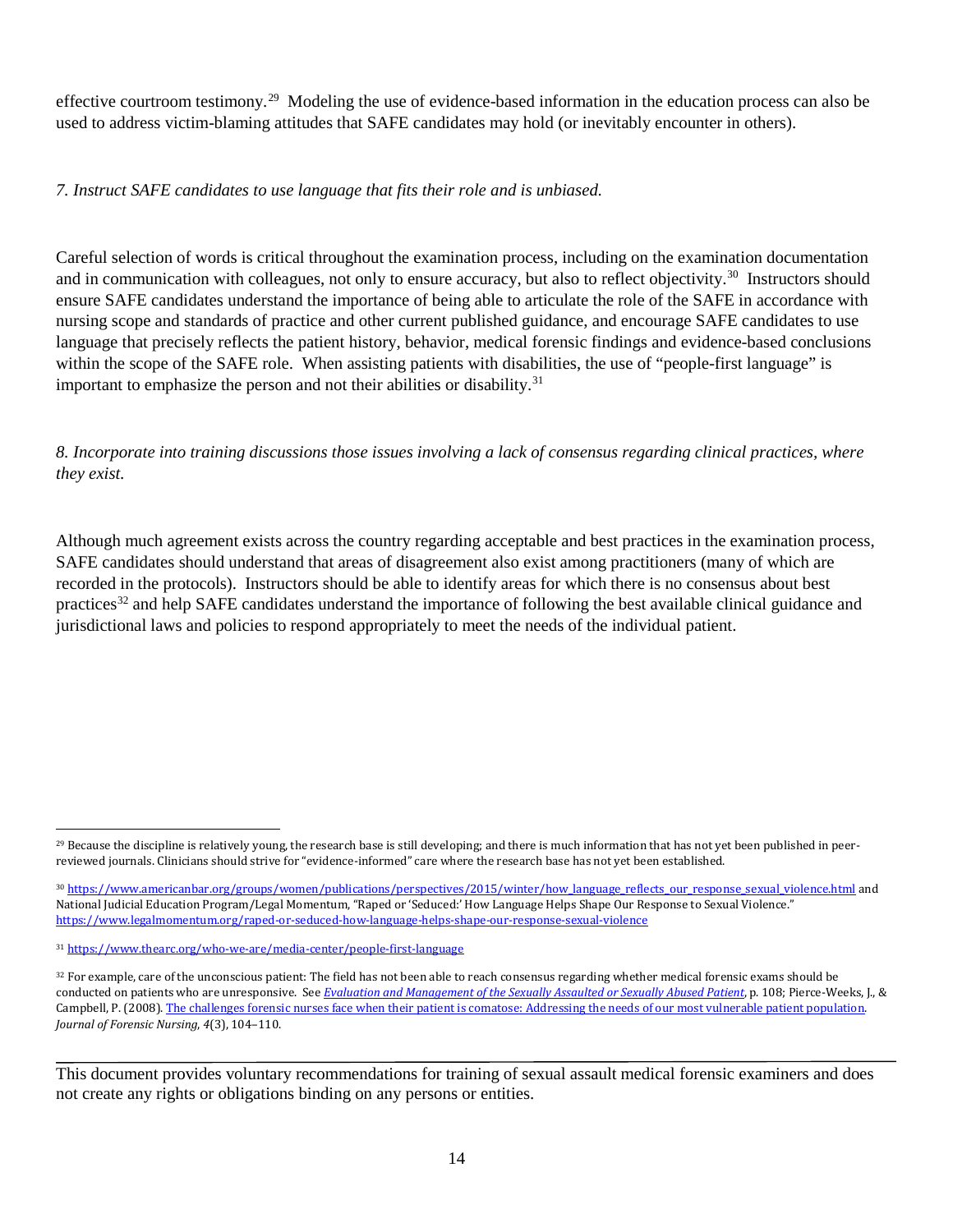effective courtroom testimony.<sup>[29](#page-18-0)</sup> Modeling the use of evidence-based information in the education process can also be used to address victim-blaming attitudes that SAFE candidates may hold (or inevitably encounter in others).

#### *7. Instruct SAFE candidates to use language that fits their role and is unbiased.*

Careful selection of words is critical throughout the examination process, including on the examination documentation and in communication with colleagues, not only to ensure accuracy, but also to reflect objectivity.<sup>[30](#page-18-1)</sup> Instructors should ensure SAFE candidates understand the importance of being able to articulate the role of the SAFE in accordance with nursing scope and standards of practice and other current published guidance, and encourage SAFE candidates to use language that precisely reflects the patient history, behavior, medical forensic findings and evidence-based conclusions within the scope of the SAFE role. When assisting patients with disabilities, the use of "people-first language" is important to emphasize the person and not their abilities or disability.<sup>[31](#page-18-2)</sup>

*8. Incorporate into training discussions those issues involving a lack of consensus regarding clinical practices, where they exist.*

Although much agreement exists across the country regarding acceptable and best practices in the examination process, SAFE candidates should understand that areas of disagreement also exist among practitioners (many of which are recorded in the protocols). Instructors should be able to identify areas for which there is no consensus about best practices[32](#page-18-3) and help SAFE candidates understand the importance of following the best available clinical guidance and jurisdictional laws and policies to respond appropriately to meet the needs of the individual patient.

<span id="page-18-0"></span><sup>&</sup>lt;sup>29</sup> Because the discipline is relatively young, the research base is still developing; and there is much information that has not yet been published in peerreviewed journals. Clinicians should strive for "evidence-informed" care where the research base has not yet been established.

<span id="page-18-1"></span><sup>30</sup> [https://www.americanbar.org/groups/women/publications/perspectives/2015/winter/how\\_language\\_reflects\\_our\\_response\\_sexual\\_violence.html](https://www.americanbar.org/groups/women/publications/perspectives/2015/winter/how_language_reflects_our_response_sexual_violence.html) and National Judicial Education Program/Legal Momentum, "Raped or 'Seduced:' How Language Helps Shape Our Response to Sexual Violence." <https://www.legalmomentum.org/raped-or-seduced-how-language-helps-shape-our-response-sexual-violence>

<span id="page-18-2"></span><sup>31</sup> <https://www.thearc.org/who-we-are/media-center/people-first-language>

<span id="page-18-3"></span><sup>&</sup>lt;sup>32</sup> For example, care of the unconscious patient: The field has not been able to reach consensus regarding whether medical forensic exams should be conducted on patients who are unresponsive. See *[Evaluation and Management of the Sexually Assaulted or Sexually Abused Patient](https://www.acep.org/sexualassaultebook)*, p. 108; Pierce-Weeks, J., & Campbell, P. (2008)[. The challenges forensic nurses face when their patient is comatose: Addressing the needs of our most vulnerable patient population.](https://www.ncbi.nlm.nih.gov/pubmed/18798876)  *Journal of Forensic Nursing*, *4*(3), 104–110.

This document provides voluntary recommendations for training of sexual assault medical forensic examiners and does not create any rights or obligations binding on any persons or entities.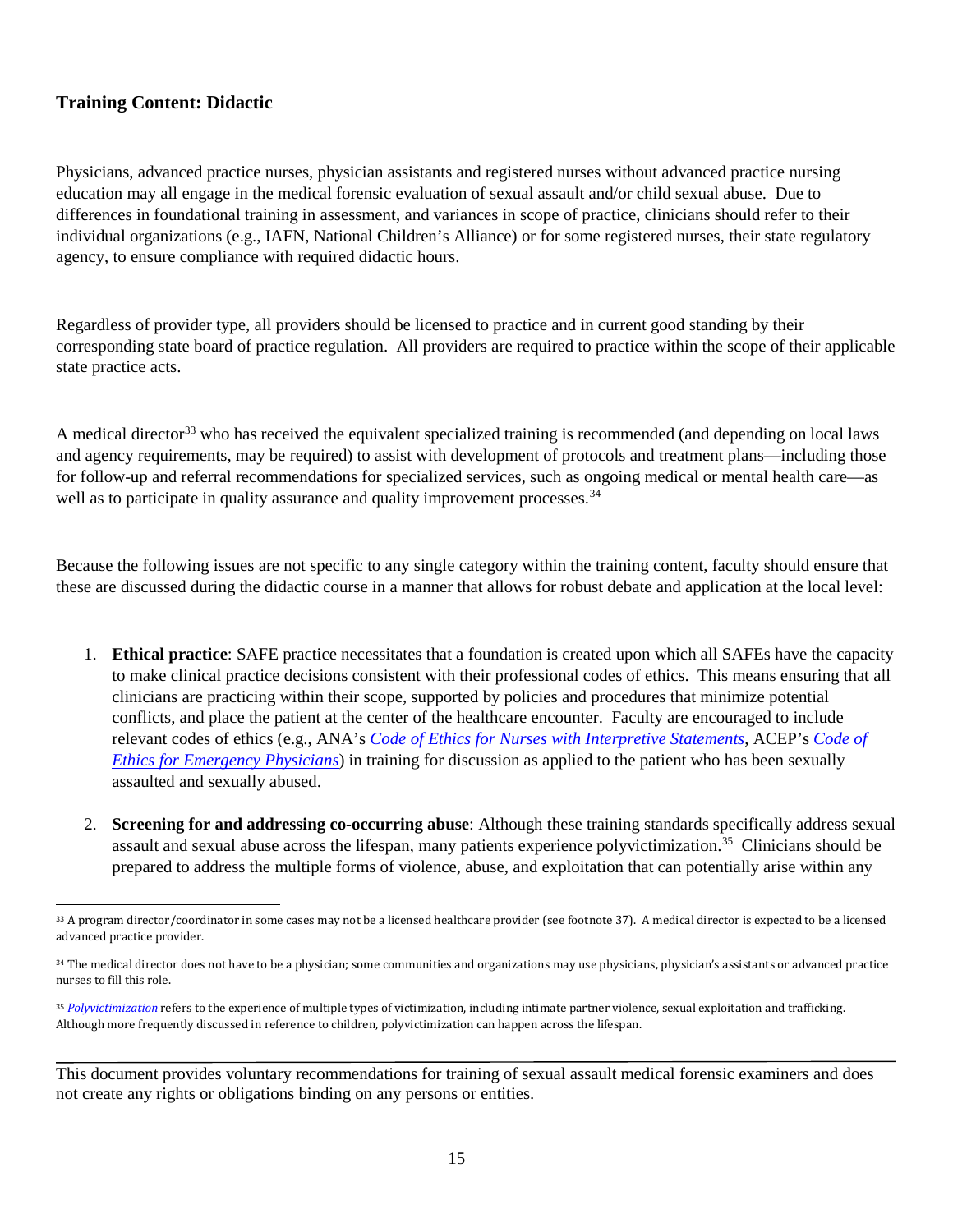## <span id="page-19-0"></span>**Training Content: Didactic**

Physicians, advanced practice nurses, physician assistants and registered nurses without advanced practice nursing education may all engage in the medical forensic evaluation of sexual assault and/or child sexual abuse. Due to differences in foundational training in assessment, and variances in scope of practice, clinicians should refer to their individual organizations (e.g., IAFN, National Children's Alliance) or for some registered nurses, their state regulatory agency, to ensure compliance with required didactic hours.

Regardless of provider type, all providers should be licensed to practice and in current good standing by their corresponding state board of practice regulation. All providers are required to practice within the scope of their applicable state practice acts.

A medical director<sup>[33](#page-19-1)</sup> who has received the equivalent specialized training is recommended (and depending on local laws and agency requirements, may be required) to assist with development of protocols and treatment plans—including those for follow-up and referral recommendations for specialized services, such as ongoing medical or mental health care—as well as to participate in quality assurance and quality improvement processes.<sup>[34](#page-19-2)</sup>

Because the following issues are not specific to any single category within the training content, faculty should ensure that these are discussed during the didactic course in a manner that allows for robust debate and application at the local level:

- 1. **Ethical practice**: SAFE practice necessitates that a foundation is created upon which all SAFEs have the capacity to make clinical practice decisions consistent with their professional codes of ethics. This means ensuring that all clinicians are practicing within their scope, supported by policies and procedures that minimize potential conflicts, and place the patient at the center of the healthcare encounter. Faculty are encouraged to include relevant codes of ethics (e.g., ANA's *[Code of Ethics for Nurses with Interpretive Statements](http://www.nursingworld.org/MainMenuCategories/EthicsStandards/CodeofEthicsforNurses/Code-of-Ethics-For-Nurses.html)*, ACEP's *[Code of](https://www.acep.org/clinical---practice-management/code-of-ethics-for-emergency-physicians/)  [Ethics for Emergency Physicians](https://www.acep.org/clinical---practice-management/code-of-ethics-for-emergency-physicians/)*) in training for discussion as applied to the patient who has been sexually assaulted and sexually abused.
- 2. **Screening for and addressing co-occurring abuse**: Although these training standards specifically address sexual assault and sexual abuse across the lifespan, many patients experience polyvictimization.[35](#page-19-3) Clinicians should be prepared to address the multiple forms of violence, abuse, and exploitation that can potentially arise within any

<span id="page-19-1"></span> <sup>33</sup> A program director/coordinator in some cases may not be a licensed healthcare provider (see footnote 37). A medical director is expected to be a licensed advanced practice provider.

<span id="page-19-2"></span><sup>&</sup>lt;sup>34</sup> The medical director does not have to be a physician; some communities and organizations may use physicians, physician's assistants or advanced practice nurses to fill this role.

<span id="page-19-3"></span><sup>&</sup>lt;sup>35</sup> [Polyvictimization](https://www.ncjrs.gov/pdffiles1/ojjdp/235504.pdf) refers to the experience of multiple types of victimization, including intimate partner violence, sexual exploitation and trafficking. Although more frequently discussed in reference to children, polyvictimization can happen across the lifespan.

This document provides voluntary recommendations for training of sexual assault medical forensic examiners and does not create any rights or obligations binding on any persons or entities.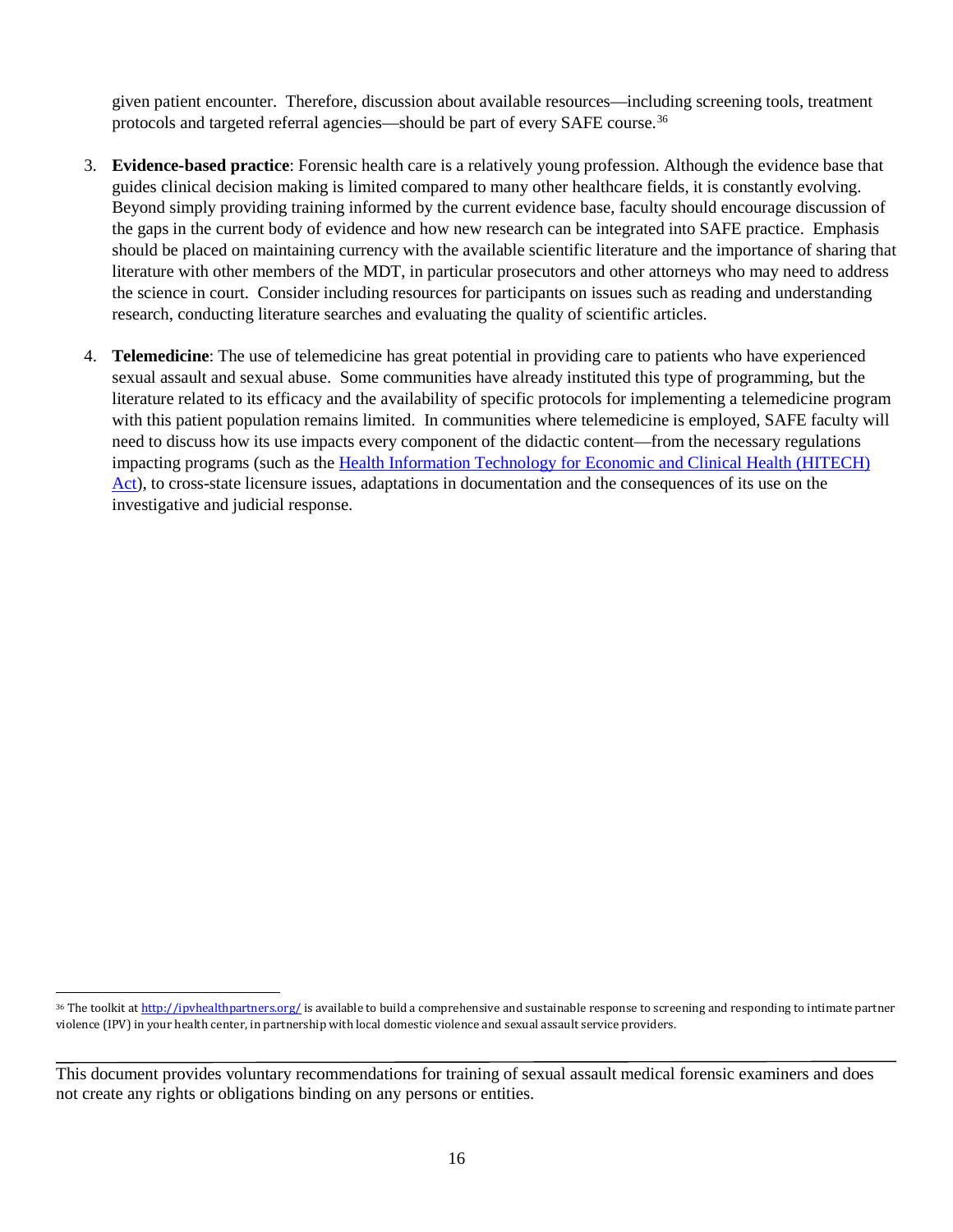given patient encounter. Therefore, discussion about available resources—including screening tools, treatment protocols and targeted referral agencies—should be part of every SAFE course.<sup>[36](#page-20-0)</sup>

- 3. **Evidence-based practice**: Forensic health care is a relatively young profession. Although the evidence base that guides clinical decision making is limited compared to many other healthcare fields, it is constantly evolving. Beyond simply providing training informed by the current evidence base, faculty should encourage discussion of the gaps in the current body of evidence and how new research can be integrated into SAFE practice. Emphasis should be placed on maintaining currency with the available scientific literature and the importance of sharing that literature with other members of the MDT, in particular prosecutors and other attorneys who may need to address the science in court. Consider including resources for participants on issues such as reading and understanding research, conducting literature searches and evaluating the quality of scientific articles.
- 4. **Telemedicine**: The use of telemedicine has great potential in providing care to patients who have experienced sexual assault and sexual abuse. Some communities have already instituted this type of programming, but the literature related to its efficacy and the availability of specific protocols for implementing a telemedicine program with this patient population remains limited. In communities where telemedicine is employed, SAFE faculty will need to discuss how its use impacts every component of the didactic content—from the necessary regulations impacting programs (such as th[e Health Information Technology for Economic and Clinical Health \(HITECH\)](https://www.hhs.gov/hipaa/for-professionals/special-topics/HITECH-act-enforcement-interim-final-rule/index.html?language=es)  [Act\)](https://www.hhs.gov/hipaa/for-professionals/special-topics/HITECH-act-enforcement-interim-final-rule/index.html?language=es), to cross-state licensure issues, adaptations in documentation and the consequences of its use on the investigative and judicial response.

<span id="page-20-0"></span><sup>&</sup>lt;sup>36</sup> The toolkit a[t http://ipvhealthpartners.org/](http://ipvhealthpartners.org/) is available to build a comprehensive and sustainable response to screening and responding to intimate partner violence (IPV) in your health center, in partnership with local domestic violence and sexual assault service providers.

This document provides voluntary recommendations for training of sexual assault medical forensic examiners and does not create any rights or obligations binding on any persons or entities.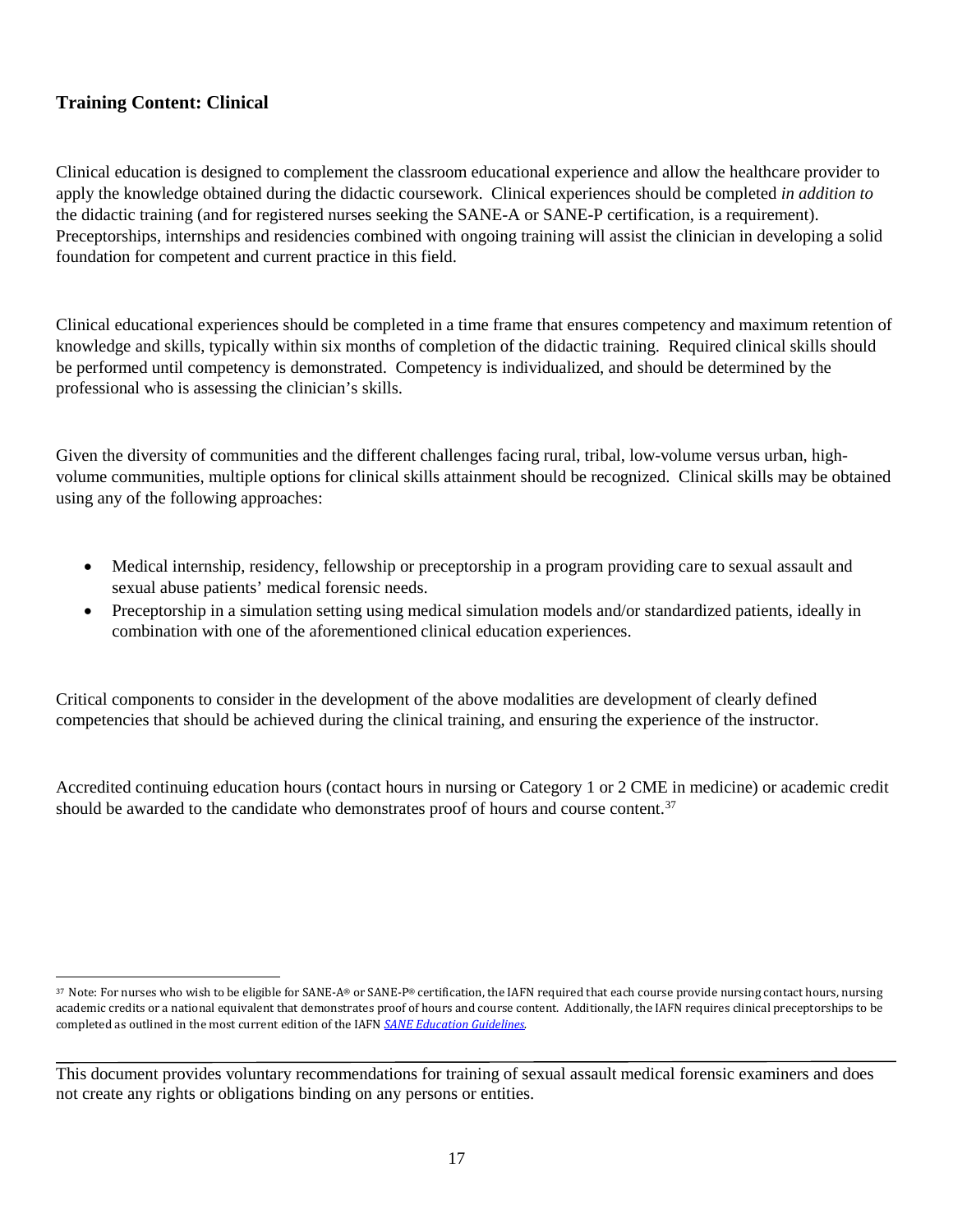## <span id="page-21-0"></span>**Training Content: Clinical**

Clinical education is designed to complement the classroom educational experience and allow the healthcare provider to apply the knowledge obtained during the didactic coursework. Clinical experiences should be completed *in addition to* the didactic training (and for registered nurses seeking the SANE-A or SANE-P certification, is a requirement). Preceptorships, internships and residencies combined with ongoing training will assist the clinician in developing a solid foundation for competent and current practice in this field.

Clinical educational experiences should be completed in a time frame that ensures competency and maximum retention of knowledge and skills, typically within six months of completion of the didactic training. Required clinical skills should be performed until competency is demonstrated. Competency is individualized, and should be determined by the professional who is assessing the clinician's skills.

Given the diversity of communities and the different challenges facing rural, tribal, low-volume versus urban, highvolume communities, multiple options for clinical skills attainment should be recognized. Clinical skills may be obtained using any of the following approaches:

- Medical internship, residency, fellowship or preceptorship in a program providing care to sexual assault and sexual abuse patients' medical forensic needs.
- Preceptorship in a simulation setting using medical simulation models and/or standardized patients, ideally in combination with one of the aforementioned clinical education experiences.

Critical components to consider in the development of the above modalities are development of clearly defined competencies that should be achieved during the clinical training, and ensuring the experience of the instructor.

Accredited continuing education hours (contact hours in nursing or Category 1 or 2 CME in medicine) or academic credit should be awarded to the candidate who demonstrates proof of hours and course content.<sup>[37](#page-21-1)</sup>

<span id="page-21-1"></span><sup>37</sup> Note: For nurses who wish to be eligible for SANE-A® or SANE-P® certification, the IAFN required that each course provide nursing contact hours, nursing academic credits or a national equivalent that demonstrates proof of hours and course content. Additionally, the IAFN requires clinical preceptorships to be completed as outlined in the most current edition of the IAFN *[SANE Education Guidelines.](http://www.forensicnurses.org/resource/resmgr/2015_SANE_ED_GUIDELINES.pdf)*

This document provides voluntary recommendations for training of sexual assault medical forensic examiners and does not create any rights or obligations binding on any persons or entities.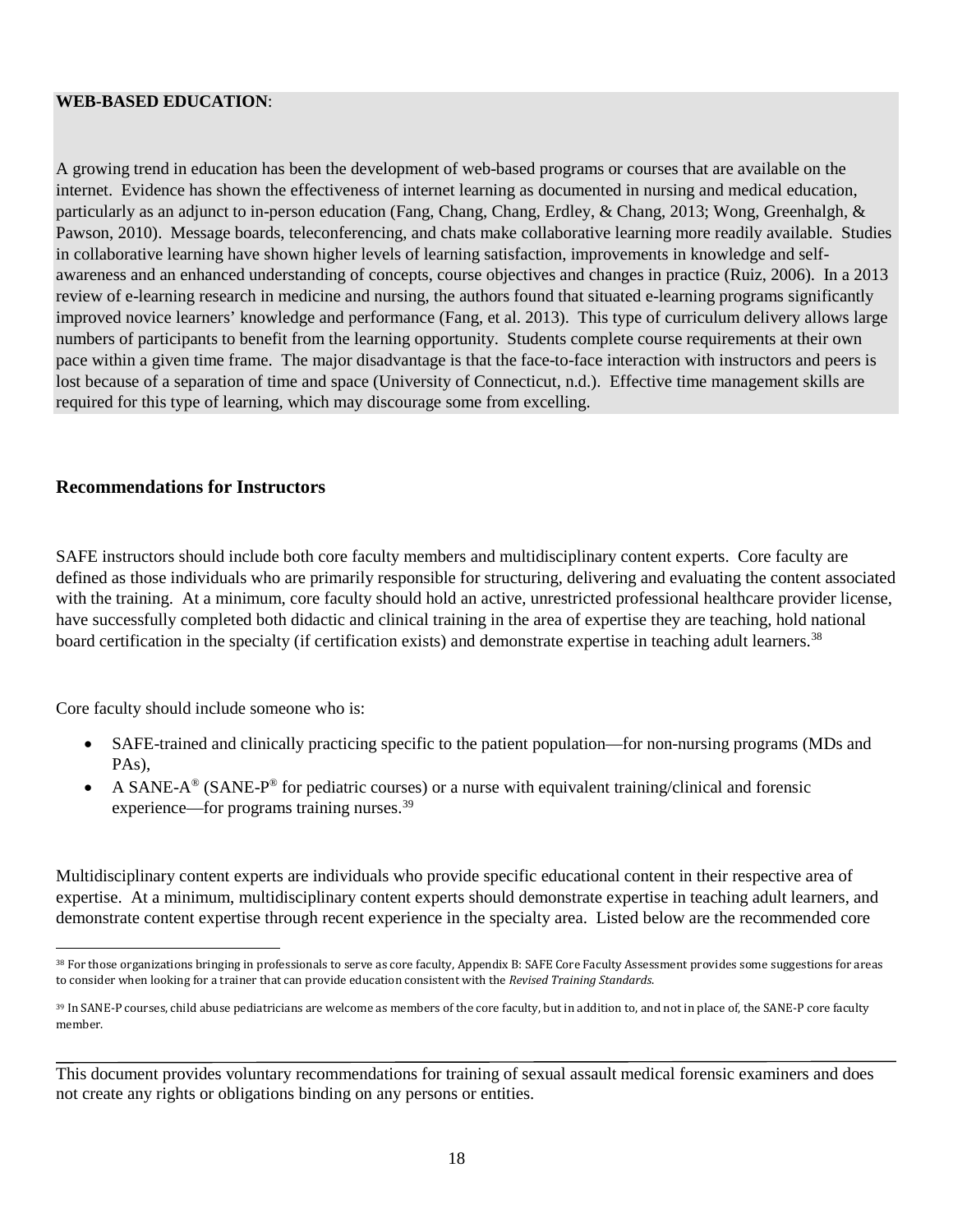#### **WEB-BASED EDUCATION**:

A growing trend in education has been the development of web-based programs or courses that are available on the internet. Evidence has shown the effectiveness of internet learning as documented in nursing and medical education, particularly as an adjunct to in-person education (Fang, Chang, Chang, Erdley, & Chang, 2013; Wong, Greenhalgh, & Pawson, 2010). Message boards, teleconferencing, and chats make collaborative learning more readily available. Studies in collaborative learning have shown higher levels of learning satisfaction, improvements in knowledge and selfawareness and an enhanced understanding of concepts, course objectives and changes in practice (Ruiz, 2006). In a 2013 review of e-learning research in medicine and nursing, the authors found that situated e-learning programs significantly improved novice learners' knowledge and performance (Fang, et al. 2013). This type of curriculum delivery allows large numbers of participants to benefit from the learning opportunity. Students complete course requirements at their own pace within a given time frame. The major disadvantage is that the face-to-face interaction with instructors and peers is lost because of a separation of time and space (University of Connecticut, n.d.). Effective time management skills are required for this type of learning, which may discourage some from excelling.

#### <span id="page-22-0"></span>**Recommendations for Instructors**

SAFE instructors should include both core faculty members and multidisciplinary content experts. Core faculty are defined as those individuals who are primarily responsible for structuring, delivering and evaluating the content associated with the training. At a minimum, core faculty should hold an active, unrestricted professional healthcare provider license, have successfully completed both didactic and clinical training in the area of expertise they are teaching, hold national board certification in the specialty (if certification exists) and demonstrate expertise in teaching adult learners.<sup>38</sup>

Core faculty should include someone who is:

- SAFE-trained and clinically practicing specific to the patient population—for non-nursing programs (MDs and PAs),
- A SANE- $A^{\circledast}$  (SANE-P<sup>®</sup> for pediatric courses) or a nurse with equivalent training/clinical and forensic experience—for programs training nurses.<sup>[39](#page-22-2)</sup>

Multidisciplinary content experts are individuals who provide specific educational content in their respective area of expertise. At a minimum, multidisciplinary content experts should demonstrate expertise in teaching adult learners, and demonstrate content expertise through recent experience in the specialty area. Listed below are the recommended core

<span id="page-22-1"></span> <sup>38</sup> For those organizations bringing in professionals to serve as core faculty, Appendix B: SAFE Core Faculty Assessment provides some suggestions for areas to consider when looking for a trainer that can provide education consistent with the *Revised Training Standards*.

<span id="page-22-2"></span><sup>39</sup> In SANE-P courses, child abuse pediatricians are welcome as members of the core faculty, but in addition to, and not in place of, the SANE-P core faculty member.

This document provides voluntary recommendations for training of sexual assault medical forensic examiners and does not create any rights or obligations binding on any persons or entities.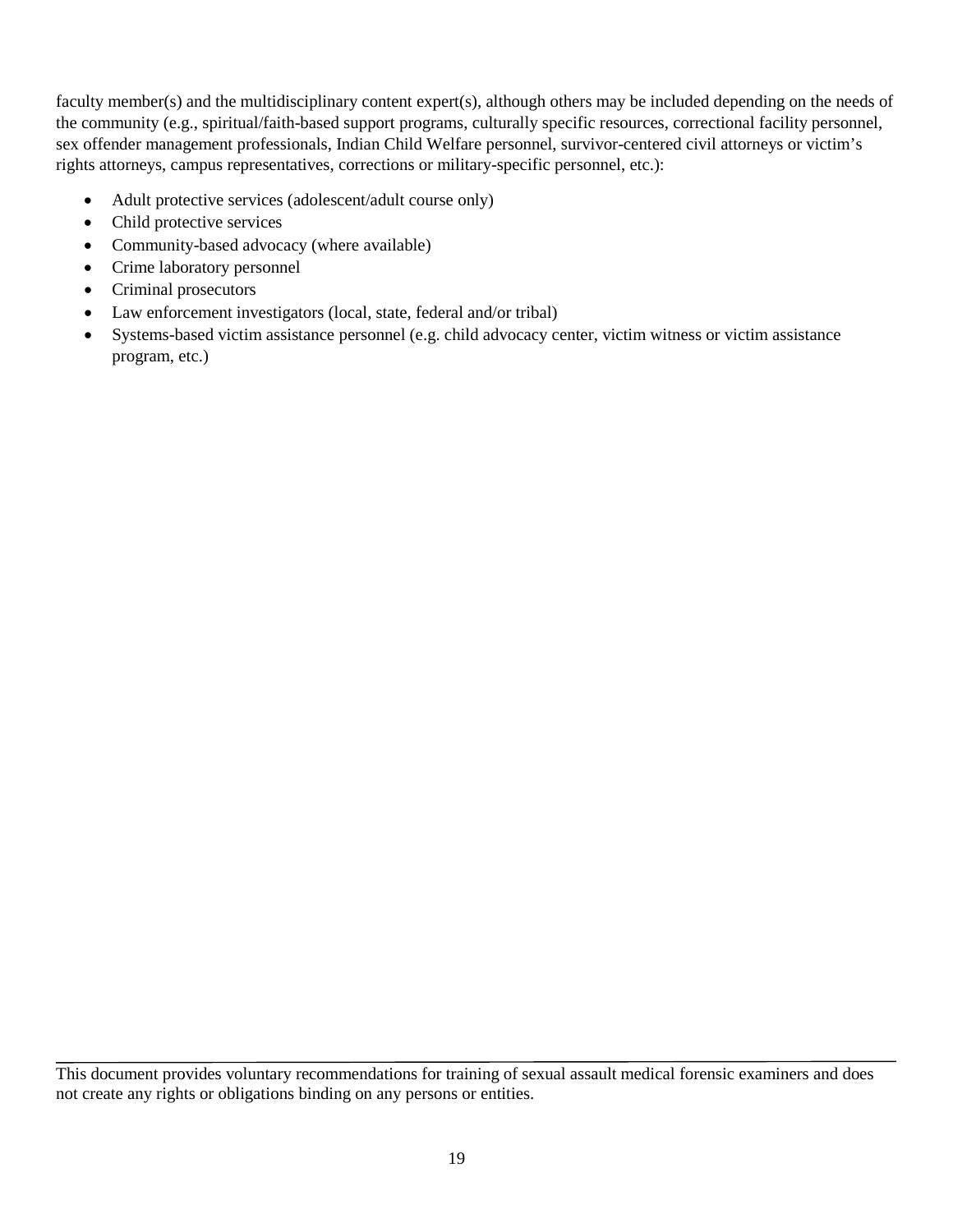faculty member(s) and the multidisciplinary content expert(s), although others may be included depending on the needs of the community (e.g., spiritual/faith-based support programs, culturally specific resources, correctional facility personnel, sex offender management professionals, Indian Child Welfare personnel, survivor-centered civil attorneys or victim's rights attorneys, campus representatives, corrections or military-specific personnel, etc.):

- Adult protective services (adolescent/adult course only)
- Child protective services
- Community-based advocacy (where available)
- Crime laboratory personnel
- Criminal prosecutors
- Law enforcement investigators (local, state, federal and/or tribal)
- Systems-based victim assistance personnel (e.g. child advocacy center, victim witness or victim assistance program, etc.)

This document provides voluntary recommendations for training of sexual assault medical forensic examiners and does not create any rights or obligations binding on any persons or entities.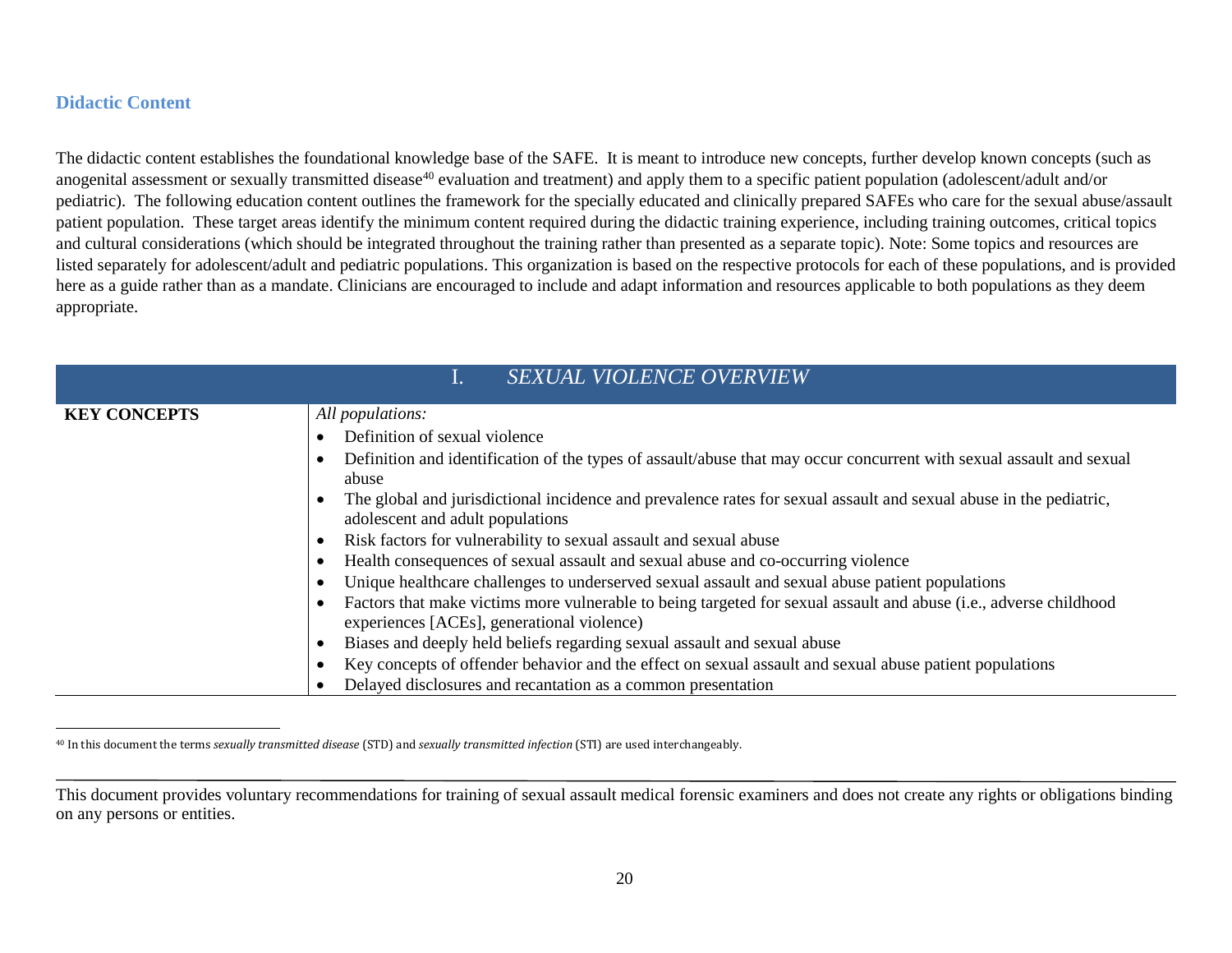#### <span id="page-24-1"></span>**Didactic Content**

The didactic content establishes the foundational knowledge base of the SAFE. It is meant to introduce new concepts, further develop known concepts (such as anogenital assessment or sexually transmitted disease<sup>[40](#page-24-1)</sup> evaluation and treatment) and apply them to a specific patient population (adolescent/adult and/or pediatric). The following education content outlines the framework for the specially educated and clinically prepared SAFEs who care for the sexual abuse/assault patient population. These target areas identify the minimum content required during the didactic training experience, including training outcomes, critical topics and cultural considerations (which should be integrated throughout the training rather than presented as a separate topic). Note: Some topics and resources are listed separately for adolescent/adult and pediatric populations. This organization is based on the respective protocols for each of these populations, and is provided here as a guide rather than as a mandate. Clinicians are encouraged to include and adapt information and resources applicable to both populations as they deem appropriate.

<span id="page-24-0"></span>

| <b>SEXUAL VIOLENCE OVERVIEW</b> |                                                                                                                                                                                                                                                                                                                                                                                                                                                                                                                                                                                                                                                                                                                                                                                                                                                                                                                                                                                                                                    |
|---------------------------------|------------------------------------------------------------------------------------------------------------------------------------------------------------------------------------------------------------------------------------------------------------------------------------------------------------------------------------------------------------------------------------------------------------------------------------------------------------------------------------------------------------------------------------------------------------------------------------------------------------------------------------------------------------------------------------------------------------------------------------------------------------------------------------------------------------------------------------------------------------------------------------------------------------------------------------------------------------------------------------------------------------------------------------|
| <b>KEY CONCEPTS</b>             | All populations:<br>Definition of sexual violence<br>Definition and identification of the types of assault/abuse that may occur concurrent with sexual assault and sexual<br>abuse<br>The global and jurisdictional incidence and prevalence rates for sexual assault and sexual abuse in the pediatric,<br>adolescent and adult populations<br>Risk factors for vulnerability to sexual assault and sexual abuse<br>Health consequences of sexual assault and sexual abuse and co-occurring violence<br>Unique healthcare challenges to underserved sexual assault and sexual abuse patient populations<br>Factors that make victims more vulnerable to being targeted for sexual assault and abuse (i.e., adverse childhood<br>experiences [ACEs], generational violence)<br>Biases and deeply held beliefs regarding sexual assault and sexual abuse<br>Key concepts of offender behavior and the effect on sexual assault and sexual abuse patient populations<br>Delayed disclosures and recantation as a common presentation |

 <sup>40</sup> In this document the terms *sexually transmitted disease* (STD) and *sexually transmitted infection* (STI) are used interchangeably.

This document provides voluntary recommendations for training of sexual assault medical forensic examiners and does not create any rights or obligations binding on any persons or entities.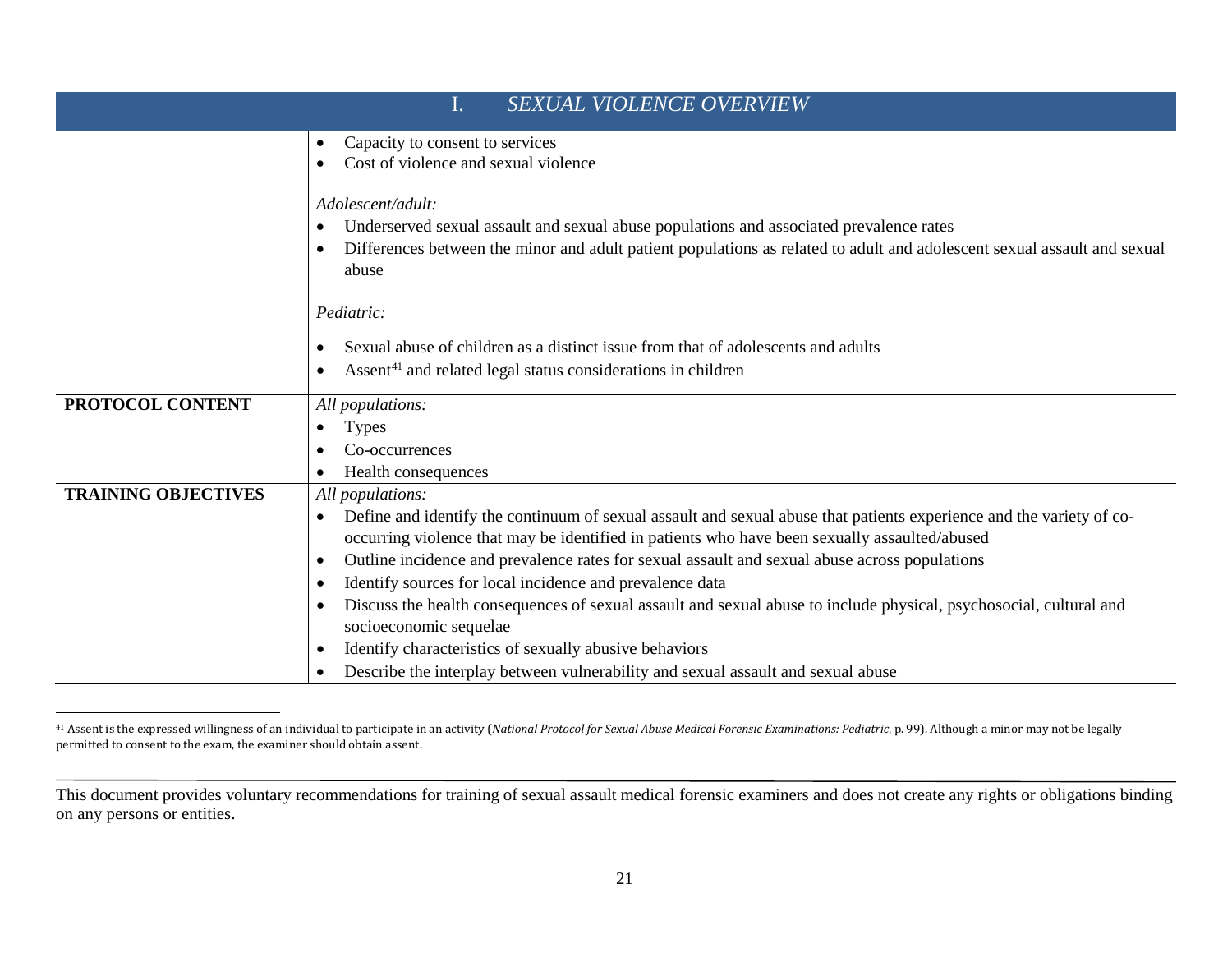<span id="page-25-0"></span>

| <b>SEXUAL VIOLENCE OVERVIEW</b><br>1. |                                                                                                                                                           |
|---------------------------------------|-----------------------------------------------------------------------------------------------------------------------------------------------------------|
|                                       | Capacity to consent to services<br>$\bullet$                                                                                                              |
|                                       | Cost of violence and sexual violence<br>$\bullet$                                                                                                         |
|                                       |                                                                                                                                                           |
|                                       | Adolescent/adult:                                                                                                                                         |
|                                       | Underserved sexual assault and sexual abuse populations and associated prevalence rates<br>$\bullet$                                                      |
|                                       | Differences between the minor and adult patient populations as related to adult and adolescent sexual assault and sexual<br>$\bullet$                     |
|                                       | abuse                                                                                                                                                     |
|                                       | Pediatric:                                                                                                                                                |
|                                       | Sexual abuse of children as a distinct issue from that of adolescents and adults<br>$\bullet$                                                             |
|                                       | Assent <sup>41</sup> and related legal status considerations in children<br>$\bullet$                                                                     |
|                                       |                                                                                                                                                           |
| PROTOCOL CONTENT                      | All populations:                                                                                                                                          |
|                                       | <b>Types</b><br>$\bullet$                                                                                                                                 |
|                                       | Co-occurrences<br>$\bullet$                                                                                                                               |
|                                       | Health consequences<br>$\bullet$                                                                                                                          |
| <b>TRAINING OBJECTIVES</b>            | All populations:                                                                                                                                          |
|                                       | Define and identify the continuum of sexual assault and sexual abuse that patients experience and the variety of co-<br>$\bullet$                         |
|                                       | occurring violence that may be identified in patients who have been sexually assaulted/abused                                                             |
|                                       | Outline incidence and prevalence rates for sexual assault and sexual abuse across populations<br>$\bullet$                                                |
|                                       | Identify sources for local incidence and prevalence data<br>$\bullet$                                                                                     |
|                                       | Discuss the health consequences of sexual assault and sexual abuse to include physical, psychosocial, cultural and<br>$\bullet$<br>socioeconomic sequelae |
|                                       | Identify characteristics of sexually abusive behaviors<br>$\bullet$                                                                                       |
|                                       | Describe the interplay between vulnerability and sexual assault and sexual abuse<br>$\bullet$                                                             |

 <sup>41</sup> Assent is the expressed willingness of an individual to participate in an activity (*National Protocol for Sexual Abuse Medical Forensic Examinations: Pediatric*, p. 99). Although a minor may not be legally permitted to consent to the exam, the examiner should obtain assent.

This document provides voluntary recommendations for training of sexual assault medical forensic examiners and does not create any rights or obligations binding on any persons or entities.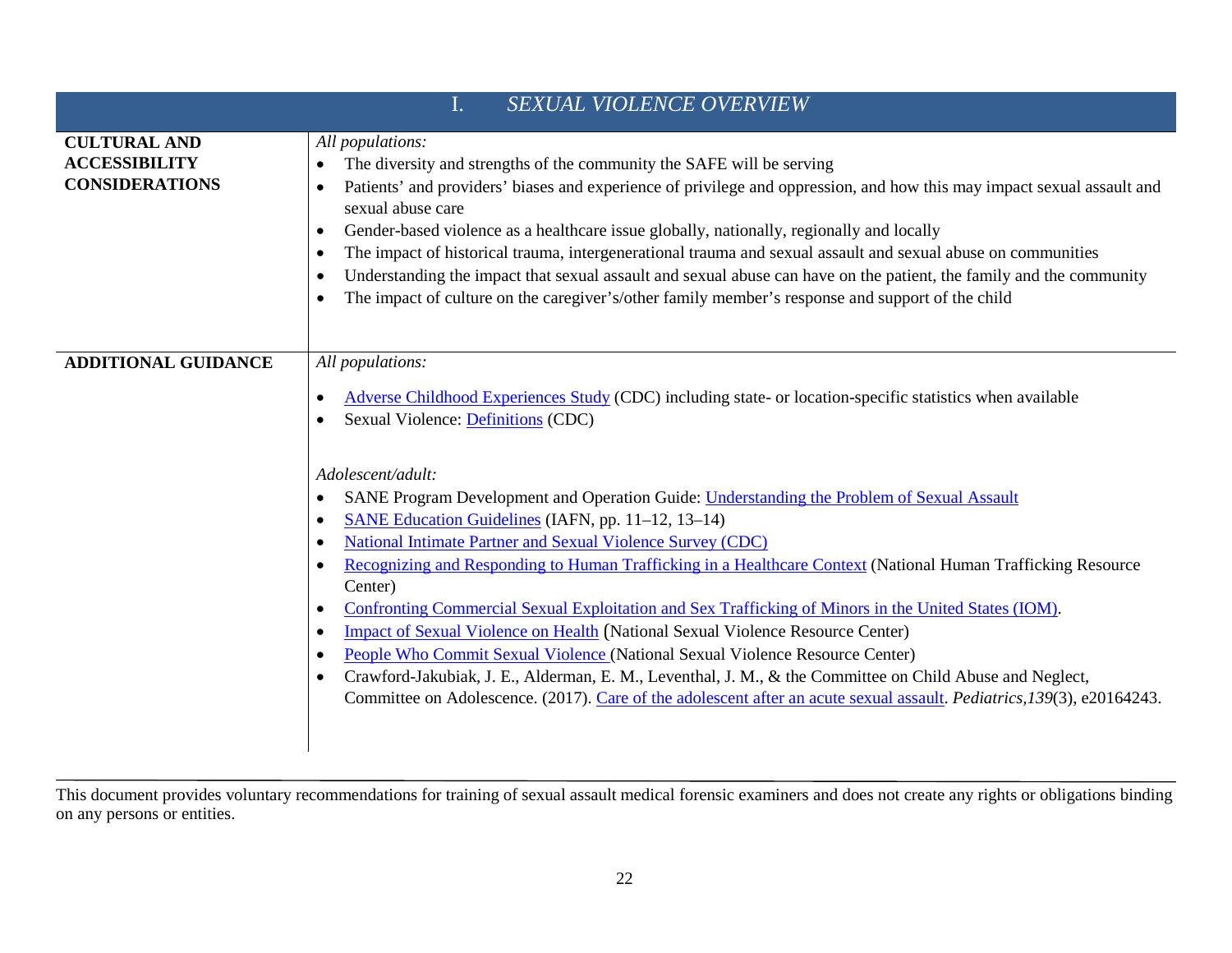|                                                                      | $\mathbf{I}$ .<br><b>SEXUAL VIOLENCE OVERVIEW</b>                                                                                                                                                                                                                                                                                                                                                                                                                                                                                                                                                                                                                                                                                                                                                                                                                                                                                                                                                                                                                                                                                                                                                    |
|----------------------------------------------------------------------|------------------------------------------------------------------------------------------------------------------------------------------------------------------------------------------------------------------------------------------------------------------------------------------------------------------------------------------------------------------------------------------------------------------------------------------------------------------------------------------------------------------------------------------------------------------------------------------------------------------------------------------------------------------------------------------------------------------------------------------------------------------------------------------------------------------------------------------------------------------------------------------------------------------------------------------------------------------------------------------------------------------------------------------------------------------------------------------------------------------------------------------------------------------------------------------------------|
| <b>CULTURAL AND</b><br><b>ACCESSIBILITY</b><br><b>CONSIDERATIONS</b> | All populations:<br>The diversity and strengths of the community the SAFE will be serving<br>$\bullet$<br>Patients' and providers' biases and experience of privilege and oppression, and how this may impact sexual assault and<br>$\bullet$<br>sexual abuse care<br>Gender-based violence as a healthcare issue globally, nationally, regionally and locally<br>$\bullet$<br>The impact of historical trauma, intergenerational trauma and sexual assault and sexual abuse on communities<br>$\bullet$<br>Understanding the impact that sexual assault and sexual abuse can have on the patient, the family and the community<br>$\bullet$<br>The impact of culture on the caregiver's/other family member's response and support of the child<br>$\bullet$                                                                                                                                                                                                                                                                                                                                                                                                                                        |
| <b>ADDITIONAL GUIDANCE</b>                                           | All populations:<br>Adverse Childhood Experiences Study (CDC) including state- or location-specific statistics when available<br>$\bullet$<br><b>Sexual Violence: Definitions (CDC)</b><br>$\bullet$<br>Adolescent/adult:<br>SANE Program Development and Operation Guide: Understanding the Problem of Sexual Assault<br>$\bullet$<br>SANE Education Guidelines (IAFN, pp. 11-12, 13-14)<br>$\bullet$<br>National Intimate Partner and Sexual Violence Survey (CDC)<br>$\bullet$<br>Recognizing and Responding to Human Trafficking in a Healthcare Context (National Human Trafficking Resource<br>$\bullet$<br>Center)<br>Confronting Commercial Sexual Exploitation and Sex Trafficking of Minors in the United States (IOM).<br>$\bullet$<br><b>Impact of Sexual Violence on Health (National Sexual Violence Resource Center)</b><br>$\bullet$<br>People Who Commit Sexual Violence (National Sexual Violence Resource Center)<br>$\bullet$<br>Crawford-Jakubiak, J. E., Alderman, E. M., Leventhal, J. M., & the Committee on Child Abuse and Neglect,<br>$\bullet$<br>Committee on Adolescence. (2017). Care of the adolescent after an acute sexual assault. Pediatrics, 139(3), e20164243. |

This document provides voluntary recommendations for training of sexual assault medical forensic examiners and does not create any rights or obligations binding on any persons or entities.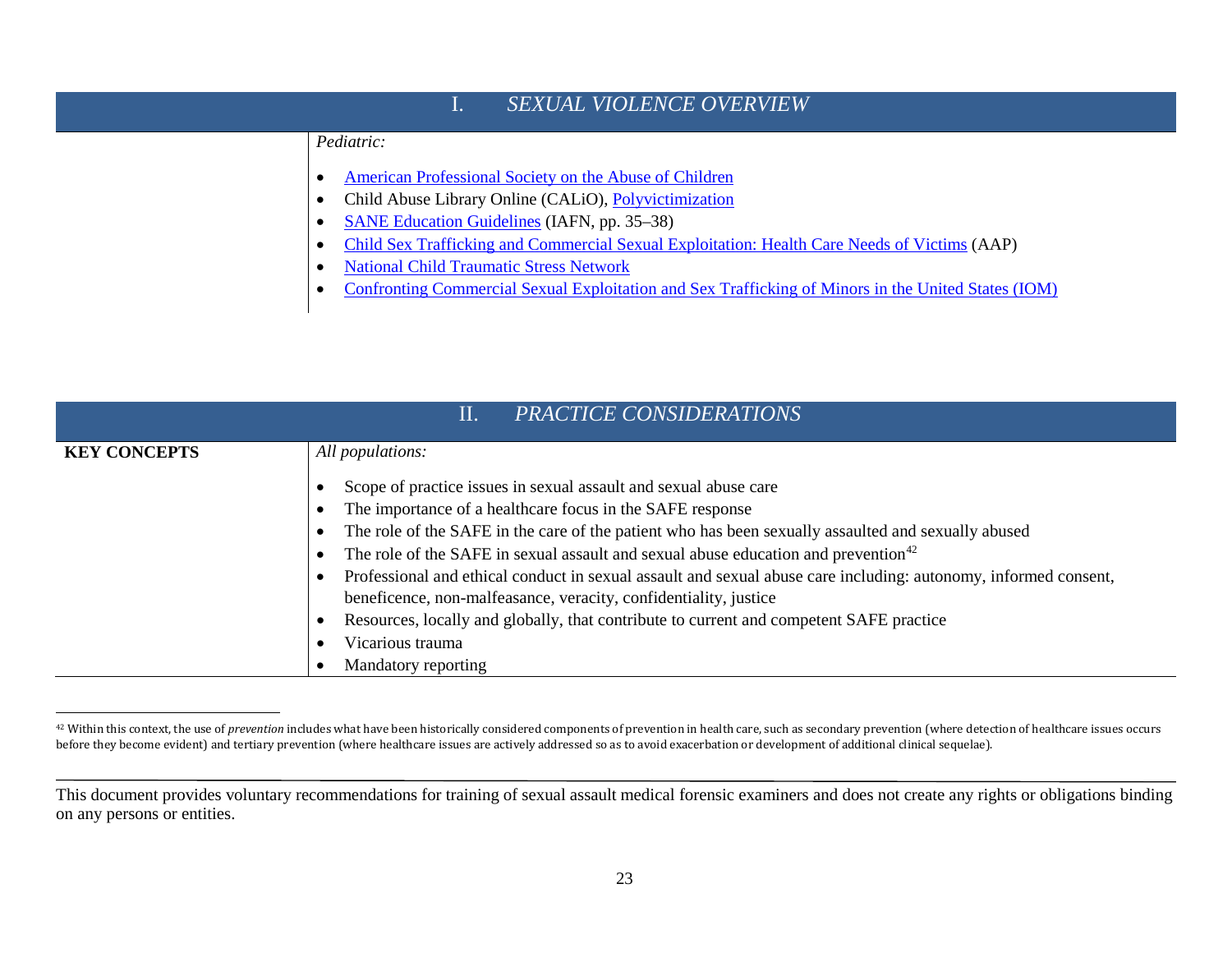<span id="page-27-0"></span>

| <b>SEXUAL VIOLENCE OVERVIEW</b> |                                                                                                     |
|---------------------------------|-----------------------------------------------------------------------------------------------------|
|                                 | Pediatric:                                                                                          |
|                                 | American Professional Society on the Abuse of Children                                              |
|                                 | Child Abuse Library Online (CALiO), Polyvictimization                                               |
|                                 | <b>SANE Education Guidelines (IAFN, pp. 35–38)</b>                                                  |
|                                 | Child Sex Trafficking and Commercial Sexual Exploitation: Health Care Needs of Victims (AAP)        |
|                                 | <b>National Child Traumatic Stress Network</b>                                                      |
|                                 | Confronting Commercial Sexual Exploitation and Sex Trafficking of Minors in the United States (IOM) |

| PRACTICE CONSIDERATIONS<br>$\prod$ . |                                                                                                                 |
|--------------------------------------|-----------------------------------------------------------------------------------------------------------------|
| <b>KEY CONCEPTS</b>                  | All populations:                                                                                                |
|                                      | Scope of practice issues in sexual assault and sexual abuse care                                                |
|                                      | The importance of a healthcare focus in the SAFE response                                                       |
|                                      | The role of the SAFE in the care of the patient who has been sexually assaulted and sexually abused             |
|                                      | The role of the SAFE in sexual assault and sexual abuse education and prevention <sup>42</sup>                  |
|                                      | Professional and ethical conduct in sexual assault and sexual abuse care including: autonomy, informed consent, |
|                                      | beneficence, non-malfeasance, veracity, confidentiality, justice                                                |
|                                      | Resources, locally and globally, that contribute to current and competent SAFE practice                         |
|                                      | Vicarious trauma                                                                                                |
|                                      | Mandatory reporting                                                                                             |

 <sup>42</sup> Within this context, the use of *prevention* includes what have been historically considered components of prevention in health care, such as secondary prevention (where detection of healthcare issues occurs before they become evident) and tertiary prevention (where healthcare issues are actively addressed so as to avoid exacerbation or development of additional clinical sequelae).

This document provides voluntary recommendations for training of sexual assault medical forensic examiners and does not create any rights or obligations binding on any persons or entities.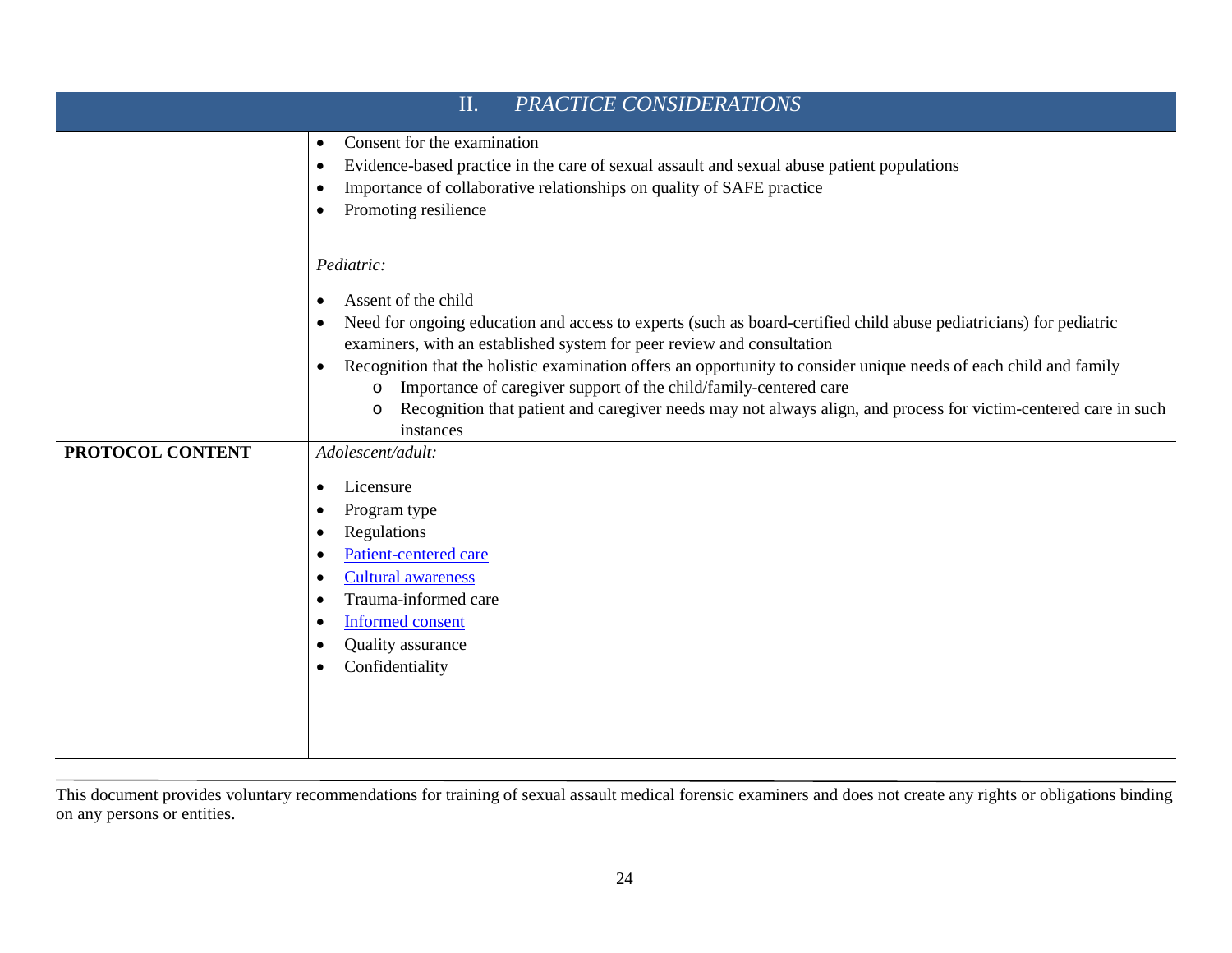| PRACTICE CONSIDERATIONS<br>II. |                                                                                                                                                                                                                                                                                                                                                                                                                                                                                                                                                                                                                          |
|--------------------------------|--------------------------------------------------------------------------------------------------------------------------------------------------------------------------------------------------------------------------------------------------------------------------------------------------------------------------------------------------------------------------------------------------------------------------------------------------------------------------------------------------------------------------------------------------------------------------------------------------------------------------|
|                                | Consent for the examination<br>$\bullet$<br>Evidence-based practice in the care of sexual assault and sexual abuse patient populations<br>$\bullet$<br>Importance of collaborative relationships on quality of SAFE practice<br>$\bullet$<br>Promoting resilience                                                                                                                                                                                                                                                                                                                                                        |
|                                | Pediatric:<br>Assent of the child<br>$\bullet$<br>Need for ongoing education and access to experts (such as board-certified child abuse pediatricians) for pediatric<br>$\bullet$<br>examiners, with an established system for peer review and consultation<br>Recognition that the holistic examination offers an opportunity to consider unique needs of each child and family<br>$\bullet$<br>Importance of caregiver support of the child/family-centered care<br>$\circ$<br>Recognition that patient and caregiver needs may not always align, and process for victim-centered care in such<br>$\circ$<br>instances |
| PROTOCOL CONTENT               | Adolescent/adult:<br>Licensure<br>$\bullet$<br>Program type<br>Regulations<br>$\bullet$<br>Patient-centered care<br>$\bullet$<br><b>Cultural awareness</b><br>$\bullet$<br>Trauma-informed care<br>$\bullet$<br><b>Informed consent</b><br>Quality assurance<br>$\bullet$<br>Confidentiality                                                                                                                                                                                                                                                                                                                             |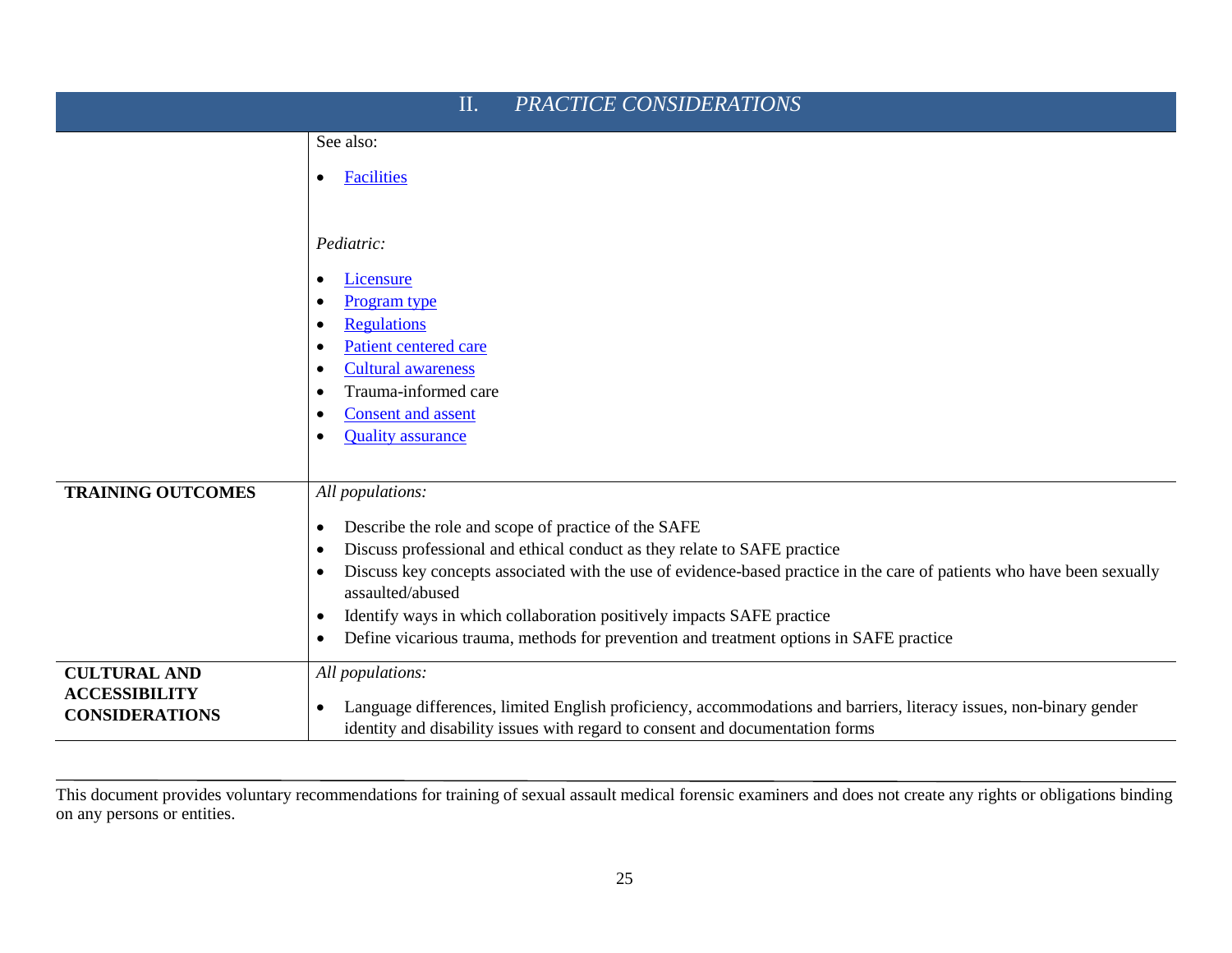| PRACTICE CONSIDERATIONS<br>II. |                                                                                                                                                         |
|--------------------------------|---------------------------------------------------------------------------------------------------------------------------------------------------------|
|                                | See also:                                                                                                                                               |
|                                | <b>Facilities</b><br>$\bullet$                                                                                                                          |
|                                | Pediatric:                                                                                                                                              |
|                                | Licensure<br>$\bullet$                                                                                                                                  |
|                                | Program type<br>$\bullet$                                                                                                                               |
|                                | <b>Regulations</b><br>$\bullet$<br>Patient centered care<br>$\bullet$                                                                                   |
|                                | <b>Cultural awareness</b><br>$\bullet$                                                                                                                  |
|                                | Trauma-informed care<br>$\bullet$                                                                                                                       |
|                                | <b>Consent</b> and assent<br>$\bullet$                                                                                                                  |
|                                | <b>Quality</b> assurance<br>$\bullet$                                                                                                                   |
| <b>TRAINING OUTCOMES</b>       | All populations:                                                                                                                                        |
|                                | Describe the role and scope of practice of the SAFE<br>$\bullet$                                                                                        |
|                                | Discuss professional and ethical conduct as they relate to SAFE practice<br>$\bullet$                                                                   |
|                                | Discuss key concepts associated with the use of evidence-based practice in the care of patients who have been sexually<br>$\bullet$<br>assaulted/abused |
|                                | Identify ways in which collaboration positively impacts SAFE practice<br>$\bullet$                                                                      |
|                                | Define vicarious trauma, methods for prevention and treatment options in SAFE practice<br>$\bullet$                                                     |
| <b>CULTURAL AND</b>            | All populations:                                                                                                                                        |
| <b>ACCESSIBILITY</b>           | Language differences, limited English proficiency, accommodations and barriers, literacy issues, non-binary gender<br>$\bullet$                         |
| <b>CONSIDERATIONS</b>          | identity and disability issues with regard to consent and documentation forms                                                                           |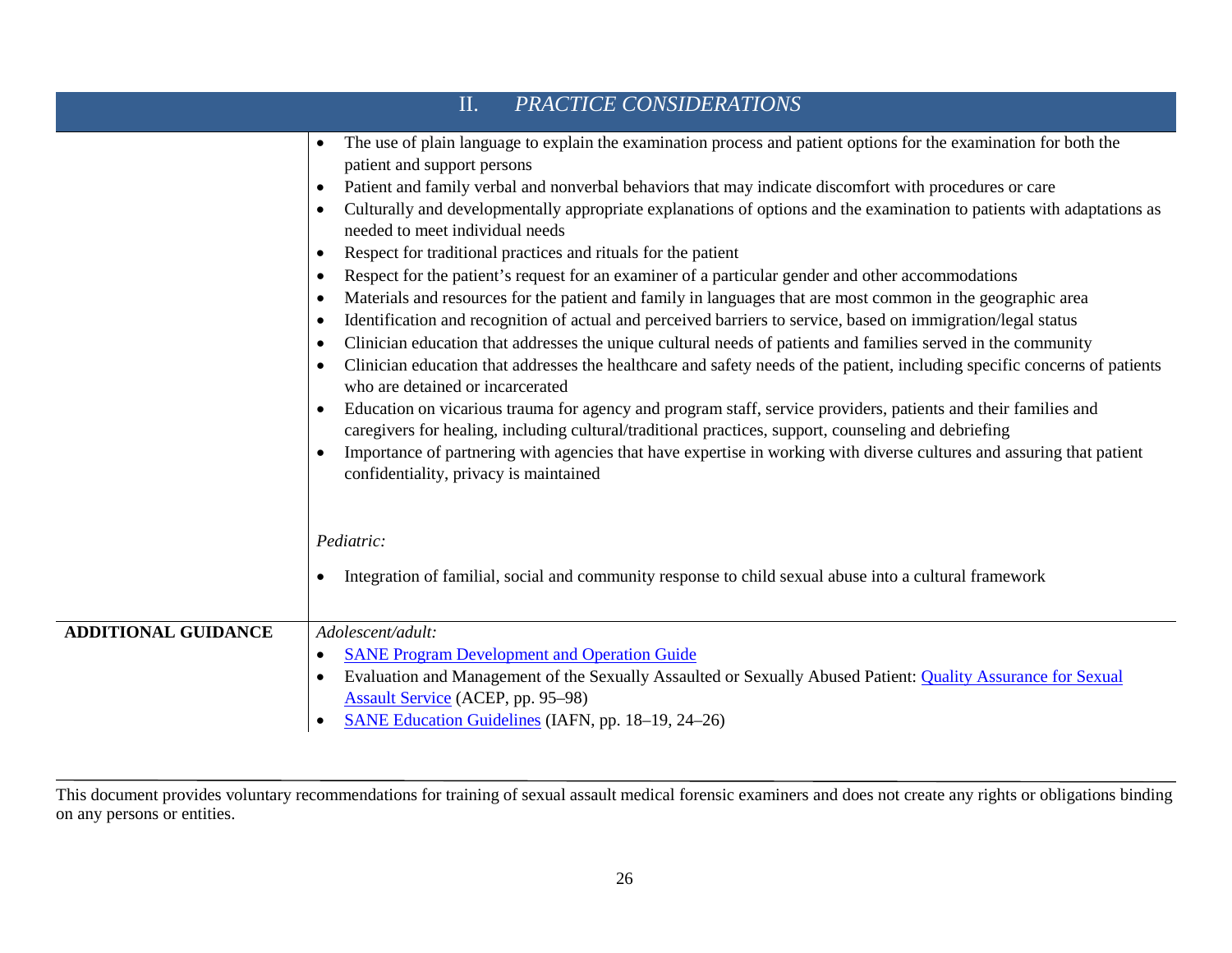|                            | PRACTICE CONSIDERATIONS<br>II.                                                                                                                                                                                                                                                                                                                                                                                                                                                                                                                                                                                                                                                                                                                                                                                                                                                                                                                                                                                                                                                                                                                                                                                                                                                                                                                                                                                                                                                                                                                                                                                                                                                                                                                     |
|----------------------------|----------------------------------------------------------------------------------------------------------------------------------------------------------------------------------------------------------------------------------------------------------------------------------------------------------------------------------------------------------------------------------------------------------------------------------------------------------------------------------------------------------------------------------------------------------------------------------------------------------------------------------------------------------------------------------------------------------------------------------------------------------------------------------------------------------------------------------------------------------------------------------------------------------------------------------------------------------------------------------------------------------------------------------------------------------------------------------------------------------------------------------------------------------------------------------------------------------------------------------------------------------------------------------------------------------------------------------------------------------------------------------------------------------------------------------------------------------------------------------------------------------------------------------------------------------------------------------------------------------------------------------------------------------------------------------------------------------------------------------------------------|
|                            | The use of plain language to explain the examination process and patient options for the examination for both the<br>$\bullet$<br>patient and support persons<br>Patient and family verbal and nonverbal behaviors that may indicate discomfort with procedures or care<br>$\bullet$<br>Culturally and developmentally appropriate explanations of options and the examination to patients with adaptations as<br>needed to meet individual needs<br>Respect for traditional practices and rituals for the patient<br>$\bullet$<br>Respect for the patient's request for an examiner of a particular gender and other accommodations<br>$\bullet$<br>Materials and resources for the patient and family in languages that are most common in the geographic area<br>$\bullet$<br>Identification and recognition of actual and perceived barriers to service, based on immigration/legal status<br>٠<br>Clinician education that addresses the unique cultural needs of patients and families served in the community<br>$\bullet$<br>Clinician education that addresses the healthcare and safety needs of the patient, including specific concerns of patients<br>$\bullet$<br>who are detained or incarcerated<br>Education on vicarious trauma for agency and program staff, service providers, patients and their families and<br>$\bullet$<br>caregivers for healing, including cultural/traditional practices, support, counseling and debriefing<br>Importance of partnering with agencies that have expertise in working with diverse cultures and assuring that patient<br>confidentiality, privacy is maintained<br>Pediatric:<br>Integration of familial, social and community response to child sexual abuse into a cultural framework |
| <b>ADDITIONAL GUIDANCE</b> | Adolescent/adult:                                                                                                                                                                                                                                                                                                                                                                                                                                                                                                                                                                                                                                                                                                                                                                                                                                                                                                                                                                                                                                                                                                                                                                                                                                                                                                                                                                                                                                                                                                                                                                                                                                                                                                                                  |
|                            | <b>SANE Program Development and Operation Guide</b><br>$\bullet$                                                                                                                                                                                                                                                                                                                                                                                                                                                                                                                                                                                                                                                                                                                                                                                                                                                                                                                                                                                                                                                                                                                                                                                                                                                                                                                                                                                                                                                                                                                                                                                                                                                                                   |
|                            | Evaluation and Management of the Sexually Assaulted or Sexually Abused Patient: Quality Assurance for Sexual<br>$\bullet$<br><b>Assault Service</b> (ACEP, pp. 95-98)                                                                                                                                                                                                                                                                                                                                                                                                                                                                                                                                                                                                                                                                                                                                                                                                                                                                                                                                                                                                                                                                                                                                                                                                                                                                                                                                                                                                                                                                                                                                                                              |
|                            | SANE Education Guidelines (IAFN, pp. 18–19, 24–26)                                                                                                                                                                                                                                                                                                                                                                                                                                                                                                                                                                                                                                                                                                                                                                                                                                                                                                                                                                                                                                                                                                                                                                                                                                                                                                                                                                                                                                                                                                                                                                                                                                                                                                 |

This document provides voluntary recommendations for training of sexual assault medical forensic examiners and does not create any rights or obligations binding on any persons or entities.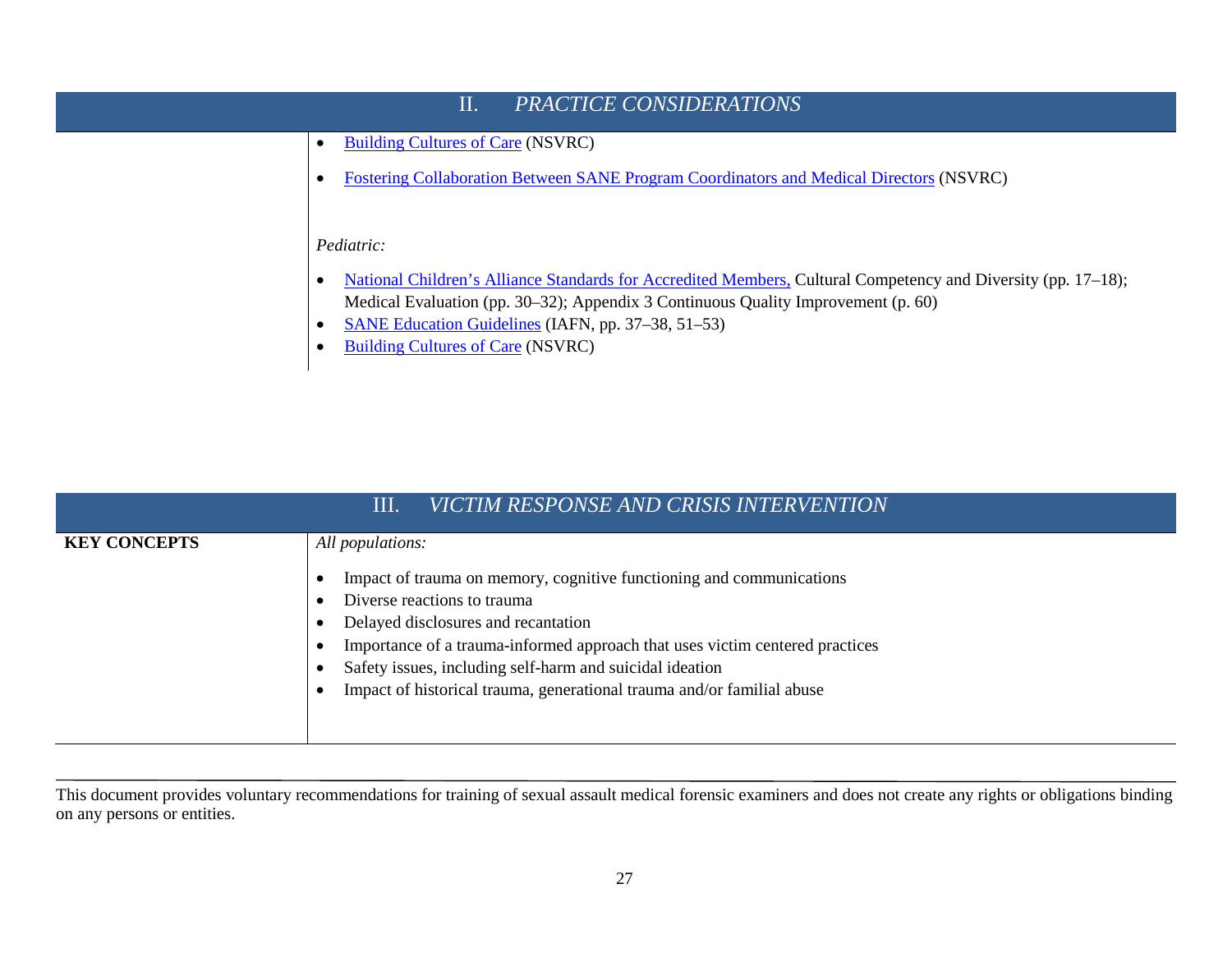

- [SANE Education Guidelines](http://www.forensicnurses.org/resource/resmgr/2015_SANE_ED_GUIDELINES.pdf) (IAFN, pp. 37–38, 51–53)
- [Building Cultures of Care](http://www.nsvrc.org/sites/default/files/publications_nsvrc_guides_building-cultures-of-care.pdf) (NSVRC)

|                     | VICTIM RESPONSE AND CRISIS INTERVENTION<br>Ш                                                                                                                                                                                                                                                                                                                                         |
|---------------------|--------------------------------------------------------------------------------------------------------------------------------------------------------------------------------------------------------------------------------------------------------------------------------------------------------------------------------------------------------------------------------------|
| <b>KEY CONCEPTS</b> | All populations:<br>Impact of trauma on memory, cognitive functioning and communications<br>Diverse reactions to trauma<br>Delayed disclosures and recantation<br>Importance of a trauma-informed approach that uses victim centered practices<br>Safety issues, including self-harm and suicidal ideation<br>Impact of historical trauma, generational trauma and/or familial abuse |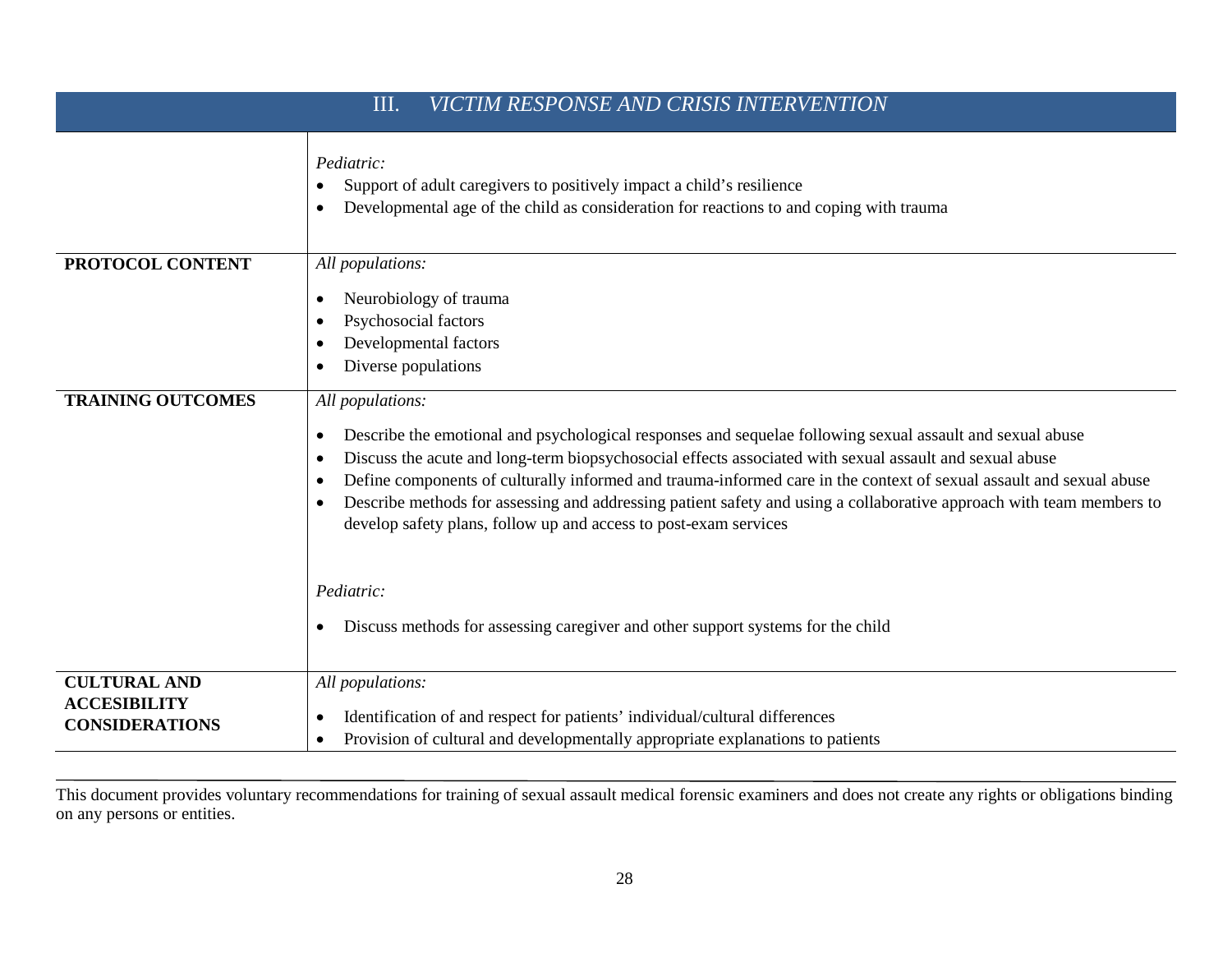| VICTIM RESPONSE AND CRISIS INTERVENTION<br>Ш.                       |                                                                                                                                                                                                                                                                                                                                                                                                                                                                                                                                                                                                                                                                                                                       |  |
|---------------------------------------------------------------------|-----------------------------------------------------------------------------------------------------------------------------------------------------------------------------------------------------------------------------------------------------------------------------------------------------------------------------------------------------------------------------------------------------------------------------------------------------------------------------------------------------------------------------------------------------------------------------------------------------------------------------------------------------------------------------------------------------------------------|--|
|                                                                     | Pediatric:<br>Support of adult caregivers to positively impact a child's resilience<br>$\bullet$<br>Developmental age of the child as consideration for reactions to and coping with trauma<br>$\bullet$                                                                                                                                                                                                                                                                                                                                                                                                                                                                                                              |  |
| PROTOCOL CONTENT                                                    | All populations:<br>Neurobiology of trauma<br>$\bullet$<br>Psychosocial factors<br>$\bullet$<br>Developmental factors<br>$\bullet$<br>Diverse populations<br>$\bullet$                                                                                                                                                                                                                                                                                                                                                                                                                                                                                                                                                |  |
| <b>TRAINING OUTCOMES</b>                                            | All populations:<br>Describe the emotional and psychological responses and sequelae following sexual assault and sexual abuse<br>٠<br>Discuss the acute and long-term biopsychosocial effects associated with sexual assault and sexual abuse<br>$\bullet$<br>Define components of culturally informed and trauma-informed care in the context of sexual assault and sexual abuse<br>$\bullet$<br>Describe methods for assessing and addressing patient safety and using a collaborative approach with team members to<br>$\bullet$<br>develop safety plans, follow up and access to post-exam services<br>Pediatric:<br>Discuss methods for assessing caregiver and other support systems for the child<br>$\bullet$ |  |
| <b>CULTURAL AND</b><br><b>ACCESIBILITY</b><br><b>CONSIDERATIONS</b> | All populations:<br>Identification of and respect for patients' individual/cultural differences<br>٠<br>Provision of cultural and developmentally appropriate explanations to patients<br>$\bullet$                                                                                                                                                                                                                                                                                                                                                                                                                                                                                                                   |  |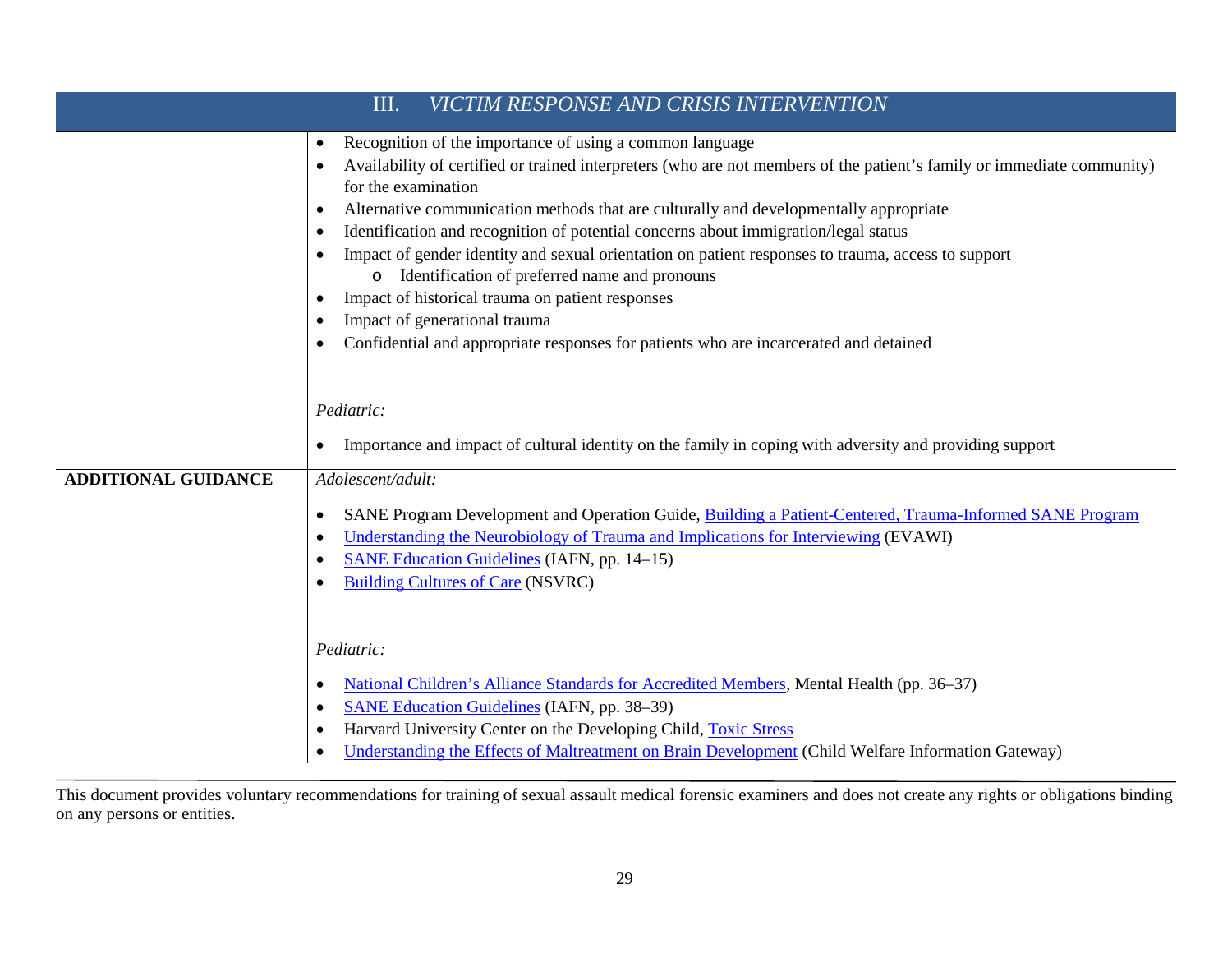| VICTIM RESPONSE AND CRISIS INTERVENTION<br>Ш. |                                                                                                                                                                                                                                                                                                                                                                                                                                                                                                                                                                                                                                                                                                                                                                                                                         |  |
|-----------------------------------------------|-------------------------------------------------------------------------------------------------------------------------------------------------------------------------------------------------------------------------------------------------------------------------------------------------------------------------------------------------------------------------------------------------------------------------------------------------------------------------------------------------------------------------------------------------------------------------------------------------------------------------------------------------------------------------------------------------------------------------------------------------------------------------------------------------------------------------|--|
|                                               | Recognition of the importance of using a common language<br>$\bullet$<br>Availability of certified or trained interpreters (who are not members of the patient's family or immediate community)<br>$\bullet$<br>for the examination<br>Alternative communication methods that are culturally and developmentally appropriate<br>$\bullet$<br>Identification and recognition of potential concerns about immigration/legal status<br>$\bullet$<br>Impact of gender identity and sexual orientation on patient responses to trauma, access to support<br>Identification of preferred name and pronouns<br>$\circ$<br>Impact of historical trauma on patient responses<br>$\bullet$<br>Impact of generational trauma<br>Confidential and appropriate responses for patients who are incarcerated and detained<br>$\bullet$ |  |
|                                               | Pediatric:<br>Importance and impact of cultural identity on the family in coping with adversity and providing support                                                                                                                                                                                                                                                                                                                                                                                                                                                                                                                                                                                                                                                                                                   |  |
| <b>ADDITIONAL GUIDANCE</b>                    | Adolescent/adult:<br>SANE Program Development and Operation Guide, Building a Patient-Centered, Trauma-Informed SANE Program<br>$\bullet$<br>Understanding the Neurobiology of Trauma and Implications for Interviewing (EVAWI)<br>$\bullet$<br><b>SANE Education Guidelines (IAFN, pp. 14–15)</b><br>$\bullet$<br><b>Building Cultures of Care (NSVRC)</b>                                                                                                                                                                                                                                                                                                                                                                                                                                                             |  |
|                                               | Pediatric:<br>National Children's Alliance Standards for Accredited Members, Mental Health (pp. 36–37)<br>$\bullet$<br><b>SANE Education Guidelines (IAFN, pp. 38–39)</b><br>$\bullet$<br>Harvard University Center on the Developing Child, Toxic Stress<br>Understanding the Effects of Maltreatment on Brain Development (Child Welfare Information Gateway)                                                                                                                                                                                                                                                                                                                                                                                                                                                         |  |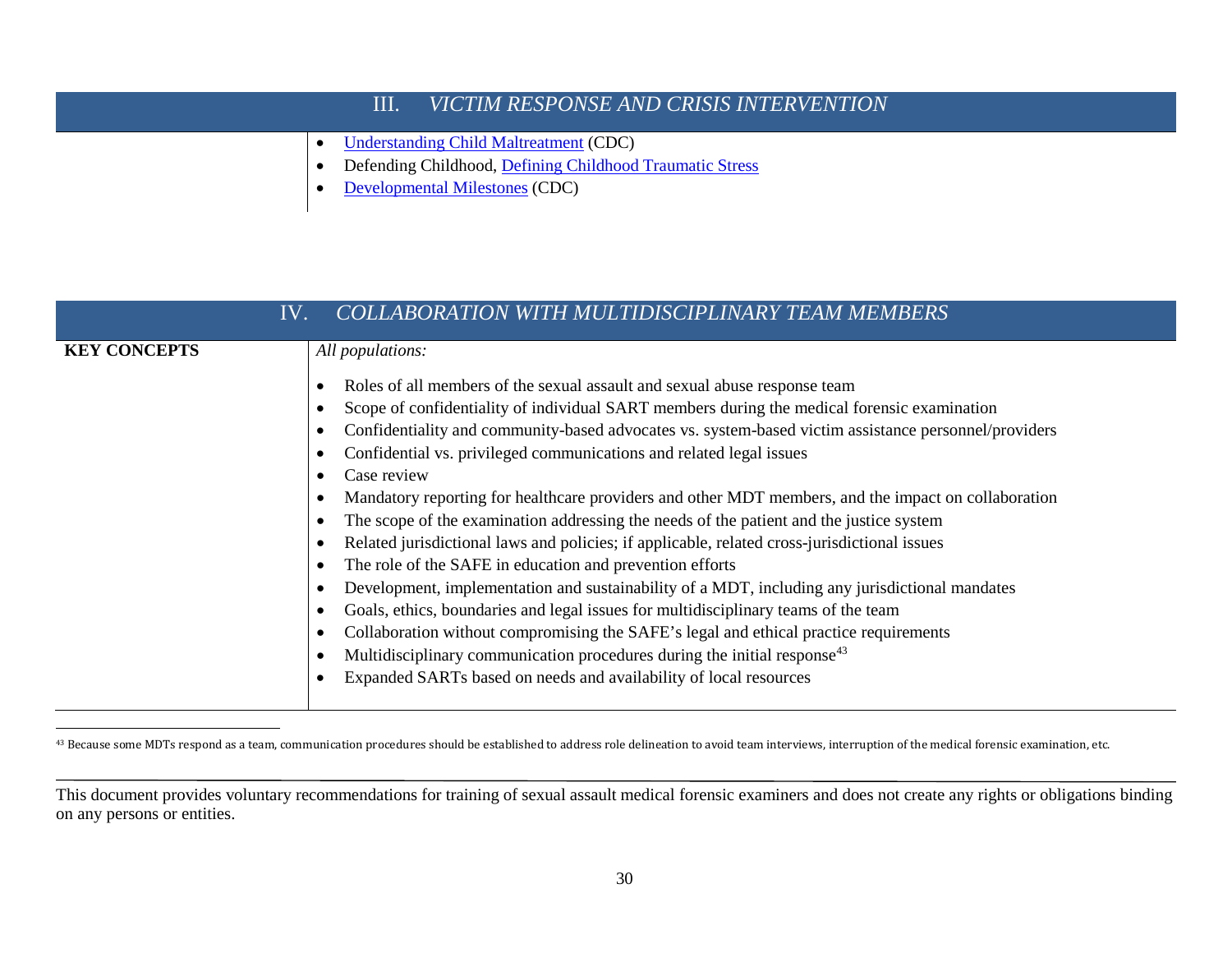## <span id="page-34-0"></span>III. *[VICTIM RESPONSE AND CRISIS INTERVENTION](http://www.safeta.org/?page=VictimCenteredCare)*

- [Understanding Child Maltreatment](https://www.cdc.gov/violenceprevention/pdf/understanding-cm-factsheet.pdf) (CDC)
- Defending Childhood, [Defining Childhood Traumatic Stress](https://changingmindsnow.org/science/defining-child-traumatic-stress)
- [Developmental Milestones](http://www.cdc.gov/ncbddd/actearly/milestones/) (CDC)

| IV.                 | COLLABORATION WITH MULTIDISCIPLINARY TEAM MEMBERS                                                    |
|---------------------|------------------------------------------------------------------------------------------------------|
| <b>KEY CONCEPTS</b> | All populations:                                                                                     |
|                     | Roles of all members of the sexual assault and sexual abuse response team                            |
|                     | Scope of confidentiality of individual SART members during the medical forensic examination          |
|                     | Confidentiality and community-based advocates vs. system-based victim assistance personnel/providers |
|                     | Confidential vs. privileged communications and related legal issues                                  |
|                     | Case review                                                                                          |
|                     | Mandatory reporting for healthcare providers and other MDT members, and the impact on collaboration  |
|                     | The scope of the examination addressing the needs of the patient and the justice system              |
|                     | Related jurisdictional laws and policies; if applicable, related cross-jurisdictional issues         |
|                     | The role of the SAFE in education and prevention efforts                                             |
|                     | Development, implementation and sustainability of a MDT, including any jurisdictional mandates       |
|                     | Goals, ethics, boundaries and legal issues for multidisciplinary teams of the team                   |
|                     | Collaboration without compromising the SAFE's legal and ethical practice requirements                |
|                     | Multidisciplinary communication procedures during the initial response <sup>43</sup>                 |
|                     | Expanded SARTs based on needs and availability of local resources                                    |
|                     |                                                                                                      |

<sup>43</sup> Because some MDTs respond as a team, communication procedures should be established to address role delineation to avoid team interviews, interruption of the medical forensic examination, etc.

This document provides voluntary recommendations for training of sexual assault medical forensic examiners and does not create any rights or obligations binding on any persons or entities.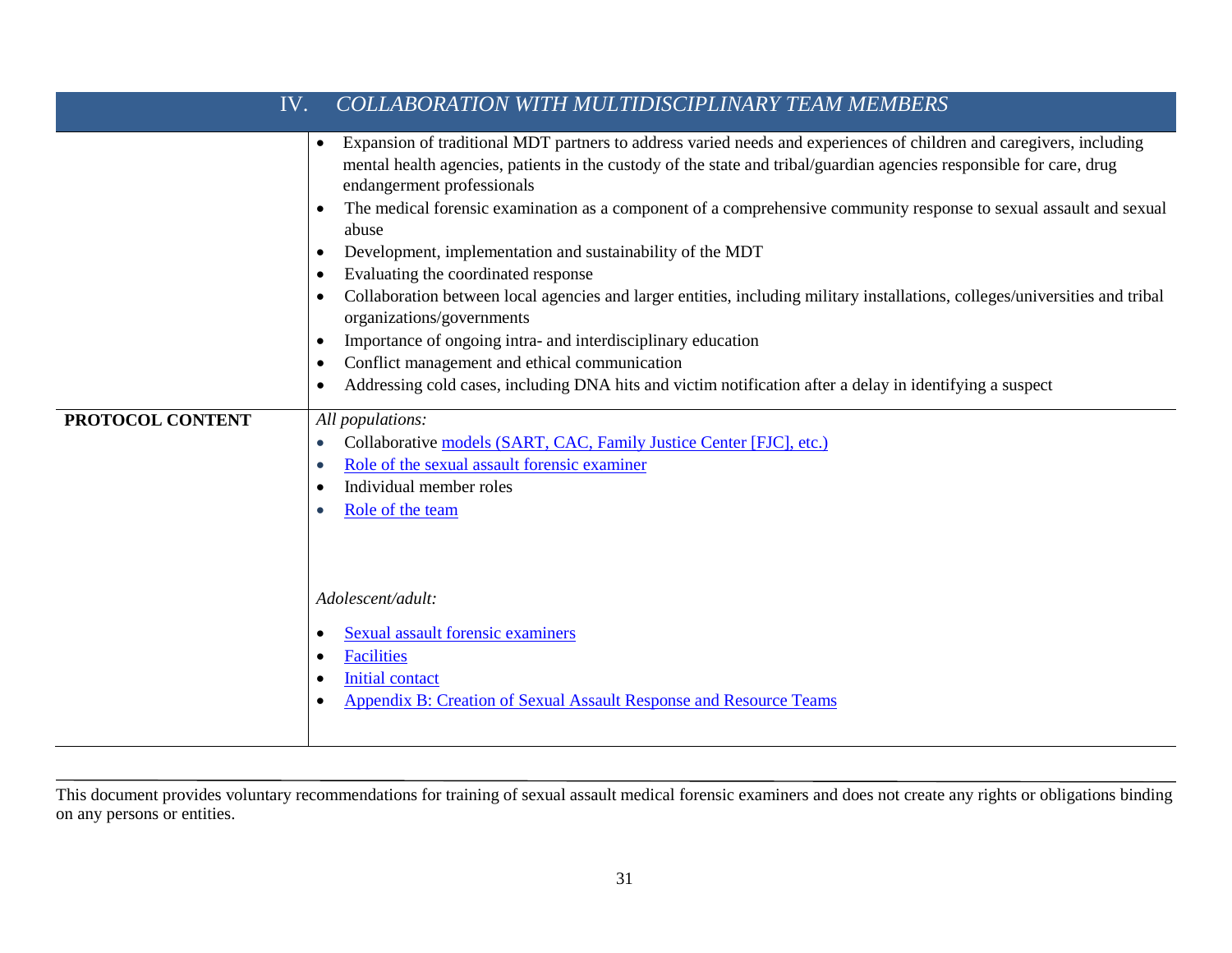| COLLABORATION WITH MULTIDISCIPLINARY TEAM MEMBERS<br>IV. |                                                                                                                                                                                                                                                                                                                                                                                                                                                                                                                                                                                                                                                                                                                                                                                                                                                                                                                                                                                                                |  |
|----------------------------------------------------------|----------------------------------------------------------------------------------------------------------------------------------------------------------------------------------------------------------------------------------------------------------------------------------------------------------------------------------------------------------------------------------------------------------------------------------------------------------------------------------------------------------------------------------------------------------------------------------------------------------------------------------------------------------------------------------------------------------------------------------------------------------------------------------------------------------------------------------------------------------------------------------------------------------------------------------------------------------------------------------------------------------------|--|
|                                                          | Expansion of traditional MDT partners to address varied needs and experiences of children and caregivers, including<br>$\bullet$<br>mental health agencies, patients in the custody of the state and tribal/guardian agencies responsible for care, drug<br>endangerment professionals<br>The medical forensic examination as a component of a comprehensive community response to sexual assault and sexual<br>$\bullet$<br>abuse<br>Development, implementation and sustainability of the MDT<br>$\bullet$<br>Evaluating the coordinated response<br>$\bullet$<br>Collaboration between local agencies and larger entities, including military installations, colleges/universities and tribal<br>$\bullet$<br>organizations/governments<br>Importance of ongoing intra- and interdisciplinary education<br>$\bullet$<br>Conflict management and ethical communication<br>$\bullet$<br>Addressing cold cases, including DNA hits and victim notification after a delay in identifying a suspect<br>$\bullet$ |  |
| PROTOCOL CONTENT                                         | All populations:<br>Collaborative models (SART, CAC, Family Justice Center [FJC], etc.)<br>$\bullet$<br>Role of the sexual assault forensic examiner<br>$\bullet$<br>Individual member roles<br>$\bullet$<br>Role of the team<br>$\bullet$<br>Adolescent/adult:<br><b>Sexual assault forensic examiners</b><br>$\bullet$<br><b>Facilities</b><br>٠<br><b>Initial contact</b><br>$\bullet$<br>Appendix B: Creation of Sexual Assault Response and Resource Teams<br>$\bullet$                                                                                                                                                                                                                                                                                                                                                                                                                                                                                                                                   |  |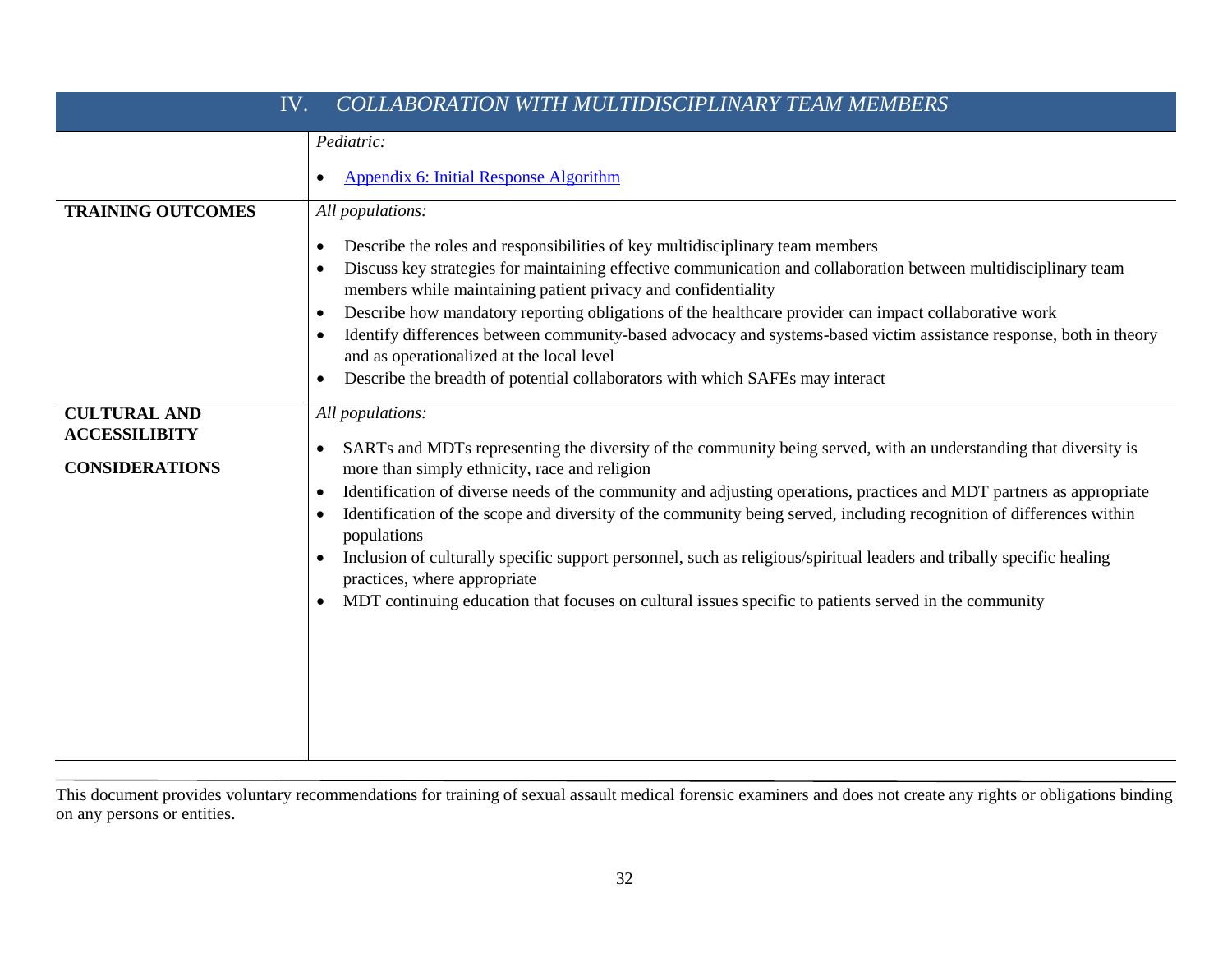| IV.<br>COLLABORATION WITH MULTIDISCIPLINARY TEAM MEMBERS             |                                                                                                                                                                                                                                                                                                                                                                                                                                                                                                                                                                                                                                                                                                                                                                                 |
|----------------------------------------------------------------------|---------------------------------------------------------------------------------------------------------------------------------------------------------------------------------------------------------------------------------------------------------------------------------------------------------------------------------------------------------------------------------------------------------------------------------------------------------------------------------------------------------------------------------------------------------------------------------------------------------------------------------------------------------------------------------------------------------------------------------------------------------------------------------|
| <b>TRAINING OUTCOMES</b>                                             | Pediatric:<br><b>Appendix 6: Initial Response Algorithm</b><br>$\bullet$<br>All populations:                                                                                                                                                                                                                                                                                                                                                                                                                                                                                                                                                                                                                                                                                    |
|                                                                      | Describe the roles and responsibilities of key multidisciplinary team members<br>$\bullet$<br>Discuss key strategies for maintaining effective communication and collaboration between multidisciplinary team<br>$\bullet$<br>members while maintaining patient privacy and confidentiality<br>Describe how mandatory reporting obligations of the healthcare provider can impact collaborative work<br>$\bullet$<br>Identify differences between community-based advocacy and systems-based victim assistance response, both in theory<br>$\bullet$<br>and as operationalized at the local level<br>Describe the breadth of potential collaborators with which SAFEs may interact<br>$\bullet$                                                                                 |
| <b>CULTURAL AND</b><br><b>ACCESSILIBITY</b><br><b>CONSIDERATIONS</b> | All populations:<br>SARTs and MDTs representing the diversity of the community being served, with an understanding that diversity is<br>$\bullet$<br>more than simply ethnicity, race and religion<br>Identification of diverse needs of the community and adjusting operations, practices and MDT partners as appropriate<br>$\bullet$<br>Identification of the scope and diversity of the community being served, including recognition of differences within<br>$\bullet$<br>populations<br>Inclusion of culturally specific support personnel, such as religious/spiritual leaders and tribally specific healing<br>$\bullet$<br>practices, where appropriate<br>MDT continuing education that focuses on cultural issues specific to patients served in the community<br>٠ |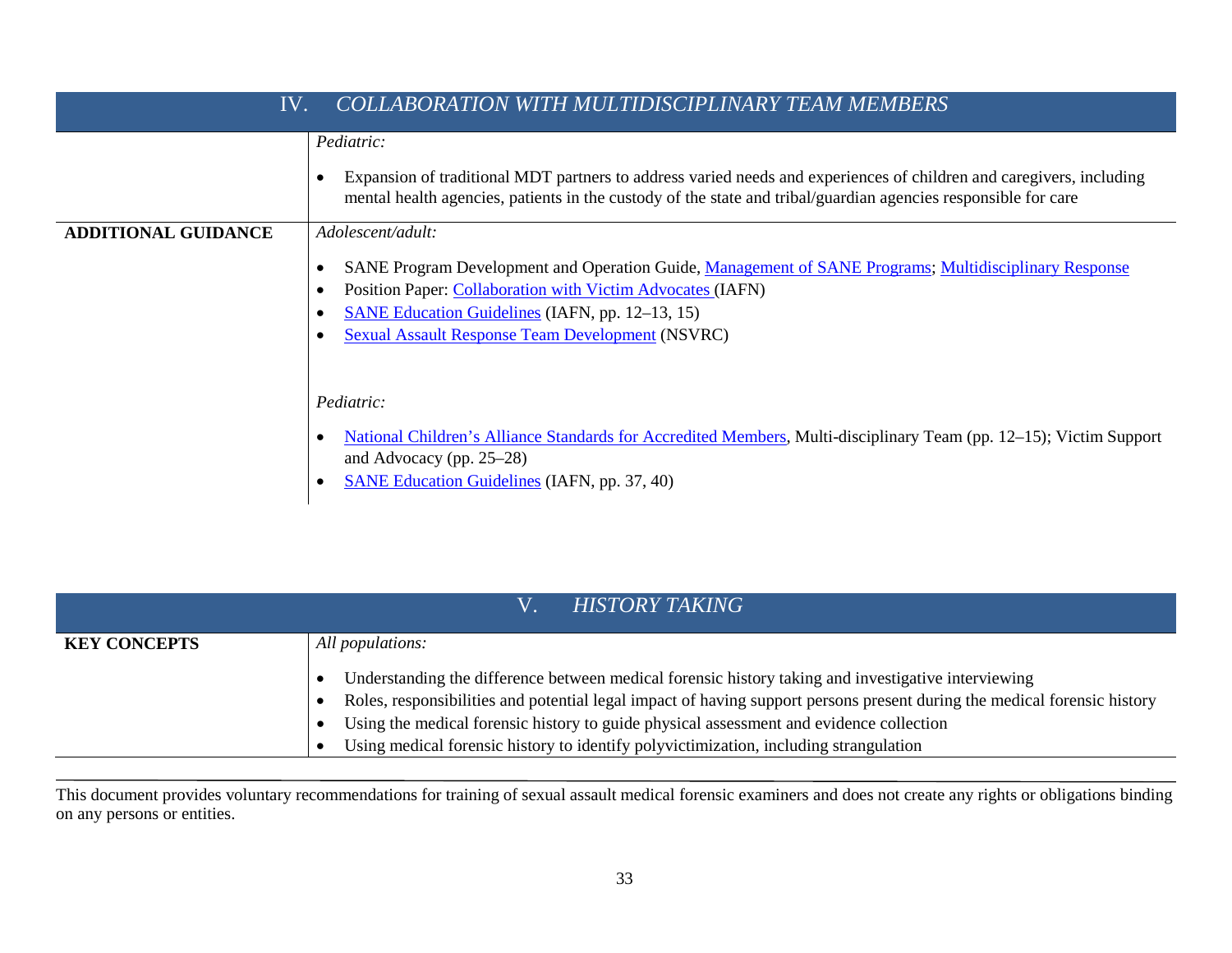| <b>COLLABORATION WITH MULTIDISCIPLINARY TEAM MEMBERS</b><br>IV. |                                                                                                                                                                                                                                                                                                               |
|-----------------------------------------------------------------|---------------------------------------------------------------------------------------------------------------------------------------------------------------------------------------------------------------------------------------------------------------------------------------------------------------|
|                                                                 | Pediatric:<br>Expansion of traditional MDT partners to address varied needs and experiences of children and caregivers, including<br>mental health agencies, patients in the custody of the state and tribal/guardian agencies responsible for care                                                           |
| <b>ADDITIONAL GUIDANCE</b>                                      | Adolescent/adult:<br>SANE Program Development and Operation Guide, Management of SANE Programs; Multidisciplinary Response<br>Position Paper: Collaboration with Victim Advocates (IAFN)<br><b>SANE Education Guidelines (IAFN, pp. 12–13, 15)</b><br><b>Sexual Assault Response Team Development (NSVRC)</b> |
|                                                                 | Pediatric:<br>National Children's Alliance Standards for Accredited Members, Multi-disciplinary Team (pp. 12–15); Victim Support<br>$\bullet$<br>and Advocacy (pp. $25-28$ )<br><b>SANE Education Guidelines</b> (IAFN, pp. 37, 40)                                                                           |

|                     | <b>HISTORY TAKING</b>                                                                                                                                                                                                                                                                                                                                                                                               |
|---------------------|---------------------------------------------------------------------------------------------------------------------------------------------------------------------------------------------------------------------------------------------------------------------------------------------------------------------------------------------------------------------------------------------------------------------|
| <b>KEY CONCEPTS</b> | All populations:                                                                                                                                                                                                                                                                                                                                                                                                    |
|                     | Understanding the difference between medical forensic history taking and investigative interviewing<br>Roles, responsibilities and potential legal impact of having support persons present during the medical forensic history<br>Using the medical forensic history to guide physical assessment and evidence collection<br>Using medical forensic history to identify polyvictimization, including strangulation |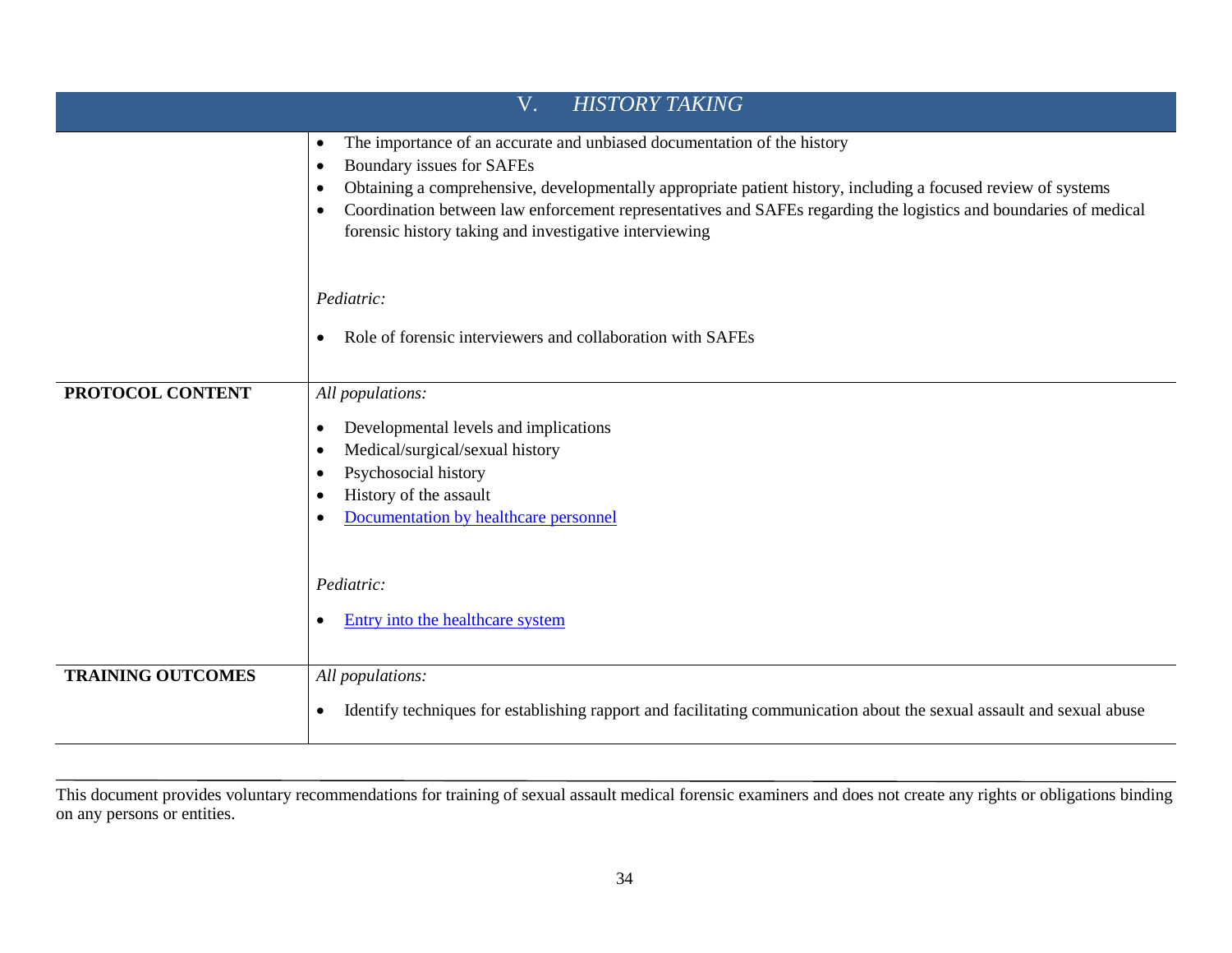| <b>HISTORY TAKING</b><br>V. |                                                                                                                                                                                                                                                                                                                                                                                                                                                         |
|-----------------------------|---------------------------------------------------------------------------------------------------------------------------------------------------------------------------------------------------------------------------------------------------------------------------------------------------------------------------------------------------------------------------------------------------------------------------------------------------------|
|                             | The importance of an accurate and unbiased documentation of the history<br>$\bullet$<br>Boundary issues for SAFEs<br>$\bullet$<br>Obtaining a comprehensive, developmentally appropriate patient history, including a focused review of systems<br>$\bullet$<br>Coordination between law enforcement representatives and SAFEs regarding the logistics and boundaries of medical<br>$\bullet$<br>forensic history taking and investigative interviewing |
|                             | Pediatric:<br>Role of forensic interviewers and collaboration with SAFEs<br>$\bullet$                                                                                                                                                                                                                                                                                                                                                                   |
| PROTOCOL CONTENT            | All populations:<br>Developmental levels and implications<br>$\bullet$<br>Medical/surgical/sexual history<br>$\bullet$<br>Psychosocial history<br>$\bullet$<br>History of the assault<br>$\bullet$<br>Documentation by healthcare personnel                                                                                                                                                                                                             |
|                             | Pediatric:<br>Entry into the healthcare system<br>$\bullet$                                                                                                                                                                                                                                                                                                                                                                                             |
| <b>TRAINING OUTCOMES</b>    | All populations:<br>Identify techniques for establishing rapport and facilitating communication about the sexual assault and sexual abuse<br>$\bullet$                                                                                                                                                                                                                                                                                                  |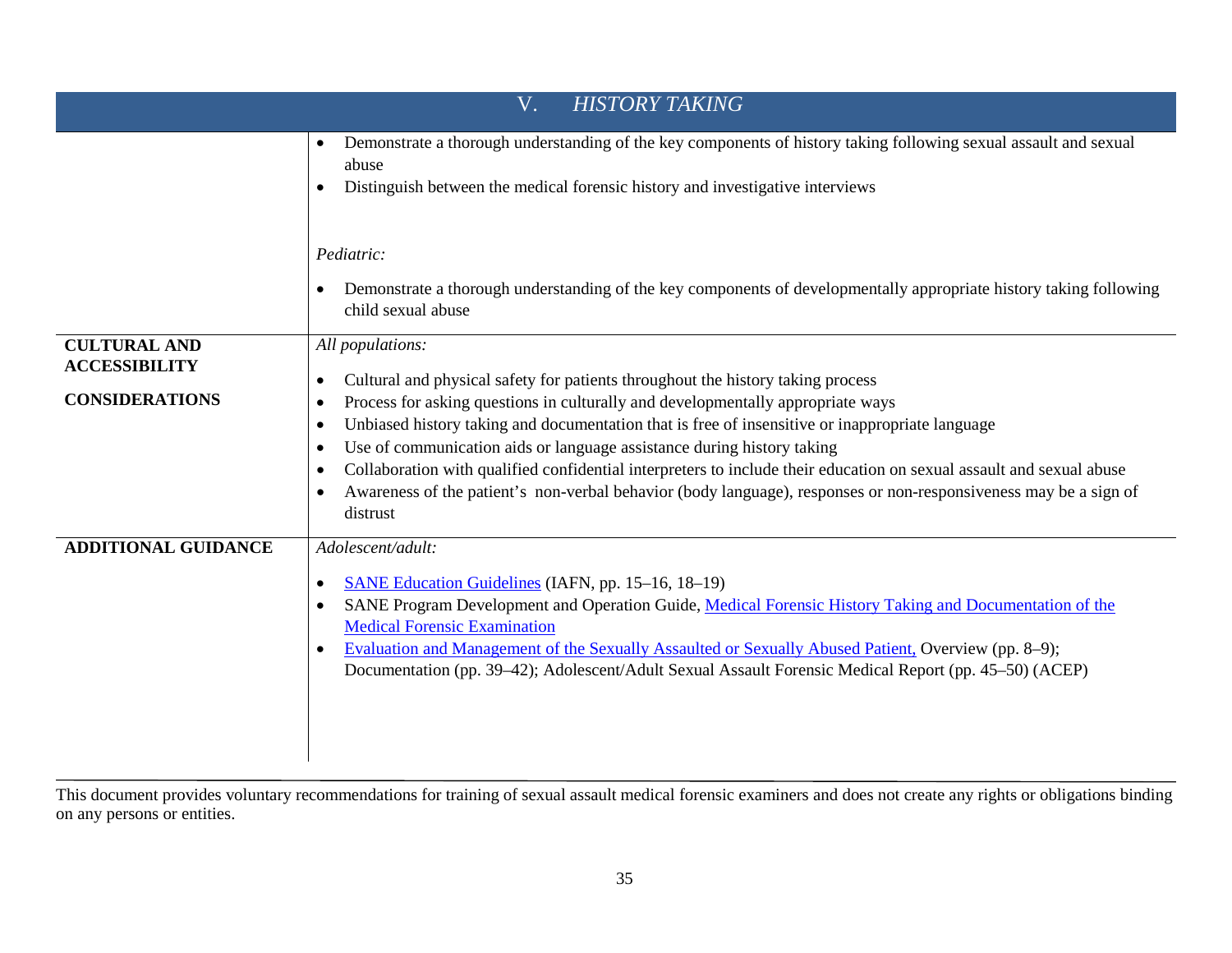| <b>HISTORY TAKING</b><br>V.                                          |                                                                                                                                                                                                                                                                                                                                                                                                                                                                                                                                                                                                                                                                                                           |
|----------------------------------------------------------------------|-----------------------------------------------------------------------------------------------------------------------------------------------------------------------------------------------------------------------------------------------------------------------------------------------------------------------------------------------------------------------------------------------------------------------------------------------------------------------------------------------------------------------------------------------------------------------------------------------------------------------------------------------------------------------------------------------------------|
|                                                                      | Demonstrate a thorough understanding of the key components of history taking following sexual assault and sexual<br>$\bullet$<br>abuse<br>Distinguish between the medical forensic history and investigative interviews<br>$\bullet$                                                                                                                                                                                                                                                                                                                                                                                                                                                                      |
|                                                                      | Pediatric:<br>Demonstrate a thorough understanding of the key components of developmentally appropriate history taking following<br>$\bullet$<br>child sexual abuse                                                                                                                                                                                                                                                                                                                                                                                                                                                                                                                                       |
| <b>CULTURAL AND</b><br><b>ACCESSIBILITY</b><br><b>CONSIDERATIONS</b> | All populations:<br>Cultural and physical safety for patients throughout the history taking process<br>$\bullet$<br>Process for asking questions in culturally and developmentally appropriate ways<br>$\bullet$<br>Unbiased history taking and documentation that is free of insensitive or inappropriate language<br>$\bullet$<br>Use of communication aids or language assistance during history taking<br>$\bullet$<br>Collaboration with qualified confidential interpreters to include their education on sexual assault and sexual abuse<br>$\bullet$<br>Awareness of the patient's non-verbal behavior (body language), responses or non-responsiveness may be a sign of<br>$\bullet$<br>distrust |
| <b>ADDITIONAL GUIDANCE</b>                                           | Adolescent/adult:<br>SANE Education Guidelines (IAFN, pp. 15–16, 18–19)<br>$\bullet$<br>SANE Program Development and Operation Guide, Medical Forensic History Taking and Documentation of the<br>$\bullet$<br><b>Medical Forensic Examination</b><br>Evaluation and Management of the Sexually Assaulted or Sexually Abused Patient, Overview (pp. 8–9);<br>$\bullet$<br>Documentation (pp. 39–42); Adolescent/Adult Sexual Assault Forensic Medical Report (pp. 45–50) (ACEP)                                                                                                                                                                                                                           |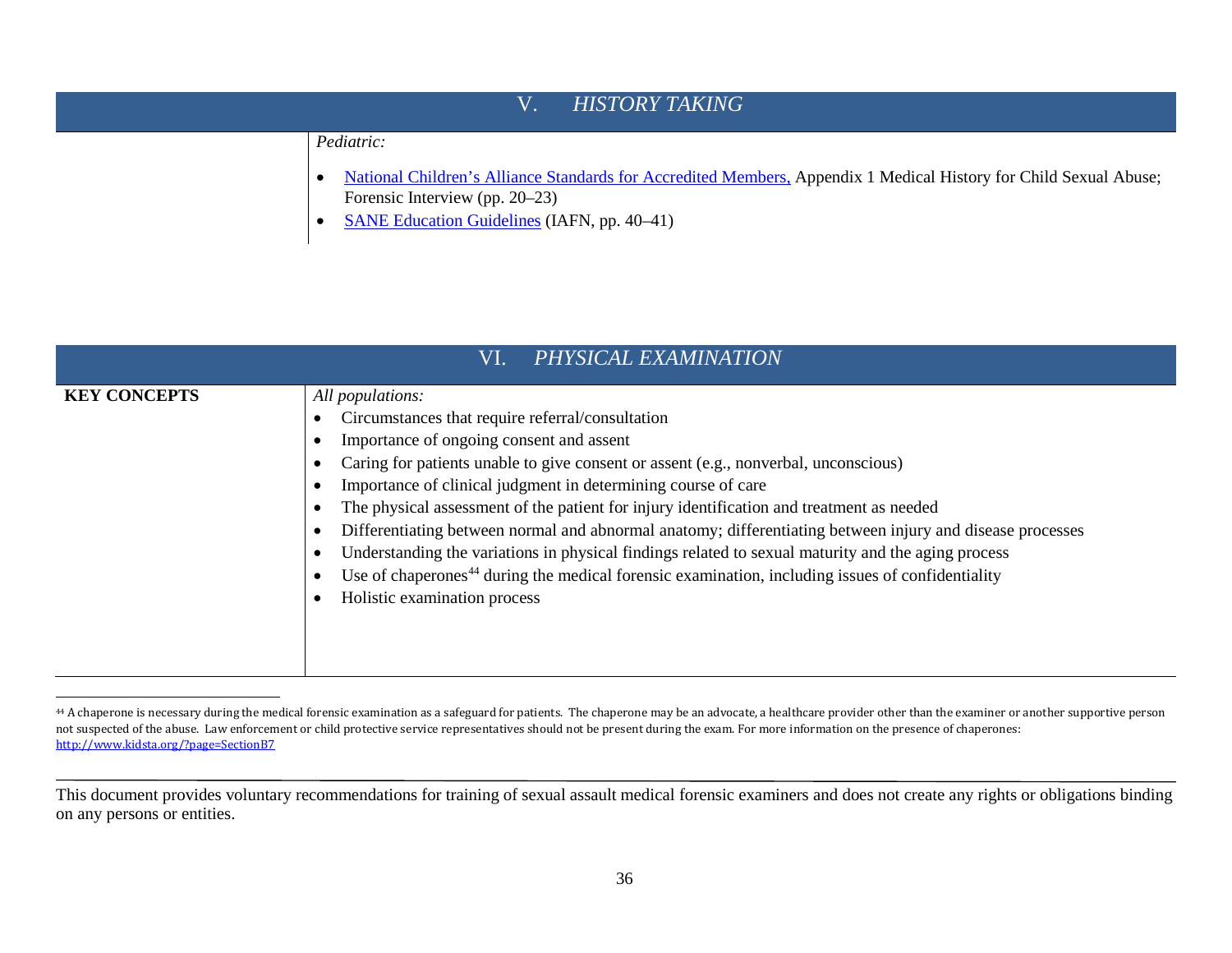### <span id="page-40-0"></span>V. *[HISTORY TAKING](http://www.safeta.org/?page=ExamProcessHistory)*

*Pediatric:*

- [National Children's Alliance Standards for Accredited Members,](http://www.nationalchildrensalliance.org/sites/default/files/downloads/NCA-Standards-for-Accredited-Members-2017.pdf) Appendix 1 Medical History for Child Sexual Abuse; Forensic Interview (pp. 20–23)
- [SANE Education Guidelines](http://www.forensicnurses.org/resource/resmgr/2015_SANE_ED_GUIDELINES.pdf) (IAFN, pp. 40–41)

| PHYSICAL EXAMINATION<br>VI. |                                                                                                                                                                                                                                                                                                                                                                                                                                                                                                                                                                                                                                                                                                                                         |
|-----------------------------|-----------------------------------------------------------------------------------------------------------------------------------------------------------------------------------------------------------------------------------------------------------------------------------------------------------------------------------------------------------------------------------------------------------------------------------------------------------------------------------------------------------------------------------------------------------------------------------------------------------------------------------------------------------------------------------------------------------------------------------------|
| <b>KEY CONCEPTS</b>         | All populations:<br>Circumstances that require referral/consultation<br>Importance of ongoing consent and assent<br>Caring for patients unable to give consent or assent (e.g., nonverbal, unconscious)<br>Importance of clinical judgment in determining course of care<br>The physical assessment of the patient for injury identification and treatment as needed<br>Differentiating between normal and abnormal anatomy; differentiating between injury and disease processes<br>Understanding the variations in physical findings related to sexual maturity and the aging process<br>Use of chaperones <sup>44</sup> during the medical forensic examination, including issues of confidentiality<br>Holistic examination process |

<sup>44</sup> A chaperone is necessary during the medical forensic examination as a safeguard for patients. The chaperone may be an advocate, a healthcare provider other than the examiner or another supportive person not suspected of the abuse. Law enforcement or child protective service representatives should not be present during the exam. For more information on the presence of chaperones: <http://www.kidsta.org/?page=SectionB7>

This document provides voluntary recommendations for training of sexual assault medical forensic examiners and does not create any rights or obligations binding on any persons or entities.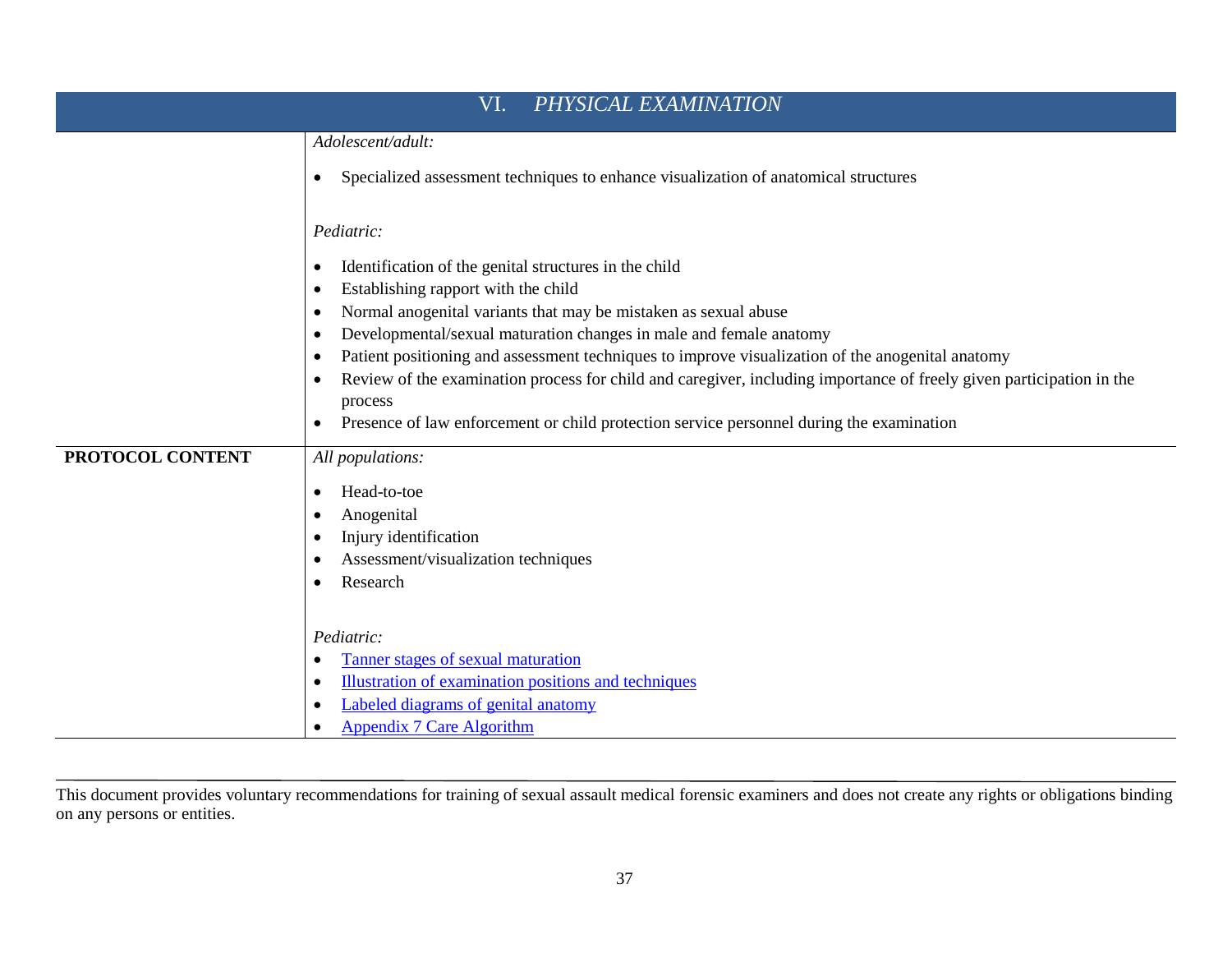| VI.<br>PHYSICAL EXAMINATION |                                                                                                                                              |  |
|-----------------------------|----------------------------------------------------------------------------------------------------------------------------------------------|--|
|                             | Adolescent/adult:                                                                                                                            |  |
|                             | Specialized assessment techniques to enhance visualization of anatomical structures<br>٠                                                     |  |
|                             | Pediatric:                                                                                                                                   |  |
|                             | Identification of the genital structures in the child<br>٠                                                                                   |  |
|                             | Establishing rapport with the child<br>٠                                                                                                     |  |
|                             | Normal anogenital variants that may be mistaken as sexual abuse<br>٠                                                                         |  |
|                             | Developmental/sexual maturation changes in male and female anatomy<br>$\bullet$                                                              |  |
|                             | Patient positioning and assessment techniques to improve visualization of the anogenital anatomy<br>$\bullet$                                |  |
|                             | Review of the examination process for child and caregiver, including importance of freely given participation in the<br>$\bullet$<br>process |  |
|                             | Presence of law enforcement or child protection service personnel during the examination<br>٠                                                |  |
|                             |                                                                                                                                              |  |
| PROTOCOL CONTENT            | All populations:                                                                                                                             |  |
|                             | Head-to-toe<br>$\bullet$                                                                                                                     |  |
|                             | Anogenital                                                                                                                                   |  |
|                             | Injury identification<br>$\bullet$                                                                                                           |  |
|                             | Assessment/visualization techniques<br>$\bullet$                                                                                             |  |
|                             | Research<br>$\bullet$                                                                                                                        |  |
|                             | Pediatric:                                                                                                                                   |  |
|                             | Tanner stages of sexual maturation<br>٠                                                                                                      |  |
|                             | Illustration of examination positions and techniques<br>$\bullet$                                                                            |  |
|                             | Labeled diagrams of genital anatomy<br>٠                                                                                                     |  |
|                             | Appendix 7 Care Algorithm<br>$\bullet$                                                                                                       |  |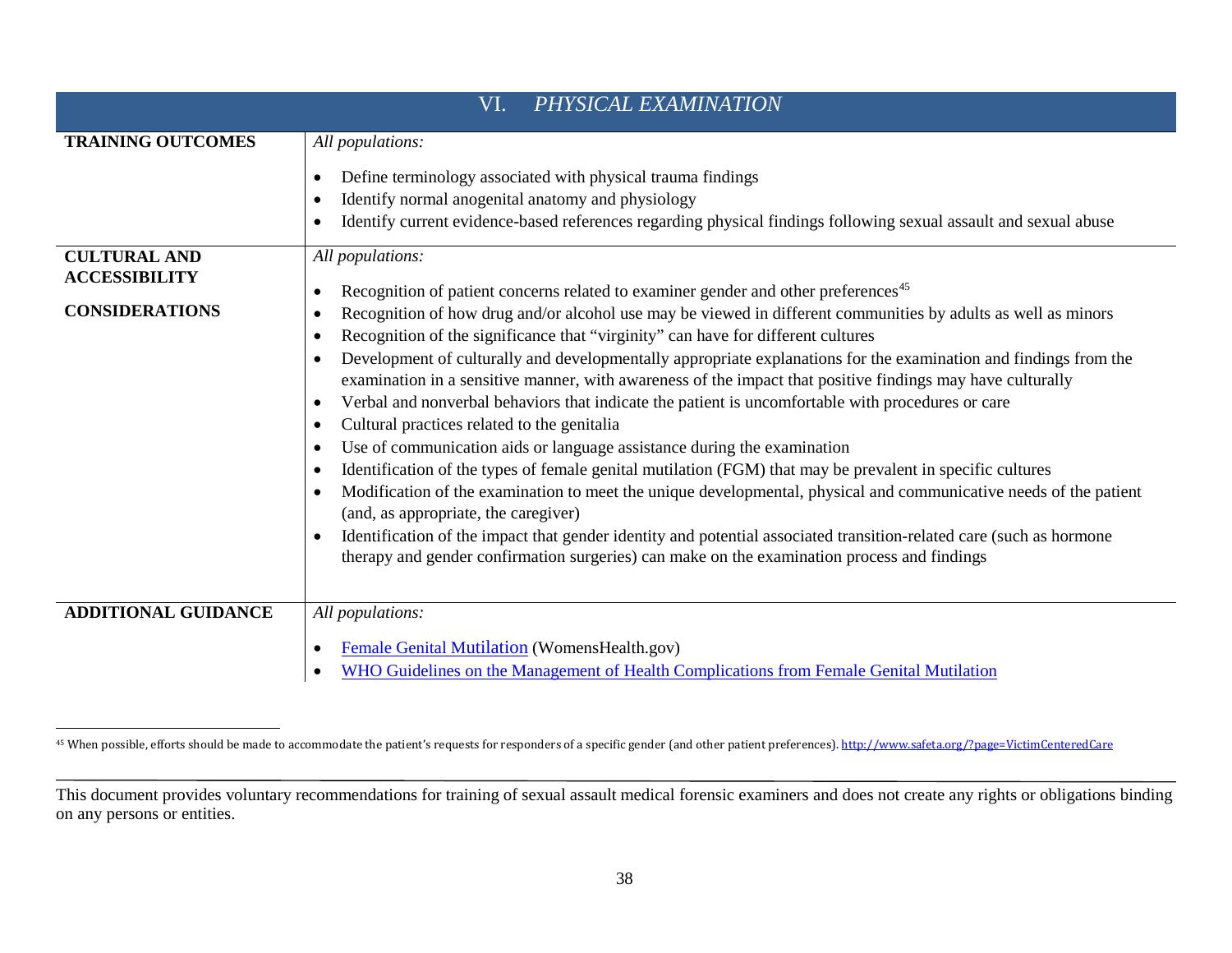<span id="page-42-0"></span>

| VI.<br>PHYSICAL EXAMINATION                 |                                                                                                                                                                                                                                                                                                                                                                                                                                                                                                                                                                                                                                                                                                                                                                                                                                                                                                                                                                                                                                                                                                                                                                                                                                                                                         |  |
|---------------------------------------------|-----------------------------------------------------------------------------------------------------------------------------------------------------------------------------------------------------------------------------------------------------------------------------------------------------------------------------------------------------------------------------------------------------------------------------------------------------------------------------------------------------------------------------------------------------------------------------------------------------------------------------------------------------------------------------------------------------------------------------------------------------------------------------------------------------------------------------------------------------------------------------------------------------------------------------------------------------------------------------------------------------------------------------------------------------------------------------------------------------------------------------------------------------------------------------------------------------------------------------------------------------------------------------------------|--|
| <b>TRAINING OUTCOMES</b>                    | All populations:                                                                                                                                                                                                                                                                                                                                                                                                                                                                                                                                                                                                                                                                                                                                                                                                                                                                                                                                                                                                                                                                                                                                                                                                                                                                        |  |
|                                             | Define terminology associated with physical trauma findings<br>$\bullet$<br>Identify normal anogenital anatomy and physiology<br>$\bullet$                                                                                                                                                                                                                                                                                                                                                                                                                                                                                                                                                                                                                                                                                                                                                                                                                                                                                                                                                                                                                                                                                                                                              |  |
|                                             | Identify current evidence-based references regarding physical findings following sexual assault and sexual abuse<br>$\bullet$                                                                                                                                                                                                                                                                                                                                                                                                                                                                                                                                                                                                                                                                                                                                                                                                                                                                                                                                                                                                                                                                                                                                                           |  |
| <b>CULTURAL AND</b><br><b>ACCESSIBILITY</b> | All populations:<br>Recognition of patient concerns related to examiner gender and other preferences <sup>45</sup><br>$\bullet$                                                                                                                                                                                                                                                                                                                                                                                                                                                                                                                                                                                                                                                                                                                                                                                                                                                                                                                                                                                                                                                                                                                                                         |  |
| <b>CONSIDERATIONS</b>                       | Recognition of how drug and/or alcohol use may be viewed in different communities by adults as well as minors<br>$\bullet$<br>Recognition of the significance that "virginity" can have for different cultures<br>$\bullet$<br>Development of culturally and developmentally appropriate explanations for the examination and findings from the<br>$\bullet$<br>examination in a sensitive manner, with awareness of the impact that positive findings may have culturally<br>Verbal and nonverbal behaviors that indicate the patient is uncomfortable with procedures or care<br>$\bullet$<br>Cultural practices related to the genitalia<br>$\bullet$<br>Use of communication aids or language assistance during the examination<br>$\bullet$<br>Identification of the types of female genital mutilation (FGM) that may be prevalent in specific cultures<br>$\bullet$<br>Modification of the examination to meet the unique developmental, physical and communicative needs of the patient<br>$\bullet$<br>(and, as appropriate, the caregiver)<br>Identification of the impact that gender identity and potential associated transition-related care (such as hormone<br>$\bullet$<br>therapy and gender confirmation surgeries) can make on the examination process and findings |  |
| <b>ADDITIONAL GUIDANCE</b>                  | All populations:                                                                                                                                                                                                                                                                                                                                                                                                                                                                                                                                                                                                                                                                                                                                                                                                                                                                                                                                                                                                                                                                                                                                                                                                                                                                        |  |
|                                             | Female Genital Mutilation (WomensHealth.gov)<br>$\bullet$<br>WHO Guidelines on the Management of Health Complications from Female Genital Mutilation<br>$\bullet$                                                                                                                                                                                                                                                                                                                                                                                                                                                                                                                                                                                                                                                                                                                                                                                                                                                                                                                                                                                                                                                                                                                       |  |

<sup>&</sup>lt;sup>45</sup> When possible, efforts should be made to accommodate the patient's requests for responders of a specific gender (and other patient preferences)[. http://www.safeta.org/?page=VictimCenteredCare](http://www.safeta.org/?page=VictimCenteredCare)

This document provides voluntary recommendations for training of sexual assault medical forensic examiners and does not create any rights or obligations binding on any persons or entities.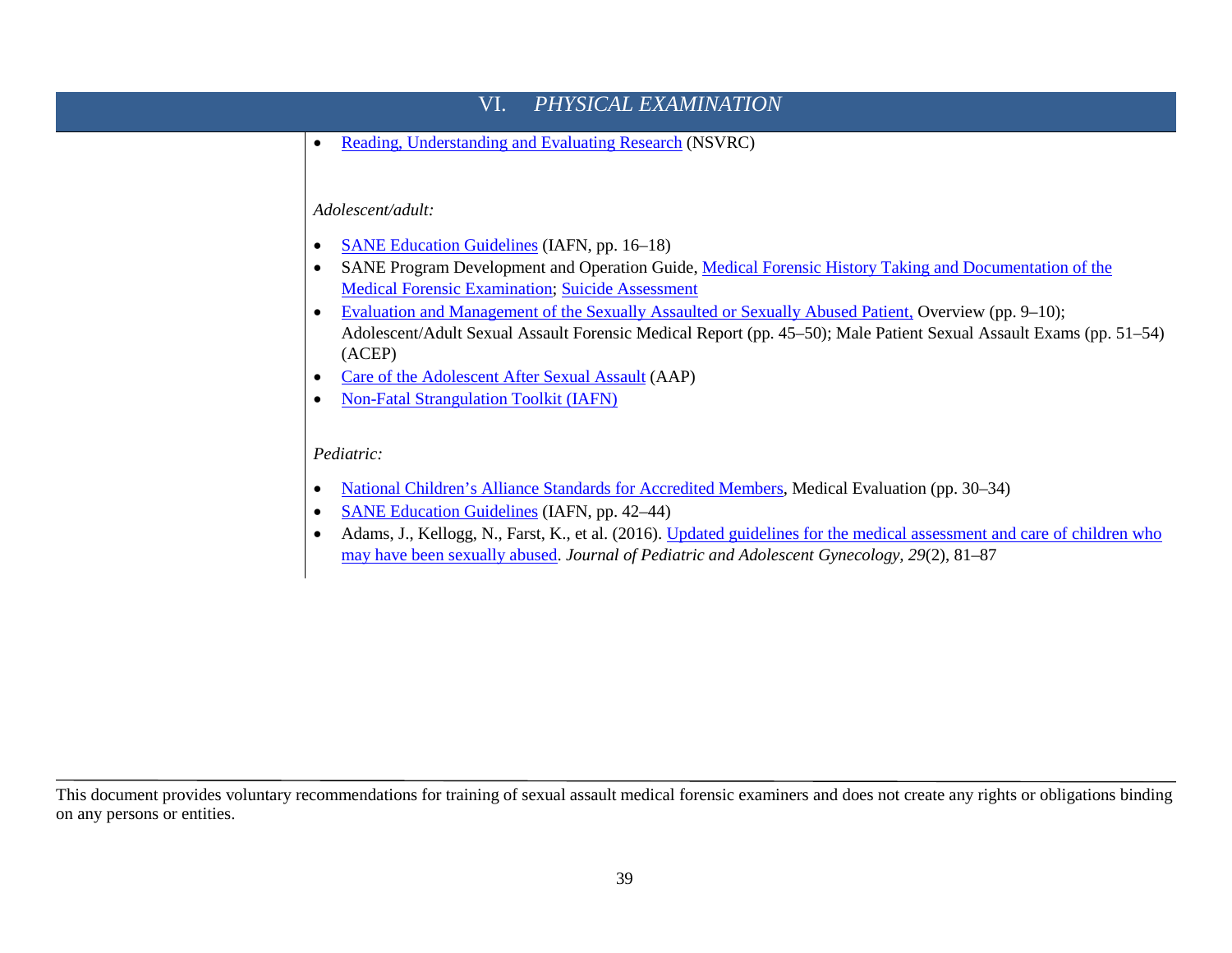# VI. *[PHYSICAL EXAMINATION](http://www.safeta.org/?page=ExamProcessExamEvide)* • [Reading, Understanding and Evaluating Research](http://www.nsvrc.org/sites/default/files/Publications_NSVRC_Factsheet_Research-Terms-Glossary.pdf) (NSVRC) *Adolescent/adult:* • [SANE Education Guidelines](http://www.forensicnurses.org/resource/resmgr/2015_SANE_ED_GUIDELINES.pdf) (IAFN, pp. 16–18) • SANE Program Development and Operation Guide, Medical Forensic History Taking and Documentation of the [Medical Forensic Examination;](https://www.ovcttac.gov/saneguide/identifying-essential-components-of-a-sane-program/medical-forensic-history-taking-and-documentation-of-the-medical-forensic-examination/) [Suicide Assessment](https://www.ovcttac.gov/saneguide/identifying-essential-components-of-a-sane-program/suicide-assessment/) • [Evaluation and Management of the Sexually Assaulted or Sexually Abused Patient,](https://www.acep.org/sexualassaultebook) Overview (pp. 9–10); Adolescent/Adult Sexual Assault Forensic Medical Report (pp. 45–50); Male Patient Sexual Assault Exams (pp. 51–54) (ACEP) • [Care of the Adolescent After Sexual Assault](http://pediatrics.aappublications.org/content/pediatrics/early/2017/02/23/peds.2016-4243.full.pdf) (AAP) • [Non-Fatal Strangulation Toolkit](http://www.forensicnurses.org/page/STOverview) (IAFN) *Pediatric:* • [National Children's Alliance Standards for Accredited Members,](http://www.nationalchildrensalliance.org/sites/default/files/downloads/NCA-Standards-for-Accredited-Members-2017.pdf) Medical Evaluation (pp. 30–34) • [SANE Education Guidelines](http://www.forensicnurses.org/resource/resmgr/2015_SANE_ED_GUIDELINES.pdf) (IAFN, pp. 42–44) • Adams, J., Kellogg, N., Farst, K., et al. (2016). [Updated guidelines for the medical assessment and care of children who](https://www.ncbi.nlm.nih.gov/pubmed/26220352)  [may have been sexually abused.](https://www.ncbi.nlm.nih.gov/pubmed/26220352) *Journal of Pediatric and Adolescent Gynecology, 29*(2), 81–87

This document provides voluntary recommendations for training of sexual assault medical forensic examiners and does not create any rights or obligations binding on any persons or entities.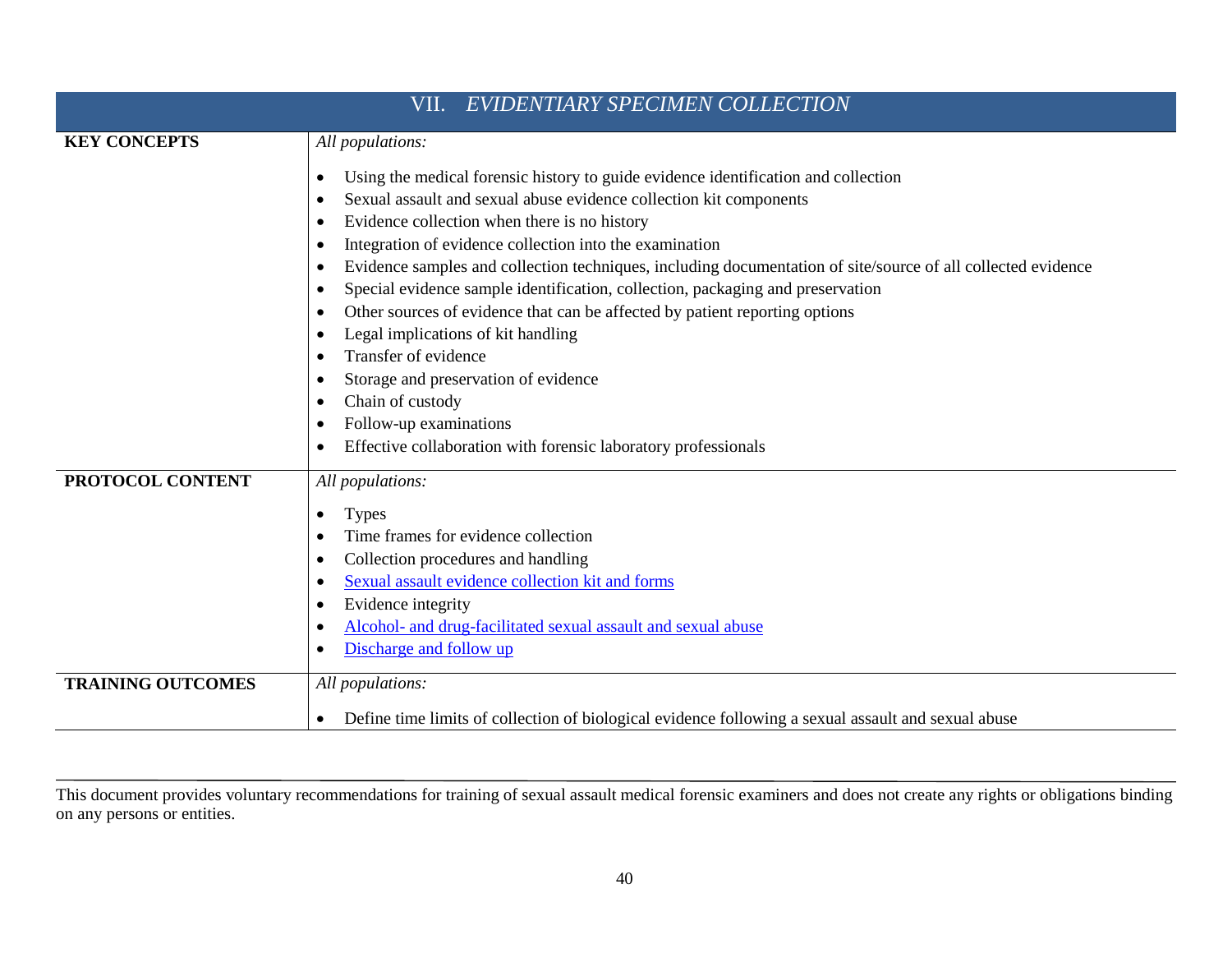| VII. EVIDENTIARY SPECIMEN COLLECTION |                                                                                                                                                                                                                                                                                                                                                                                                                                                                                                                                                                                                                                                                                                                                                                                                                                                                                                 |
|--------------------------------------|-------------------------------------------------------------------------------------------------------------------------------------------------------------------------------------------------------------------------------------------------------------------------------------------------------------------------------------------------------------------------------------------------------------------------------------------------------------------------------------------------------------------------------------------------------------------------------------------------------------------------------------------------------------------------------------------------------------------------------------------------------------------------------------------------------------------------------------------------------------------------------------------------|
| <b>KEY CONCEPTS</b>                  | All populations:                                                                                                                                                                                                                                                                                                                                                                                                                                                                                                                                                                                                                                                                                                                                                                                                                                                                                |
|                                      | Using the medical forensic history to guide evidence identification and collection<br>$\bullet$<br>Sexual assault and sexual abuse evidence collection kit components<br>Evidence collection when there is no history<br>$\bullet$<br>Integration of evidence collection into the examination<br>$\bullet$<br>Evidence samples and collection techniques, including documentation of site/source of all collected evidence<br>$\bullet$<br>Special evidence sample identification, collection, packaging and preservation<br>$\bullet$<br>Other sources of evidence that can be affected by patient reporting options<br>$\bullet$<br>Legal implications of kit handling<br>$\bullet$<br>Transfer of evidence<br>Storage and preservation of evidence<br>Chain of custody<br>$\bullet$<br>Follow-up examinations<br>$\bullet$<br>Effective collaboration with forensic laboratory professionals |
| PROTOCOL CONTENT                     | All populations:<br><b>Types</b><br>$\bullet$<br>Time frames for evidence collection<br>Collection procedures and handling<br>$\bullet$<br>Sexual assault evidence collection kit and forms<br>$\bullet$<br>Evidence integrity<br>$\bullet$<br>Alcohol- and drug-facilitated sexual assault and sexual abuse<br>Discharge and follow up                                                                                                                                                                                                                                                                                                                                                                                                                                                                                                                                                         |
| <b>TRAINING OUTCOMES</b>             | All populations:<br>Define time limits of collection of biological evidence following a sexual assault and sexual abuse                                                                                                                                                                                                                                                                                                                                                                                                                                                                                                                                                                                                                                                                                                                                                                         |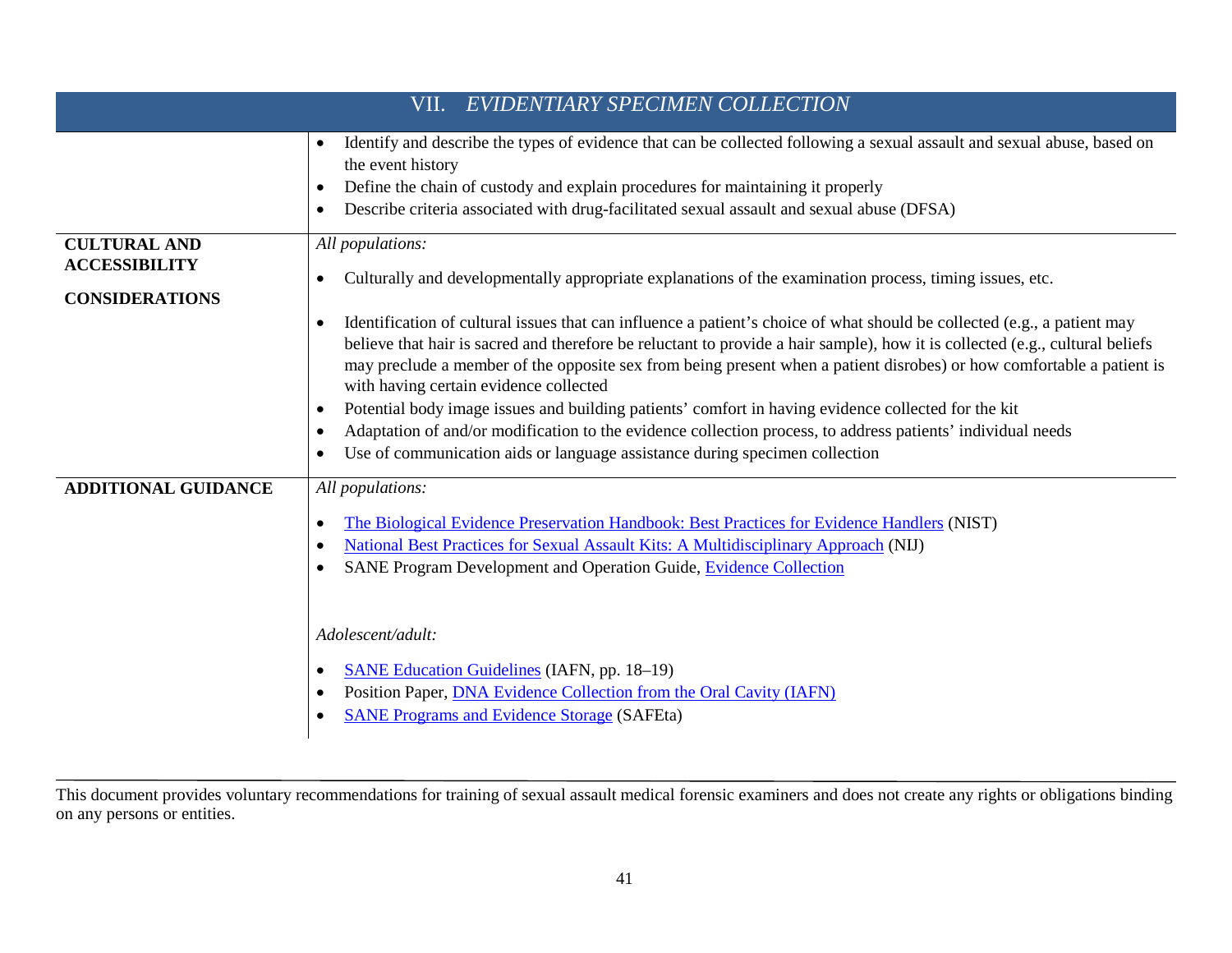| EVIDENTIARY SPECIMEN COLLECTION<br>VII.                              |                                                                                                                                                                                                                                                                                                                                                                                                                                                                                                                                                                                                                                                                                                                                                                                                                                                                                                                           |
|----------------------------------------------------------------------|---------------------------------------------------------------------------------------------------------------------------------------------------------------------------------------------------------------------------------------------------------------------------------------------------------------------------------------------------------------------------------------------------------------------------------------------------------------------------------------------------------------------------------------------------------------------------------------------------------------------------------------------------------------------------------------------------------------------------------------------------------------------------------------------------------------------------------------------------------------------------------------------------------------------------|
|                                                                      | Identify and describe the types of evidence that can be collected following a sexual assault and sexual abuse, based on<br>$\bullet$<br>the event history<br>Define the chain of custody and explain procedures for maintaining it properly<br>٠<br>Describe criteria associated with drug-facilitated sexual assault and sexual abuse (DFSA)<br>٠                                                                                                                                                                                                                                                                                                                                                                                                                                                                                                                                                                        |
| <b>CULTURAL AND</b><br><b>ACCESSIBILITY</b><br><b>CONSIDERATIONS</b> | All populations:<br>Culturally and developmentally appropriate explanations of the examination process, timing issues, etc.<br>$\bullet$<br>Identification of cultural issues that can influence a patient's choice of what should be collected (e.g., a patient may<br>$\bullet$<br>believe that hair is sacred and therefore be reluctant to provide a hair sample), how it is collected (e.g., cultural beliefs<br>may preclude a member of the opposite sex from being present when a patient disrobes) or how comfortable a patient is<br>with having certain evidence collected<br>Potential body image issues and building patients' comfort in having evidence collected for the kit<br>٠<br>Adaptation of and/or modification to the evidence collection process, to address patients' individual needs<br>$\bullet$<br>Use of communication aids or language assistance during specimen collection<br>$\bullet$ |
| <b>ADDITIONAL GUIDANCE</b>                                           | All populations:<br>The Biological Evidence Preservation Handbook: Best Practices for Evidence Handlers (NIST)<br>$\bullet$<br>National Best Practices for Sexual Assault Kits: A Multidisciplinary Approach (NIJ)<br>$\bullet$<br>SANE Program Development and Operation Guide, Evidence Collection<br>$\bullet$<br>Adolescent/adult:<br><b>SANE Education Guidelines (IAFN, pp. 18–19)</b><br>٠<br>Position Paper, <b>DNA Evidence Collection from the Oral Cavity (IAFN)</b><br>$\bullet$<br><b>SANE Programs and Evidence Storage (SAFEta)</b>                                                                                                                                                                                                                                                                                                                                                                        |

This document provides voluntary recommendations for training of sexual assault medical forensic examiners and does not create any rights or obligations binding on any persons or entities.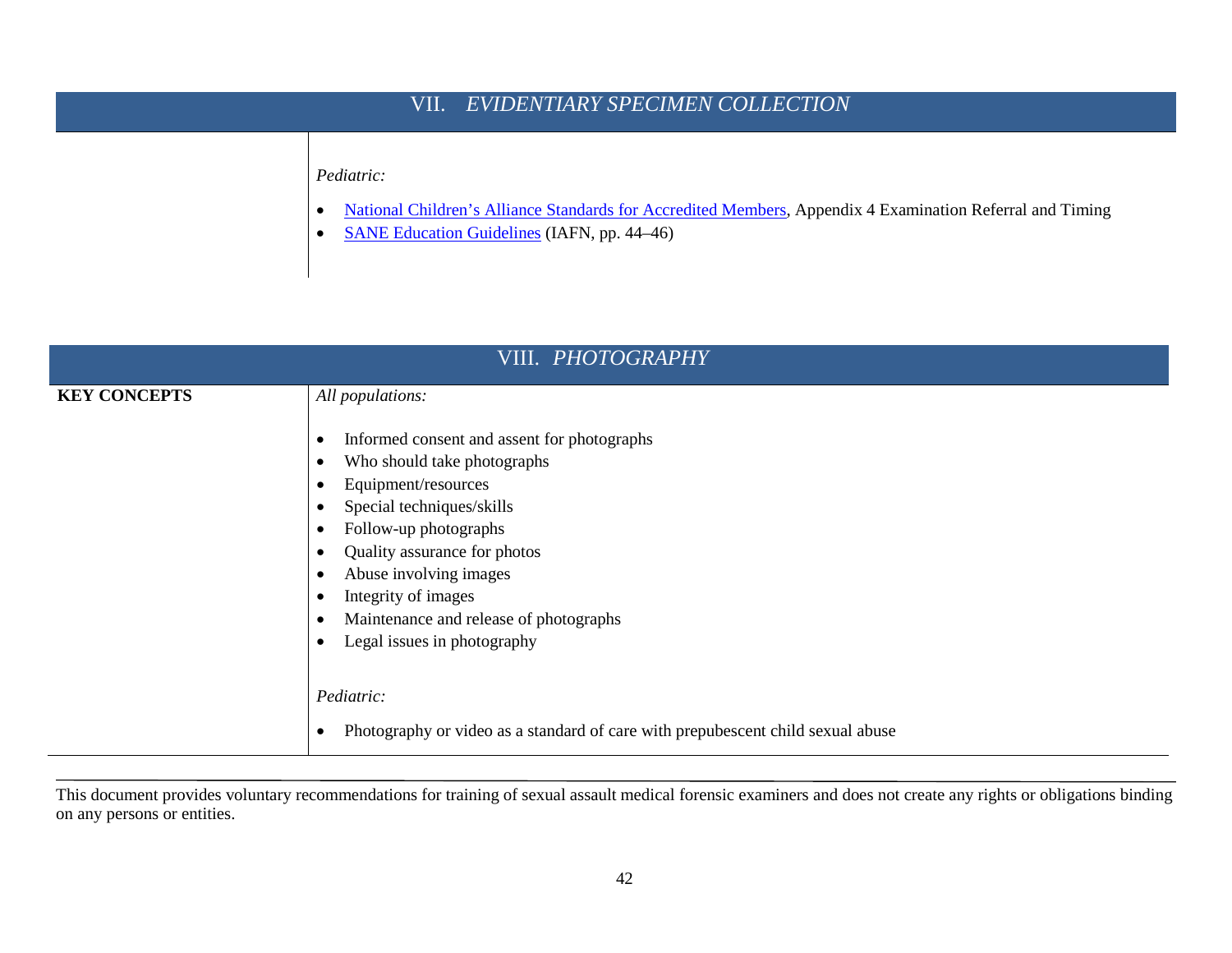## VII. *[EVIDENTIARY SPECIMEN](http://www.safeta.org/?page=ExamProcessExamEvide) COLLECTION*

#### *Pediatric:*

- [National Children's Alliance Standards for Accredited Members,](http://www.nationalchildrensalliance.org/sites/default/files/downloads/NCA-Standards-for-Accredited-Members-2017.pdf) Appendix 4 Examination Referral and Timing
- [SANE Education Guidelines](http://www.forensicnurses.org/resource/resmgr/2015_SANE_ED_GUIDELINES.pdf) (IAFN, pp. 44–46)

| VIII. PHOTOGRAPHY   |                                                                                                                                                                                                                                                                                                                                                 |
|---------------------|-------------------------------------------------------------------------------------------------------------------------------------------------------------------------------------------------------------------------------------------------------------------------------------------------------------------------------------------------|
| <b>KEY CONCEPTS</b> | All populations:<br>Informed consent and assent for photographs<br>Who should take photographs<br>Equipment/resources<br>٠<br>Special techniques/skills<br>٠<br>Follow-up photographs<br>Quality assurance for photos<br>Abuse involving images<br>Integrity of images<br>Maintenance and release of photographs<br>Legal issues in photography |
|                     | Pediatric:<br>Photography or video as a standard of care with prepubescent child sexual abuse                                                                                                                                                                                                                                                   |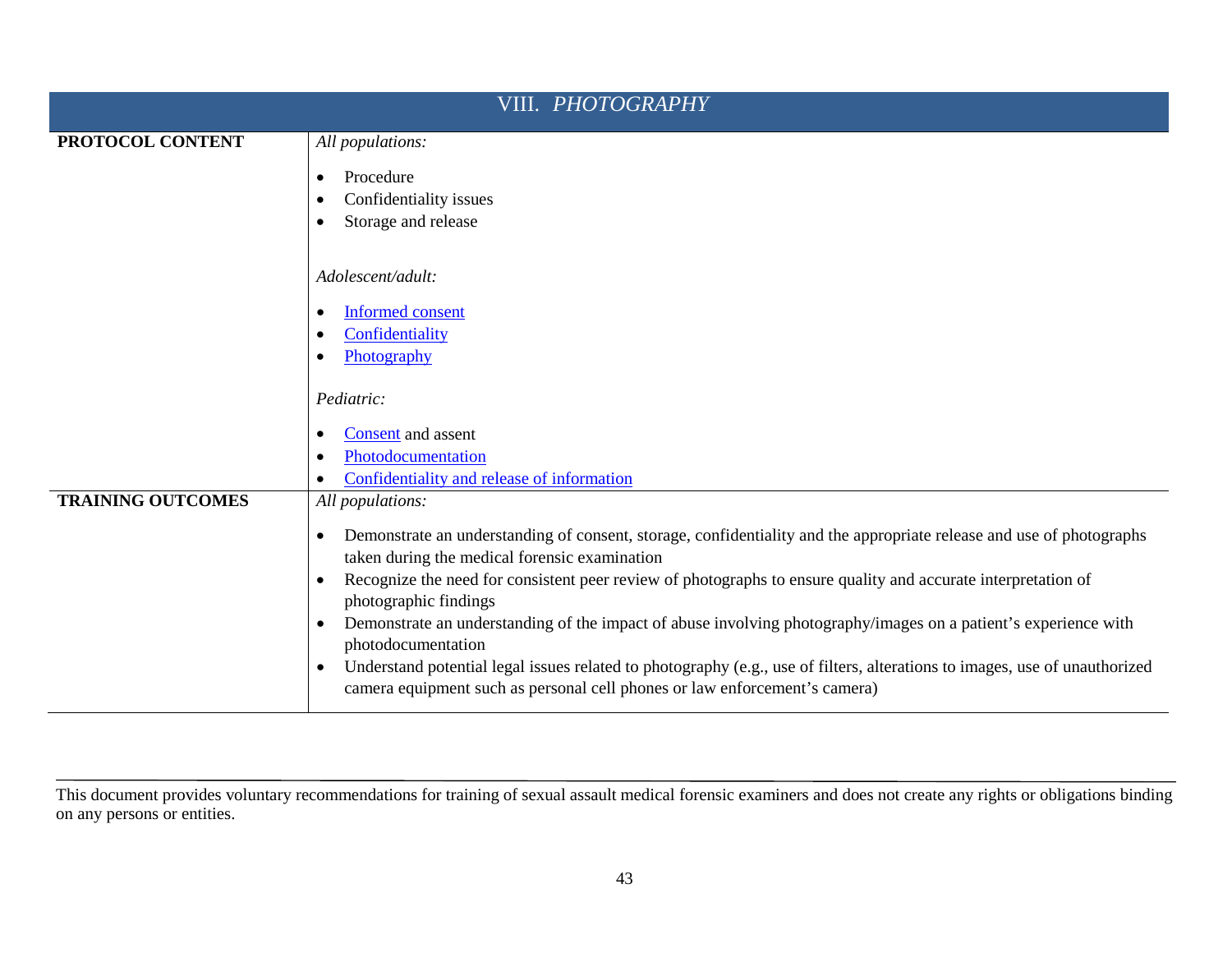| VIII. <i>PHOTOGRAPHY</i> |                                                                                                                                                                                                          |
|--------------------------|----------------------------------------------------------------------------------------------------------------------------------------------------------------------------------------------------------|
| PROTOCOL CONTENT         | All populations:                                                                                                                                                                                         |
|                          | Procedure                                                                                                                                                                                                |
|                          | Confidentiality issues                                                                                                                                                                                   |
|                          | Storage and release                                                                                                                                                                                      |
|                          | Adolescent/adult:                                                                                                                                                                                        |
|                          | <b>Informed consent</b>                                                                                                                                                                                  |
|                          | Confidentiality                                                                                                                                                                                          |
|                          | Photography                                                                                                                                                                                              |
|                          | Pediatric:                                                                                                                                                                                               |
|                          | Consent and assent                                                                                                                                                                                       |
|                          | Photodocumentation                                                                                                                                                                                       |
|                          | Confidentiality and release of information                                                                                                                                                               |
| <b>TRAINING OUTCOMES</b> | All populations:                                                                                                                                                                                         |
|                          | Demonstrate an understanding of consent, storage, confidentiality and the appropriate release and use of photographs<br>taken during the medical forensic examination                                    |
|                          | Recognize the need for consistent peer review of photographs to ensure quality and accurate interpretation of<br>photographic findings                                                                   |
|                          | Demonstrate an understanding of the impact of abuse involving photography/images on a patient's experience with<br>$\bullet$<br>photodocumentation                                                       |
|                          | Understand potential legal issues related to photography (e.g., use of filters, alterations to images, use of unauthorized<br>camera equipment such as personal cell phones or law enforcement's camera) |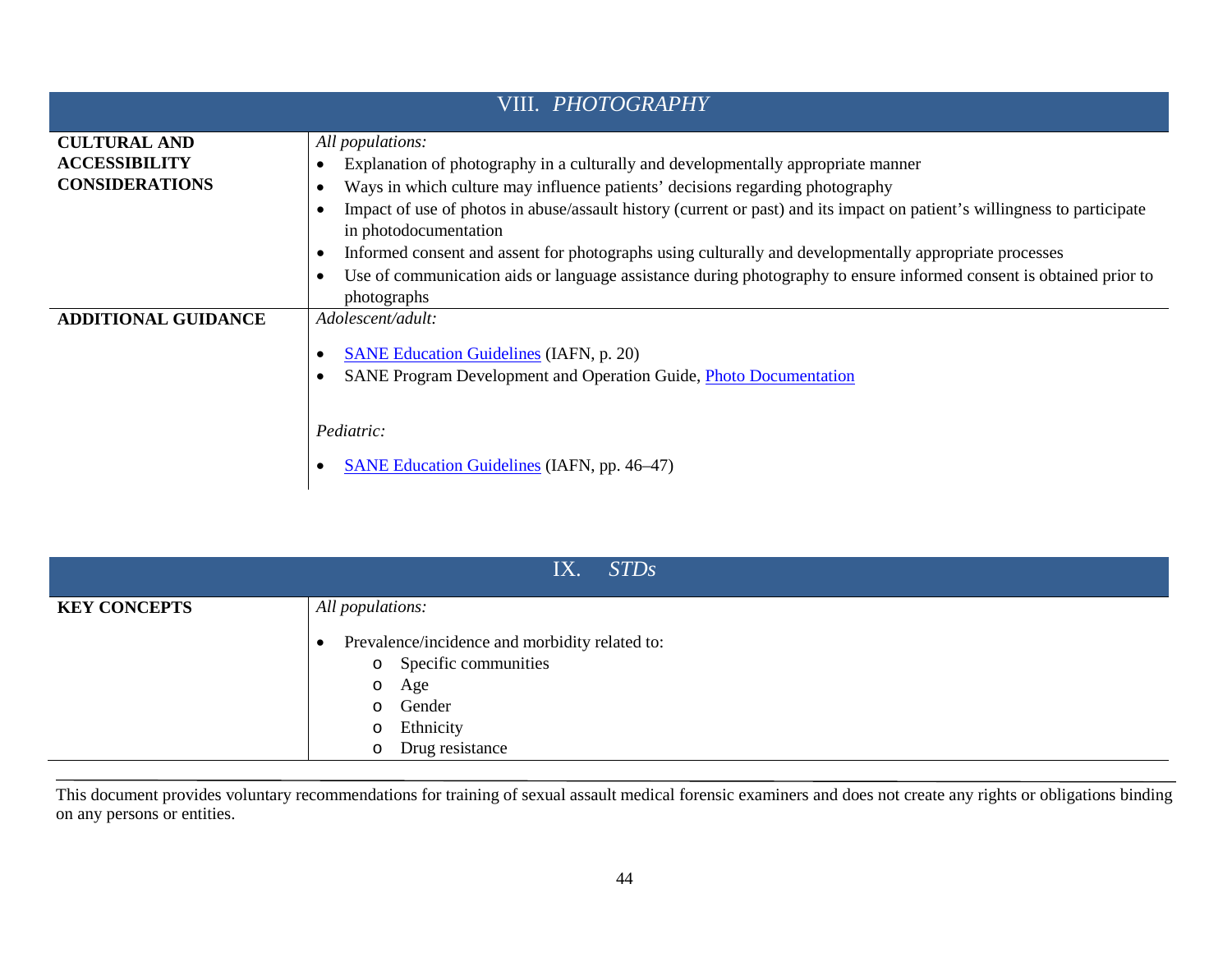| VIII. <i>PHOTOGRAPHY</i>   |                                                                                                                                                    |
|----------------------------|----------------------------------------------------------------------------------------------------------------------------------------------------|
| <b>CULTURAL AND</b>        | All populations:                                                                                                                                   |
| <b>ACCESSIBILITY</b>       | Explanation of photography in a culturally and developmentally appropriate manner                                                                  |
| <b>CONSIDERATIONS</b>      | Ways in which culture may influence patients' decisions regarding photography                                                                      |
|                            | Impact of use of photos in abuse/assault history (current or past) and its impact on patient's willingness to participate<br>in photodocumentation |
|                            | Informed consent and assent for photographs using culturally and developmentally appropriate processes                                             |
|                            | Use of communication aids or language assistance during photography to ensure informed consent is obtained prior to<br>photographs                 |
| <b>ADDITIONAL GUIDANCE</b> | Adolescent/adult:                                                                                                                                  |
|                            | <b>SANE Education Guidelines (IAFN, p. 20)</b>                                                                                                     |
|                            | SANE Program Development and Operation Guide, Photo Documentation                                                                                  |
|                            |                                                                                                                                                    |
|                            | Pediatric:                                                                                                                                         |
|                            | <b>SANE Education Guidelines (IAFN, pp. 46–47)</b>                                                                                                 |

| IX. STDs            |                                                                                                                                            |
|---------------------|--------------------------------------------------------------------------------------------------------------------------------------------|
| <b>KEY CONCEPTS</b> | All populations:                                                                                                                           |
|                     | Prevalence/incidence and morbidity related to:<br>o Specific communities<br>Age<br>$\circ$<br>o Gender<br>o Ethnicity<br>o Drug resistance |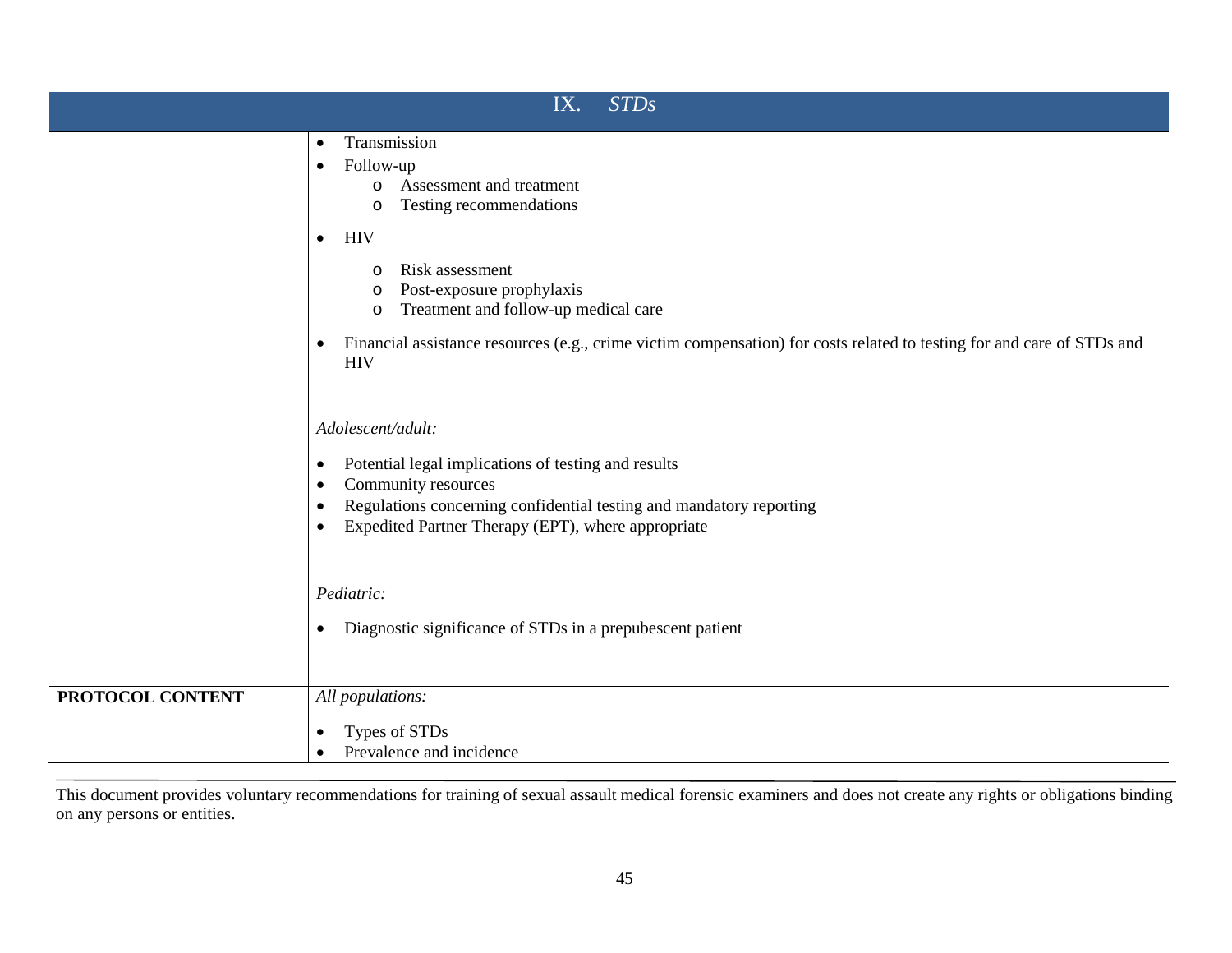| <b>STDs</b><br>IX. |                                                                                                                                                                                                                                                                                                 |
|--------------------|-------------------------------------------------------------------------------------------------------------------------------------------------------------------------------------------------------------------------------------------------------------------------------------------------|
|                    | Transmission<br>$\bullet$<br>Follow-up<br>$\bullet$<br>Assessment and treatment<br>$\circ$<br>Testing recommendations<br>$\circ$                                                                                                                                                                |
|                    | <b>HIV</b><br>$\bullet$<br>Risk assessment<br>$\circ$<br>Post-exposure prophylaxis<br>O<br>Treatment and follow-up medical care<br>$\circ$<br>Financial assistance resources (e.g., crime victim compensation) for costs related to testing for and care of STDs and<br>$\bullet$<br><b>HIV</b> |
|                    | Adolescent/adult:<br>Potential legal implications of testing and results<br>$\bullet$<br>Community resources<br>$\bullet$<br>Regulations concerning confidential testing and mandatory reporting<br>$\bullet$<br>Expedited Partner Therapy (EPT), where appropriate<br>$\bullet$                |
|                    | Pediatric:<br>Diagnostic significance of STDs in a prepubescent patient<br>$\bullet$                                                                                                                                                                                                            |
| PROTOCOL CONTENT   | All populations:<br>Types of STDs<br>$\bullet$<br>Prevalence and incidence                                                                                                                                                                                                                      |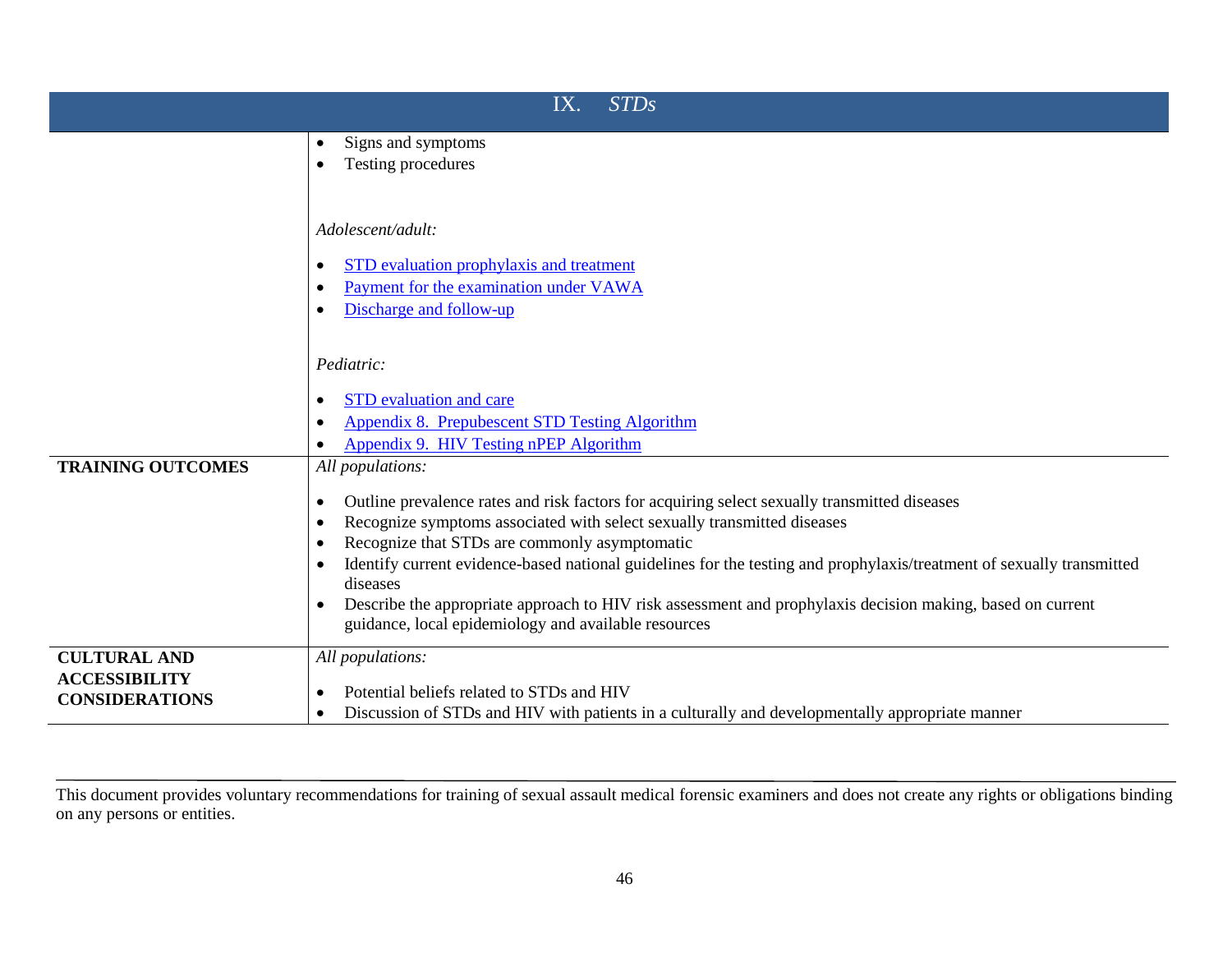| <b>STDs</b><br>IX.       |                                                                                                                                                                    |
|--------------------------|--------------------------------------------------------------------------------------------------------------------------------------------------------------------|
|                          | Signs and symptoms<br>$\bullet$                                                                                                                                    |
|                          | Testing procedures                                                                                                                                                 |
|                          | Adolescent/adult:<br>STD evaluation prophylaxis and treatment<br>Payment for the examination under VAWA<br>Discharge and follow-up                                 |
|                          | Pediatric:<br><b>STD</b> evaluation and care                                                                                                                       |
|                          | Appendix 8. Prepubescent STD Testing Algorithm                                                                                                                     |
|                          | Appendix 9. HIV Testing nPEP Algorithm                                                                                                                             |
| <b>TRAINING OUTCOMES</b> | All populations:                                                                                                                                                   |
|                          | Outline prevalence rates and risk factors for acquiring select sexually transmitted diseases                                                                       |
|                          | Recognize symptoms associated with select sexually transmitted diseases                                                                                            |
|                          | Recognize that STDs are commonly asymptomatic                                                                                                                      |
|                          | Identify current evidence-based national guidelines for the testing and prophylaxis/treatment of sexually transmitted<br>diseases                                  |
|                          | Describe the appropriate approach to HIV risk assessment and prophylaxis decision making, based on current<br>guidance, local epidemiology and available resources |
| <b>CULTURAL AND</b>      | All populations:                                                                                                                                                   |
| <b>ACCESSIBILITY</b>     | Potential beliefs related to STDs and HIV                                                                                                                          |
| <b>CONSIDERATIONS</b>    | Discussion of STDs and HIV with patients in a culturally and developmentally appropriate manner                                                                    |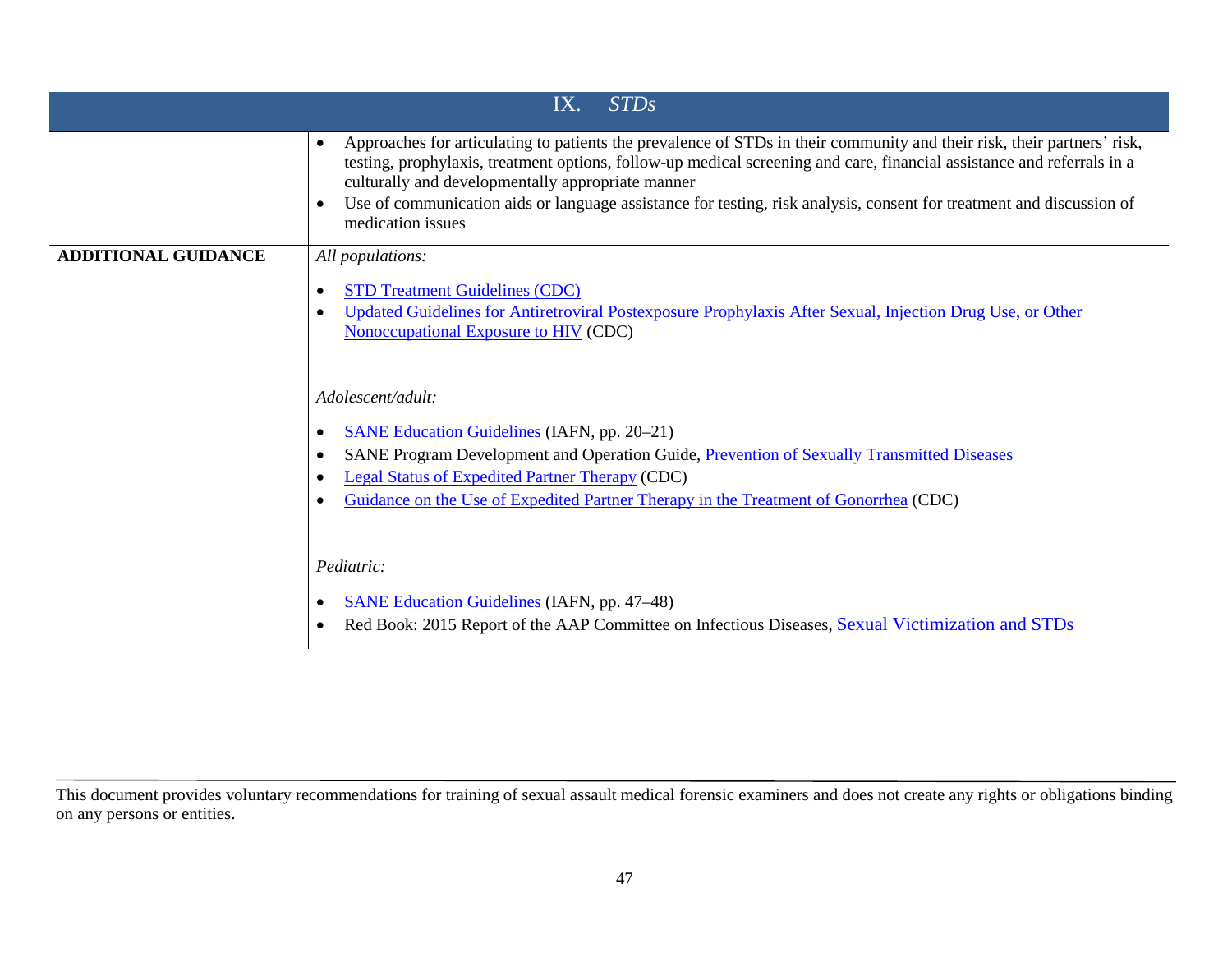|                            | STDs<br>IX.                                                                                                                                                                                                                                                                                                                                                                                                                                         |
|----------------------------|-----------------------------------------------------------------------------------------------------------------------------------------------------------------------------------------------------------------------------------------------------------------------------------------------------------------------------------------------------------------------------------------------------------------------------------------------------|
|                            | Approaches for articulating to patients the prevalence of STDs in their community and their risk, their partners' risk,<br>testing, prophylaxis, treatment options, follow-up medical screening and care, financial assistance and referrals in a<br>culturally and developmentally appropriate manner<br>Use of communication aids or language assistance for testing, risk analysis, consent for treatment and discussion of<br>medication issues |
| <b>ADDITIONAL GUIDANCE</b> | All populations:                                                                                                                                                                                                                                                                                                                                                                                                                                    |
|                            | <b>STD Treatment Guidelines (CDC)</b><br>Updated Guidelines for Antiretroviral Postexposure Prophylaxis After Sexual, Injection Drug Use, or Other<br>Nonoccupational Exposure to HIV (CDC)                                                                                                                                                                                                                                                         |
|                            | Adolescent/adult:                                                                                                                                                                                                                                                                                                                                                                                                                                   |
|                            | <b>SANE Education Guidelines (IAFN, pp. 20–21)</b><br>SANE Program Development and Operation Guide, Prevention of Sexually Transmitted Diseases<br><b>Legal Status of Expedited Partner Therapy (CDC)</b><br>Guidance on the Use of Expedited Partner Therapy in the Treatment of Gonorrhea (CDC)                                                                                                                                                   |
|                            | Pediatric:                                                                                                                                                                                                                                                                                                                                                                                                                                          |
|                            | <b>SANE Education Guidelines (IAFN, pp. 47–48)</b><br>Red Book: 2015 Report of the AAP Committee on Infectious Diseases, Sexual Victimization and STDs                                                                                                                                                                                                                                                                                              |

This document provides voluntary recommendations for training of sexual assault medical forensic examiners and does not create any rights or obligations binding on any persons or entities.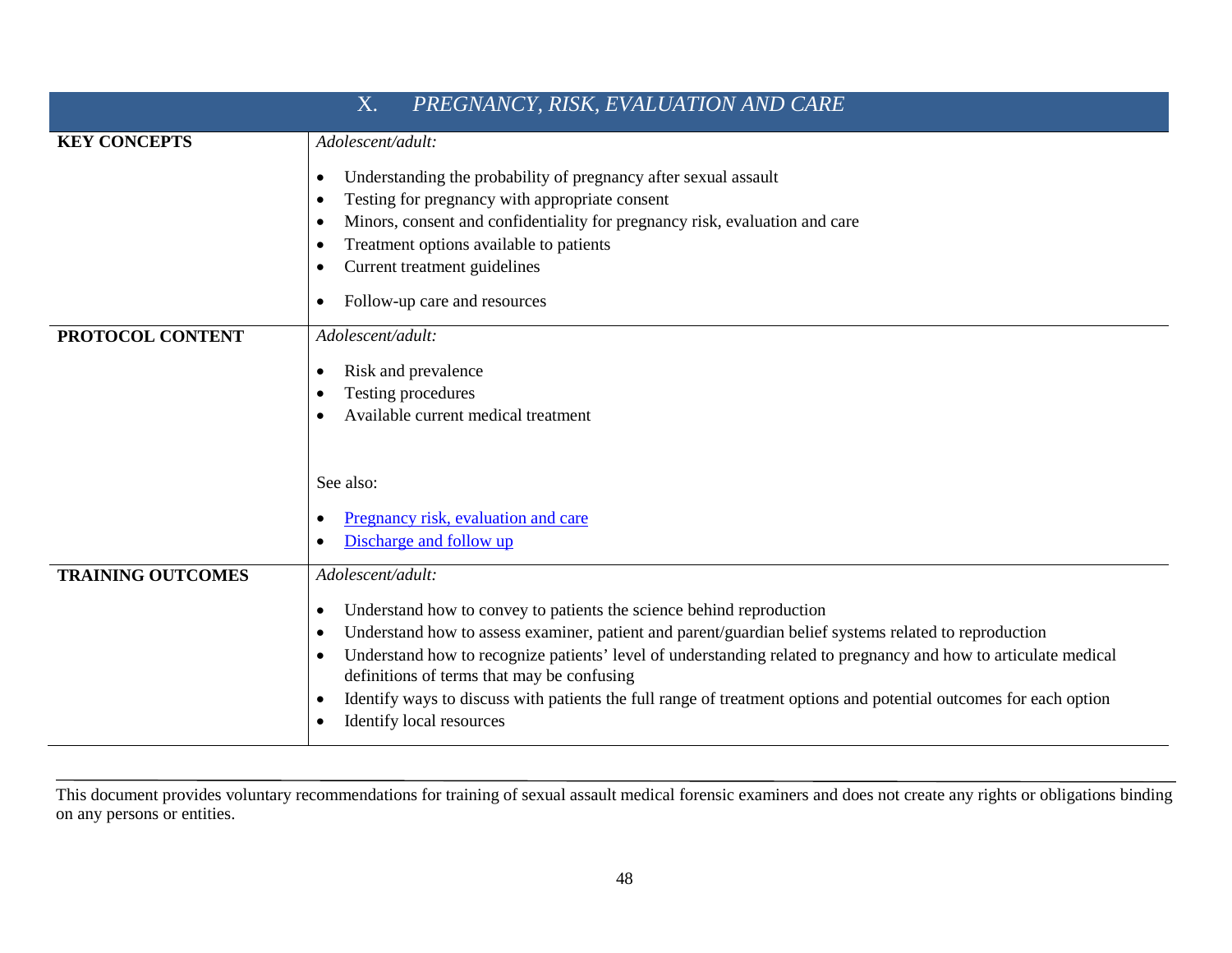| PREGNANCY, RISK, EVALUATION AND CARE<br>X. |                                                                                                                                                                                                                                                                                                                                                                                                                                                                                                              |
|--------------------------------------------|--------------------------------------------------------------------------------------------------------------------------------------------------------------------------------------------------------------------------------------------------------------------------------------------------------------------------------------------------------------------------------------------------------------------------------------------------------------------------------------------------------------|
| <b>KEY CONCEPTS</b>                        | Adolescent/adult:                                                                                                                                                                                                                                                                                                                                                                                                                                                                                            |
|                                            | Understanding the probability of pregnancy after sexual assault<br>Testing for pregnancy with appropriate consent<br>Minors, consent and confidentiality for pregnancy risk, evaluation and care<br>Treatment options available to patients<br>Current treatment guidelines<br>Follow-up care and resources                                                                                                                                                                                                  |
| PROTOCOL CONTENT                           | Adolescent/adult:                                                                                                                                                                                                                                                                                                                                                                                                                                                                                            |
|                                            | Risk and prevalence                                                                                                                                                                                                                                                                                                                                                                                                                                                                                          |
|                                            | Testing procedures<br>Available current medical treatment                                                                                                                                                                                                                                                                                                                                                                                                                                                    |
|                                            | See also:<br>Pregnancy risk, evaluation and care<br>Discharge and follow up                                                                                                                                                                                                                                                                                                                                                                                                                                  |
| <b>TRAINING OUTCOMES</b>                   | Adolescent/adult:                                                                                                                                                                                                                                                                                                                                                                                                                                                                                            |
|                                            | Understand how to convey to patients the science behind reproduction<br>Understand how to assess examiner, patient and parent/guardian belief systems related to reproduction<br>Understand how to recognize patients' level of understanding related to pregnancy and how to articulate medical<br>definitions of terms that may be confusing<br>Identify ways to discuss with patients the full range of treatment options and potential outcomes for each option<br>$\bullet$<br>Identify local resources |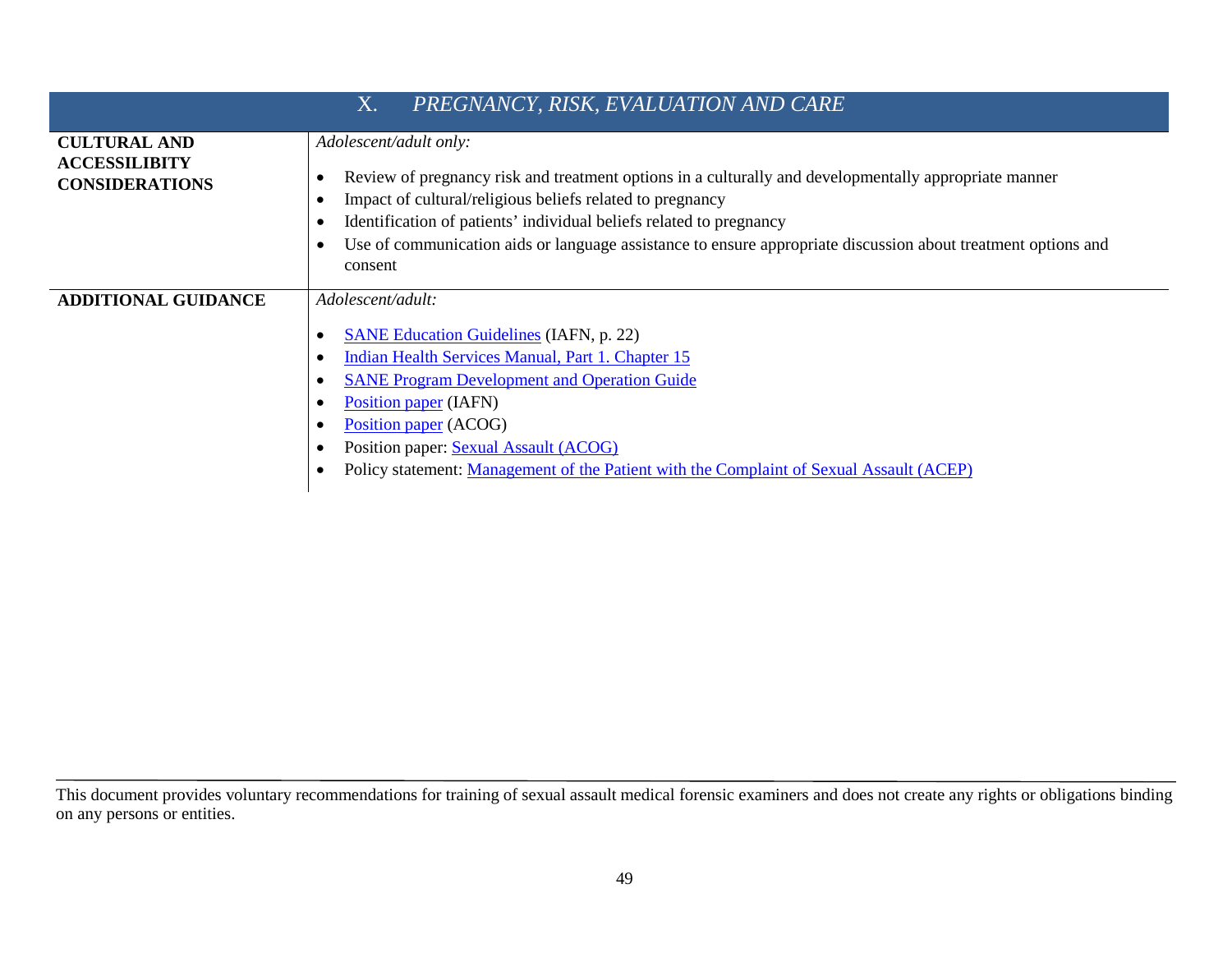|                                                                      | PREGNANCY, RISK, EVALUATION AND CARE<br>X.                                                                                                                                                                                                                                                                                                                                                                   |
|----------------------------------------------------------------------|--------------------------------------------------------------------------------------------------------------------------------------------------------------------------------------------------------------------------------------------------------------------------------------------------------------------------------------------------------------------------------------------------------------|
| <b>CULTURAL AND</b><br><b>ACCESSILIBITY</b><br><b>CONSIDERATIONS</b> | Adolescent/adult only:<br>Review of pregnancy risk and treatment options in a culturally and developmentally appropriate manner<br>$\bullet$<br>Impact of cultural/religious beliefs related to pregnancy<br>Identification of patients' individual beliefs related to pregnancy<br>Use of communication aids or language assistance to ensure appropriate discussion about treatment options and<br>consent |
| <b>ADDITIONAL GUIDANCE</b>                                           | Adolescent/adult:<br><b>SANE Education Guidelines (IAFN, p. 22)</b><br>Indian Health Services Manual, Part 1. Chapter 15<br><b>SANE Program Development and Operation Guide</b><br>Position paper (IAFN)<br>Position paper (ACOG)<br>Position paper: Sexual Assault (ACOG)<br>Policy statement: Management of the Patient with the Complaint of Sexual Assault (ACEP)                                        |

This document provides voluntary recommendations for training of sexual assault medical forensic examiners and does not create any rights or obligations binding on any persons or entities.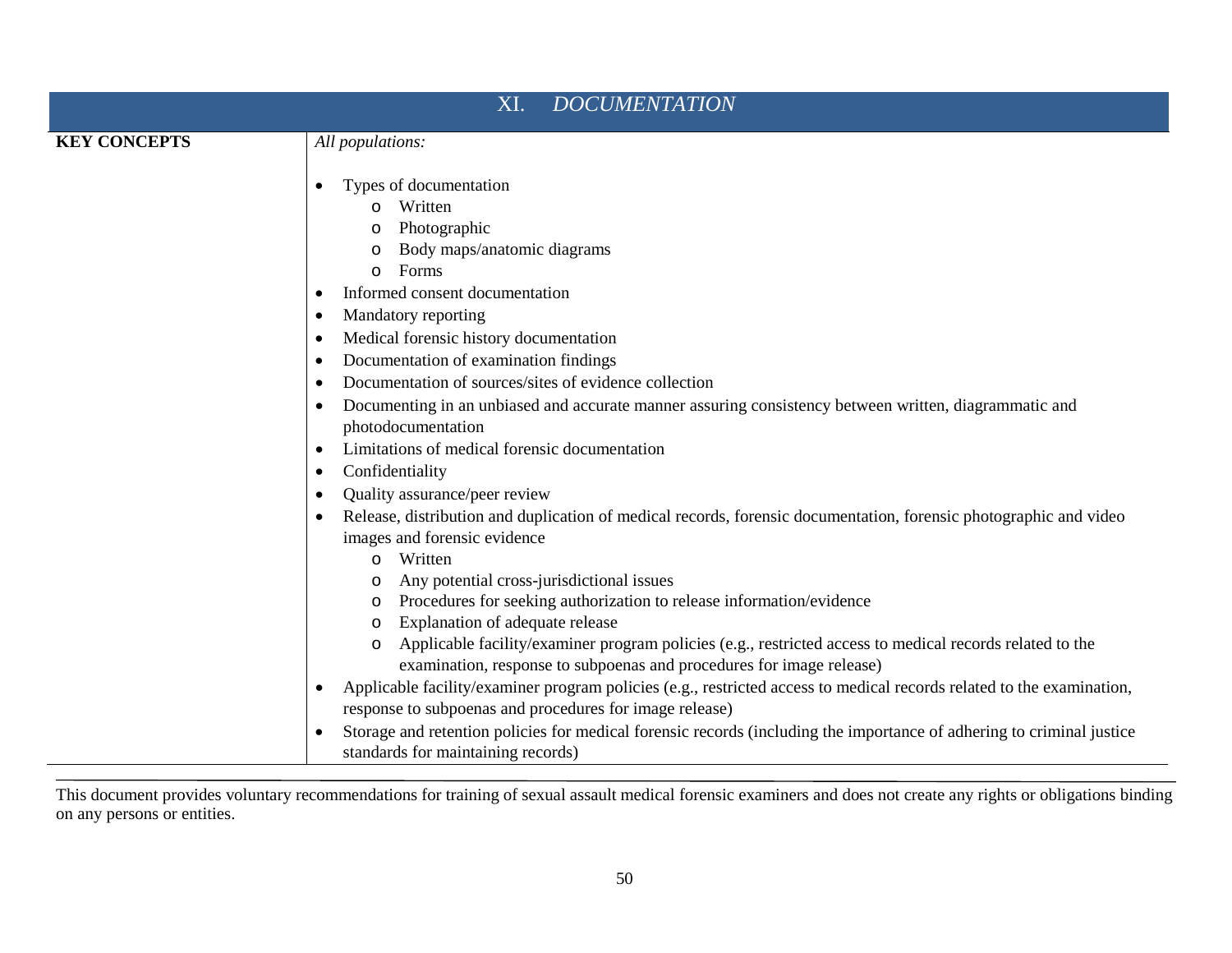| <b>DOCUMENTATION</b><br>XI. |                                                                                                                                                                                                                                                                                                                                                                                                                                                     |
|-----------------------------|-----------------------------------------------------------------------------------------------------------------------------------------------------------------------------------------------------------------------------------------------------------------------------------------------------------------------------------------------------------------------------------------------------------------------------------------------------|
| <b>KEY CONCEPTS</b>         | All populations:                                                                                                                                                                                                                                                                                                                                                                                                                                    |
|                             | Types of documentation<br>Written<br>Photographic<br>Body maps/anatomic diagrams<br>$\circ$<br>Forms<br>$\circ$<br>Informed consent documentation<br>Mandatory reporting<br>Medical forensic history documentation<br>Documentation of examination findings<br>Documentation of sources/sites of evidence collection<br>Documenting in an unbiased and accurate manner assuring consistency between written, diagrammatic and<br>photodocumentation |
|                             | Limitations of medical forensic documentation                                                                                                                                                                                                                                                                                                                                                                                                       |
|                             | Confidentiality<br>$\bullet$<br>Quality assurance/peer review                                                                                                                                                                                                                                                                                                                                                                                       |
|                             | Release, distribution and duplication of medical records, forensic documentation, forensic photographic and video<br>images and forensic evidence<br>Written<br>$\circ$                                                                                                                                                                                                                                                                             |
|                             | Any potential cross-jurisdictional issues<br>$\circ$<br>Procedures for seeking authorization to release information/evidence<br>Explanation of adequate release<br>$\circ$                                                                                                                                                                                                                                                                          |
|                             | Applicable facility/examiner program policies (e.g., restricted access to medical records related to the<br>$\circ$<br>examination, response to subpoenas and procedures for image release)                                                                                                                                                                                                                                                         |
|                             | Applicable facility/examiner program policies (e.g., restricted access to medical records related to the examination,<br>response to subpoenas and procedures for image release)                                                                                                                                                                                                                                                                    |
|                             | Storage and retention policies for medical forensic records (including the importance of adhering to criminal justice<br>standards for maintaining records)                                                                                                                                                                                                                                                                                         |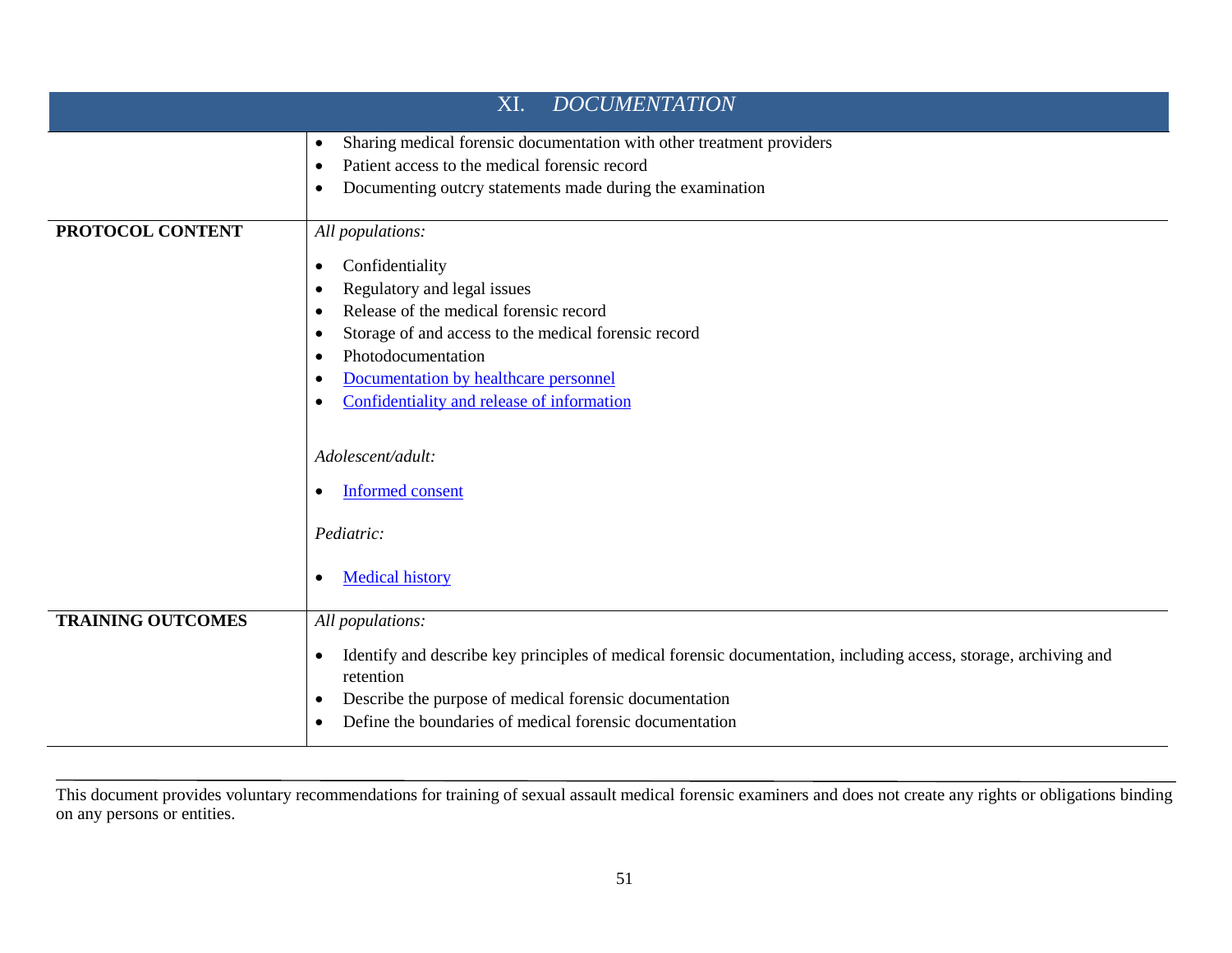| <b>DOCUMENTATION</b><br>XI. |                                                                                                                                                                                                                                                                                                                                                                                |
|-----------------------------|--------------------------------------------------------------------------------------------------------------------------------------------------------------------------------------------------------------------------------------------------------------------------------------------------------------------------------------------------------------------------------|
|                             | Sharing medical forensic documentation with other treatment providers<br>$\bullet$<br>Patient access to the medical forensic record<br>$\bullet$<br>Documenting outcry statements made during the examination                                                                                                                                                                  |
| PROTOCOL CONTENT            | All populations:<br>Confidentiality<br>٠<br>Regulatory and legal issues<br>Release of the medical forensic record<br>Storage of and access to the medical forensic record<br>Photodocumentation<br>$\bullet$<br>Documentation by healthcare personnel<br>Confidentiality and release of information<br>$\bullet$<br>Adolescent/adult:<br><b>Informed consent</b><br>Pediatric: |
| <b>TRAINING OUTCOMES</b>    | <b>Medical history</b><br>$\bullet$<br>All populations:<br>Identify and describe key principles of medical forensic documentation, including access, storage, archiving and<br>$\bullet$<br>retention<br>Describe the purpose of medical forensic documentation<br>٠<br>Define the boundaries of medical forensic documentation                                                |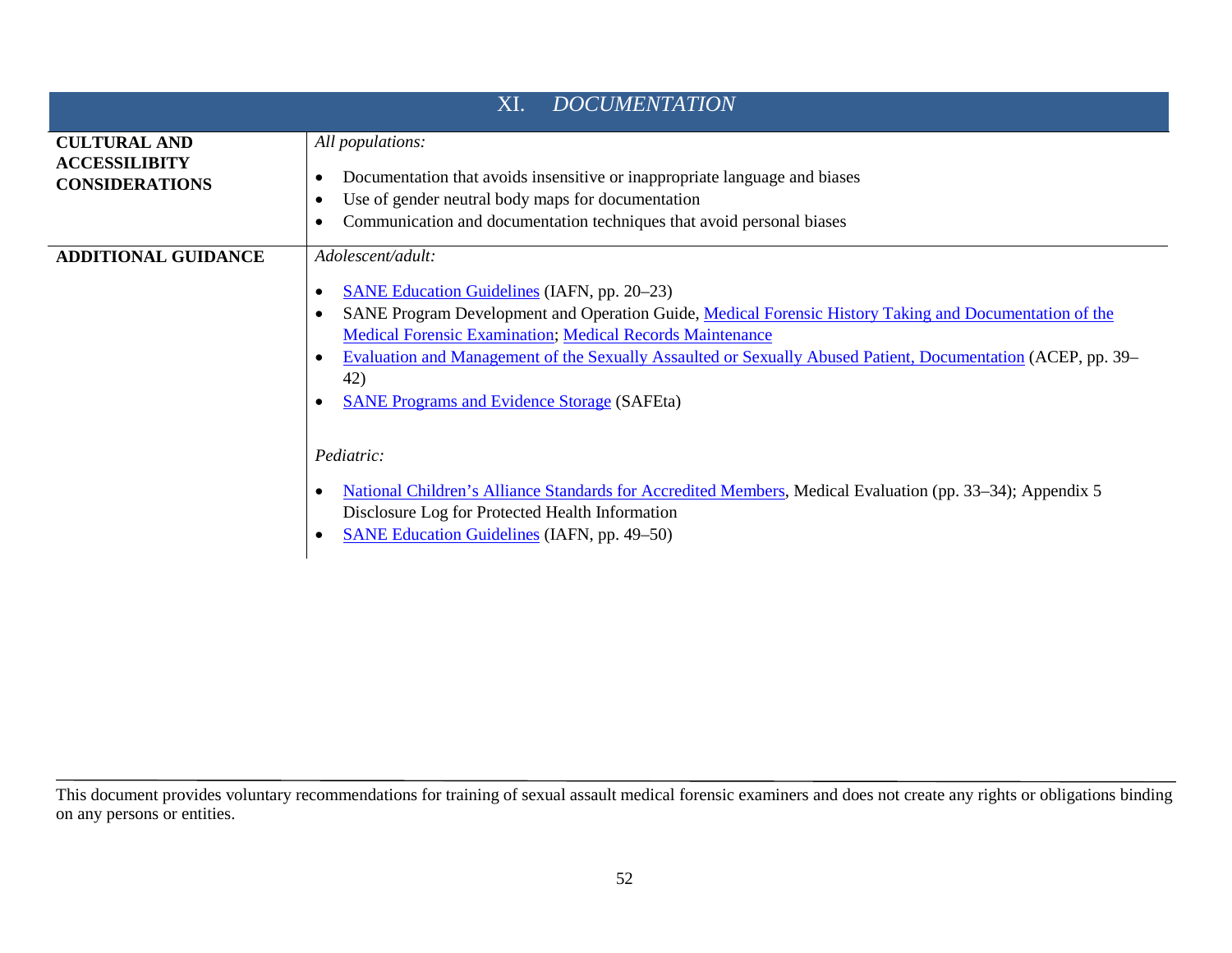| <b>DOCUMENTATION</b><br>XI.                                          |                                                                                                                                                                                                                                                                                                                                                                                                                                    |
|----------------------------------------------------------------------|------------------------------------------------------------------------------------------------------------------------------------------------------------------------------------------------------------------------------------------------------------------------------------------------------------------------------------------------------------------------------------------------------------------------------------|
| <b>CULTURAL AND</b><br><b>ACCESSILIBITY</b><br><b>CONSIDERATIONS</b> | All populations:<br>Documentation that avoids insensitive or inappropriate language and biases<br>Use of gender neutral body maps for documentation<br>Communication and documentation techniques that avoid personal biases                                                                                                                                                                                                       |
| <b>ADDITIONAL GUIDANCE</b>                                           | Adolescent/adult:<br><b>SANE Education Guidelines</b> (IAFN, pp. 20–23)<br>SANE Program Development and Operation Guide, Medical Forensic History Taking and Documentation of the<br><b>Medical Forensic Examination; Medical Records Maintenance</b><br>Evaluation and Management of the Sexually Assaulted or Sexually Abused Patient, Documentation (ACEP, pp. 39–<br>42)<br><b>SANE Programs and Evidence Storage (SAFEta)</b> |
|                                                                      | <i>Pediatric:</i><br>National Children's Alliance Standards for Accredited Members, Medical Evaluation (pp. 33–34); Appendix 5<br>Disclosure Log for Protected Health Information<br><b>SANE Education Guidelines (IAFN, pp. 49–50)</b>                                                                                                                                                                                            |

This document provides voluntary recommendations for training of sexual assault medical forensic examiners and does not create any rights or obligations binding on any persons or entities.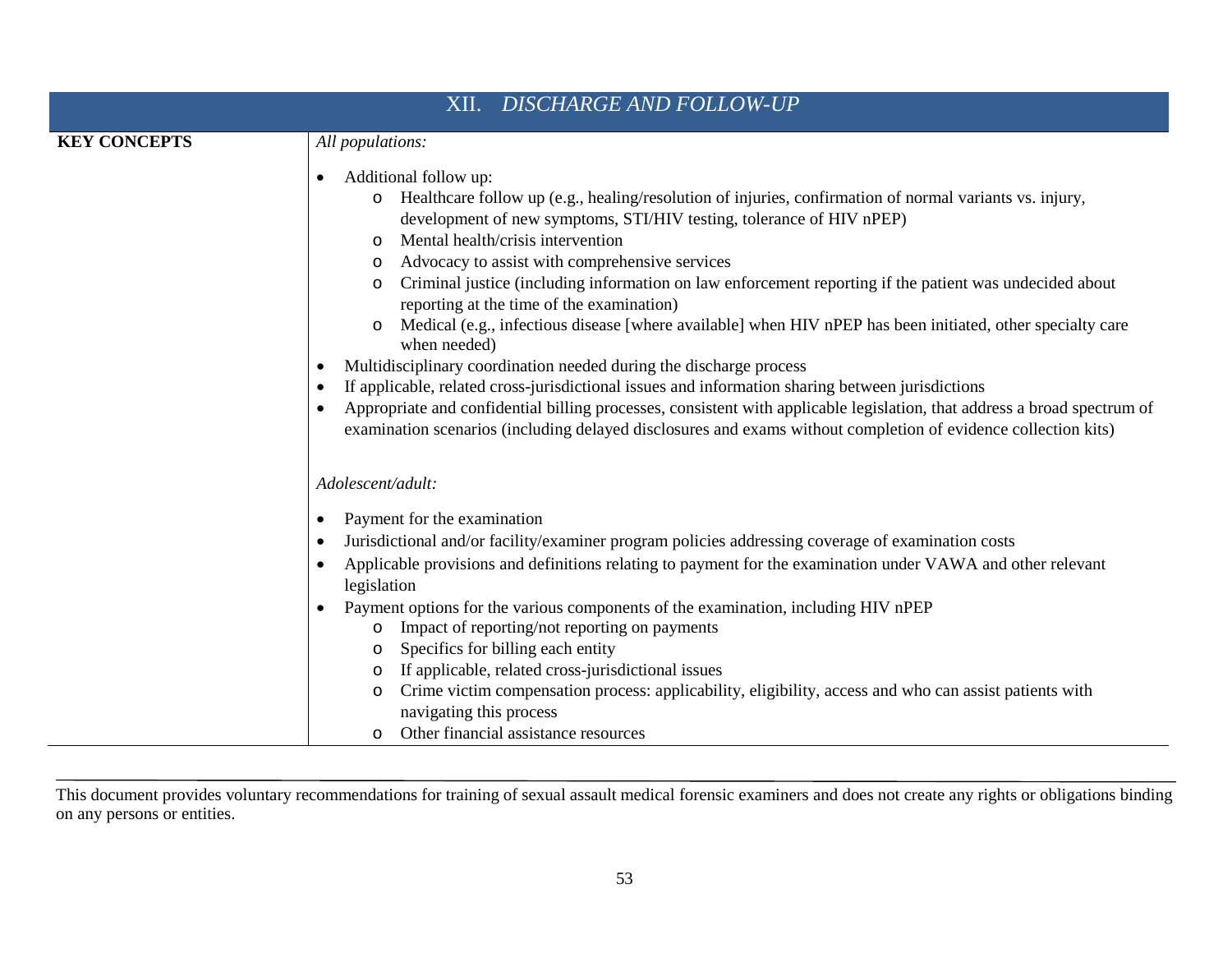| XII. DISCHARGE AND FOLLOW-UP |                                                                                                                                                                                                                                                                                                                                                                                                                                                                                                                                                                                                                     |
|------------------------------|---------------------------------------------------------------------------------------------------------------------------------------------------------------------------------------------------------------------------------------------------------------------------------------------------------------------------------------------------------------------------------------------------------------------------------------------------------------------------------------------------------------------------------------------------------------------------------------------------------------------|
| <b>KEY CONCEPTS</b>          | All populations:                                                                                                                                                                                                                                                                                                                                                                                                                                                                                                                                                                                                    |
|                              | Additional follow up:<br>$\bullet$<br>Healthcare follow up (e.g., healing/resolution of injuries, confirmation of normal variants vs. injury,<br>$\circ$<br>development of new symptoms, STI/HIV testing, tolerance of HIV nPEP)<br>Mental health/crisis intervention<br>$\circ$<br>Advocacy to assist with comprehensive services<br>Criminal justice (including information on law enforcement reporting if the patient was undecided about<br>$\circ$<br>reporting at the time of the examination)<br>Medical (e.g., infectious disease [where available] when HIV nPEP has been initiated, other specialty care |
|                              | when needed)<br>Multidisciplinary coordination needed during the discharge process                                                                                                                                                                                                                                                                                                                                                                                                                                                                                                                                  |
|                              | If applicable, related cross-jurisdictional issues and information sharing between jurisdictions                                                                                                                                                                                                                                                                                                                                                                                                                                                                                                                    |
|                              | Appropriate and confidential billing processes, consistent with applicable legislation, that address a broad spectrum of<br>examination scenarios (including delayed disclosures and exams without completion of evidence collection kits)                                                                                                                                                                                                                                                                                                                                                                          |
|                              | Adolescent/adult:                                                                                                                                                                                                                                                                                                                                                                                                                                                                                                                                                                                                   |
|                              | Payment for the examination<br>$\bullet$                                                                                                                                                                                                                                                                                                                                                                                                                                                                                                                                                                            |
|                              | Jurisdictional and/or facility/examiner program policies addressing coverage of examination costs                                                                                                                                                                                                                                                                                                                                                                                                                                                                                                                   |
|                              | Applicable provisions and definitions relating to payment for the examination under VAWA and other relevant<br>legislation                                                                                                                                                                                                                                                                                                                                                                                                                                                                                          |
|                              | Payment options for the various components of the examination, including HIV nPEP<br>Impact of reporting/not reporting on payments<br>O<br>Specifics for billing each entity<br>$\circ$                                                                                                                                                                                                                                                                                                                                                                                                                             |
|                              | If applicable, related cross-jurisdictional issues<br>$\circ$<br>Crime victim compensation process: applicability, eligibility, access and who can assist patients with<br>$\circ$<br>navigating this process<br>Other financial assistance resources<br>$\circ$                                                                                                                                                                                                                                                                                                                                                    |
|                              |                                                                                                                                                                                                                                                                                                                                                                                                                                                                                                                                                                                                                     |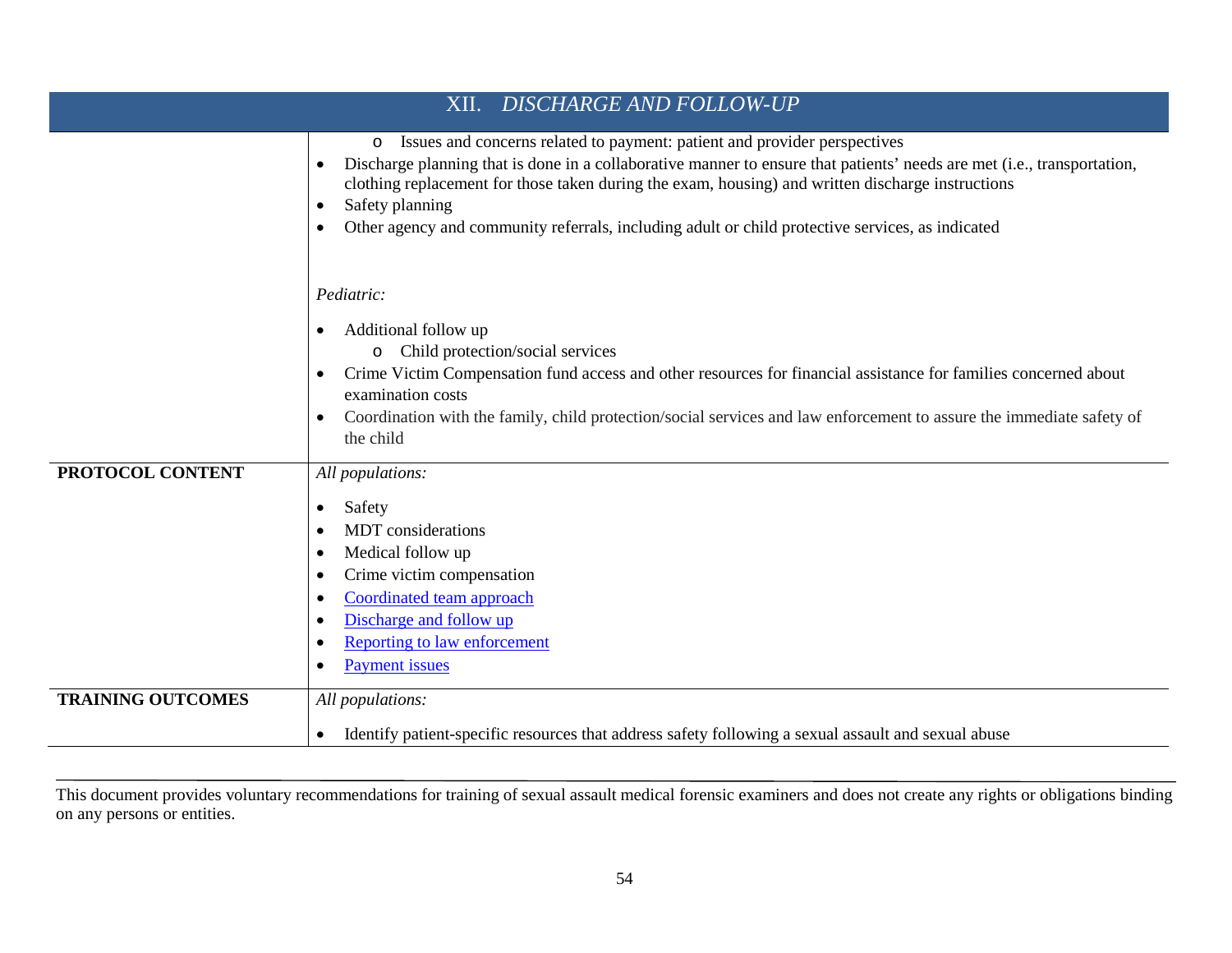| <b>DISCHARGE AND FOLLOW-UP</b><br>XII. |                                                                                                                                                                                                                                                                                                                                                                                                                                                  |
|----------------------------------------|--------------------------------------------------------------------------------------------------------------------------------------------------------------------------------------------------------------------------------------------------------------------------------------------------------------------------------------------------------------------------------------------------------------------------------------------------|
|                                        | Issues and concerns related to payment: patient and provider perspectives<br>$\circ$<br>Discharge planning that is done in a collaborative manner to ensure that patients' needs are met (i.e., transportation,<br>clothing replacement for those taken during the exam, housing) and written discharge instructions<br>Safety planning<br>٠<br>Other agency and community referrals, including adult or child protective services, as indicated |
|                                        | Pediatric:<br>Additional follow up<br>Child protection/social services<br>$\circ$<br>Crime Victim Compensation fund access and other resources for financial assistance for families concerned about<br>examination costs<br>Coordination with the family, child protection/social services and law enforcement to assure the immediate safety of<br>the child                                                                                   |
| PROTOCOL CONTENT                       | All populations:<br>Safety<br>٠<br><b>MDT</b> considerations<br>Medical follow up<br>Crime victim compensation<br>Coordinated team approach<br>Discharge and follow up<br><b>Reporting to law enforcement</b><br><b>Payment</b> issues                                                                                                                                                                                                           |
| <b>TRAINING OUTCOMES</b>               | All populations:<br>Identify patient-specific resources that address safety following a sexual assault and sexual abuse<br>$\bullet$                                                                                                                                                                                                                                                                                                             |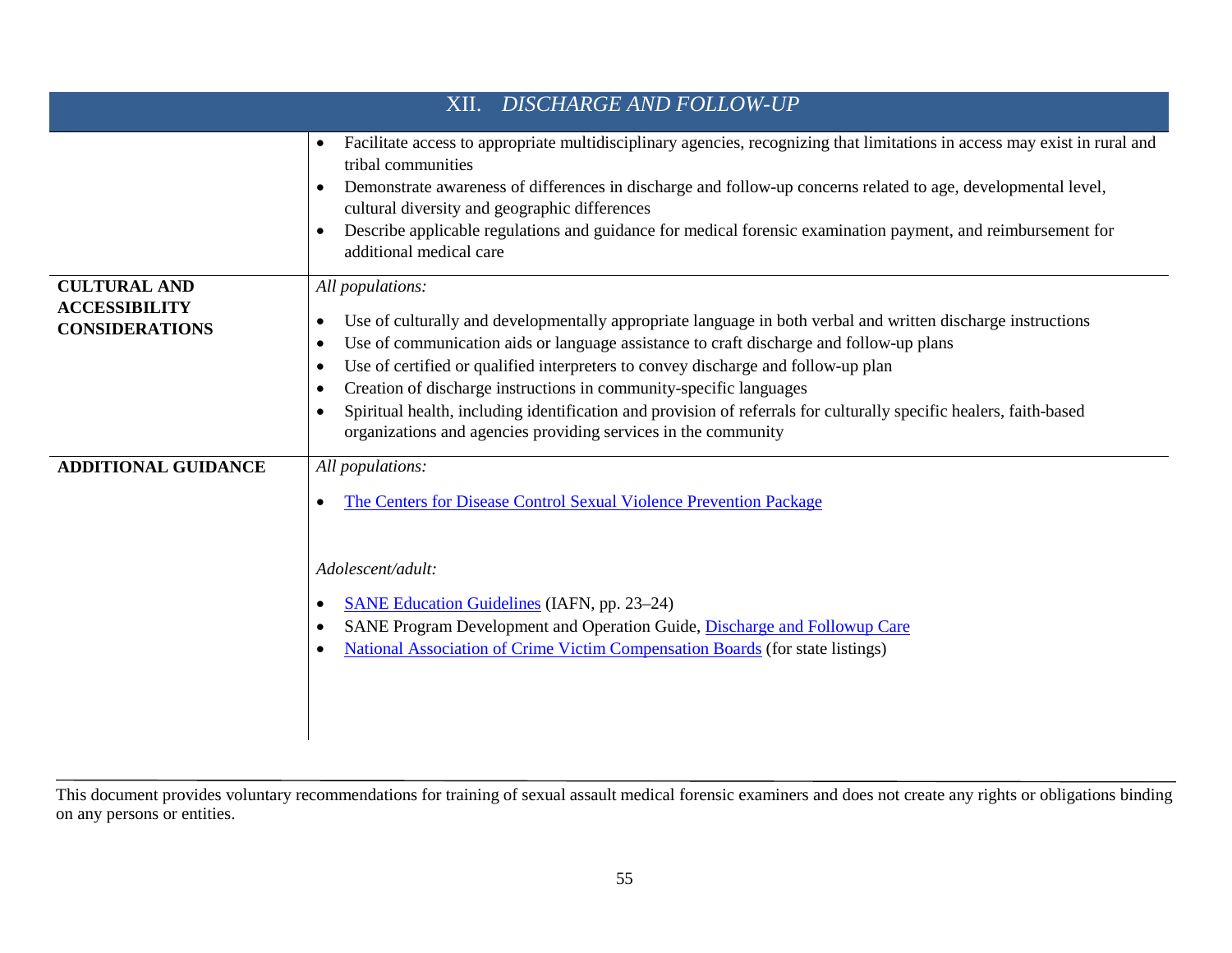| <b>DISCHARGE AND FOLLOW-UP</b><br>XII.                               |                                                                                                                                                                                                                                                                                                                                                                                                                                                                                                                                                                                             |  |
|----------------------------------------------------------------------|---------------------------------------------------------------------------------------------------------------------------------------------------------------------------------------------------------------------------------------------------------------------------------------------------------------------------------------------------------------------------------------------------------------------------------------------------------------------------------------------------------------------------------------------------------------------------------------------|--|
|                                                                      | Facilitate access to appropriate multidisciplinary agencies, recognizing that limitations in access may exist in rural and<br>$\bullet$<br>tribal communities<br>Demonstrate awareness of differences in discharge and follow-up concerns related to age, developmental level,<br>cultural diversity and geographic differences<br>Describe applicable regulations and guidance for medical forensic examination payment, and reimbursement for<br>additional medical care                                                                                                                  |  |
| <b>CULTURAL AND</b><br><b>ACCESSIBILITY</b><br><b>CONSIDERATIONS</b> | All populations:<br>Use of culturally and developmentally appropriate language in both verbal and written discharge instructions<br>Use of communication aids or language assistance to craft discharge and follow-up plans<br>Use of certified or qualified interpreters to convey discharge and follow-up plan<br>Creation of discharge instructions in community-specific languages<br>Spiritual health, including identification and provision of referrals for culturally specific healers, faith-based<br>$\bullet$<br>organizations and agencies providing services in the community |  |
| <b>ADDITIONAL GUIDANCE</b>                                           | All populations:<br>The Centers for Disease Control Sexual Violence Prevention Package<br>Adolescent/adult:<br><b>SANE Education Guidelines (IAFN, pp. 23–24)</b><br>SANE Program Development and Operation Guide, Discharge and Followup Care<br>National Association of Crime Victim Compensation Boards (for state listings)                                                                                                                                                                                                                                                             |  |

This document provides voluntary recommendations for training of sexual assault medical forensic examiners and does not create any rights or obligations binding on any persons or entities.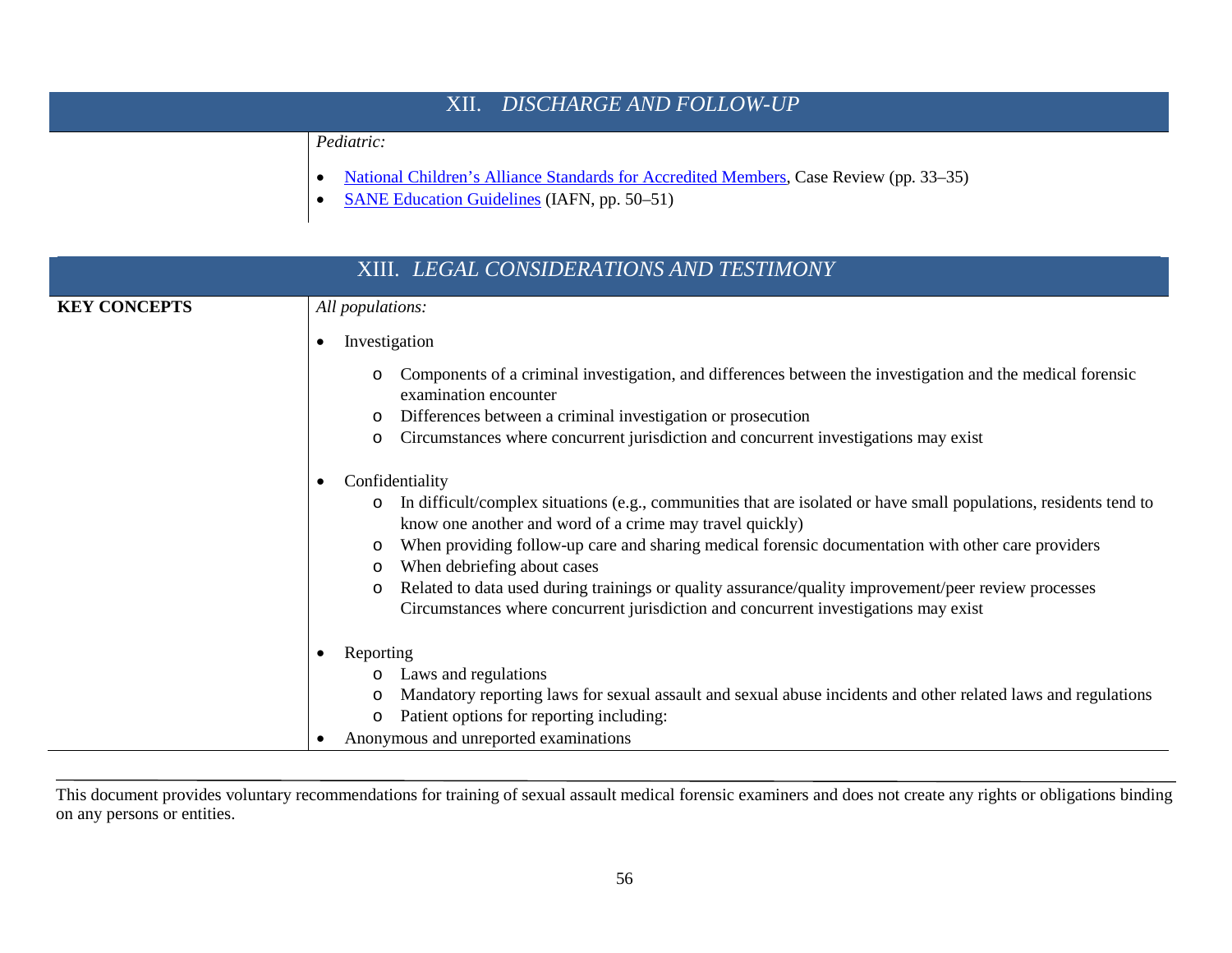| XII. DISCHARGE AND FOLLOW-UP |                                                                                                                                                                   |  |
|------------------------------|-------------------------------------------------------------------------------------------------------------------------------------------------------------------|--|
|                              | <i>Pediatric:</i><br>National Children's Alliance Standards for Accredited Members, Case Review (pp. 33–35)<br><b>SANE Education Guidelines (IAFN, pp. 50–51)</b> |  |

| XIII. LEGAL CONSIDERATIONS AND TESTIMONY |                                                                                                                                                                                                                                                                                                                                                                                                                                                                                                                                                                              |  |
|------------------------------------------|------------------------------------------------------------------------------------------------------------------------------------------------------------------------------------------------------------------------------------------------------------------------------------------------------------------------------------------------------------------------------------------------------------------------------------------------------------------------------------------------------------------------------------------------------------------------------|--|
| <b>KEY CONCEPTS</b>                      | All populations:                                                                                                                                                                                                                                                                                                                                                                                                                                                                                                                                                             |  |
|                                          | Investigation<br>$\bullet$                                                                                                                                                                                                                                                                                                                                                                                                                                                                                                                                                   |  |
|                                          | Components of a criminal investigation, and differences between the investigation and the medical forensic<br>examination encounter                                                                                                                                                                                                                                                                                                                                                                                                                                          |  |
|                                          | Differences between a criminal investigation or prosecution<br>Circumstances where concurrent jurisdiction and concurrent investigations may exist                                                                                                                                                                                                                                                                                                                                                                                                                           |  |
|                                          | O                                                                                                                                                                                                                                                                                                                                                                                                                                                                                                                                                                            |  |
|                                          | Confidentiality<br>$\bullet$<br>In difficult/complex situations (e.g., communities that are isolated or have small populations, residents tend to<br>$\circ$<br>know one another and word of a crime may travel quickly)<br>When providing follow-up care and sharing medical forensic documentation with other care providers<br>When debriefing about cases<br>O<br>Related to data used during trainings or quality assurance/quality improvement/peer review processes<br>$\circ$<br>Circumstances where concurrent jurisdiction and concurrent investigations may exist |  |
|                                          | Reporting<br>Laws and regulations<br>Mandatory reporting laws for sexual assault and sexual abuse incidents and other related laws and regulations<br>O<br>Patient options for reporting including:<br>$\circ$<br>Anonymous and unreported examinations                                                                                                                                                                                                                                                                                                                      |  |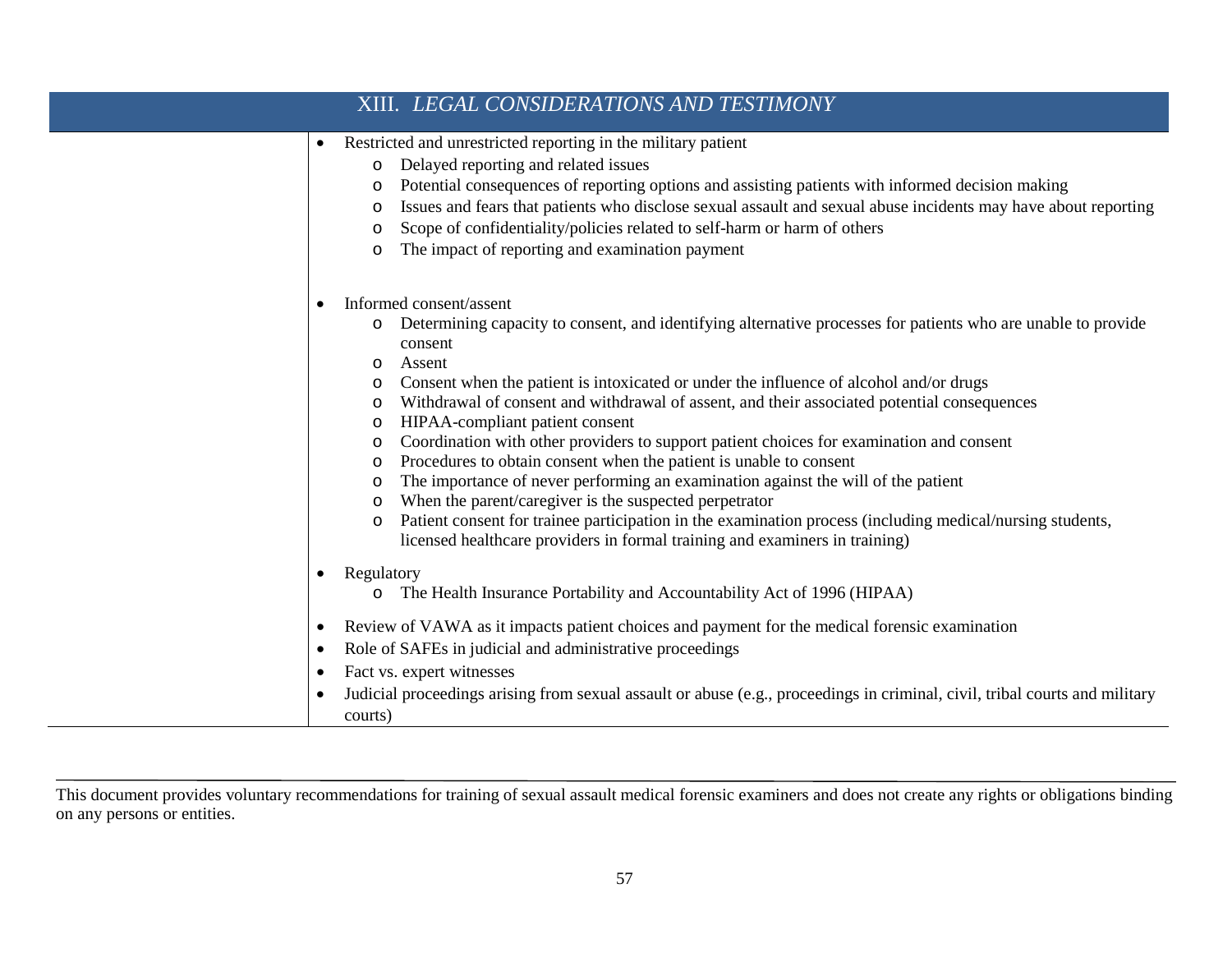|                                     | XIII. LEGAL CONSIDERATIONS AND TESTIMONY                                                                                                                                                                                                                                                                                                                                                                                                                                                                                                                                                                                                                                                                                                                                                                                                                                                                                                                             |
|-------------------------------------|----------------------------------------------------------------------------------------------------------------------------------------------------------------------------------------------------------------------------------------------------------------------------------------------------------------------------------------------------------------------------------------------------------------------------------------------------------------------------------------------------------------------------------------------------------------------------------------------------------------------------------------------------------------------------------------------------------------------------------------------------------------------------------------------------------------------------------------------------------------------------------------------------------------------------------------------------------------------|
| $\bullet$                           | Restricted and unrestricted reporting in the military patient<br>Delayed reporting and related issues<br>$\circ$<br>Potential consequences of reporting options and assisting patients with informed decision making<br>$\circ$<br>Issues and fears that patients who disclose sexual assault and sexual abuse incidents may have about reporting<br>O<br>Scope of confidentiality/policies related to self-harm or harm of others<br>O<br>The impact of reporting and examination payment<br>O                                                                                                                                                                                                                                                                                                                                                                                                                                                                      |
|                                     | Informed consent/assent<br>Determining capacity to consent, and identifying alternative processes for patients who are unable to provide<br>O<br>consent<br>Assent<br>$\circ$<br>Consent when the patient is intoxicated or under the influence of alcohol and/or drugs<br>O<br>Withdrawal of consent and withdrawal of assent, and their associated potential consequences<br>$\circ$<br>HIPAA-compliant patient consent<br>O<br>Coordination with other providers to support patient choices for examination and consent<br>O<br>Procedures to obtain consent when the patient is unable to consent<br>O<br>The importance of never performing an examination against the will of the patient<br>O<br>When the parent/caregiver is the suspected perpetrator<br>O<br>Patient consent for trainee participation in the examination process (including medical/nursing students,<br>O<br>licensed healthcare providers in formal training and examiners in training) |
| $\bullet$<br>$\bullet$<br>$\bullet$ | Regulatory<br>The Health Insurance Portability and Accountability Act of 1996 (HIPAA)<br>O<br>Review of VAWA as it impacts patient choices and payment for the medical forensic examination<br>Role of SAFEs in judicial and administrative proceedings<br>Fact vs. expert witnesses<br>Judicial proceedings arising from sexual assault or abuse (e.g., proceedings in criminal, civil, tribal courts and military<br>courts)                                                                                                                                                                                                                                                                                                                                                                                                                                                                                                                                       |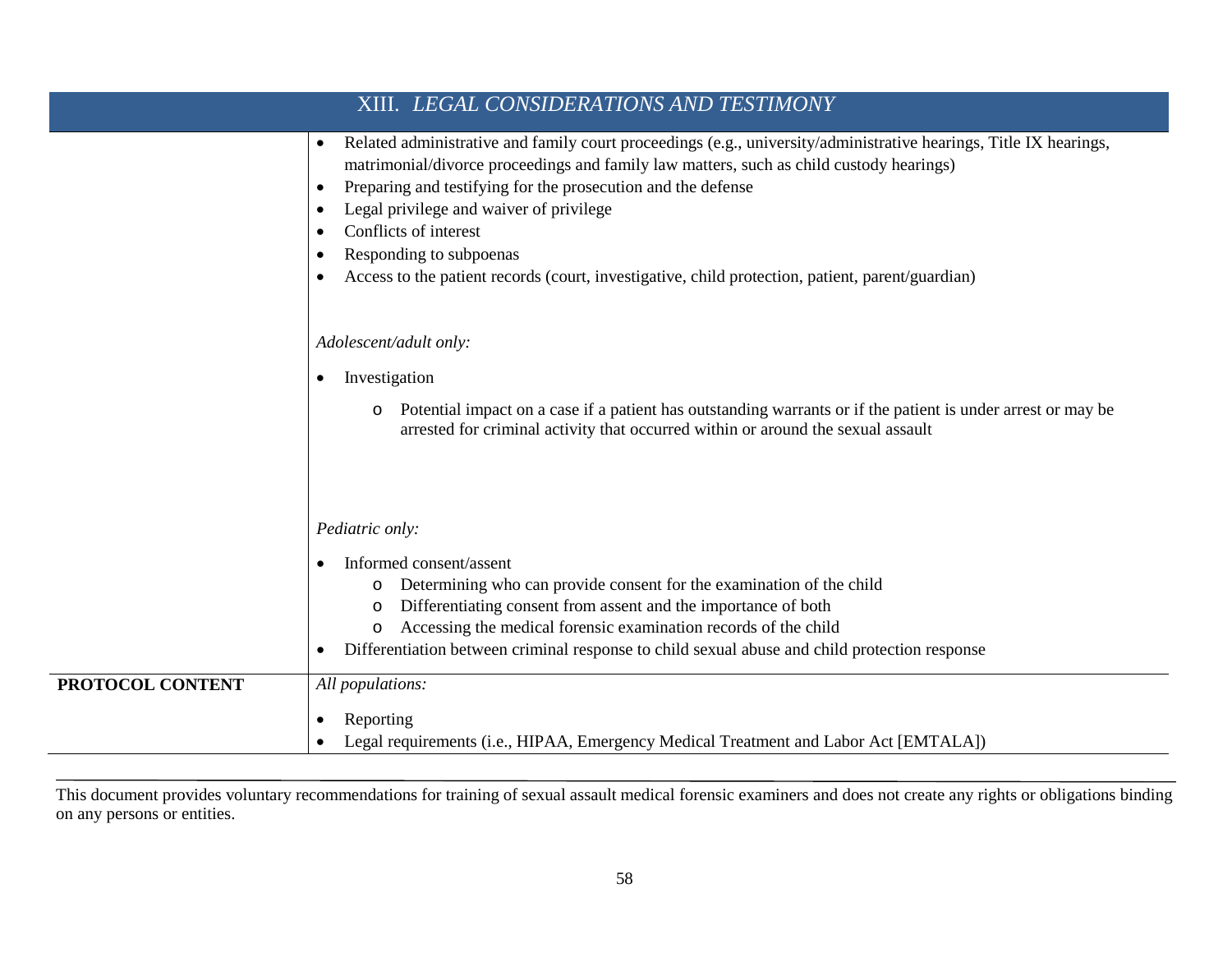|                         | XIII. LEGAL CONSIDERATIONS AND TESTIMONY                                                                                                                                                                                                                                                                                                                                                                                                                                                                                            |
|-------------------------|-------------------------------------------------------------------------------------------------------------------------------------------------------------------------------------------------------------------------------------------------------------------------------------------------------------------------------------------------------------------------------------------------------------------------------------------------------------------------------------------------------------------------------------|
|                         | Related administrative and family court proceedings (e.g., university/administrative hearings, Title IX hearings,<br>$\bullet$<br>matrimonial/divorce proceedings and family law matters, such as child custody hearings)<br>Preparing and testifying for the prosecution and the defense<br>$\bullet$<br>Legal privilege and waiver of privilege<br>$\bullet$<br>Conflicts of interest<br>Responding to subpoenas<br>$\bullet$<br>Access to the patient records (court, investigative, child protection, patient, parent/guardian) |
|                         | Adolescent/adult only:<br>Investigation<br>$\bullet$                                                                                                                                                                                                                                                                                                                                                                                                                                                                                |
|                         | Potential impact on a case if a patient has outstanding warrants or if the patient is under arrest or may be<br>$\circ$<br>arrested for criminal activity that occurred within or around the sexual assault                                                                                                                                                                                                                                                                                                                         |
|                         | Pediatric only:                                                                                                                                                                                                                                                                                                                                                                                                                                                                                                                     |
|                         | Informed consent/assent<br>Determining who can provide consent for the examination of the child<br>Differentiating consent from assent and the importance of both<br>$\circ$<br>Accessing the medical forensic examination records of the child<br>O<br>Differentiation between criminal response to child sexual abuse and child protection response<br>$\bullet$                                                                                                                                                                  |
| <b>PROTOCOL CONTENT</b> | All populations:<br>Reporting<br>Legal requirements (i.e., HIPAA, Emergency Medical Treatment and Labor Act [EMTALA])                                                                                                                                                                                                                                                                                                                                                                                                               |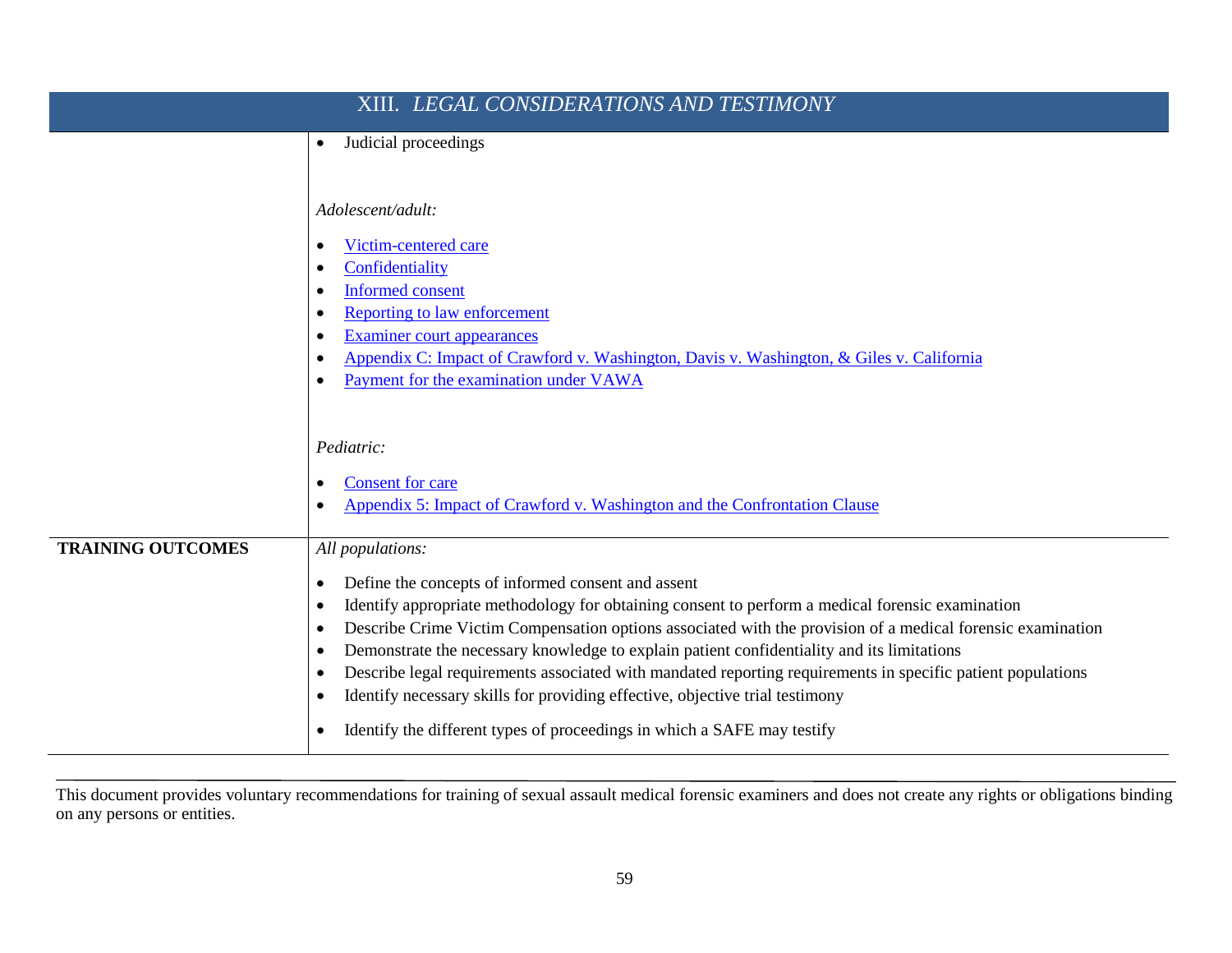| XIII. LEGAL CONSIDERATIONS AND TESTIMONY |                                                                                                                                                                                                           |  |
|------------------------------------------|-----------------------------------------------------------------------------------------------------------------------------------------------------------------------------------------------------------|--|
|                                          | Judicial proceedings<br>$\bullet$                                                                                                                                                                         |  |
|                                          |                                                                                                                                                                                                           |  |
|                                          | Adolescent/adult:                                                                                                                                                                                         |  |
|                                          | Victim-centered care                                                                                                                                                                                      |  |
|                                          | Confidentiality<br><b>Informed consent</b>                                                                                                                                                                |  |
|                                          | <b>Reporting to law enforcement</b>                                                                                                                                                                       |  |
|                                          | Examiner court appearances                                                                                                                                                                                |  |
|                                          | Appendix C: Impact of Crawford v. Washington, Davis v. Washington, & Giles v. California<br>Payment for the examination under VAWA                                                                        |  |
|                                          |                                                                                                                                                                                                           |  |
|                                          | Pediatric:                                                                                                                                                                                                |  |
|                                          | <b>Consent for care</b>                                                                                                                                                                                   |  |
|                                          | Appendix 5: Impact of Crawford v. Washington and the Confrontation Clause                                                                                                                                 |  |
| <b>TRAINING OUTCOMES</b>                 | All populations:                                                                                                                                                                                          |  |
|                                          | Define the concepts of informed consent and assent<br>$\bullet$                                                                                                                                           |  |
|                                          | Identify appropriate methodology for obtaining consent to perform a medical forensic examination<br>$\bullet$                                                                                             |  |
|                                          | Describe Crime Victim Compensation options associated with the provision of a medical forensic examination<br>$\bullet$                                                                                   |  |
|                                          | Demonstrate the necessary knowledge to explain patient confidentiality and its limitations<br>Describe legal requirements associated with mandated reporting requirements in specific patient populations |  |
|                                          | Identify necessary skills for providing effective, objective trial testimony<br>$\bullet$                                                                                                                 |  |
|                                          | Identify the different types of proceedings in which a SAFE may testify                                                                                                                                   |  |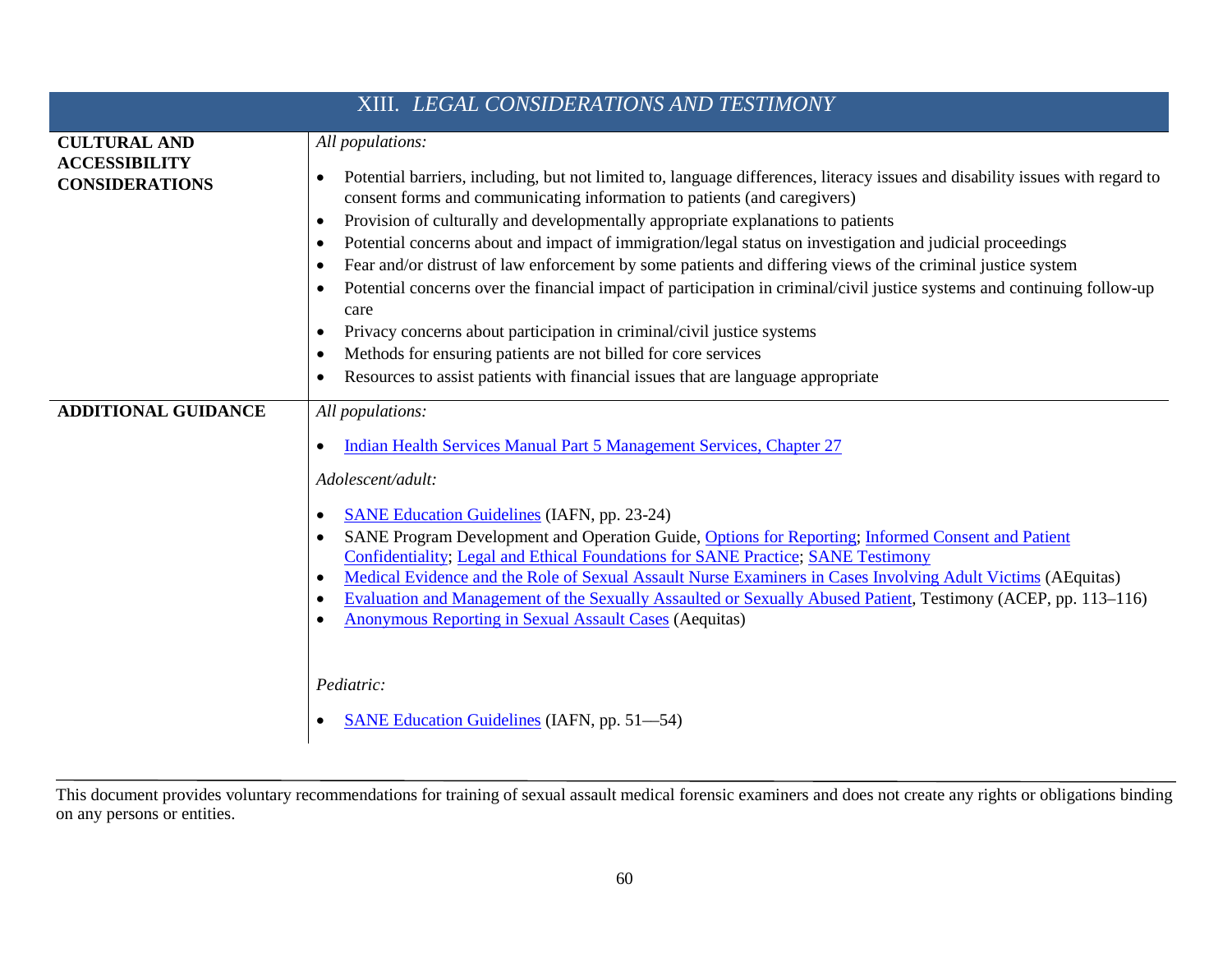| XIII. LEGAL CONSIDERATIONS AND TESTIMONY                             |                                                                                                                                                                                                                                                                                                                                                                                                                                                                                                                                                                                                                                                                                                                                                                                                                                                                                                                                                                    |  |
|----------------------------------------------------------------------|--------------------------------------------------------------------------------------------------------------------------------------------------------------------------------------------------------------------------------------------------------------------------------------------------------------------------------------------------------------------------------------------------------------------------------------------------------------------------------------------------------------------------------------------------------------------------------------------------------------------------------------------------------------------------------------------------------------------------------------------------------------------------------------------------------------------------------------------------------------------------------------------------------------------------------------------------------------------|--|
| <b>CULTURAL AND</b><br><b>ACCESSIBILITY</b><br><b>CONSIDERATIONS</b> | All populations:<br>Potential barriers, including, but not limited to, language differences, literacy issues and disability issues with regard to<br>$\bullet$<br>consent forms and communicating information to patients (and caregivers)<br>Provision of culturally and developmentally appropriate explanations to patients<br>$\bullet$<br>Potential concerns about and impact of immigration/legal status on investigation and judicial proceedings<br>$\bullet$<br>Fear and/or distrust of law enforcement by some patients and differing views of the criminal justice system<br>٠<br>Potential concerns over the financial impact of participation in criminal/civil justice systems and continuing follow-up<br>care<br>Privacy concerns about participation in criminal/civil justice systems<br>Methods for ensuring patients are not billed for core services<br>Resources to assist patients with financial issues that are language appropriate<br>٠ |  |
| <b>ADDITIONAL GUIDANCE</b>                                           | All populations:<br>Indian Health Services Manual Part 5 Management Services, Chapter 27<br>$\bullet$<br>Adolescent/adult:<br><b>SANE Education Guidelines (IAFN, pp. 23-24)</b><br>$\bullet$<br>SANE Program Development and Operation Guide, Options for Reporting; Informed Consent and Patient<br>Confidentiality; Legal and Ethical Foundations for SANE Practice; SANE Testimony<br>Medical Evidence and the Role of Sexual Assault Nurse Examiners in Cases Involving Adult Victims (AEquitas)<br>$\bullet$<br>Evaluation and Management of the Sexually Assaulted or Sexually Abused Patient, Testimony (ACEP, pp. 113-116)<br>$\bullet$<br><b>Anonymous Reporting in Sexual Assault Cases (Aequitas)</b><br>Pediatric:<br><b>SANE Education Guidelines (IAFN, pp. 51–54)</b>                                                                                                                                                                              |  |

This document provides voluntary recommendations for training of sexual assault medical forensic examiners and does not create any rights or obligations binding on any persons or entities.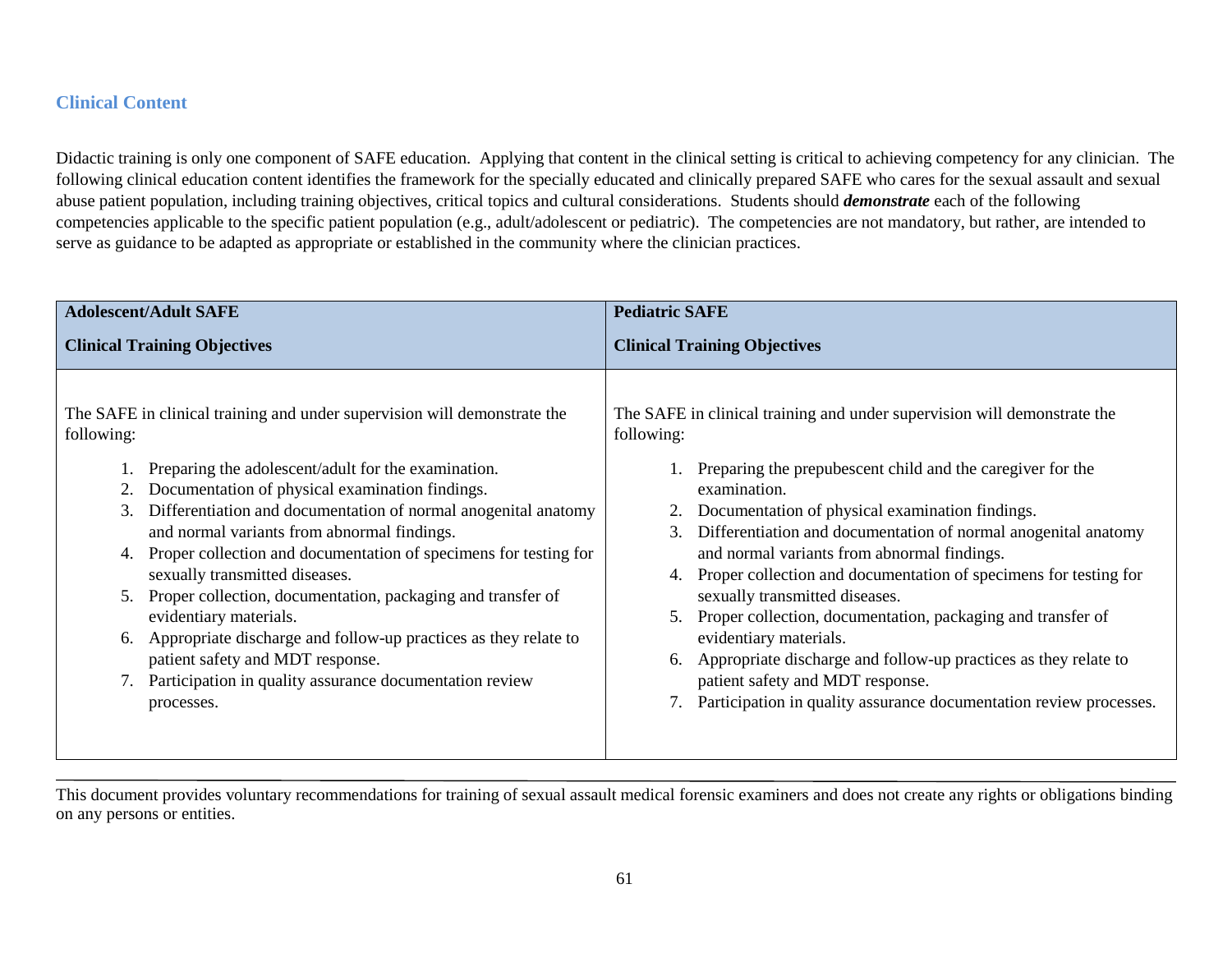#### **Clinical Content**

Didactic training is only one component of SAFE education. Applying that content in the clinical setting is critical to achieving competency for any clinician. The following clinical education content identifies the framework for the specially educated and clinically prepared SAFE who cares for the sexual assault and sexual abuse patient population, including training objectives, critical topics and cultural considerations. Students should *demonstrate* each of the following competencies applicable to the specific patient population (e.g., adult/adolescent or pediatric). The competencies are not mandatory, but rather, are intended to serve as guidance to be adapted as appropriate or established in the community where the clinician practices.

| <b>Adolescent/Adult SAFE</b>                                                                                                                                                                                                                                                                                                                                                                                                                                                                                                                                                                                                                                                                                       | <b>Pediatric SAFE</b>                                                                                                                                                                                                                                                                                                                                                                                                                                                                                                                                                                                                                                                                                                                        |
|--------------------------------------------------------------------------------------------------------------------------------------------------------------------------------------------------------------------------------------------------------------------------------------------------------------------------------------------------------------------------------------------------------------------------------------------------------------------------------------------------------------------------------------------------------------------------------------------------------------------------------------------------------------------------------------------------------------------|----------------------------------------------------------------------------------------------------------------------------------------------------------------------------------------------------------------------------------------------------------------------------------------------------------------------------------------------------------------------------------------------------------------------------------------------------------------------------------------------------------------------------------------------------------------------------------------------------------------------------------------------------------------------------------------------------------------------------------------------|
| <b>Clinical Training Objectives</b>                                                                                                                                                                                                                                                                                                                                                                                                                                                                                                                                                                                                                                                                                | <b>Clinical Training Objectives</b>                                                                                                                                                                                                                                                                                                                                                                                                                                                                                                                                                                                                                                                                                                          |
| The SAFE in clinical training and under supervision will demonstrate the<br>following:<br>Preparing the adolescent/adult for the examination.<br>Documentation of physical examination findings.<br>Differentiation and documentation of normal anogenital anatomy<br>3.<br>and normal variants from abnormal findings.<br>Proper collection and documentation of specimens for testing for<br>sexually transmitted diseases.<br>Proper collection, documentation, packaging and transfer of<br>5.<br>evidentiary materials.<br>Appropriate discharge and follow-up practices as they relate to<br>6.<br>patient safety and MDT response.<br>Participation in quality assurance documentation review<br>processes. | The SAFE in clinical training and under supervision will demonstrate the<br>following:<br>1. Preparing the prepubescent child and the caregiver for the<br>examination.<br>Documentation of physical examination findings.<br>Differentiation and documentation of normal anogenital anatomy<br>3.<br>and normal variants from abnormal findings.<br>4. Proper collection and documentation of specimens for testing for<br>sexually transmitted diseases.<br>Proper collection, documentation, packaging and transfer of<br>5.<br>evidentiary materials.<br>Appropriate discharge and follow-up practices as they relate to<br>6.<br>patient safety and MDT response.<br>Participation in quality assurance documentation review processes. |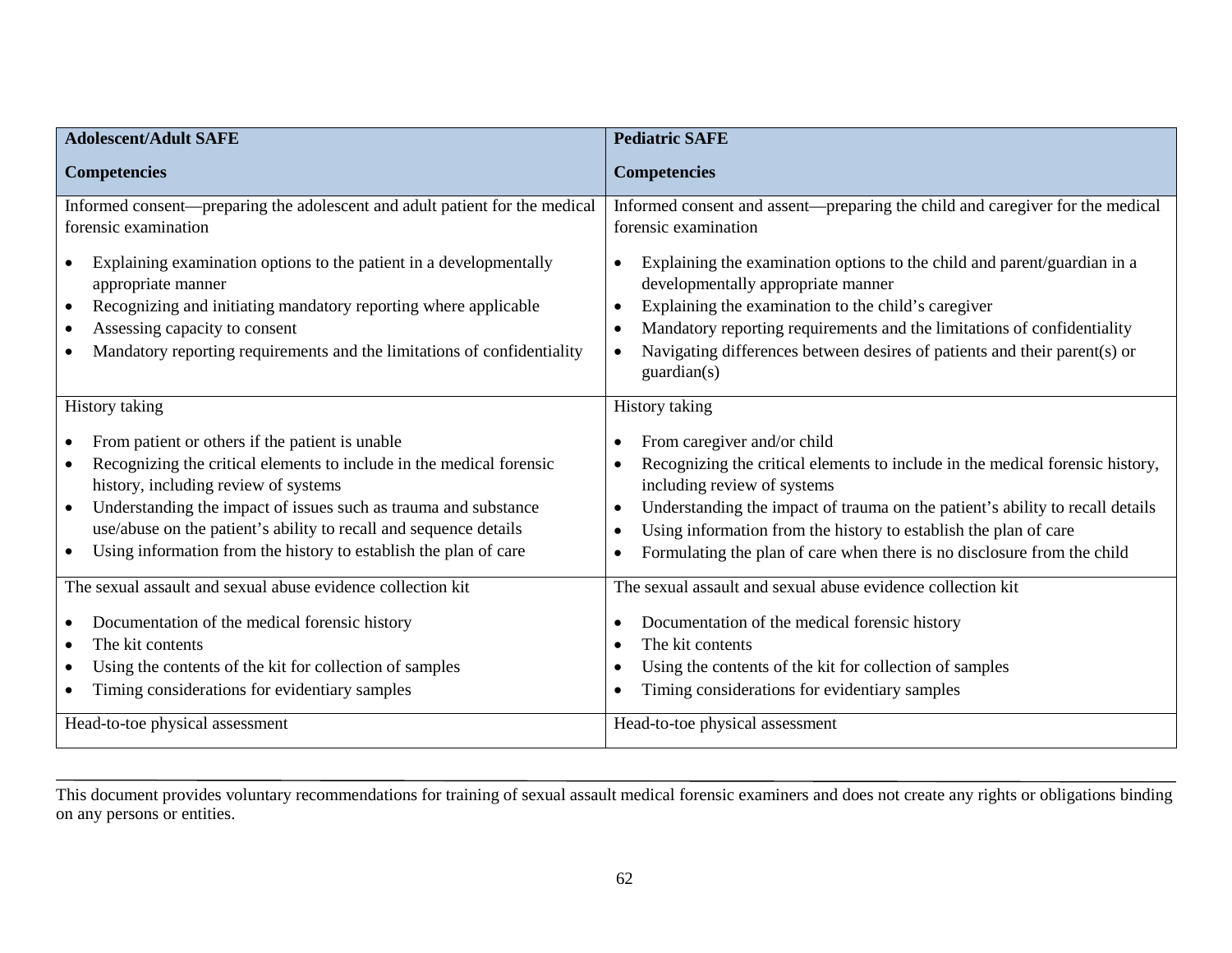| <b>Adolescent/Adult SAFE</b>                                                                                                                                                                                                                                                                                                                                                                                       | <b>Pediatric SAFE</b>                                                                                                                                                                                                                                                                                                                                                                                                                        |
|--------------------------------------------------------------------------------------------------------------------------------------------------------------------------------------------------------------------------------------------------------------------------------------------------------------------------------------------------------------------------------------------------------------------|----------------------------------------------------------------------------------------------------------------------------------------------------------------------------------------------------------------------------------------------------------------------------------------------------------------------------------------------------------------------------------------------------------------------------------------------|
| <b>Competencies</b>                                                                                                                                                                                                                                                                                                                                                                                                | <b>Competencies</b>                                                                                                                                                                                                                                                                                                                                                                                                                          |
| Informed consent-preparing the adolescent and adult patient for the medical<br>forensic examination                                                                                                                                                                                                                                                                                                                | Informed consent and assent—preparing the child and caregiver for the medical<br>forensic examination                                                                                                                                                                                                                                                                                                                                        |
| Explaining examination options to the patient in a developmentally<br>appropriate manner<br>Recognizing and initiating mandatory reporting where applicable<br>$\bullet$<br>Assessing capacity to consent<br>Mandatory reporting requirements and the limitations of confidentiality                                                                                                                               | Explaining the examination options to the child and parent/guardian in a<br>$\bullet$<br>developmentally appropriate manner<br>Explaining the examination to the child's caregiver<br>$\bullet$<br>Mandatory reporting requirements and the limitations of confidentiality<br>$\bullet$<br>Navigating differences between desires of patients and their parent(s) or<br>$\bullet$<br>guardian(s)                                             |
| <b>History taking</b>                                                                                                                                                                                                                                                                                                                                                                                              | History taking                                                                                                                                                                                                                                                                                                                                                                                                                               |
| From patient or others if the patient is unable<br>$\bullet$<br>Recognizing the critical elements to include in the medical forensic<br>history, including review of systems<br>Understanding the impact of issues such as trauma and substance<br>$\bullet$<br>use/abuse on the patient's ability to recall and sequence details<br>Using information from the history to establish the plan of care<br>$\bullet$ | From caregiver and/or child<br>$\bullet$<br>Recognizing the critical elements to include in the medical forensic history,<br>$\bullet$<br>including review of systems<br>Understanding the impact of trauma on the patient's ability to recall details<br>$\bullet$<br>Using information from the history to establish the plan of care<br>$\bullet$<br>Formulating the plan of care when there is no disclosure from the child<br>$\bullet$ |
| The sexual assault and sexual abuse evidence collection kit<br>Documentation of the medical forensic history<br>The kit contents<br>$\bullet$<br>Using the contents of the kit for collection of samples<br>Timing considerations for evidentiary samples                                                                                                                                                          | The sexual assault and sexual abuse evidence collection kit<br>Documentation of the medical forensic history<br>$\bullet$<br>The kit contents<br>$\bullet$<br>Using the contents of the kit for collection of samples<br>$\bullet$<br>Timing considerations for evidentiary samples<br>$\bullet$                                                                                                                                             |
| Head-to-toe physical assessment                                                                                                                                                                                                                                                                                                                                                                                    | Head-to-toe physical assessment                                                                                                                                                                                                                                                                                                                                                                                                              |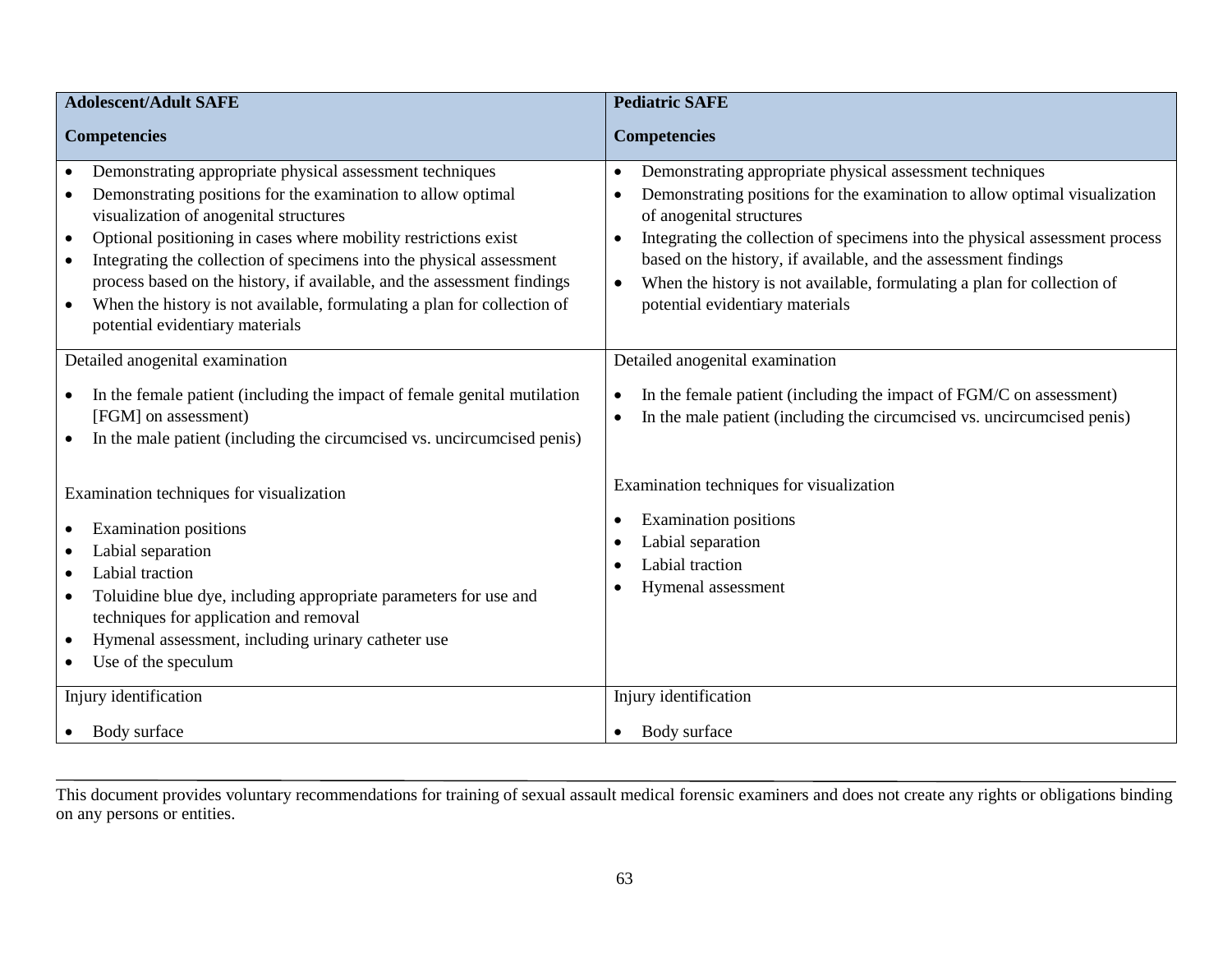| <b>Adolescent/Adult SAFE</b>                                                                                                                                                                                                                                                                                                                                                                                                                                                                                                                  | <b>Pediatric SAFE</b>                                                                                                                                                                                                                                                                                                                                                                                                                                                      |  |
|-----------------------------------------------------------------------------------------------------------------------------------------------------------------------------------------------------------------------------------------------------------------------------------------------------------------------------------------------------------------------------------------------------------------------------------------------------------------------------------------------------------------------------------------------|----------------------------------------------------------------------------------------------------------------------------------------------------------------------------------------------------------------------------------------------------------------------------------------------------------------------------------------------------------------------------------------------------------------------------------------------------------------------------|--|
| <b>Competencies</b>                                                                                                                                                                                                                                                                                                                                                                                                                                                                                                                           | <b>Competencies</b>                                                                                                                                                                                                                                                                                                                                                                                                                                                        |  |
| Demonstrating appropriate physical assessment techniques<br>Demonstrating positions for the examination to allow optimal<br>visualization of anogenital structures<br>Optional positioning in cases where mobility restrictions exist<br>$\bullet$<br>Integrating the collection of specimens into the physical assessment<br>$\bullet$<br>process based on the history, if available, and the assessment findings<br>When the history is not available, formulating a plan for collection of<br>$\bullet$<br>potential evidentiary materials | Demonstrating appropriate physical assessment techniques<br>$\bullet$<br>Demonstrating positions for the examination to allow optimal visualization<br>$\bullet$<br>of anogenital structures<br>Integrating the collection of specimens into the physical assessment process<br>based on the history, if available, and the assessment findings<br>When the history is not available, formulating a plan for collection of<br>$\bullet$<br>potential evidentiary materials |  |
| Detailed anogenital examination<br>In the female patient (including the impact of female genital mutilation<br>[FGM] on assessment)<br>In the male patient (including the circumcised vs. uncircumcised penis)                                                                                                                                                                                                                                                                                                                                | Detailed anogenital examination<br>In the female patient (including the impact of FGM/C on assessment)<br>$\bullet$<br>In the male patient (including the circumcised vs. uncircumcised penis)<br>$\bullet$                                                                                                                                                                                                                                                                |  |
| Examination techniques for visualization<br><b>Examination positions</b><br>Labial separation<br>Labial traction<br>$\bullet$<br>Toluidine blue dye, including appropriate parameters for use and<br>$\bullet$<br>techniques for application and removal<br>Hymenal assessment, including urinary catheter use<br>٠<br>Use of the speculum<br>$\bullet$                                                                                                                                                                                       | Examination techniques for visualization<br><b>Examination positions</b><br>$\bullet$<br>Labial separation<br>$\bullet$<br>Labial traction<br>$\bullet$<br>Hymenal assessment<br>٠                                                                                                                                                                                                                                                                                         |  |
| Injury identification                                                                                                                                                                                                                                                                                                                                                                                                                                                                                                                         | Injury identification                                                                                                                                                                                                                                                                                                                                                                                                                                                      |  |
| Body surface                                                                                                                                                                                                                                                                                                                                                                                                                                                                                                                                  | Body surface                                                                                                                                                                                                                                                                                                                                                                                                                                                               |  |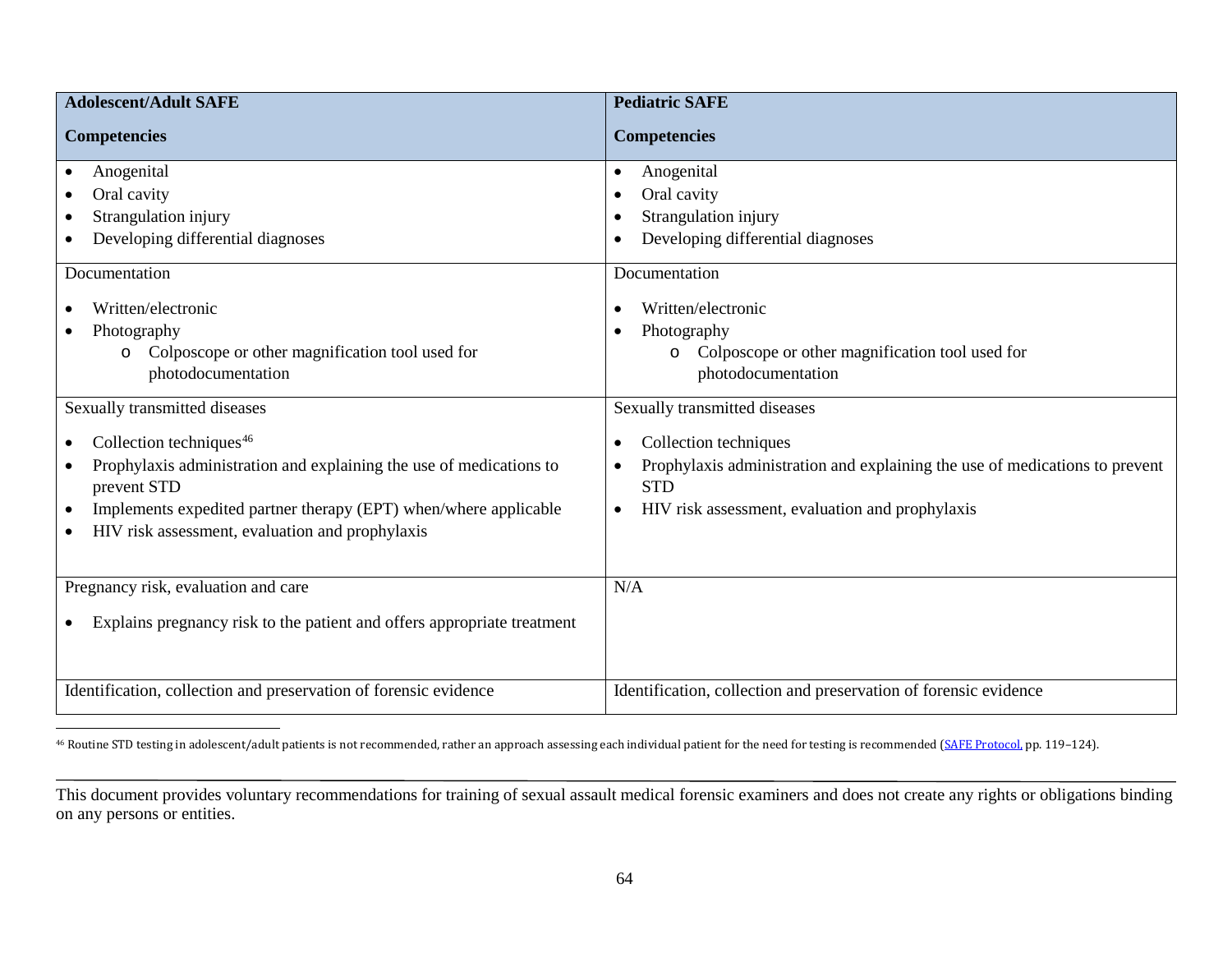<span id="page-68-0"></span>

| <b>Adolescent/Adult SAFE</b>                                                                                                                                                                                                                                               | <b>Pediatric SAFE</b>                                                                                                                                                                           |
|----------------------------------------------------------------------------------------------------------------------------------------------------------------------------------------------------------------------------------------------------------------------------|-------------------------------------------------------------------------------------------------------------------------------------------------------------------------------------------------|
| <b>Competencies</b>                                                                                                                                                                                                                                                        | <b>Competencies</b>                                                                                                                                                                             |
| Anogenital<br>$\bullet$<br>Oral cavity<br>Strangulation injury<br>$\bullet$<br>Developing differential diagnoses<br>Documentation                                                                                                                                          | Anogenital<br>$\bullet$<br>Oral cavity<br>$\bullet$<br>Strangulation injury<br>Developing differential diagnoses<br>Documentation                                                               |
| Written/electronic<br>Photography<br>Colposcope or other magnification tool used for<br>O<br>photodocumentation                                                                                                                                                            | Written/electronic<br>$\bullet$<br>Photography<br>$\bullet$<br>Colposcope or other magnification tool used for<br>$\circ$<br>photodocumentation                                                 |
| Sexually transmitted diseases                                                                                                                                                                                                                                              | Sexually transmitted diseases                                                                                                                                                                   |
| Collection techniques <sup>46</sup><br>$\bullet$<br>Prophylaxis administration and explaining the use of medications to<br>prevent STD<br>Implements expedited partner therapy (EPT) when/where applicable<br>$\bullet$<br>HIV risk assessment, evaluation and prophylaxis | Collection techniques<br>$\bullet$<br>Prophylaxis administration and explaining the use of medications to prevent<br><b>STD</b><br>HIV risk assessment, evaluation and prophylaxis<br>$\bullet$ |
| Pregnancy risk, evaluation and care                                                                                                                                                                                                                                        | N/A                                                                                                                                                                                             |
| Explains pregnancy risk to the patient and offers appropriate treatment                                                                                                                                                                                                    |                                                                                                                                                                                                 |
| Identification, collection and preservation of forensic evidence                                                                                                                                                                                                           | Identification, collection and preservation of forensic evidence                                                                                                                                |

<sup>46</sup> Routine STD testing in adolescent/adult patients is not recommended, rather an approach assessing each individual patient for the need for testing is recommended [\(SAFE Protocol,](https://c.ymcdn.com/sites/safetasource.site-ym.com/resource/resmgr/Protocol_documents/SAFE_PROTOCOL_2012-508.pdf) pp. 119-124).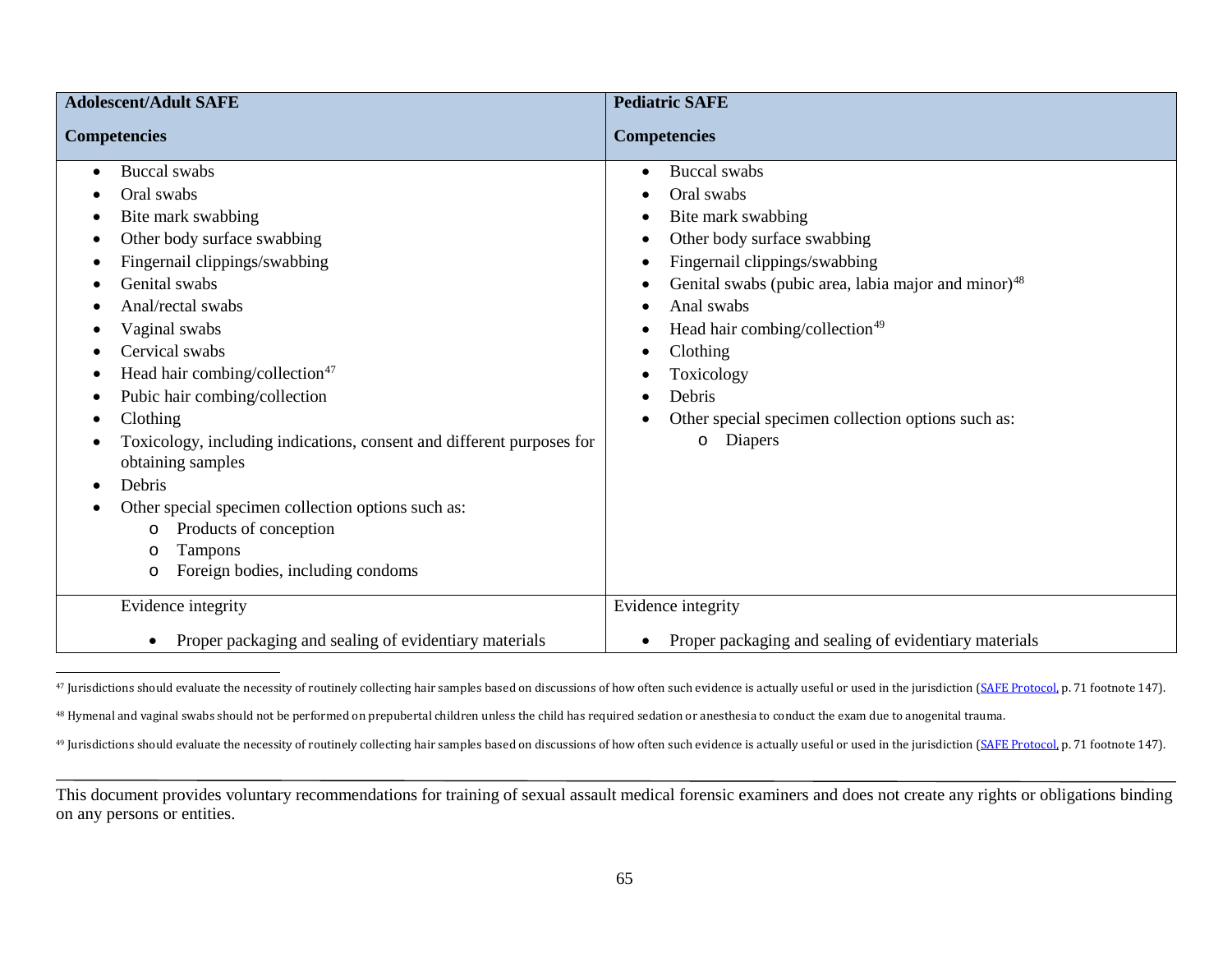<span id="page-69-2"></span><span id="page-69-1"></span><span id="page-69-0"></span>

| <b>Adolescent/Adult SAFE</b>                                                                                                                                                                                                                                                                                                                                                                                                                                                                                                                                                       | <b>Pediatric SAFE</b>                                                                                                                                                                                                                                                                                                                                                                                                                                               |
|------------------------------------------------------------------------------------------------------------------------------------------------------------------------------------------------------------------------------------------------------------------------------------------------------------------------------------------------------------------------------------------------------------------------------------------------------------------------------------------------------------------------------------------------------------------------------------|---------------------------------------------------------------------------------------------------------------------------------------------------------------------------------------------------------------------------------------------------------------------------------------------------------------------------------------------------------------------------------------------------------------------------------------------------------------------|
| <b>Competencies</b>                                                                                                                                                                                                                                                                                                                                                                                                                                                                                                                                                                | <b>Competencies</b>                                                                                                                                                                                                                                                                                                                                                                                                                                                 |
| <b>Buccal</b> swabs<br>$\bullet$<br>Oral swabs<br>Bite mark swabbing<br>Other body surface swabbing<br>Fingernail clippings/swabbing<br>Genital swabs<br>Anal/rectal swabs<br>Vaginal swabs<br>Cervical swabs<br>Head hair combing/collection <sup>47</sup><br>Pubic hair combing/collection<br>Clothing<br>Toxicology, including indications, consent and different purposes for<br>obtaining samples<br>Debris<br>$\bullet$<br>Other special specimen collection options such as:<br>Products of conception<br>O<br>Tampons<br>$\circ$<br>Foreign bodies, including condoms<br>O | <b>Buccal</b> swabs<br>$\bullet$<br>Oral swabs<br>Bite mark swabbing<br>٠<br>Other body surface swabbing<br>٠<br>Fingernail clippings/swabbing<br>$\bullet$<br>Genital swabs (pubic area, labia major and minor) <sup>48</sup><br>٠<br>Anal swabs<br>$\bullet$<br>Head hair combing/collection <sup>49</sup><br>$\bullet$<br>Clothing<br>$\bullet$<br>Toxicology<br>Debris<br>$\bullet$<br>Other special specimen collection options such as:<br>Diapers<br>$\circ$ |
| Evidence integrity                                                                                                                                                                                                                                                                                                                                                                                                                                                                                                                                                                 | Evidence integrity                                                                                                                                                                                                                                                                                                                                                                                                                                                  |
| Proper packaging and sealing of evidentiary materials<br>$\bullet$                                                                                                                                                                                                                                                                                                                                                                                                                                                                                                                 | Proper packaging and sealing of evidentiary materials<br>$\bullet$                                                                                                                                                                                                                                                                                                                                                                                                  |

<sup>47</sup> Jurisdictions should evaluate the necessity of routinely collecting hair samples based on discussions of how often such evidence is actually useful or used in the jurisdiction [\(SAFE Protocol,](https://c.ymcdn.com/sites/safetasource.site-ym.com/resource/resmgr/Protocol_documents/SAFE_PROTOCOL_2012-508.pdf) p. 71 footnote 147).

<sup>48</sup> Hymenal and vaginal swabs should not be performed on prepubertal children unless the child has required sedation or anesthesia to conduct the exam due to anogenital trauma.

<sup>49</sup> Jurisdictions should evaluate the necessity of routinely collecting hair samples based on discussions of how often such evidence is actually useful or used in the jurisdiction [\(SAFE Protocol,](https://c.ymcdn.com/sites/safetasource.site-ym.com/resource/resmgr/Protocol_documents/SAFE_PROTOCOL_2012-508.pdf) p. 71 footnote 147).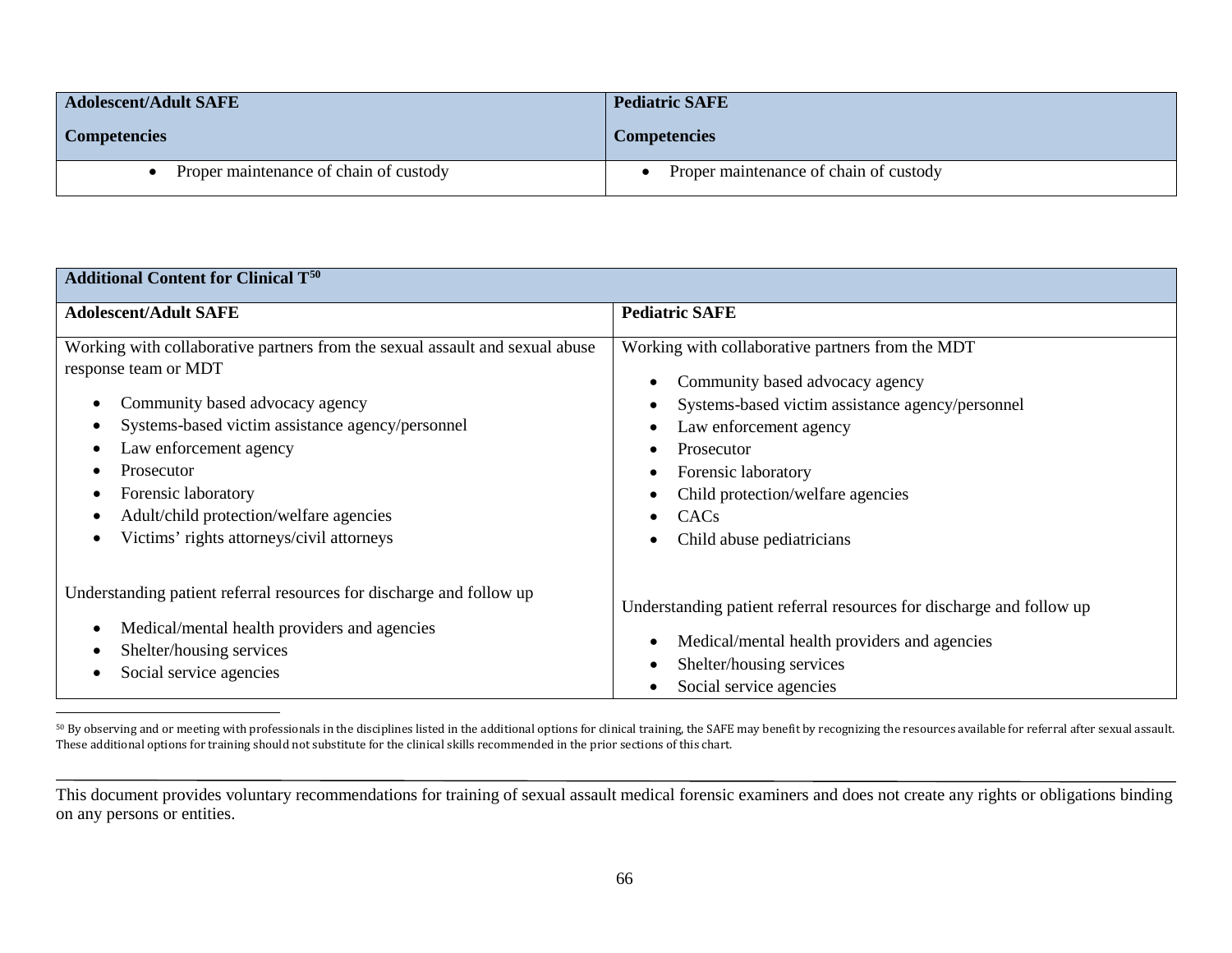<span id="page-70-0"></span>

| <b>Adolescent/Adult SAFE</b>           | <b>Pediatric SAFE</b>                  |
|----------------------------------------|----------------------------------------|
| <b>Competencies</b>                    | <b>Competencies</b>                    |
| Proper maintenance of chain of custody | Proper maintenance of chain of custody |

| <b>Additional Content for Clinical T<sup>50</sup></b>                        |                                                                      |  |
|------------------------------------------------------------------------------|----------------------------------------------------------------------|--|
| <b>Adolescent/Adult SAFE</b>                                                 | <b>Pediatric SAFE</b>                                                |  |
| Working with collaborative partners from the sexual assault and sexual abuse | Working with collaborative partners from the MDT                     |  |
| response team or MDT                                                         | Community based advocacy agency                                      |  |
| Community based advocacy agency                                              | Systems-based victim assistance agency/personnel                     |  |
| Systems-based victim assistance agency/personnel                             | Law enforcement agency                                               |  |
| Law enforcement agency                                                       | Prosecutor                                                           |  |
| Prosecutor                                                                   | Forensic laboratory                                                  |  |
| Forensic laboratory                                                          | Child protection/welfare agencies                                    |  |
| Adult/child protection/welfare agencies                                      | CAC <sub>s</sub>                                                     |  |
| Victims' rights attorneys/civil attorneys                                    | Child abuse pediatricians                                            |  |
| Understanding patient referral resources for discharge and follow up         | Understanding patient referral resources for discharge and follow up |  |
| Medical/mental health providers and agencies                                 | Medical/mental health providers and agencies                         |  |
| Shelter/housing services                                                     | Shelter/housing services                                             |  |
| Social service agencies                                                      | Social service agencies                                              |  |

 50 By observing and or meeting with professionals in the disciplines listed in the additional options for clinical training, the SAFE may benefit by recognizing the resources available for referral after sexual assault. These additional options for training should not substitute for the clinical skills recommended in the prior sections of this chart.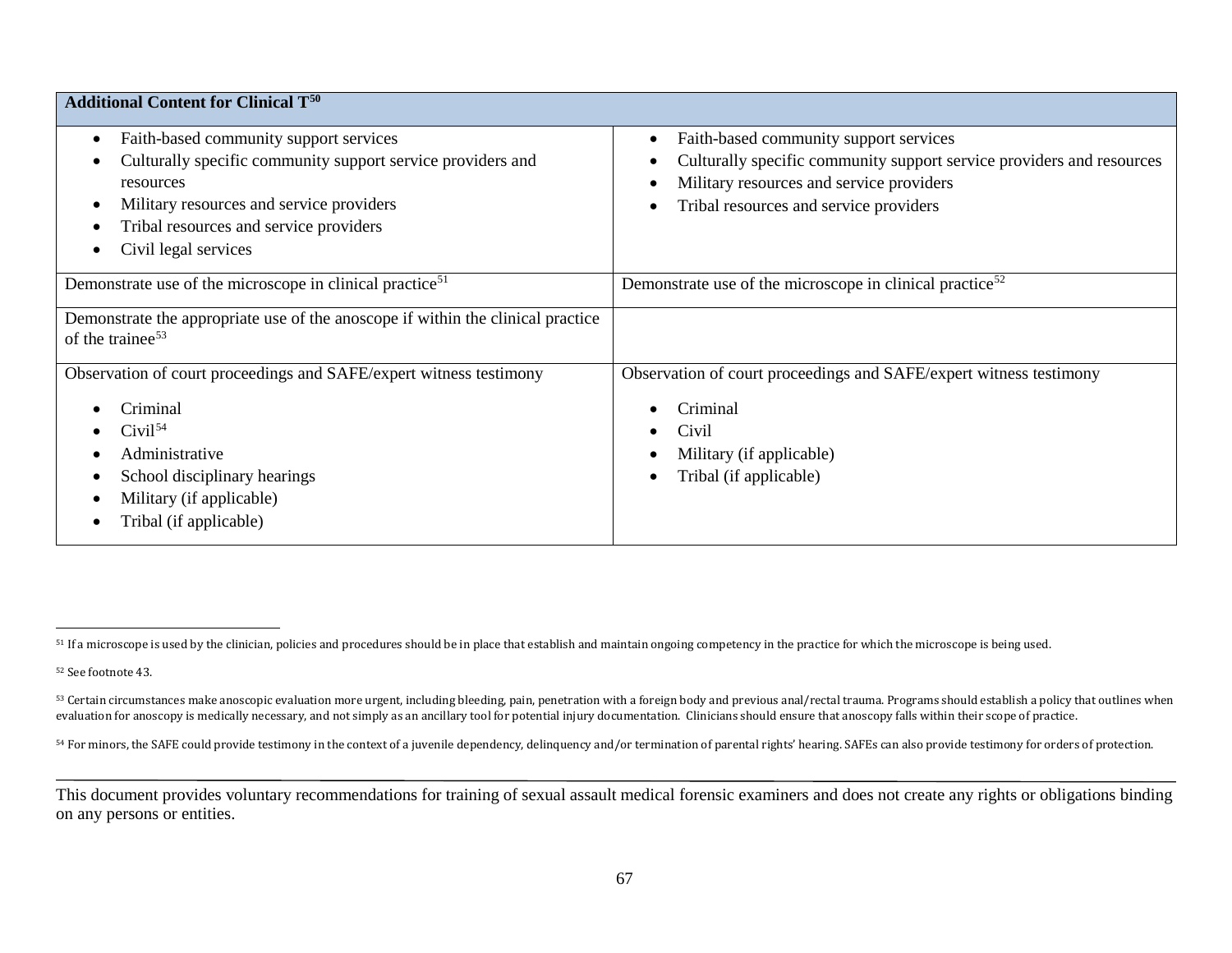<span id="page-71-3"></span><span id="page-71-2"></span><span id="page-71-1"></span><span id="page-71-0"></span>

| <b>Additional Content for Clinical T<sup>50</sup></b>                                                                                                                                                                                         |                                                                                                                                                                                                       |
|-----------------------------------------------------------------------------------------------------------------------------------------------------------------------------------------------------------------------------------------------|-------------------------------------------------------------------------------------------------------------------------------------------------------------------------------------------------------|
| Faith-based community support services<br>$\bullet$<br>Culturally specific community support service providers and<br>resources<br>Military resources and service providers<br>Tribal resources and service providers<br>Civil legal services | Faith-based community support services<br>Culturally specific community support service providers and resources<br>Military resources and service providers<br>Tribal resources and service providers |
| Demonstrate use of the microscope in clinical practice <sup>51</sup>                                                                                                                                                                          | Demonstrate use of the microscope in clinical practice <sup>52</sup>                                                                                                                                  |
| Demonstrate the appropriate use of the anoscope if within the clinical practice<br>of the trainee <sup>53</sup>                                                                                                                               |                                                                                                                                                                                                       |
| Observation of court proceedings and SAFE/expert witness testimony<br>Criminal<br>Civil <sup>54</sup><br>Administrative<br>School disciplinary hearings<br>Military (if applicable)<br>Tribal (if applicable)                                 | Observation of court proceedings and SAFE/expert witness testimony<br>Criminal<br>Civil<br>Military (if applicable)<br>Tribal (if applicable)                                                         |

<sup>&</sup>lt;sup>51</sup> If a microscope is used by the clinician, policies and procedures should be in place that establish and maintain ongoing competency in the practice for which the microscope is being used.

<sup>52</sup> See footnote 43.

 $^{53}$  Certain circumstances make anoscopic evaluation more urgent, including bleeding, pain, penetration with a foreign body and previous anal/rectal trauma. Programs should establish a policy that outlines when evaluation for anoscopy is medically necessary, and not simply as an ancillary tool for potential injury documentation. Clinicians should ensure that anoscopy falls within their scope of practice.

<sup>54</sup> For minors, the SAFE could provide testimony in the context of a juvenile dependency, delinquency and/or termination of parental rights' hearing. SAFEs can also provide testimony for orders of protection.

This document provides voluntary recommendations for training of sexual assault medical forensic examiners and does not create any rights or obligations binding on any persons or entities.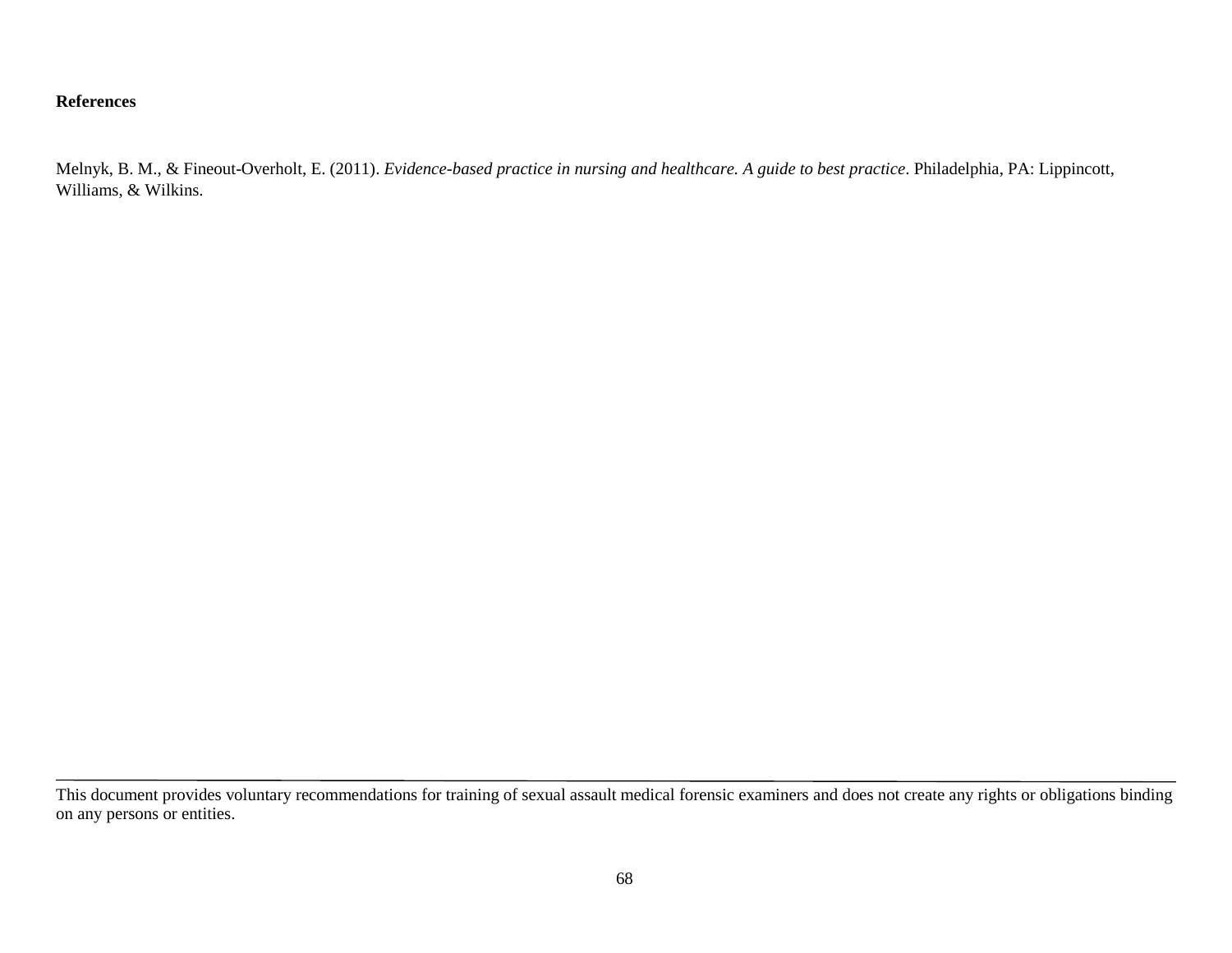#### **References**

Melnyk, B. M., & Fineout-Overholt, E. (2011). *Evidence-based practice in nursing and healthcare. A guide to best practice*. Philadelphia, PA: Lippincott, Williams, & Wilkins.

This document provides voluntary recommendations for training of sexual assault medical forensic examiners and does not create any rights or obligations binding on any persons or entities.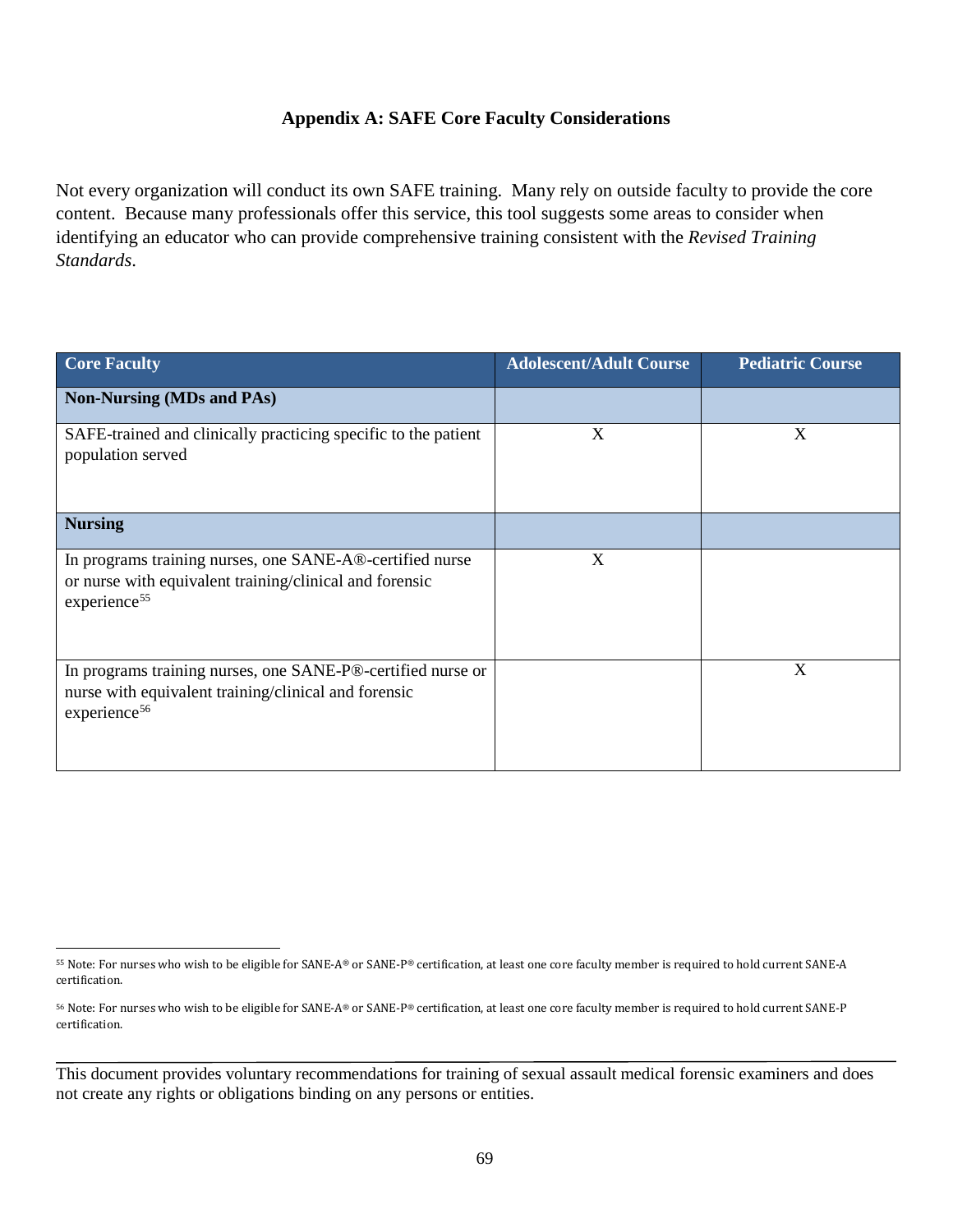### **Appendix A: SAFE Core Faculty Considerations**

Not every organization will conduct its own SAFE training. Many rely on outside faculty to provide the core content. Because many professionals offer this service, this tool suggests some areas to consider when identifying an educator who can provide comprehensive training consistent with the *Revised Training Standards*.

| <b>Core Faculty</b>                                                                                                                             | <b>Adolescent/Adult Course</b> | <b>Pediatric Course</b> |
|-------------------------------------------------------------------------------------------------------------------------------------------------|--------------------------------|-------------------------|
| <b>Non-Nursing (MDs and PAs)</b>                                                                                                                |                                |                         |
| SAFE-trained and clinically practicing specific to the patient<br>population served                                                             | X                              | X                       |
| <b>Nursing</b>                                                                                                                                  |                                |                         |
| In programs training nurses, one SANE-A®-certified nurse<br>or nurse with equivalent training/clinical and forensic<br>experience <sup>55</sup> | X                              |                         |
| In programs training nurses, one SANE-P®-certified nurse or<br>nurse with equivalent training/clinical and forensic<br>experience <sup>56</sup> |                                | X                       |

<span id="page-73-0"></span> <sup>55</sup> Note: For nurses who wish to be eligible for SANE-A® or SANE-P® certification, at least one core faculty member is required to hold current SANE-A certification.

<span id="page-73-1"></span><sup>56</sup> Note: For nurses who wish to be eligible for SANE-A® or SANE-P® certification, at least one core faculty member is required to hold current SANE-P certification.

This document provides voluntary recommendations for training of sexual assault medical forensic examiners and does not create any rights or obligations binding on any persons or entities.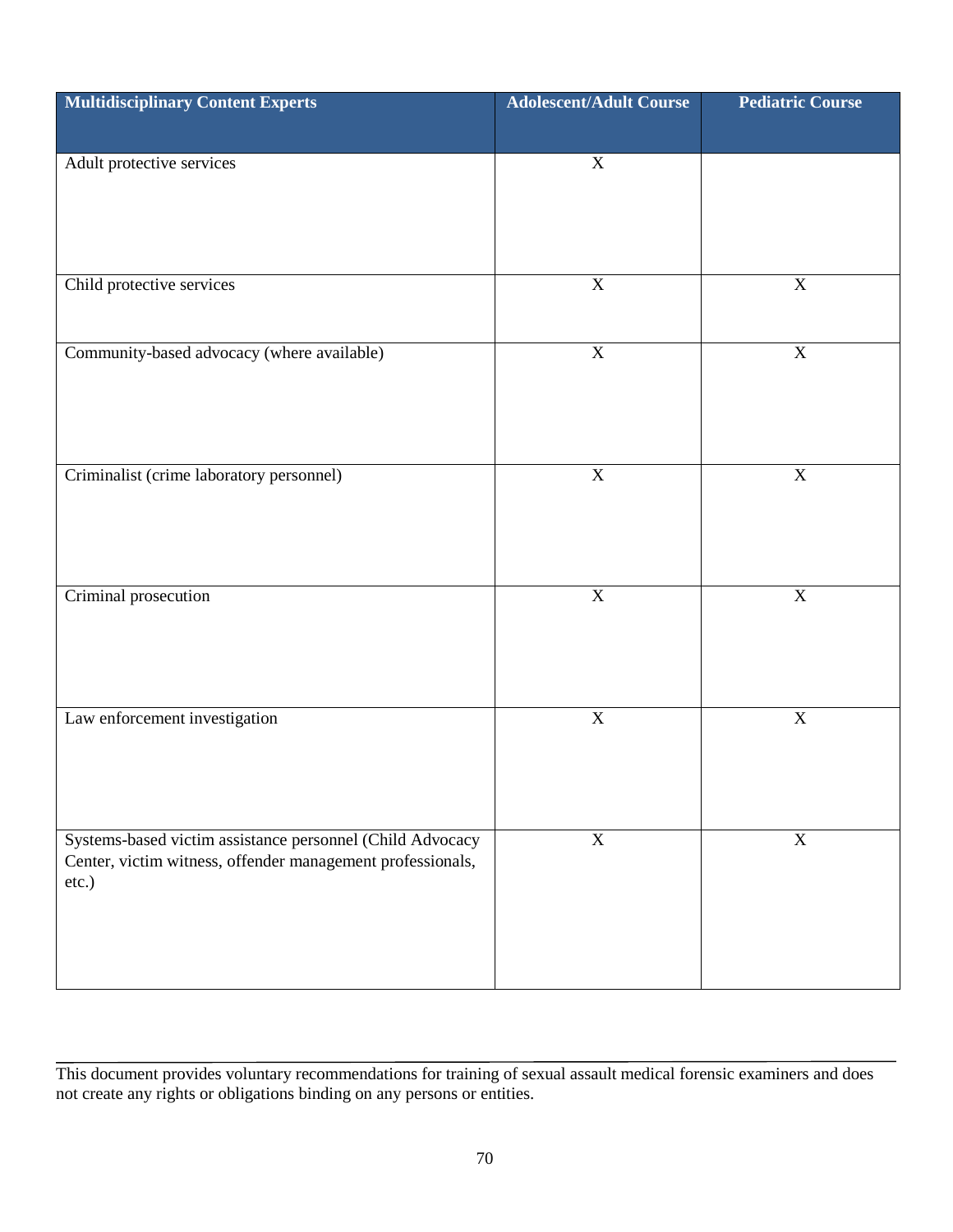| <b>Multidisciplinary Content Experts</b>                                                                                         | <b>Adolescent/Adult Course</b> | <b>Pediatric Course</b> |
|----------------------------------------------------------------------------------------------------------------------------------|--------------------------------|-------------------------|
|                                                                                                                                  |                                |                         |
| Adult protective services                                                                                                        | $\mathbf X$                    |                         |
| Child protective services                                                                                                        | $\mathbf X$                    | $\overline{X}$          |
| Community-based advocacy (where available)                                                                                       | $\overline{\textbf{X}}$        | $\overline{\textbf{X}}$ |
| Criminalist (crime laboratory personnel)                                                                                         | $\mathbf X$                    | $\mathbf X$             |
| Criminal prosecution                                                                                                             | $\mathbf X$                    | $\overline{\mathbf{X}}$ |
| Law enforcement investigation                                                                                                    | $\mathbf X$                    | $\mathbf X$             |
| Systems-based victim assistance personnel (Child Advocacy<br>Center, victim witness, offender management professionals,<br>etc.) | $\mathbf X$                    | $\mathbf X$             |

This document provides voluntary recommendations for training of sexual assault medical forensic examiners and does not create any rights or obligations binding on any persons or entities.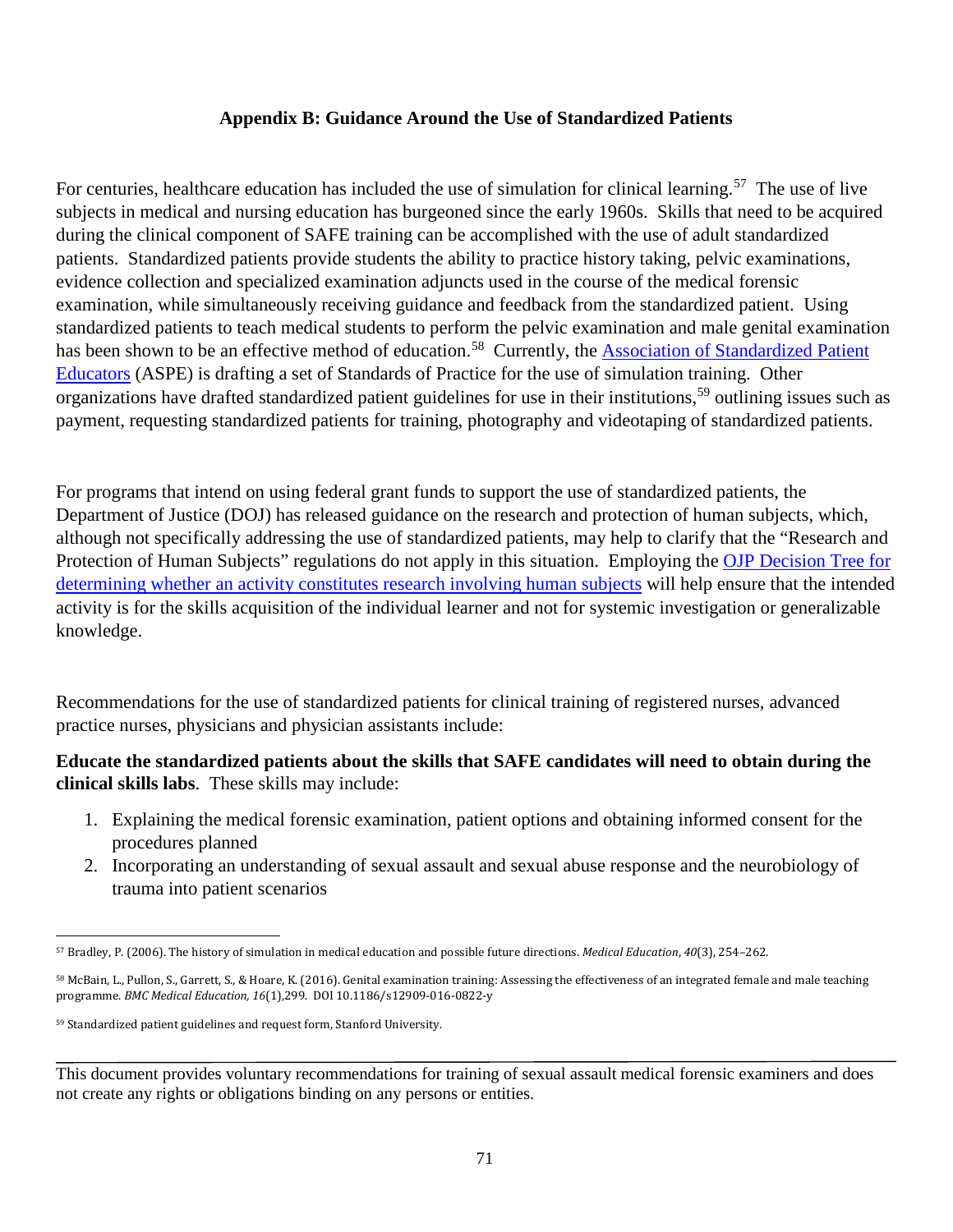#### **Appendix B: Guidance Around the Use of Standardized Patients**

For centuries, healthcare education has included the use of simulation for clinical learning.<sup>57</sup> The use of live subjects in medical and nursing education has burgeoned since the early 1960s. Skills that need to be acquired during the clinical component of SAFE training can be accomplished with the use of adult standardized patients. Standardized patients provide students the ability to practice history taking, pelvic examinations, evidence collection and specialized examination adjuncts used in the course of the medical forensic examination, while simultaneously receiving guidance and feedback from the standardized patient. Using standardized patients to teach medical students to perform the pelvic examination and male genital examination has been shown to be an effective method of education.<sup>[58](#page-75-1)</sup> Currently, the **Association of Standardized Patient** [Educators](http://www.aspeducators.org/) (ASPE) is drafting a set of Standards of Practice for the use of simulation training. Other organizations have drafted standardized patient guidelines for use in their institutions, [59](#page-75-2) outlining issues such as payment, requesting standardized patients for training, photography and videotaping of standardized patients.

For programs that intend on using federal grant funds to support the use of standardized patients, the Department of Justice (DOJ) has released guidance on the research and protection of human subjects, which, although not specifically addressing the use of standardized patients, may help to clarify that the "Research and Protection of Human Subjects" regulations do not apply in this situation. Employing the [OJP Decision Tree for](https://ojp.gov/funding/Apply/Resources/ResearchDecisionTree.pdf)  [determining whether an activity constitutes research involving human subjects](https://ojp.gov/funding/Apply/Resources/ResearchDecisionTree.pdf) will help ensure that the intended activity is for the skills acquisition of the individual learner and not for systemic investigation or generalizable knowledge.

Recommendations for the use of standardized patients for clinical training of registered nurses, advanced practice nurses, physicians and physician assistants include:

## **Educate the standardized patients about the skills that SAFE candidates will need to obtain during the clinical skills labs**. These skills may include:

- 1. Explaining the medical forensic examination, patient options and obtaining informed consent for the procedures planned
- 2. Incorporating an understanding of sexual assault and sexual abuse response and the neurobiology of trauma into patient scenarios

<span id="page-75-0"></span> <sup>57</sup> Bradley, P. (2006). The history of simulation in medical education and possible future directions. *Medical Education*, *40*(3), 254–262.

<span id="page-75-1"></span><sup>58</sup> McBain, L., Pullon, S., Garrett, S., & Hoare, K. (2016). Genital examination training: Assessing the effectiveness of an integrated female and male teaching programme. *BMC Medical Education, 16*(1),299. DOI 10.1186/s12909-016-0822-y

<span id="page-75-2"></span><sup>59</sup> Standardized patient guidelines and request form, Stanford University.

This document provides voluntary recommendations for training of sexual assault medical forensic examiners and does not create any rights or obligations binding on any persons or entities.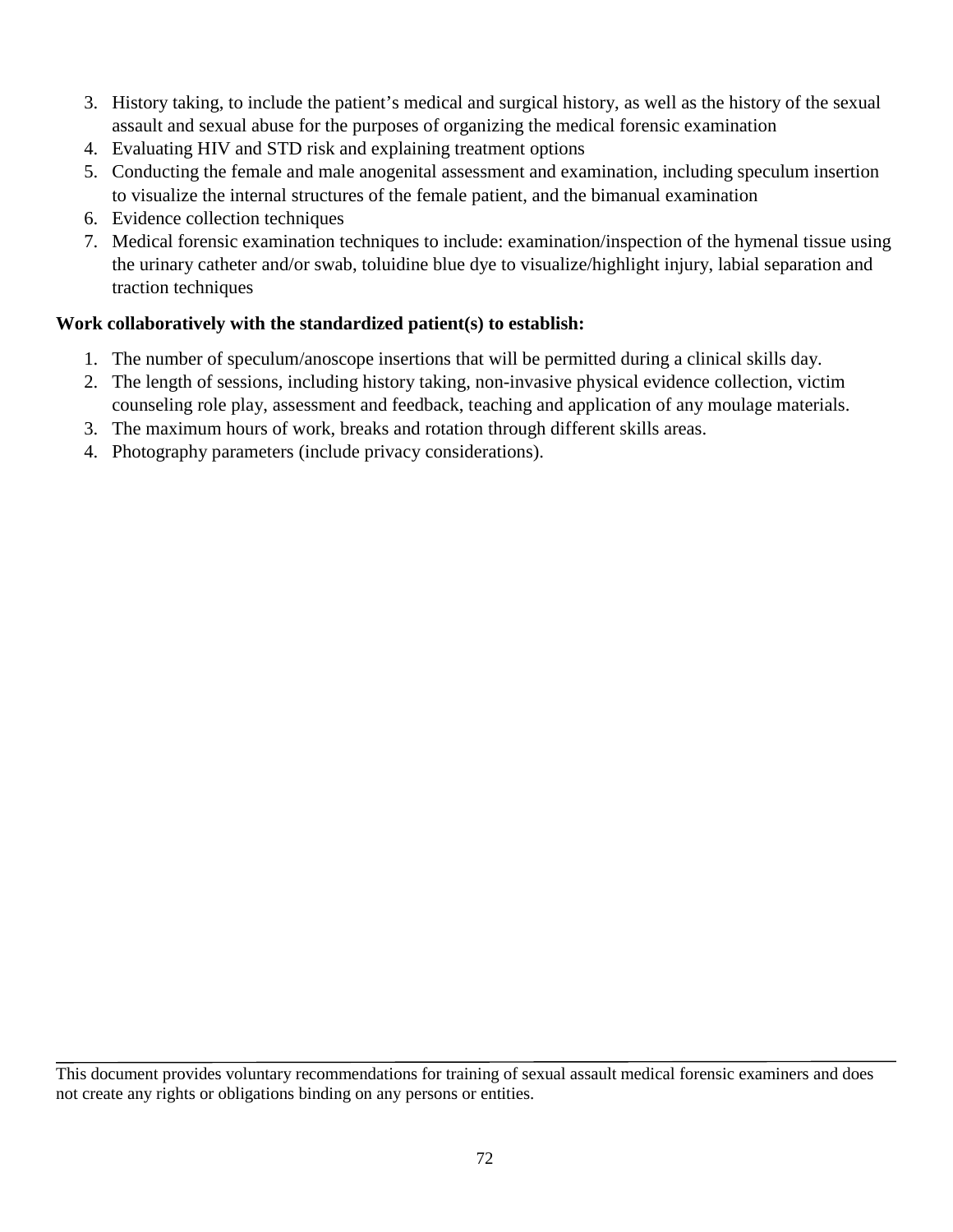- 3. History taking, to include the patient's medical and surgical history, as well as the history of the sexual assault and sexual abuse for the purposes of organizing the medical forensic examination
- 4. Evaluating HIV and STD risk and explaining treatment options
- 5. Conducting the female and male anogenital assessment and examination, including speculum insertion to visualize the internal structures of the female patient, and the bimanual examination
- 6. Evidence collection techniques
- 7. Medical forensic examination techniques to include: examination/inspection of the hymenal tissue using the urinary catheter and/or swab, toluidine blue dye to visualize/highlight injury, labial separation and traction techniques

# **Work collaboratively with the standardized patient(s) to establish:**

- 1. The number of speculum/anoscope insertions that will be permitted during a clinical skills day.
- 2. The length of sessions, including history taking, non-invasive physical evidence collection, victim counseling role play, assessment and feedback, teaching and application of any moulage materials.
- 3. The maximum hours of work, breaks and rotation through different skills areas.
- 4. Photography parameters (include privacy considerations).

This document provides voluntary recommendations for training of sexual assault medical forensic examiners and does not create any rights or obligations binding on any persons or entities.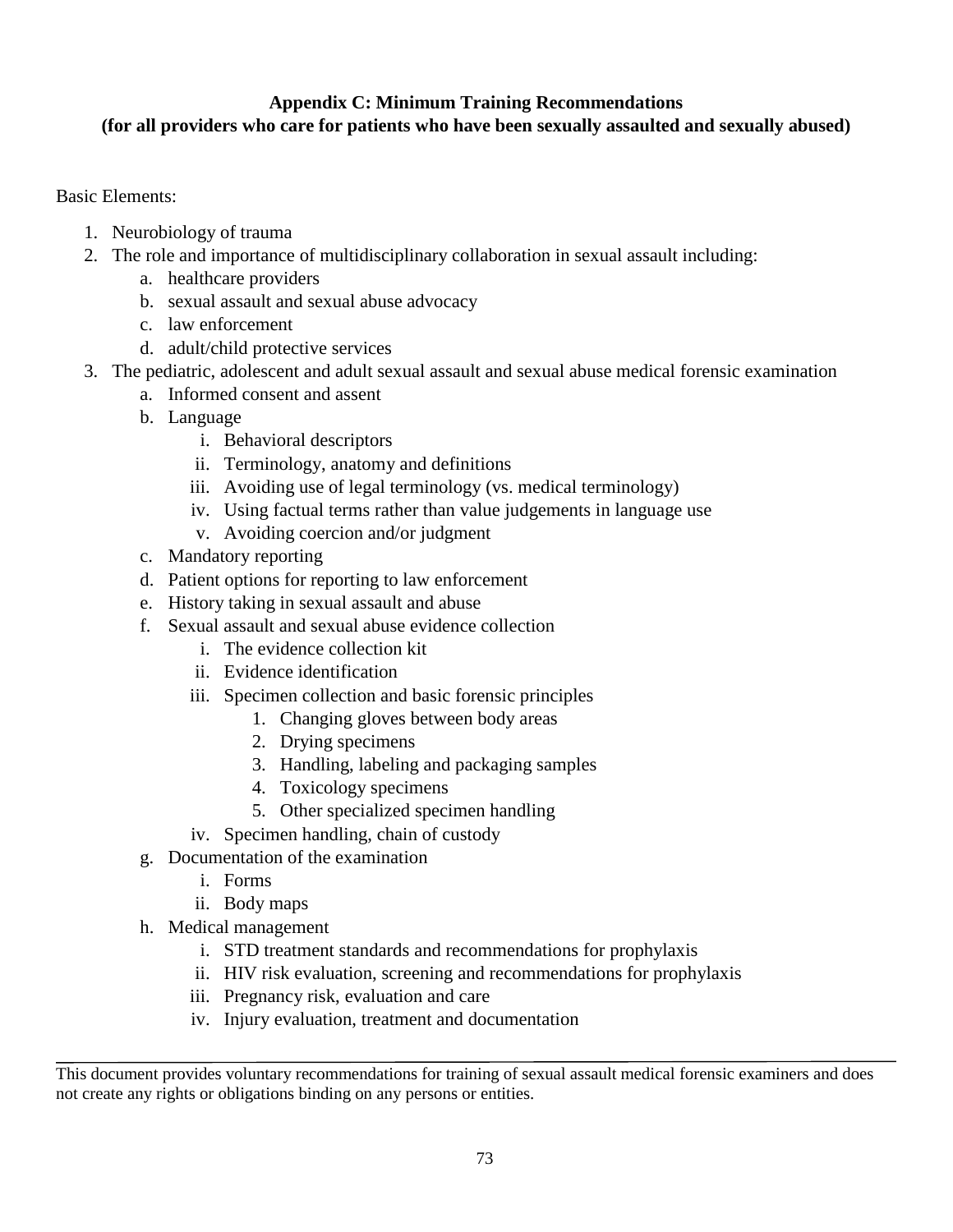# **Appendix C: Minimum Training Recommendations**

# **(for all providers who care for patients who have been sexually assaulted and sexually abused)**

Basic Elements:

- 1. Neurobiology of trauma
- 2. The role and importance of multidisciplinary collaboration in sexual assault including:
	- a. healthcare providers
	- b. sexual assault and sexual abuse advocacy
	- c. law enforcement
	- d. adult/child protective services
- 3. The pediatric, adolescent and adult sexual assault and sexual abuse medical forensic examination
	- a. Informed consent and assent
	- b. Language
		- i. Behavioral descriptors
		- ii. Terminology, anatomy and definitions
		- iii. Avoiding use of legal terminology (vs. medical terminology)
		- iv. Using factual terms rather than value judgements in language use
		- v. Avoiding coercion and/or judgment
	- c. Mandatory reporting
	- d. Patient options for reporting to law enforcement
	- e. History taking in sexual assault and abuse
	- f. Sexual assault and sexual abuse evidence collection
		- i. The evidence collection kit
		- ii. Evidence identification
		- iii. Specimen collection and basic forensic principles
			- 1. Changing gloves between body areas
			- 2. Drying specimens
			- 3. Handling, labeling and packaging samples
			- 4. Toxicology specimens
			- 5. Other specialized specimen handling
		- iv. Specimen handling, chain of custody
	- g. Documentation of the examination
		- i. Forms
		- ii. Body maps
	- h. Medical management
		- i. STD treatment standards and recommendations for prophylaxis
		- ii. HIV risk evaluation, screening and recommendations for prophylaxis
		- iii. Pregnancy risk, evaluation and care
		- iv. Injury evaluation, treatment and documentation

This document provides voluntary recommendations for training of sexual assault medical forensic examiners and does not create any rights or obligations binding on any persons or entities.